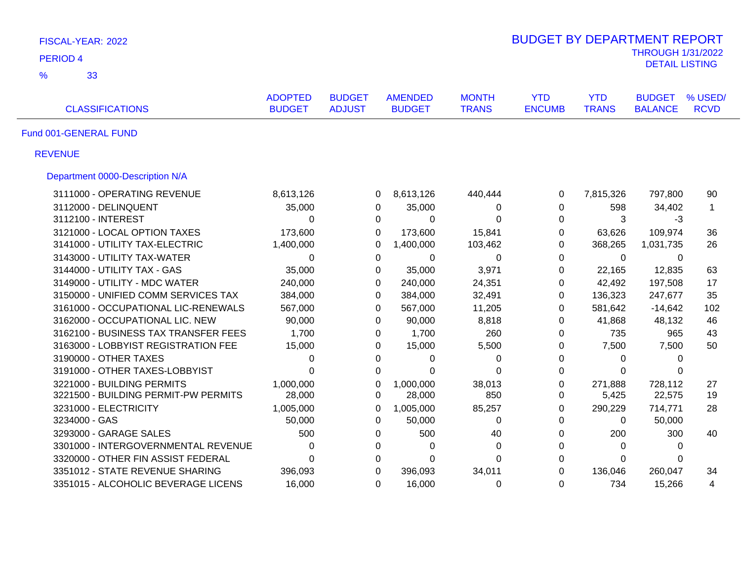| FISCAL-YEAR: 2022                    | <b>BUDGET BY DEPARTMENT REPORT</b> |               |                |                |               |              |                          |             |
|--------------------------------------|------------------------------------|---------------|----------------|----------------|---------------|--------------|--------------------------|-------------|
| <b>PERIOD 4</b>                      |                                    |               |                |                |               |              | <b>THROUGH 1/31/2022</b> |             |
| $\frac{9}{6}$<br>33                  |                                    |               |                |                |               |              | <b>DETAIL LISTING</b>    |             |
|                                      | <b>ADOPTED</b>                     | <b>BUDGET</b> | <b>AMENDED</b> | <b>MONTH</b>   | <b>YTD</b>    | <b>YTD</b>   | <b>BUDGET</b>            | % USED/     |
| <b>CLASSIFICATIONS</b>               | <b>BUDGET</b>                      | <b>ADJUST</b> | <b>BUDGET</b>  | <b>TRANS</b>   | <b>ENCUMB</b> | <b>TRANS</b> | <b>BALANCE</b>           | <b>RCVD</b> |
| Fund 001-GENERAL FUND                |                                    |               |                |                |               |              |                          |             |
| <b>REVENUE</b>                       |                                    |               |                |                |               |              |                          |             |
| Department 0000-Description N/A      |                                    |               |                |                |               |              |                          |             |
| 3111000 - OPERATING REVENUE          | 8,613,126                          | 0             | 8,613,126      | 440,444        | 0             | 7,815,326    | 797,800                  | 90          |
| 3112000 - DELINQUENT                 | 35,000                             | 0             | 35,000         | 0              | 0             | 598          | 34,402                   | $\mathbf 1$ |
| 3112100 - INTEREST                   | $\Omega$                           | $\Omega$      | $\Omega$       | $\Omega$       | $\Omega$      | 3            | $-3$                     |             |
| 3121000 - LOCAL OPTION TAXES         | 173,600                            | 0             | 173,600        | 15,841         | 0             | 63,626       | 109,974                  | 36          |
| 3141000 - UTILITY TAX-ELECTRIC       | 1,400,000                          | 0             | 1,400,000      | 103,462        | 0             | 368,265      | 1,031,735                | 26          |
| 3143000 - UTILITY TAX-WATER          | $\Omega$                           | $\Omega$      | $\Omega$       | 0              | 0             | 0            | $\Omega$                 |             |
| 3144000 - UTILITY TAX - GAS          | 35,000                             | $\Omega$      | 35,000         | 3,971          | $\Omega$      | 22,165       | 12,835                   | 63          |
| 3149000 - UTILITY - MDC WATER        | 240,000                            | 0             | 240,000        | 24,351         | $\mathbf 0$   | 42,492       | 197,508                  | 17          |
| 3150000 - UNIFIED COMM SERVICES TAX  | 384,000                            | 0             | 384,000        | 32,491         | 0             | 136,323      | 247,677                  | 35          |
| 3161000 - OCCUPATIONAL LIC-RENEWALS  | 567,000                            | 0             | 567,000        | 11,205         | 0             | 581,642      | $-14,642$                | 102         |
| 3162000 - OCCUPATIONAL LIC. NEW      | 90,000                             | 0             | 90,000         | 8,818          | 0             | 41,868       | 48,132                   | 46          |
| 3162100 - BUSINESS TAX TRANSFER FEES | 1,700                              | 0             | 1,700          | 260            | 0             | 735          | 965                      | 43          |
| 3163000 - LOBBYIST REGISTRATION FEE  | 15,000                             | 0             | 15,000         | 5,500          | 0             | 7,500        | 7,500                    | 50          |
| 3190000 - OTHER TAXES                | 0                                  | 0             | 0              | 0              | 0             | 0            | 0                        |             |
| 3191000 - OTHER TAXES-LOBBYIST       | $\Omega$                           | $\Omega$      | 0              | $\overline{0}$ | 0             | $\Omega$     | $\Omega$                 |             |
| 3221000 - BUILDING PERMITS           | 1,000,000                          | $\Omega$      | 1,000,000      | 38,013         | 0             | 271,888      | 728,112                  | 27          |
| 3221500 - BUILDING PERMIT-PW PERMITS | 28,000                             | $\Omega$      | 28,000         | 850            | 0             | 5,425        | 22,575                   | 19          |
| 3231000 - ELECTRICITY                | 1,005,000                          | 0             | 1,005,000      | 85,257         | $\Omega$      | 290,229      | 714,771                  | 28          |
| 3234000 - GAS                        | 50,000                             | $\Omega$      | 50,000         | 0              | 0             | $\Omega$     | 50,000                   |             |
| 3293000 - GARAGE SALES               | 500                                | 0             | 500            | 40             | 0             | 200          | 300                      | 40          |
| 3301000 - INTERGOVERNMENTAL REVENUE  | $\Omega$                           | 0             | $\mathbf 0$    | 0              | 0             | $\Omega$     | $\Omega$                 |             |
| 3320000 - OTHER FIN ASSIST FEDERAL   | $\Omega$                           | 0             | 0              | 0              | $\Omega$      | $\Omega$     | 0                        |             |
| 3351012 - STATE REVENUE SHARING      | 396,093                            | $\Omega$      | 396,093        | 34,011         | $\Omega$      | 136,046      | 260,047                  | 34          |
| 3351015 - ALCOHOLIC BEVERAGE LICENS  | 16,000                             | $\Omega$      | 16,000         | 0              | $\Omega$      | 734          | 15,266                   | 4           |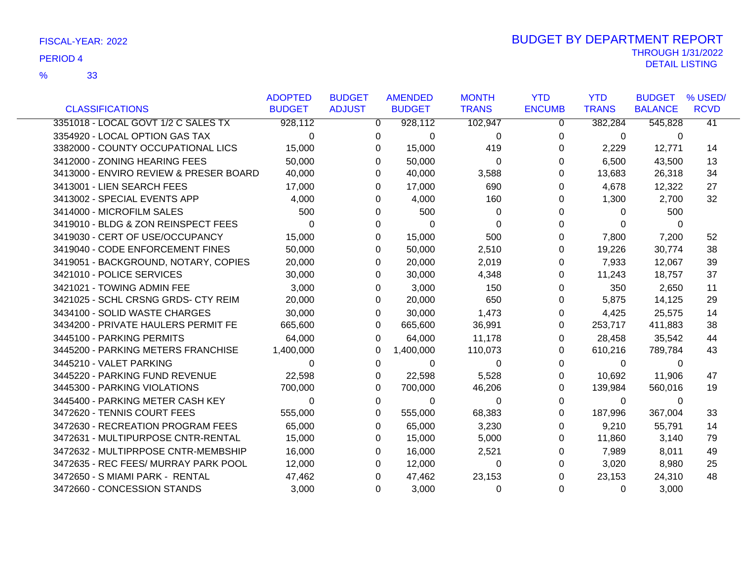| <b>CLASSIFICATIONS</b>                 | <b>ADOPTED</b><br><b>BUDGET</b> | <b>BUDGET</b><br><b>ADJUST</b> | <b>AMENDED</b><br><b>BUDGET</b> | <b>MONTH</b><br><b>TRANS</b> | <b>YTD</b><br><b>ENCUMB</b> | <b>YTD</b><br><b>TRANS</b> | <b>BUDGET</b><br><b>BALANCE</b> | % USED/<br><b>RCVD</b> |
|----------------------------------------|---------------------------------|--------------------------------|---------------------------------|------------------------------|-----------------------------|----------------------------|---------------------------------|------------------------|
|                                        |                                 |                                |                                 |                              |                             |                            |                                 |                        |
| 3351018 - LOCAL GOVT 1/2 C SALES TX    | 928,112                         | 0                              | 928,112                         | 102,947                      | 0                           | 382,284                    | 545,828                         | 41                     |
| 3354920 - LOCAL OPTION GAS TAX         | $\Omega$                        | 0                              | 0                               | $\Omega$                     | 0                           | $\mathbf 0$                | 0                               |                        |
| 3382000 - COUNTY OCCUPATIONAL LICS     | 15,000                          | 0                              | 15,000                          | 419                          | 0                           | 2,229                      | 12,771                          | 14                     |
| 3412000 - ZONING HEARING FEES          | 50,000                          | 0                              | 50,000                          | $\Omega$                     | 0                           | 6,500                      | 43,500                          | 13                     |
| 3413000 - ENVIRO REVIEW & PRESER BOARD | 40,000                          | 0                              | 40,000                          | 3,588                        | 0                           | 13,683                     | 26,318                          | 34                     |
| 3413001 - LIEN SEARCH FEES             | 17,000                          | 0                              | 17,000                          | 690                          | 0                           | 4,678                      | 12,322                          | 27                     |
| 3413002 - SPECIAL EVENTS APP           | 4,000                           | 0                              | 4,000                           | 160                          | 0                           | 1,300                      | 2,700                           | 32                     |
| 3414000 - MICROFILM SALES              | 500                             | 0                              | 500                             | 0                            | 0                           | $\Omega$                   | 500                             |                        |
| 3419010 - BLDG & ZON REINSPECT FEES    | $\Omega$                        | 0                              | $\Omega$                        | 0                            | 0                           | 0                          | 0                               |                        |
| 3419030 - CERT OF USE/OCCUPANCY        | 15,000                          | 0                              | 15,000                          | 500                          | 0                           | 7,800                      | 7,200                           | 52                     |
| 3419040 - CODE ENFORCEMENT FINES       | 50,000                          | 0                              | 50,000                          | 2,510                        | 0                           | 19,226                     | 30,774                          | 38                     |
| 3419051 - BACKGROUND, NOTARY, COPIES   | 20,000                          | 0                              | 20,000                          | 2,019                        | 0                           | 7,933                      | 12,067                          | 39                     |
| 3421010 - POLICE SERVICES              | 30,000                          | 0                              | 30,000                          | 4,348                        | 0                           | 11,243                     | 18,757                          | 37                     |
| 3421021 - TOWING ADMIN FEE             | 3,000                           | 0                              | 3,000                           | 150                          | 0                           | 350                        | 2,650                           | 11                     |
| 3421025 - SCHL CRSNG GRDS- CTY REIM    | 20,000                          | 0                              | 20,000                          | 650                          | $\Omega$                    | 5,875                      | 14,125                          | 29                     |
| 3434100 - SOLID WASTE CHARGES          | 30,000                          | 0                              | 30,000                          | 1,473                        | 0                           | 4,425                      | 25,575                          | 14                     |
| 3434200 - PRIVATE HAULERS PERMIT FE    | 665,600                         | 0                              | 665,600                         | 36,991                       | 0                           | 253,717                    | 411,883                         | 38                     |
| 3445100 - PARKING PERMITS              | 64,000                          | 0                              | 64,000                          | 11,178                       | 0                           | 28,458                     | 35,542                          | 44                     |
| 3445200 - PARKING METERS FRANCHISE     | 1,400,000                       | 0                              | 1,400,000                       | 110,073                      | 0                           | 610,216                    | 789,784                         | 43                     |
| 3445210 - VALET PARKING                | $\Omega$                        | 0                              | $\Omega$                        | $\Omega$                     | 0                           | $\Omega$                   | $\Omega$                        |                        |
| 3445220 - PARKING FUND REVENUE         | 22,598                          | 0                              | 22,598                          | 5,528                        | 0                           | 10,692                     | 11,906                          | 47                     |
| 3445300 - PARKING VIOLATIONS           | 700,000                         | 0                              | 700,000                         | 46,206                       | 0                           | 139,984                    | 560,016                         | 19                     |
| 3445400 - PARKING METER CASH KEY       | $\Omega$                        | 0                              | 0                               | 0                            | 0                           | $\Omega$                   | $\Omega$                        |                        |
| 3472620 - TENNIS COURT FEES            | 555,000                         | 0                              | 555,000                         | 68,383                       | 0                           | 187,996                    | 367,004                         | 33                     |
| 3472630 - RECREATION PROGRAM FEES      | 65,000                          | 0                              | 65,000                          | 3,230                        | 0                           | 9,210                      | 55,791                          | 14                     |
| 3472631 - MULTIPURPOSE CNTR-RENTAL     | 15,000                          | 0                              | 15,000                          | 5,000                        | 0                           | 11,860                     | 3,140                           | 79                     |
| 3472632 - MULTIPRPOSE CNTR-MEMBSHIP    | 16,000                          | 0                              | 16,000                          | 2,521                        | 0                           | 7,989                      | 8,011                           | 49                     |
| 3472635 - REC FEES/ MURRAY PARK POOL   | 12,000                          | 0                              | 12,000                          | $\Omega$                     | 0                           | 3,020                      | 8,980                           | 25                     |
| 3472650 - S MIAMI PARK - RENTAL        | 47,462                          | 0                              | 47,462                          | 23,153                       | 0                           | 23,153                     | 24,310                          | 48                     |
| 3472660 - CONCESSION STANDS            | 3,000                           | 0                              | 3,000                           | $\Omega$                     | $\Omega$                    | $\Omega$                   | 3,000                           |                        |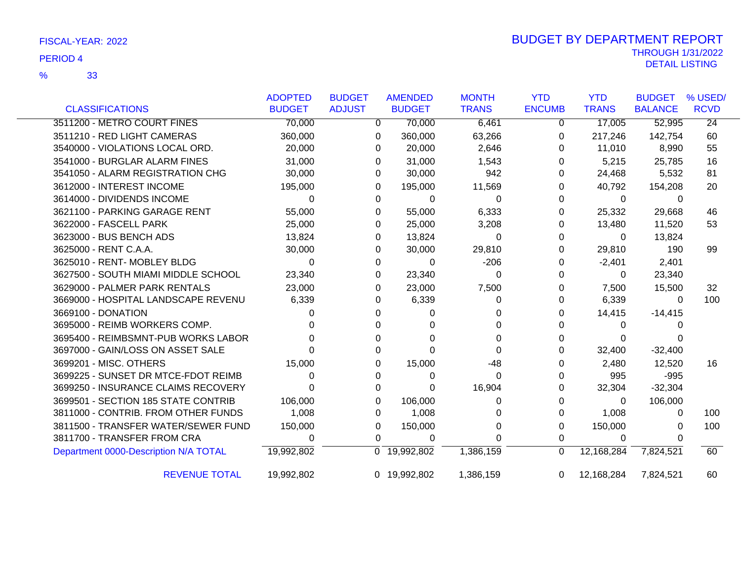|                                       | <b>ADOPTED</b> | <b>BUDGET</b> | <b>AMENDED</b> |          | <b>MONTH</b> | <b>YTD</b>    | <b>YTD</b>   | <b>BUDGET</b>  | % USED/         |
|---------------------------------------|----------------|---------------|----------------|----------|--------------|---------------|--------------|----------------|-----------------|
| <b>CLASSIFICATIONS</b>                | <b>BUDGET</b>  | <b>ADJUST</b> | <b>BUDGET</b>  |          | <b>TRANS</b> | <b>ENCUMB</b> | <b>TRANS</b> | <b>BALANCE</b> | <b>RCVD</b>     |
| 3511200 - METRO COURT FINES           | 70,000         |               | 0              | 70,000   | 6,461        | 0             | 17,005       | 52,995         | $\overline{24}$ |
| 3511210 - RED LIGHT CAMERAS           | 360,000        |               | 0              | 360,000  | 63,266       | 0             | 217,246      | 142,754        | 60              |
| 3540000 - VIOLATIONS LOCAL ORD.       | 20,000         |               | 0              | 20,000   | 2,646        | 0             | 11,010       | 8,990          | 55              |
| 3541000 - BURGLAR ALARM FINES         | 31,000         |               | 0              | 31,000   | 1,543        | 0             | 5,215        | 25,785         | 16              |
| 3541050 - ALARM REGISTRATION CHG      | 30,000         |               | 0              | 30,000   | 942          | 0             | 24,468       | 5,532          | 81              |
| 3612000 - INTEREST INCOME             | 195,000        |               | 0              | 195,000  | 11,569       | 0             | 40,792       | 154,208        | 20              |
| 3614000 - DIVIDENDS INCOME            | $\Omega$       |               | $\Omega$       | 0        | 0            | 0             | $\mathbf{0}$ | 0              |                 |
| 3621100 - PARKING GARAGE RENT         | 55,000         |               | 0              | 55,000   | 6,333        | 0             | 25,332       | 29,668         | 46              |
| 3622000 - FASCELL PARK                | 25,000         |               | 0              | 25,000   | 3,208        | 0             | 13,480       | 11,520         | 53              |
| 3623000 - BUS BENCH ADS               | 13,824         |               | 0              | 13,824   | 0            | 0             | 0            | 13,824         |                 |
| 3625000 - RENT C.A.A.                 | 30,000         |               | 0              | 30,000   | 29,810       | 0             | 29,810       | 190            | 99              |
| 3625010 - RENT- MOBLEY BLDG           | $\Omega$       |               | 0              | $\Omega$ | $-206$       | 0             | $-2,401$     | 2,401          |                 |
| 3627500 - SOUTH MIAMI MIDDLE SCHOOL   | 23,340         |               | 0              | 23,340   | 0            | 0             | $\Omega$     | 23,340         |                 |
| 3629000 - PALMER PARK RENTALS         | 23,000         |               | 0              | 23,000   | 7,500        | 0             | 7,500        | 15,500         | 32              |
| 3669000 - HOSPITAL LANDSCAPE REVENU   | 6,339          |               | 0              | 6,339    | 0            | 0             | 6,339        | $\Omega$       | 100             |
| 3669100 - DONATION                    |                |               | 0              | 0        | 0            | 0             | 14,415       | $-14,415$      |                 |
| 3695000 - REIMB WORKERS COMP.         |                |               |                |          | 0            | O             | 0            |                |                 |
| 3695400 - REIMBSMNT-PUB WORKS LABOR   |                |               |                |          | 0            | 0             | 0            |                |                 |
| 3697000 - GAIN/LOSS ON ASSET SALE     |                |               |                | ∩        | 0            | 0             | 32,400       | $-32,400$      |                 |
| 3699201 - MISC. OTHERS                | 15,000         |               | 0              | 15,000   | -48          | 0             | 2,480        | 12,520         | 16              |
| 3699225 - SUNSET DR MTCE-FDOT REIMB   | 0              |               | $\Omega$       | 0        | 0            | 0             | 995          | $-995$         |                 |
| 3699250 - INSURANCE CLAIMS RECOVERY   |                |               | 0              | 0        | 16,904       | 0             | 32,304       | $-32,304$      |                 |
| 3699501 - SECTION 185 STATE CONTRIB   | 106,000        |               | 0              | 106,000  | 0            | 0             | $\Omega$     | 106,000        |                 |
| 3811000 - CONTRIB. FROM OTHER FUNDS   | 1,008          |               | 0              | 1,008    | 0            | 0             | 1,008        | 0              | 100             |
| 3811500 - TRANSFER WATER/SEWER FUND   | 150,000        |               | 0              | 150,000  | 0            | 0             | 150,000      | 0              | 100             |
| 3811700 - TRANSFER FROM CRA           | $\Omega$       |               | $\Omega$       | 0        | 0            | 0             | 0            | O              |                 |
| Department 0000-Description N/A TOTAL | 19,992,802     |               | 0 19,992,802   |          | 1,386,159    | 0             | 12,168,284   | 7,824,521      | 60              |
| <b>REVENUE TOTAL</b>                  | 19,992,802     |               | 0 19,992,802   |          | 1,386,159    | $\Omega$      | 12,168,284   | 7,824,521      | 60              |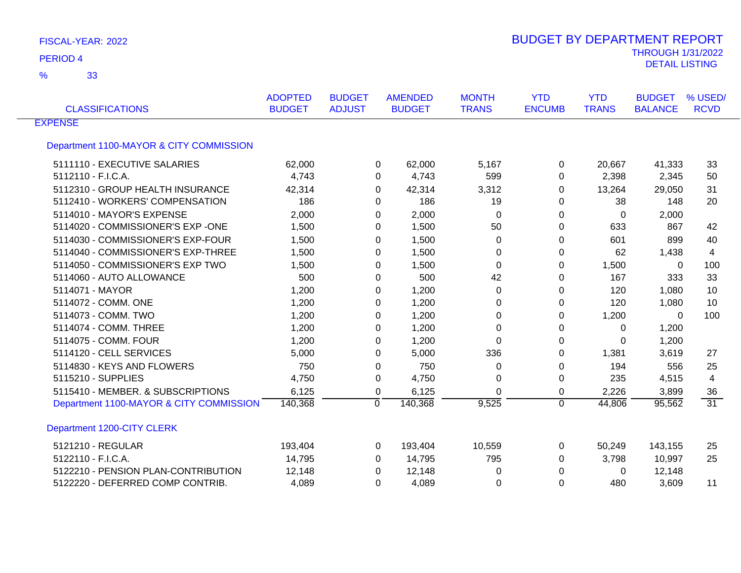| FISCAL-YEAR: 2022 |  |  |
|-------------------|--|--|
|-------------------|--|--|

| <b>CLASSIFICATIONS</b>                  | <b>ADOPTED</b><br><b>BUDGET</b> | <b>BUDGET</b><br><b>ADJUST</b> | <b>AMENDED</b><br><b>BUDGET</b> | <b>MONTH</b><br><b>TRANS</b> | <b>YTD</b><br><b>ENCUMB</b> | <b>YTD</b><br><b>TRANS</b> | <b>BUDGET</b><br><b>BALANCE</b> | % USED/<br><b>RCVD</b> |
|-----------------------------------------|---------------------------------|--------------------------------|---------------------------------|------------------------------|-----------------------------|----------------------------|---------------------------------|------------------------|
| <b>EXPENSE</b>                          |                                 |                                |                                 |                              |                             |                            |                                 |                        |
| Department 1100-MAYOR & CITY COMMISSION |                                 |                                |                                 |                              |                             |                            |                                 |                        |
| 5111110 - EXECUTIVE SALARIES            | 62,000                          |                                | 62,000<br>0                     | 5,167                        | $\Omega$                    | 20,667                     | 41,333                          | 33                     |
| 5112110 - F.I.C.A.                      | 4,743                           |                                | 4,743<br>0                      | 599                          | 0                           | 2,398                      | 2,345                           | 50                     |
| 5112310 - GROUP HEALTH INSURANCE        | 42,314                          |                                | 0<br>42,314                     | 3,312                        | 0                           | 13,264                     | 29,050                          | 31                     |
| 5112410 - WORKERS' COMPENSATION         | 186                             |                                | 186<br>0                        | 19                           | 0                           | 38                         | 148                             | 20                     |
| 5114010 - MAYOR'S EXPENSE               | 2,000                           |                                | 2,000<br>0                      | 0                            | 0                           | $\mathbf 0$                | 2,000                           |                        |
| 5114020 - COMMISSIONER'S EXP -ONE       | 1,500                           |                                | 1,500<br>0                      | 50                           | 0                           | 633                        | 867                             | 42                     |
| 5114030 - COMMISSIONER'S EXP-FOUR       | 1,500                           |                                | 1,500<br>0                      | 0                            | 0                           | 601                        | 899                             | 40                     |
| 5114040 - COMMISSIONER'S EXP-THREE      | 1,500                           |                                | 1,500<br>0                      | 0                            | 0                           | 62                         | 1,438                           | 4                      |
| 5114050 - COMMISSIONER'S EXP TWO        | 1,500                           |                                | 1,500<br>0                      | 0                            | $\Omega$                    | 1,500                      | $\mathbf{0}$                    | 100                    |
| 5114060 - AUTO ALLOWANCE                | 500                             |                                | 500<br>0                        | 42                           | 0                           | 167                        | 333                             | 33                     |
| 5114071 - MAYOR                         | 1,200                           |                                | 1,200<br>0                      | 0                            | 0                           | 120                        | 1,080                           | 10                     |
| 5114072 - COMM. ONE                     | 1,200                           |                                | 1,200<br>0                      | 0                            | 0                           | 120                        | 1,080                           | 10                     |
| 5114073 - COMM. TWO                     | 1,200                           |                                | 1,200<br>0                      | 0                            | 0                           | 1,200                      | 0                               | 100                    |
| 5114074 - COMM. THREE                   | 1,200                           |                                | 1,200<br>0                      | 0                            | 0                           | 0                          | 1,200                           |                        |
| 5114075 - COMM, FOUR                    | 1,200                           |                                | 1,200<br>0                      | $\Omega$                     | $\Omega$                    | $\Omega$                   | 1,200                           |                        |
| 5114120 - CELL SERVICES                 | 5,000                           |                                | 5,000<br>0                      | 336                          | $\Omega$                    | 1,381                      | 3,619                           | 27                     |
| 5114830 - KEYS AND FLOWERS              | 750                             |                                | 750<br>0                        | 0                            | 0                           | 194                        | 556                             | 25                     |
| 5115210 - SUPPLIES                      | 4,750                           |                                | 4,750<br>0                      | 0                            | 0                           | 235                        | 4,515                           | 4                      |
| 5115410 - MEMBER. & SUBSCRIPTIONS       | 6,125                           |                                | 0<br>6,125                      | $\Omega$                     | 0                           | 2,226                      | 3,899                           | 36                     |
| Department 1100-MAYOR & CITY COMMISSION | 140,368                         | $\Omega$                       | 140,368                         | 9,525                        | $\Omega$                    | 44,806                     | 95,562                          | $\overline{31}$        |
| Department 1200-CITY CLERK              |                                 |                                |                                 |                              |                             |                            |                                 |                        |
| 5121210 - REGULAR                       | 193,404                         |                                | 0<br>193,404                    | 10,559                       | 0                           | 50,249                     | 143,155                         | 25                     |
| 5122110 - F.I.C.A.                      | 14,795                          |                                | 14,795<br>0                     | 795                          | $\Omega$                    | 3,798                      | 10,997                          | 25                     |
| 5122210 - PENSION PLAN-CONTRIBUTION     | 12,148                          |                                | 12,148<br>0                     | 0                            | $\Omega$                    | 0                          | 12,148                          |                        |
| 5122220 - DEFERRED COMP CONTRIB.        | 4,089                           |                                | 4,089<br>0                      | 0                            | 0                           | 480                        | 3,609                           | 11                     |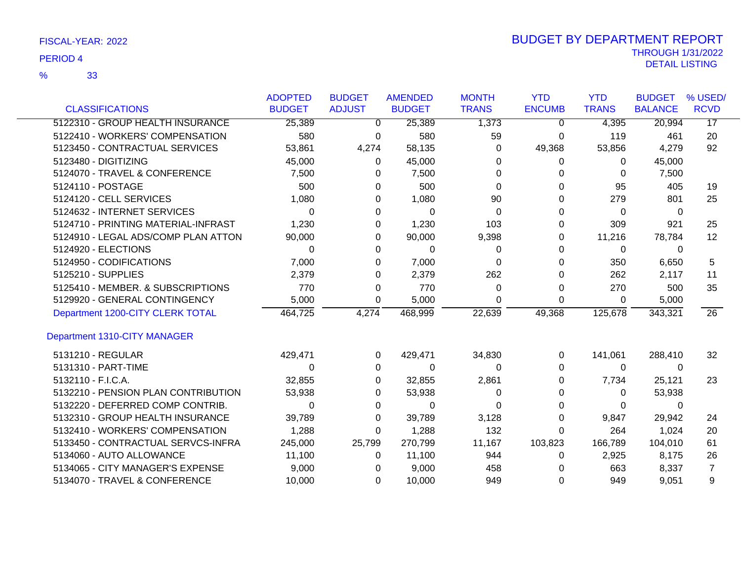|                                     | <b>ADOPTED</b> | <b>BUDGET</b> | <b>AMENDED</b> | <b>MONTH</b> | <b>YTD</b>    | <b>YTD</b>   | <b>BUDGET</b>  | % USED/         |
|-------------------------------------|----------------|---------------|----------------|--------------|---------------|--------------|----------------|-----------------|
| <b>CLASSIFICATIONS</b>              | <b>BUDGET</b>  | <b>ADJUST</b> | <b>BUDGET</b>  | <b>TRANS</b> | <b>ENCUMB</b> | <b>TRANS</b> | <b>BALANCE</b> | <b>RCVD</b>     |
| 5122310 - GROUP HEALTH INSURANCE    | 25,389         | 0             | 25,389         | 1,373        | 0             | 4,395        | 20,994         | $\overline{17}$ |
| 5122410 - WORKERS' COMPENSATION     | 580            | 0             | 580            | 59           | $\Omega$      | 119          | 461            | 20              |
| 5123450 - CONTRACTUAL SERVICES      | 53,861         | 4,274         | 58,135         | 0            | 49,368        | 53,856       | 4,279          | 92              |
| 5123480 - DIGITIZING                | 45,000         | 0             | 45,000         | 0            | 0             | $\Omega$     | 45,000         |                 |
| 5124070 - TRAVEL & CONFERENCE       | 7,500          | 0             | 7,500          | 0            | O             | 0            | 7,500          |                 |
| 5124110 - POSTAGE                   | 500            | 0             | 500            | 0            | 0             | 95           | 405            | 19              |
| 5124120 - CELL SERVICES             | 1,080          | 0             | 1,080          | 90           | O             | 279          | 801            | 25              |
| 5124632 - INTERNET SERVICES         | 0              | 0             | 0              | 0            | 0             | 0            | 0              |                 |
| 5124710 - PRINTING MATERIAL-INFRAST | 1,230          | 0             | 1,230          | 103          | O             | 309          | 921            | 25              |
| 5124910 - LEGAL ADS/COMP PLAN ATTON | 90,000         | 0             | 90,000         | 9,398        | 0             | 11,216       | 78,784         | 12              |
| 5124920 - ELECTIONS                 | 0              | 0             | $\Omega$       | 0            | 0             | 0            | 0              |                 |
| 5124950 - CODIFICATIONS             | 7,000          | 0             | 7,000          | 0            | O             | 350          | 6,650          | 5               |
| 5125210 - SUPPLIES                  | 2,379          | 0             | 2,379          | 262          | U             | 262          | 2,117          | 11              |
| 5125410 - MEMBER. & SUBSCRIPTIONS   | 770            | 0             | 770            | 0            | 0             | 270          | 500            | 35              |
| 5129920 - GENERAL CONTINGENCY       | 5,000          | 0             | 5,000          | 0            | 0             | 0            | 5,000          |                 |
| Department 1200-CITY CLERK TOTAL    | 464,725        | 4,274         | 468,999        | 22,639       | 49,368        | 125,678      | 343,321        | $\overline{26}$ |
| Department 1310-CITY MANAGER        |                |               |                |              |               |              |                |                 |
| 5131210 - REGULAR                   | 429,471        | 0             | 429,471        | 34,830       | 0             | 141,061      | 288,410        | 32              |
| 5131310 - PART-TIME                 | 0              | 0             | 0              | 0            | 0             | 0            | 0              |                 |
| 5132110 - F.I.C.A.                  | 32,855         | 0             | 32,855         | 2,861        | 0             | 7,734        | 25,121         | 23              |
| 5132210 - PENSION PLAN CONTRIBUTION | 53,938         | 0             | 53,938         | 0            | O             | $\Omega$     | 53,938         |                 |
| 5132220 - DEFERRED COMP CONTRIB.    | 0              | 0             | 0              | 0            | O             | 0            | 0              |                 |
| 5132310 - GROUP HEALTH INSURANCE    | 39,789         | 0             | 39,789         | 3,128        | 0             | 9,847        | 29,942         | 24              |
| 5132410 - WORKERS' COMPENSATION     | 1,288          | 0             | 1,288          | 132          | 0             | 264          | 1,024          | 20              |
| 5133450 - CONTRACTUAL SERVCS-INFRA  | 245,000        | 25,799        | 270,799        | 11,167       | 103,823       | 166,789      | 104,010        | 61              |
| 5134060 - AUTO ALLOWANCE            | 11,100         | 0             | 11,100         | 944          | 0             | 2,925        | 8,175          | 26              |
| 5134065 - CITY MANAGER'S EXPENSE    | 9,000          | 0             | 9,000          | 458          |               | 663          | 8,337          | $\overline{7}$  |
| 5134070 - TRAVEL & CONFERENCE       | 10,000         | $\Omega$      | 10,000         | 949          | $\Omega$      | 949          | 9,051          | 9               |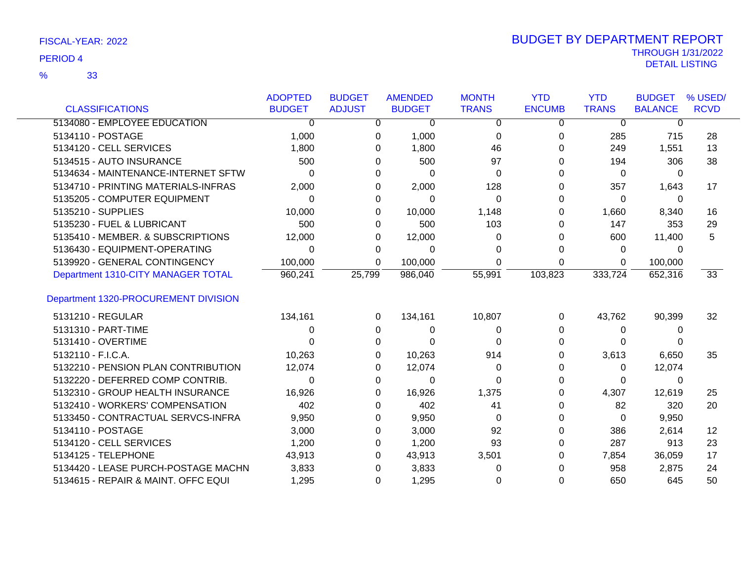|                                      | <b>ADOPTED</b> | <b>BUDGET</b> | <b>AMENDED</b> | <b>MONTH</b> | <b>YTD</b>    | <b>YTD</b>   | <b>BUDGET</b>  | % USED/         |
|--------------------------------------|----------------|---------------|----------------|--------------|---------------|--------------|----------------|-----------------|
| <b>CLASSIFICATIONS</b>               | <b>BUDGET</b>  | <b>ADJUST</b> | <b>BUDGET</b>  | <b>TRANS</b> | <b>ENCUMB</b> | <b>TRANS</b> | <b>BALANCE</b> | <b>RCVD</b>     |
| 5134080 - EMPLOYEE EDUCATION         | 0              | 0             | 0              | 0            | 0             | $\mathbf 0$  | 0              |                 |
| 5134110 - POSTAGE                    | 1,000          | 0             | 1,000          | $\Omega$     | 0             | 285          | 715            | 28              |
| 5134120 - CELL SERVICES              | 1,800          | 0             | 1,800          | 46           | 0             | 249          | 1,551          | 13              |
| 5134515 - AUTO INSURANCE             | 500            | 0             | 500            | 97           | 0             | 194          | 306            | 38              |
| 5134634 - MAINTENANCE-INTERNET SFTW  | 0              |               | 0              | $\Omega$     |               | 0            | 0              |                 |
| 5134710 - PRINTING MATERIALS-INFRAS  | 2,000          | 0             | 2,000          | 128          |               | 357          | 1,643          | 17              |
| 5135205 - COMPUTER EQUIPMENT         | 0              | 0             | 0              | $\Omega$     | O             | 0            | 0              |                 |
| 5135210 - SUPPLIES                   | 10,000         | 0             | 10,000         | 1,148        | 0             | 1,660        | 8,340          | 16              |
| 5135230 - FUEL & LUBRICANT           | 500            | 0             | 500            | 103          | 0             | 147          | 353            | 29              |
| 5135410 - MEMBER. & SUBSCRIPTIONS    | 12,000         | 0             | 12,000         | 0            |               | 600          | 11,400         | 5               |
| 5136430 - EQUIPMENT-OPERATING        | 0              | 0             | 0              | 0            | 0             | 0            | 0              |                 |
| 5139920 - GENERAL CONTINGENCY        | 100,000        | 0             | 100,000        | $\Omega$     | 0             | 0            | 100,000        |                 |
| Department 1310-CITY MANAGER TOTAL   | 960,241        | 25,799        | 986,040        | 55,991       | 103,823       | 333,724      | 652,316        | $\overline{33}$ |
| Department 1320-PROCUREMENT DIVISION |                |               |                |              |               |              |                |                 |
| 5131210 - REGULAR                    | 134,161        | 0             | 134,161        | 10,807       | 0             | 43,762       | 90,399         | 32              |
| 5131310 - PART-TIME                  | 0              | 0             | 0              | 0            | $\Omega$      | 0            | 0              |                 |
| 5131410 - OVERTIME                   | 0              | 0             | 0              | 0            |               | 0            | 0              |                 |
| 5132110 - F.I.C.A.                   | 10,263         | 0             | 10,263         | 914          |               | 3,613        | 6,650          | 35              |
| 5132210 - PENSION PLAN CONTRIBUTION  | 12,074         | 0             | 12,074         | 0            |               | 0            | 12,074         |                 |
| 5132220 - DEFERRED COMP CONTRIB.     | $\Omega$       | 0             | $\Omega$       | 0            | 0             | $\Omega$     | 0              |                 |
| 5132310 - GROUP HEALTH INSURANCE     | 16,926         | 0             | 16,926         | 1,375        | 0             | 4,307        | 12,619         | 25              |
| 5132410 - WORKERS' COMPENSATION      | 402            | 0             | 402            | 41           |               | 82           | 320            | 20              |
| 5133450 - CONTRACTUAL SERVCS-INFRA   | 9,950          |               | 9,950          | 0            | 0             | 0            | 9,950          |                 |
| 5134110 - POSTAGE                    | 3,000          | 0             | 3,000          | 92           |               | 386          | 2,614          | 12              |
| 5134120 - CELL SERVICES              | 1,200          | 0             | 1,200          | 93           |               | 287          | 913            | 23              |
| 5134125 - TELEPHONE                  | 43,913         | 0             | 43,913         | 3,501        |               | 7,854        | 36,059         | 17              |
| 5134420 - LEASE PURCH-POSTAGE MACHN  | 3,833          | 0             | 3,833          | 0            |               | 958          | 2,875          | 24              |
| 5134615 - REPAIR & MAINT. OFFC EQUI  | 1,295          | 0             | 1,295          | 0            | 0             | 650          | 645            | 50              |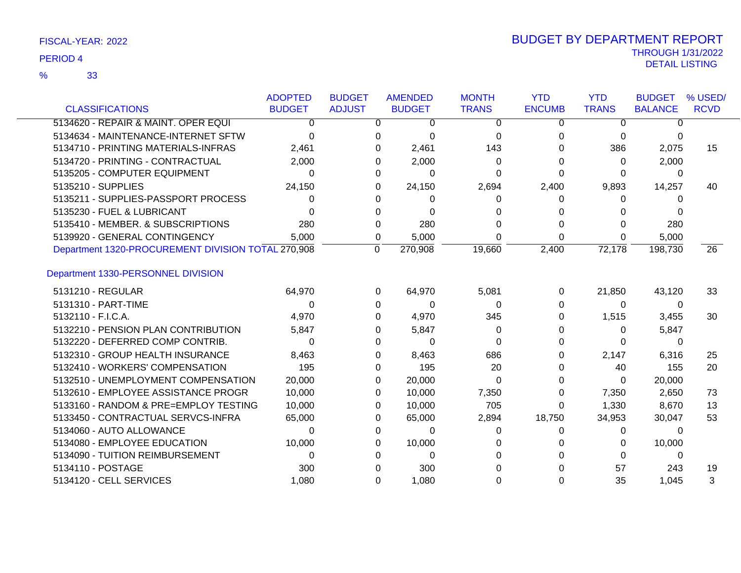| <b>CLASSIFICATIONS</b>                             | <b>ADOPTED</b><br><b>BUDGET</b> | <b>BUDGET</b><br><b>ADJUST</b> | <b>AMENDED</b><br><b>BUDGET</b> | <b>MONTH</b><br><b>TRANS</b> | <b>YTD</b><br><b>ENCUMB</b> | <b>YTD</b><br><b>TRANS</b> | <b>BUDGET</b><br><b>BALANCE</b> | % USED/<br><b>RCVD</b> |
|----------------------------------------------------|---------------------------------|--------------------------------|---------------------------------|------------------------------|-----------------------------|----------------------------|---------------------------------|------------------------|
| 5134620 - REPAIR & MAINT. OPER EQUI                | 0                               |                                | 0<br>0                          | $\Omega$                     | $\Omega$                    | $\Omega$                   | ∩                               |                        |
| 5134634 - MAINTENANCE-INTERNET SFTW                | $\Omega$                        |                                | $\Omega$<br>0                   | 0                            | 0                           | 0                          | 0                               |                        |
| 5134710 - PRINTING MATERIALS-INFRAS                | 2,461                           |                                | 2,461<br><sup>0</sup>           | 143                          | 0                           | 386                        | 2,075                           | 15                     |
| 5134720 - PRINTING - CONTRACTUAL                   | 2,000                           |                                | 2,000                           | 0                            | 0                           | 0                          | 2,000                           |                        |
| 5135205 - COMPUTER EQUIPMENT                       | 0                               |                                | $\Omega$<br>0                   | 0                            | ი                           | 0                          | 0                               |                        |
| 5135210 - SUPPLIES                                 | 24,150                          |                                | 24,150<br>0                     | 2,694                        | 2,400                       | 9,893                      | 14,257                          | 40                     |
| 5135211 - SUPPLIES-PASSPORT PROCESS                | 0                               |                                | 0                               | 0                            | 0                           | 0                          | 0                               |                        |
| 5135230 - FUEL & LUBRICANT                         | 0                               |                                | $\Omega$<br><sup>0</sup>        |                              |                             |                            |                                 |                        |
| 5135410 - MEMBER. & SUBSCRIPTIONS                  | 280                             |                                | 280<br>0                        |                              |                             | 0                          | 280                             |                        |
| 5139920 - GENERAL CONTINGENCY                      | 5,000                           |                                | 5,000<br>0                      | 0                            | 0                           | 0                          | 5,000                           |                        |
| Department 1320-PROCUREMENT DIVISION TOTAL 270,908 |                                 | $\Omega$                       | 270,908                         | 19,660                       | 2,400                       | 72,178                     | 198,730                         | 26                     |
| Department 1330-PERSONNEL DIVISION                 |                                 |                                |                                 |                              |                             |                            |                                 |                        |
| 5131210 - REGULAR                                  | 64,970                          |                                | 64,970<br>0                     | 5,081                        | 0                           | 21,850                     | 43,120                          | 33                     |
| 5131310 - PART-TIME                                | 0                               |                                | $\Omega$<br>0                   | 0                            | O                           | 0                          | 0                               |                        |
| 5132110 - F.I.C.A.                                 | 4,970                           |                                | 4,970<br>0                      | 345                          |                             | 1,515                      | 3,455                           | 30                     |
| 5132210 - PENSION PLAN CONTRIBUTION                | 5,847                           |                                | 5,847<br>$\Omega$               | 0                            |                             | 0                          | 5,847                           |                        |
| 5132220 - DEFERRED COMP CONTRIB.                   | 0                               |                                | 0                               | 0                            |                             | 0                          | 0                               |                        |
| 5132310 - GROUP HEALTH INSURANCE                   | 8,463                           |                                | 8,463<br>0                      | 686                          |                             | 2,147                      | 6,316                           | 25                     |
| 5132410 - WORKERS' COMPENSATION                    | 195                             |                                | 195<br>0                        | 20                           |                             | 40                         | 155                             | 20                     |
| 5132510 - UNEMPLOYMENT COMPENSATION                | 20,000                          |                                | 20,000<br>0                     | 0                            |                             | $\mathbf{0}$               | 20,000                          |                        |
| 5132610 - EMPLOYEE ASSISTANCE PROGR                | 10,000                          |                                | 10,000<br>0                     | 7,350                        | 0                           | 7,350                      | 2,650                           | 73                     |
| 5133160 - RANDOM & PRE=EMPLOY TESTING              | 10,000                          |                                | 10,000<br>0                     | 705                          | 0                           | 1,330                      | 8,670                           | 13                     |
| 5133450 - CONTRACTUAL SERVCS-INFRA                 | 65,000                          |                                | 65,000<br>0                     | 2,894                        | 18,750                      | 34,953                     | 30,047                          | 53                     |
| 5134060 - AUTO ALLOWANCE                           | 0                               |                                | $\Omega$                        | 0                            | 0                           | 0                          | $\Omega$                        |                        |
| 5134080 - EMPLOYEE EDUCATION                       | 10,000                          |                                | 10,000<br>0                     | 0                            |                             | 0                          | 10,000                          |                        |
| 5134090 - TUITION REIMBURSEMENT                    | $\Omega$                        |                                | 0                               | O                            |                             | 0                          | 0                               |                        |
| 5134110 - POSTAGE                                  | 300                             |                                | 300                             |                              |                             | 57                         | 243                             | 19                     |
| 5134120 - CELL SERVICES                            | 1,080                           |                                | 1,080<br>$\Omega$               |                              | 0                           | 35                         | 1,045                           | 3                      |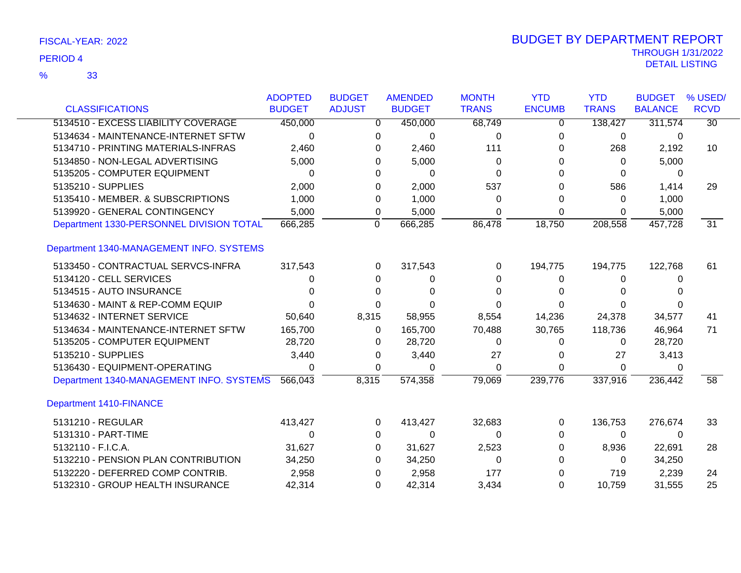|                                          | <b>ADOPTED</b> | <b>BUDGET</b> | <b>AMENDED</b> | <b>MONTH</b> | <b>YTD</b>    | <b>YTD</b>   | <b>BUDGET</b>  | % USED/         |
|------------------------------------------|----------------|---------------|----------------|--------------|---------------|--------------|----------------|-----------------|
| <b>CLASSIFICATIONS</b>                   | <b>BUDGET</b>  | <b>ADJUST</b> | <b>BUDGET</b>  | <b>TRANS</b> | <b>ENCUMB</b> | <b>TRANS</b> | <b>BALANCE</b> | <b>RCVD</b>     |
| 5134510 - EXCESS LIABILITY COVERAGE      | 450,000        | 0             | 450,000        | 68,749       | 0             | 138,427      | 311,574        | $\overline{30}$ |
| 5134634 - MAINTENANCE-INTERNET SFTW      | 0              | 0             | 0              | $\Omega$     | 0             | 0            | 0              |                 |
| 5134710 - PRINTING MATERIALS-INFRAS      | 2,460          | 0             | 2,460          | 111          | 0             | 268          | 2,192          | 10              |
| 5134850 - NON-LEGAL ADVERTISING          | 5,000          | 0             | 5,000          | $\Omega$     | 0             | $\Omega$     | 5,000          |                 |
| 5135205 - COMPUTER EQUIPMENT             | $\Omega$       | 0             | 0              | 0            | 0             | 0            | 0              |                 |
| 5135210 - SUPPLIES                       | 2,000          | 0             | 2,000          | 537          | 0             | 586          | 1,414          | 29              |
| 5135410 - MEMBER. & SUBSCRIPTIONS        | 1,000          | 0             | 1,000          | $\Omega$     | 0             | 0            | 1,000          |                 |
| 5139920 - GENERAL CONTINGENCY            | 5,000          | 0             | 5,000          | 0            | 0             | 0            | 5,000          |                 |
| Department 1330-PERSONNEL DIVISION TOTAL | 666,285        | $\mathbf 0$   | 666,285        | 86,478       | 18,750        | 208,558      | 457,728        | $\overline{31}$ |
| Department 1340-MANAGEMENT INFO. SYSTEMS |                |               |                |              |               |              |                |                 |
| 5133450 - CONTRACTUAL SERVCS-INFRA       | 317,543        | 0             | 317,543        | 0            | 194,775       | 194,775      | 122,768        | 61              |
| 5134120 - CELL SERVICES                  | 0              | 0             | 0              | 0            | 0             | 0            | 0              |                 |
| 5134515 - AUTO INSURANCE                 | 0              | 0             | 0              |              | 0             | 0            |                |                 |
| 5134630 - MAINT & REP-COMM EQUIP         | 0              | 0             | 0              |              | 0             | 0            |                |                 |
| 5134632 - INTERNET SERVICE               | 50,640         | 8,315         | 58,955         | 8,554        | 14,236        | 24,378       | 34,577         | 41              |
| 5134634 - MAINTENANCE-INTERNET SFTW      | 165,700        | $\Omega$      | 165,700        | 70,488       | 30,765        | 118,736      | 46,964         | 71              |
| 5135205 - COMPUTER EQUIPMENT             | 28,720         | 0             | 28,720         | $\Omega$     | 0             | 0            | 28,720         |                 |
| 5135210 - SUPPLIES                       | 3,440          | 0             | 3,440          | 27           | 0             | 27           | 3,413          |                 |
| 5136430 - EQUIPMENT-OPERATING            | 0              | 0             | $\Omega$       | 0            | 0             | $\mathbf{0}$ | 0              |                 |
| Department 1340-MANAGEMENT INFO. SYSTEMS | 566,043        | 8,315         | 574,358        | 79,069       | 239,776       | 337,916      | 236,442        | 58              |
| <b>Department 1410-FINANCE</b>           |                |               |                |              |               |              |                |                 |
| 5131210 - REGULAR                        | 413,427        | 0             | 413,427        | 32,683       | 0             | 136,753      | 276,674        | 33              |
| 5131310 - PART-TIME                      | 0              | 0             | 0              | 0            | 0             | 0            | 0              |                 |
| 5132110 - F.I.C.A.                       | 31,627         | 0             | 31,627         | 2,523        | 0             | 8,936        | 22,691         | 28              |
| 5132210 - PENSION PLAN CONTRIBUTION      | 34,250         | 0             | 34,250         | $\Omega$     | 0             | $\mathbf{0}$ | 34,250         |                 |
| 5132220 - DEFERRED COMP CONTRIB.         | 2,958          | 0             | 2,958          | 177          | 0             | 719          | 2,239          | 24              |
| 5132310 - GROUP HEALTH INSURANCE         | 42,314         | 0             | 42,314         | 3,434        | 0             | 10,759       | 31,555         | 25              |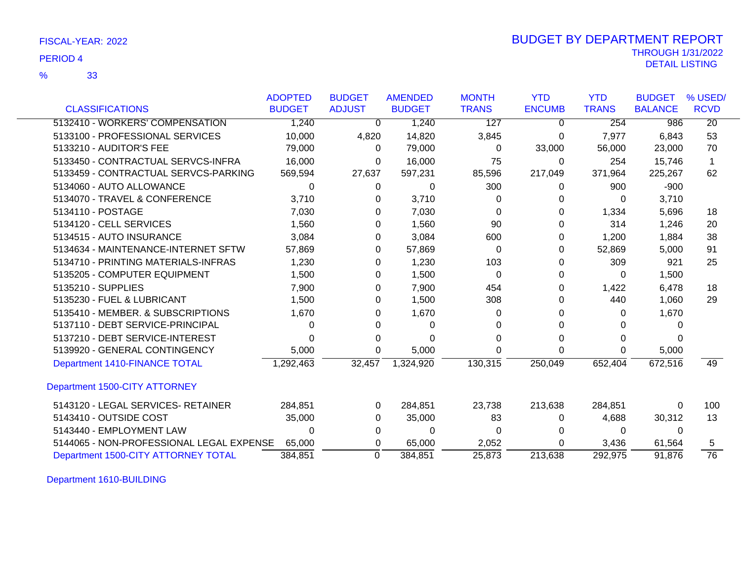|                                          | <b>ADOPTED</b> | <b>BUDGET</b> | <b>AMENDED</b> | <b>MONTH</b> | <b>YTD</b>    | <b>YTD</b>   | <b>BUDGET</b>  | % USED/         |
|------------------------------------------|----------------|---------------|----------------|--------------|---------------|--------------|----------------|-----------------|
| <b>CLASSIFICATIONS</b>                   | <b>BUDGET</b>  | <b>ADJUST</b> | <b>BUDGET</b>  | <b>TRANS</b> | <b>ENCUMB</b> | <b>TRANS</b> | <b>BALANCE</b> | <b>RCVD</b>     |
| 5132410 - WORKERS' COMPENSATION          | 1,240          | $\Omega$      | 1,240          | 127          | 0             | 254          | 986            | $\overline{20}$ |
| 5133100 - PROFESSIONAL SERVICES          | 10,000         | 4,820         | 14,820         | 3,845        | 0             | 7,977        | 6,843          | 53              |
| 5133210 - AUDITOR'S FEE                  | 79,000         | $\Omega$      | 79,000         | 0            | 33,000        | 56,000       | 23,000         | 70              |
| 5133450 - CONTRACTUAL SERVCS-INFRA       | 16,000         | 0             | 16,000         | 75           | 0             | 254          | 15,746         | 1               |
| 5133459 - CONTRACTUAL SERVCS-PARKING     | 569,594        | 27,637        | 597,231        | 85,596       | 217,049       | 371,964      | 225,267        | 62              |
| 5134060 - AUTO ALLOWANCE                 | 0              | 0             | 0              | 300          | 0             | 900          | $-900$         |                 |
| 5134070 - TRAVEL & CONFERENCE            | 3,710          | 0             | 3,710          | 0            | 0             | 0            | 3,710          |                 |
| 5134110 - POSTAGE                        | 7,030          | 0             | 7,030          | 0            | 0             | 1,334        | 5,696          | 18              |
| 5134120 - CELL SERVICES                  | 1,560          | 0             | 1,560          | 90           | 0             | 314          | 1,246          | 20              |
| 5134515 - AUTO INSURANCE                 | 3,084          | 0             | 3,084          | 600          | 0             | 1,200        | 1,884          | 38              |
| 5134634 - MAINTENANCE-INTERNET SFTW      | 57,869         | 0             | 57,869         | 0            | 0             | 52,869       | 5,000          | 91              |
| 5134710 - PRINTING MATERIALS-INFRAS      | 1,230          | 0             | 1,230          | 103          | 0             | 309          | 921            | 25              |
| 5135205 - COMPUTER EQUIPMENT             | 1,500          | 0             | 1,500          | 0            | 0             | $\Omega$     | 1,500          |                 |
| 5135210 - SUPPLIES                       | 7,900          | 0             | 7,900          | 454          | 0             | 1,422        | 6,478          | 18              |
| 5135230 - FUEL & LUBRICANT               | 1,500          | 0             | 1,500          | 308          | 0             | 440          | 1,060          | 29              |
| 5135410 - MEMBER, & SUBSCRIPTIONS        | 1,670          | 0             | 1,670          | 0            | 0             | $\Omega$     | 1,670          |                 |
| 5137110 - DEBT SERVICE-PRINCIPAL         | 0              | 0             | 0              |              | 0             | $\Omega$     |                |                 |
| 5137210 - DEBT SERVICE-INTEREST          | 0              | 0             | 0              |              | ი             | 0            |                |                 |
| 5139920 - GENERAL CONTINGENCY            | 5,000          | 0             | 5,000          | 0            | 0             | 0            | 5,000          |                 |
| Department 1410-FINANCE TOTAL            | 1,292,463      | 32,457        | 1,324,920      | 130,315      | 250,049       | 652,404      | 672,516        | 49              |
| Department 1500-CITY ATTORNEY            |                |               |                |              |               |              |                |                 |
| 5143120 - LEGAL SERVICES- RETAINER       | 284,851        | 0             | 284,851        | 23,738       | 213,638       | 284,851      | 0              | 100             |
| 5143410 - OUTSIDE COST                   | 35,000         | 0             | 35,000         | 83           | 0             | 4,688        | 30,312         | 13              |
| 5143440 - EMPLOYMENT LAW                 | 0              | 0             | 0              | 0            | 0             | $\Omega$     | $\Omega$       |                 |
| 5144065 - NON-PROFESSIONAL LEGAL EXPENSE | 65,000         | 0             | 65,000         | 2,052        | 0             | 3,436        | 61,564         | 5               |
| Department 1500-CITY ATTORNEY TOTAL      | 384,851        | $\Omega$      | 384,851        | 25.873       | 213,638       | 292,975      | 91,876         | $\overline{76}$ |

Department 1610-BUILDING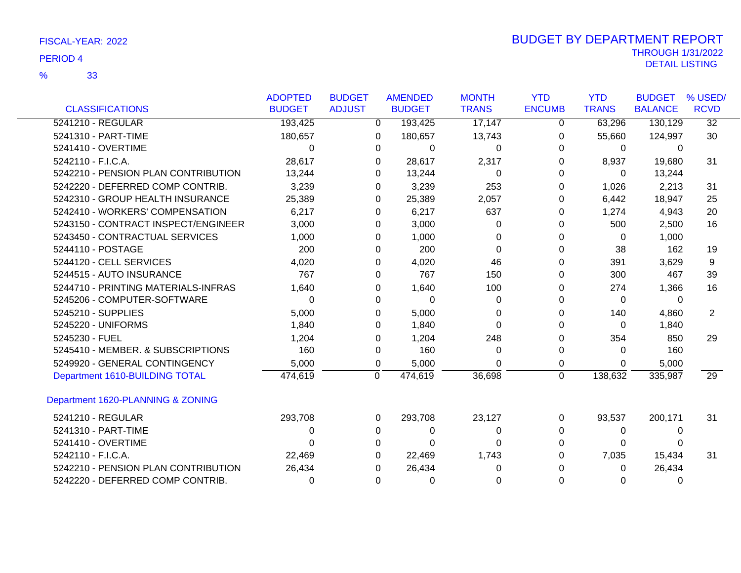|                                     | <b>ADOPTED</b> | <b>BUDGET</b>  | <b>AMENDED</b> | <b>MONTH</b> | <b>YTD</b>    | <b>YTD</b>   | <b>BUDGET</b>  | % USED/         |
|-------------------------------------|----------------|----------------|----------------|--------------|---------------|--------------|----------------|-----------------|
| <b>CLASSIFICATIONS</b>              | <b>BUDGET</b>  | <b>ADJUST</b>  | <b>BUDGET</b>  | <b>TRANS</b> | <b>ENCUMB</b> | <b>TRANS</b> | <b>BALANCE</b> | <b>RCVD</b>     |
| 5241210 - REGULAR                   | 193,425        | $\mathbf 0$    | 193,425        | 17,147       | 0             | 63,296       | 130,129        | 32              |
| 5241310 - PART-TIME                 | 180,657        | 0              | 180,657        | 13,743       | 0             | 55,660       | 124,997        | 30              |
| 5241410 - OVERTIME                  | $\Omega$       | $\Omega$       | 0              | 0            | $\Omega$      | 0            | 0              |                 |
| 5242110 - F.I.C.A.                  | 28,617         | 0              | 28,617         | 2,317        | 0             | 8,937        | 19,680         | 31              |
| 5242210 - PENSION PLAN CONTRIBUTION | 13,244         | 0              | 13,244         | 0            | 0             | $\Omega$     | 13,244         |                 |
| 5242220 - DEFERRED COMP CONTRIB.    | 3,239          | 0              | 3,239          | 253          | 0             | 1,026        | 2,213          | 31              |
| 5242310 - GROUP HEALTH INSURANCE    | 25,389         | 0              | 25,389         | 2,057        | 0             | 6,442        | 18,947         | 25              |
| 5242410 - WORKERS' COMPENSATION     | 6,217          | 0              | 6,217          | 637          | $\Omega$      | 1,274        | 4,943          | 20              |
| 5243150 - CONTRACT INSPECT/ENGINEER | 3,000          | 0              | 3,000          | $\Omega$     | 0             | 500          | 2,500          | 16              |
| 5243450 - CONTRACTUAL SERVICES      | 1,000          | 0              | 1,000          | O            | 0             | $\Omega$     | 1,000          |                 |
| 5244110 - POSTAGE                   | 200            | 0              | 200            | 0            | 0             | 38           | 162            | 19              |
| 5244120 - CELL SERVICES             | 4,020          | 0              | 4,020          | 46           | 0             | 391          | 3,629          | 9               |
| 5244515 - AUTO INSURANCE            | 767            | 0              | 767            | 150          | 0             | 300          | 467            | 39              |
| 5244710 - PRINTING MATERIALS-INFRAS | 1,640          | 0              | 1,640          | 100          | 0             | 274          | 1,366          | 16              |
| 5245206 - COMPUTER-SOFTWARE         | 0              | 0              | $\Omega$       | 0            | 0             | $\Omega$     | 0              |                 |
| 5245210 - SUPPLIES                  | 5,000          | 0              | 5,000          | U            | 0             | 140          | 4,860          | $\overline{2}$  |
| 5245220 - UNIFORMS                  | 1,840          | 0              | 1,840          | 0            | 0             | $\Omega$     | 1,840          |                 |
| 5245230 - FUEL                      | 1,204          | 0              | 1,204          | 248          | 0             | 354          | 850            | 29              |
| 5245410 - MEMBER. & SUBSCRIPTIONS   | 160            | 0              | 160            | 0            | 0             | 0            | 160            |                 |
| 5249920 - GENERAL CONTINGENCY       | 5,000          | 0              | 5,000          | ∩            | 0             | $\Omega$     | 5,000          |                 |
| Department 1610-BUILDING TOTAL      | 474,619        | $\overline{0}$ | 474,619        | 36,698       | $\mathbf 0$   | 138,632      | 335,987        | $\overline{29}$ |
| Department 1620-PLANNING & ZONING   |                |                |                |              |               |              |                |                 |
| 5241210 - REGULAR                   | 293,708        | 0              | 293,708        | 23,127       | 0             | 93,537       | 200,171        | 31              |
| 5241310 - PART-TIME                 | 0              | 0              | 0              | 0            | 0             | 0            | $\Omega$       |                 |
| 5241410 - OVERTIME                  | 0              | 0              | $\Omega$       | ∩            | 0             | 0            | 0              |                 |
| 5242110 - F.I.C.A.                  | 22,469         | 0              | 22,469         | 1,743        | 0             | 7,035        | 15,434         | 31              |
| 5242210 - PENSION PLAN CONTRIBUTION | 26,434         | 0              | 26,434         | 0            |               | 0            | 26,434         |                 |
| 5242220 - DEFERRED COMP CONTRIB.    | 0              | 0              | 0              | 0            | 0             | 0            | $\Omega$       |                 |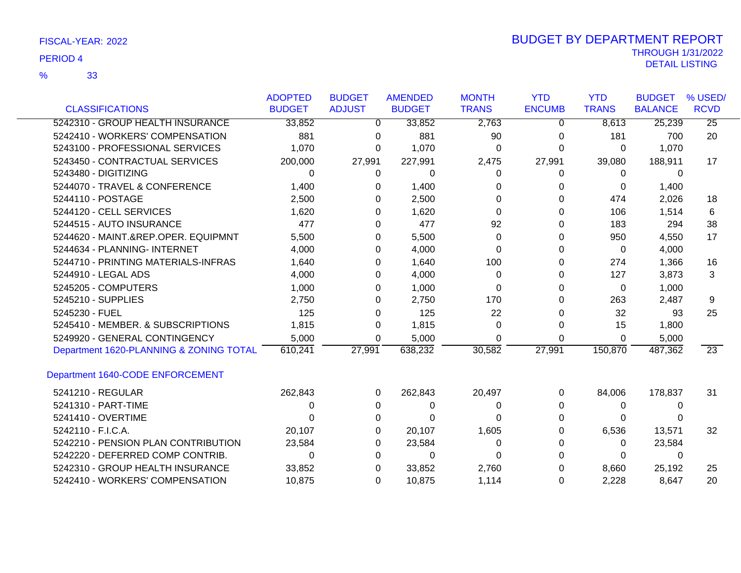|                                         | <b>ADOPTED</b> | <b>BUDGET</b> | <b>AMENDED</b> | <b>MONTH</b> | <b>YTD</b>    | <b>YTD</b>   | <b>BUDGET</b>  | % USED/     |
|-----------------------------------------|----------------|---------------|----------------|--------------|---------------|--------------|----------------|-------------|
| <b>CLASSIFICATIONS</b>                  | <b>BUDGET</b>  | <b>ADJUST</b> | <b>BUDGET</b>  | <b>TRANS</b> | <b>ENCUMB</b> | <b>TRANS</b> | <b>BALANCE</b> | <b>RCVD</b> |
| 5242310 - GROUP HEALTH INSURANCE        | 33,852         | 0             | 33,852         | 2,763        | 0             | 8,613        | 25,239         | 25          |
| 5242410 - WORKERS' COMPENSATION         | 881            | $\Omega$      | 881            | 90           | 0             | 181          | 700            | 20          |
| 5243100 - PROFESSIONAL SERVICES         | 1,070          | 0             | 1,070          | 0            | 0             | 0            | 1,070          |             |
| 5243450 - CONTRACTUAL SERVICES          | 200,000        | 27,991        | 227,991        | 2,475        | 27,991        | 39,080       | 188,911        | 17          |
| 5243480 - DIGITIZING                    | 0              | 0             | 0              | 0            | 0             | 0            | 0              |             |
| 5244070 - TRAVEL & CONFERENCE           | 1,400          | 0             | 1,400          | 0            | 0             | 0            | 1,400          |             |
| 5244110 - POSTAGE                       | 2,500          | 0             | 2,500          | 0            | 0             | 474          | 2,026          | 18          |
| 5244120 - CELL SERVICES                 | 1,620          | 0             | 1,620          | $\Omega$     | 0             | 106          | 1,514          | 6           |
| 5244515 - AUTO INSURANCE                | 477            | 0             | 477            | 92           | 0             | 183          | 294            | 38          |
| 5244620 - MAINT.&REP.OPER. EQUIPMNT     | 5,500          | 0             | 5,500          | $\Omega$     | 0             | 950          | 4,550          | 17          |
| 5244634 - PLANNING- INTERNET            | 4,000          | 0             | 4,000          | 0            | 0             | 0            | 4,000          |             |
| 5244710 - PRINTING MATERIALS-INFRAS     | 1,640          | 0             | 1,640          | 100          | 0             | 274          | 1,366          | 16          |
| 5244910 - LEGAL ADS                     | 4,000          | 0             | 4,000          | 0            | 0             | 127          | 3,873          | 3           |
| 5245205 - COMPUTERS                     | 1,000          | 0             | 1,000          | 0            | 0             | 0            | 1,000          |             |
| 5245210 - SUPPLIES                      | 2,750          | 0             | 2,750          | 170          | 0             | 263          | 2,487          | 9           |
| 5245230 - FUEL                          | 125            | 0             | 125            | 22           |               | 32           | 93             | 25          |
| 5245410 - MEMBER, & SUBSCRIPTIONS       | 1,815          | 0             | 1,815          | $\Omega$     | 0             | 15           | 1,800          |             |
| 5249920 - GENERAL CONTINGENCY           | 5,000          | 0             | 5,000          | $\Omega$     | 0             | $\Omega$     | 5,000          |             |
| Department 1620-PLANNING & ZONING TOTAL | 610,241        | 27,991        | 638,232        | 30,582       | 27,991        | 150,870      | 487,362        | 23          |
| Department 1640-CODE ENFORCEMENT        |                |               |                |              |               |              |                |             |
| 5241210 - REGULAR                       | 262,843        | $\Omega$      | 262,843        | 20,497       | 0             | 84,006       | 178,837        | 31          |
| 5241310 - PART-TIME                     | 0              | 0             | 0              | 0            | 0             | 0            | 0              |             |
| 5241410 - OVERTIME                      |                | 0             |                | 0            |               | 0            |                |             |
| 5242110 - F.I.C.A.                      | 20,107         | 0             | 20,107         | 1,605        | ი             | 6,536        | 13,571         | 32          |
| 5242210 - PENSION PLAN CONTRIBUTION     | 23,584         | 0             | 23,584         | 0            | ი             | 0            | 23,584         |             |
| 5242220 - DEFERRED COMP CONTRIB.        | 0              | 0             | 0              | 0            | O             | 0            | 0              |             |
| 5242310 - GROUP HEALTH INSURANCE        | 33,852         | 0             | 33,852         | 2,760        |               | 8,660        | 25,192         | 25          |
| 5242410 - WORKERS' COMPENSATION         | 10,875         | $\Omega$      | 10,875         | 1,114        | 0             | 2,228        | 8,647          | 20          |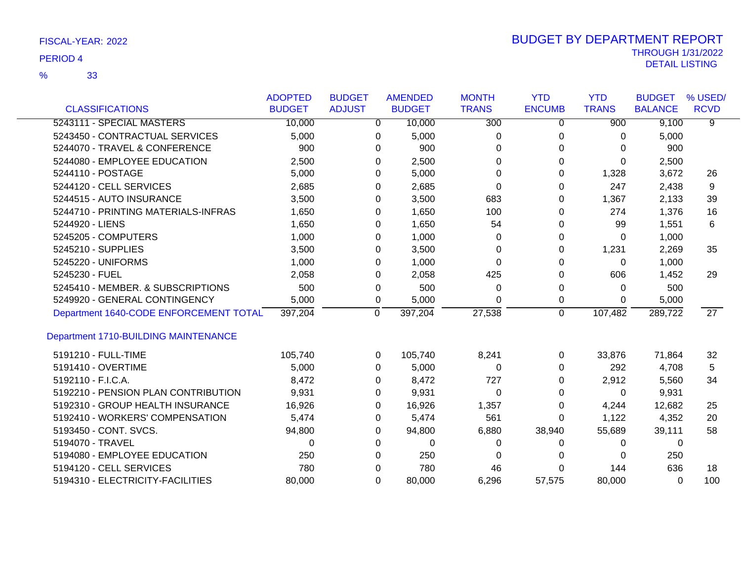|                                             | <b>ADOPTED</b> | <b>BUDGET</b> |          | <b>AMENDED</b> | <b>MONTH</b>     | <b>YTD</b>     | <b>YTD</b>   | <b>BUDGET</b>  | % USED/         |
|---------------------------------------------|----------------|---------------|----------|----------------|------------------|----------------|--------------|----------------|-----------------|
| <b>CLASSIFICATIONS</b>                      | <b>BUDGET</b>  | <b>ADJUST</b> |          | <b>BUDGET</b>  | <b>TRANS</b>     | <b>ENCUMB</b>  | <b>TRANS</b> | <b>BALANCE</b> | <b>RCVD</b>     |
| 5243111 - SPECIAL MASTERS                   | 10,000         |               | 0        | 10,000         | $\overline{300}$ | 0              | 900          | 9,100          | $\overline{9}$  |
| 5243450 - CONTRACTUAL SERVICES              | 5,000          |               | 0        | 5,000          | 0                | 0              | 0            | 5,000          |                 |
| 5244070 - TRAVEL & CONFERENCE               | 900            |               | $\Omega$ | 900            | $\Omega$         | $\Omega$       | 0            | 900            |                 |
| 5244080 - EMPLOYEE EDUCATION                | 2,500          |               | 0        | 2,500          | $\Omega$         | $\Omega$       | $\Omega$     | 2,500          |                 |
| 5244110 - POSTAGE                           | 5,000          |               | 0        | 5,000          | 0                | 0              | 1,328        | 3,672          | 26              |
| 5244120 - CELL SERVICES                     | 2,685          |               | 0        | 2,685          | $\Omega$         | 0              | 247          | 2,438          | 9               |
| 5244515 - AUTO INSURANCE                    | 3,500          |               | 0        | 3,500          | 683              | 0              | 1,367        | 2,133          | 39              |
| 5244710 - PRINTING MATERIALS-INFRAS         | 1,650          |               | 0        | 1,650          | 100              | $\Omega$       | 274          | 1,376          | 16              |
| 5244920 - LIENS                             | 1,650          |               | 0        | 1,650          | 54               | 0              | 99           | 1,551          | 6               |
| 5245205 - COMPUTERS                         | 1,000          |               | 0        | 1,000          | 0                | 0              | 0            | 1,000          |                 |
| 5245210 - SUPPLIES                          | 3,500          |               | 0        | 3,500          | 0                | 0              | 1,231        | 2,269          | 35              |
| 5245220 - UNIFORMS                          | 1,000          |               | 0        | 1,000          | $\Omega$         | 0              | $\Omega$     | 1,000          |                 |
| 5245230 - FUEL                              | 2,058          |               | 0        | 2,058          | 425              | $\Omega$       | 606          | 1,452          | 29              |
| 5245410 - MEMBER. & SUBSCRIPTIONS           | 500            |               | 0        | 500            | 0                | 0              | 0            | 500            |                 |
| 5249920 - GENERAL CONTINGENCY               | 5,000          |               | 0        | 5,000          | $\Omega$         | 0              | 0            | 5,000          |                 |
| Department 1640-CODE ENFORCEMENT TOTAL      | 397,204        |               | 0        | 397,204        | 27,538           | $\overline{0}$ | 107,482      | 289,722        | $\overline{27}$ |
| <b>Department 1710-BUILDING MAINTENANCE</b> |                |               |          |                |                  |                |              |                |                 |
| 5191210 - FULL-TIME                         | 105,740        |               | $\Omega$ | 105,740        | 8,241            | $\mathbf 0$    | 33,876       | 71,864         | 32              |
| 5191410 - OVERTIME                          | 5,000          |               | 0        | 5,000          | $\Omega$         | $\Omega$       | 292          | 4,708          | 5               |
| 5192110 - F.I.C.A.                          | 8,472          |               | 0        | 8,472          | 727              | 0              | 2,912        | 5,560          | 34              |
| 5192210 - PENSION PLAN CONTRIBUTION         | 9,931          |               | 0        | 9,931          | $\Omega$         | $\Omega$       | 0            | 9,931          |                 |
| 5192310 - GROUP HEALTH INSURANCE            | 16,926         |               | 0        | 16,926         | 1,357            | 0              | 4,244        | 12,682         | 25              |
| 5192410 - WORKERS' COMPENSATION             | 5,474          |               | 0        | 5,474          | 561              | 0              | 1,122        | 4,352          | 20              |
| 5193450 - CONT. SVCS.                       | 94,800         |               | 0        | 94,800         | 6,880            | 38,940         | 55,689       | 39,111         | 58              |
| 5194070 - TRAVEL                            | $\Omega$       |               | 0        | 0              | 0                | 0              | 0            | 0              |                 |
| 5194080 - EMPLOYEE EDUCATION                | 250            |               | 0        | 250            | 0                | 0              | 0            | 250            |                 |
| 5194120 - CELL SERVICES                     | 780            |               | 0        | 780            | 46               | 0              | 144          | 636            | 18              |
| 5194310 - ELECTRICITY-FACILITIES            | 80,000         |               | $\Omega$ | 80,000         | 6,296            | 57,575         | 80,000       | 0              | 100             |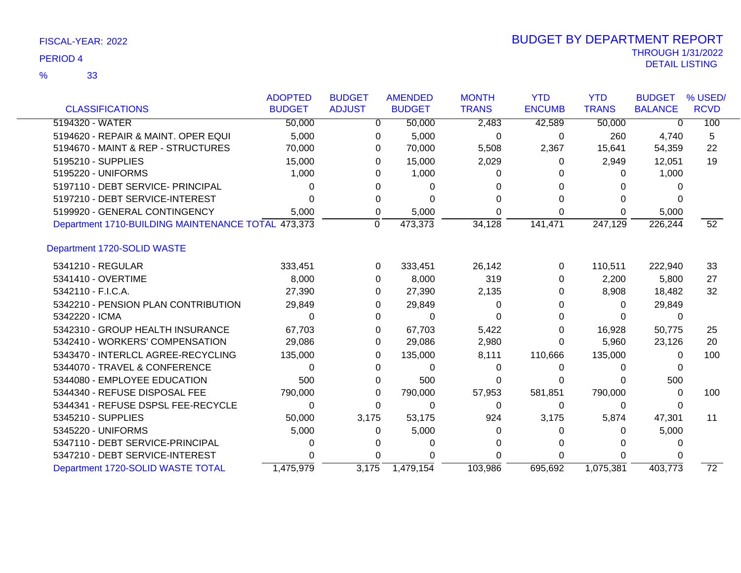|                                                    | <b>ADOPTED</b> | <b>BUDGET</b> | <b>AMENDED</b> | <b>MONTH</b> | <b>YTD</b>    | <b>YTD</b>   | <b>BUDGET</b>  | % USED/         |
|----------------------------------------------------|----------------|---------------|----------------|--------------|---------------|--------------|----------------|-----------------|
| <b>CLASSIFICATIONS</b>                             | <b>BUDGET</b>  | <b>ADJUST</b> | <b>BUDGET</b>  | <b>TRANS</b> | <b>ENCUMB</b> | <b>TRANS</b> | <b>BALANCE</b> | <b>RCVD</b>     |
| 5194320 - WATER                                    | 50,000         | 0             | 50,000         | 2,483        | 42,589        | 50,000       | $\Omega$       | 100             |
| 5194620 - REPAIR & MAINT. OPER EQUI                | 5,000          | 0             | 5,000          | 0            | 0             | 260          | 4,740          | 5               |
| 5194670 - MAINT & REP - STRUCTURES                 | 70,000         | 0             | 70,000         | 5,508        | 2,367         | 15,641       | 54,359         | 22              |
| 5195210 - SUPPLIES                                 | 15,000         | 0             | 15,000         | 2,029        | 0             | 2,949        | 12,051         | 19              |
| 5195220 - UNIFORMS                                 | 1,000          | $\Omega$      | 1,000          | O            |               | 0            | 1,000          |                 |
| 5197110 - DEBT SERVICE- PRINCIPAL                  | 0              |               | $\Omega$       |              |               |              |                |                 |
| 5197210 - DEBT SERVICE-INTEREST                    | 0              | 0             | 0              |              |               | 0            |                |                 |
| 5199920 - GENERAL CONTINGENCY                      | 5,000          | 0             | 5,000          |              | 0             | 0            | 5,000          |                 |
| Department 1710-BUILDING MAINTENANCE TOTAL 473,373 |                | 0             | 473,373        | 34,128       | 141,471       | 247,129      | 226,244        | $\overline{52}$ |
| Department 1720-SOLID WASTE                        |                |               |                |              |               |              |                |                 |
| 5341210 - REGULAR                                  | 333,451        | $\Omega$      | 333,451        | 26,142       | 0             | 110,511      | 222,940        | 33              |
| 5341410 - OVERTIME                                 | 8,000          | 0             | 8,000          | 319          | 0             | 2,200        | 5,800          | 27              |
| 5342110 - F.I.C.A.                                 | 27,390         | 0             | 27,390         | 2,135        | 0             | 8,908        | 18,482         | 32              |
| 5342210 - PENSION PLAN CONTRIBUTION                | 29,849         | 0             | 29,849         | 0            |               | 0            | 29,849         |                 |
| 5342220 - ICMA                                     | 0              | 0             | $\Omega$       |              |               | 0            | 0              |                 |
| 5342310 - GROUP HEALTH INSURANCE                   | 67,703         | 0             | 67,703         | 5,422        |               | 16,928       | 50,775         | 25              |
| 5342410 - WORKERS' COMPENSATION                    | 29,086         | 0             | 29,086         | 2,980        | 0             | 5,960        | 23,126         | 20              |
| 5343470 - INTERLCL AGREE-RECYCLING                 | 135,000        | 0             | 135,000        | 8,111        | 110,666       | 135,000      | 0              | 100             |
| 5344070 - TRAVEL & CONFERENCE                      | 0              | 0             | 0              | 0            | 0             | $\Omega$     |                |                 |
| 5344080 - EMPLOYEE EDUCATION                       | 500            | 0             | 500            | O            |               | ∩            | 500            |                 |
| 5344340 - REFUSE DISPOSAL FEE                      | 790,000        | 0             | 790,000        | 57,953       | 581,851       | 790,000      | $\Omega$       | 100             |
| 5344341 - REFUSE DSPSL FEE-RECYCLE                 | $\Omega$       | 0             | 0              | 0            | 0             | 0            | $\Omega$       |                 |
| 5345210 - SUPPLIES                                 | 50,000         | 3,175         | 53,175         | 924          | 3,175         | 5,874        | 47,301         | 11              |
| 5345220 - UNIFORMS                                 | 5,000          | 0             | 5,000          | 0            | 0             | 0            | 5,000          |                 |
| 5347110 - DEBT SERVICE-PRINCIPAL                   | 0              |               | 0              |              |               |              |                |                 |
| 5347210 - DEBT SERVICE-INTEREST                    | U              | 0             |                |              | 0             | 0            |                |                 |
| Department 1720-SOLID WASTE TOTAL                  | 1,475,979      | 3,175         | 1,479,154      | 103,986      | 695,692       | 1,075,381    | 403,773        | $\overline{72}$ |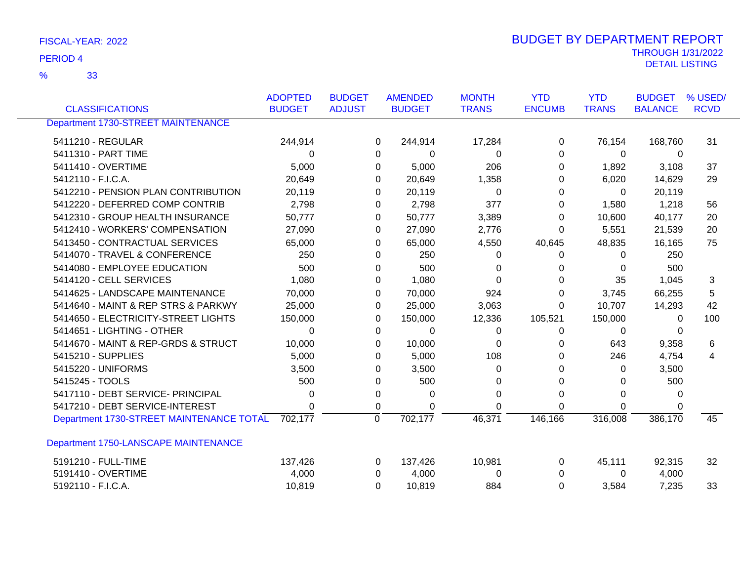| FISCAL-YEAR: 2022 | <b>BUDGET BY DEPARTMENT REPORT</b> |
|-------------------|------------------------------------|
| PERIOD 4          | <b>THROUGH 1/31/2022</b>           |
|                   | DETAIL LISTING                     |

|                                           | <b>ADOPTED</b> | <b>BUDGET</b> | <b>AMENDED</b>            | <b>MONTH</b>     | <b>YTD</b>    | <b>YTD</b>   | <b>BUDGET</b>  | % USED/     |
|-------------------------------------------|----------------|---------------|---------------------------|------------------|---------------|--------------|----------------|-------------|
| <b>CLASSIFICATIONS</b>                    | <b>BUDGET</b>  | <b>ADJUST</b> | <b>BUDGET</b>             | <b>TRANS</b>     | <b>ENCUMB</b> | <b>TRANS</b> | <b>BALANCE</b> | <b>RCVD</b> |
| <b>Department 1730-STREET MAINTENANCE</b> |                |               |                           |                  |               |              |                |             |
| 5411210 - REGULAR                         | 244,914        |               | 244,914<br>0              | 17,284           | 0             | 76,154       | 168,760        | 31          |
| 5411310 - PART TIME                       | $\Omega$       |               | $\Omega$                  | 0<br>0           | 0             | $\Omega$     | 0              |             |
| 5411410 - OVERTIME                        | 5,000          |               | 5,000<br>0                | 206              | 0             | 1,892        | 3,108          | 37          |
| 5412110 - F.I.C.A.                        | 20,649         |               | 20,649<br>0               | 1,358            | 0             | 6,020        | 14,629         | 29          |
| 5412210 - PENSION PLAN CONTRIBUTION       | 20,119         |               | 20,119<br>0               | $\Omega$         | 0             | $\Omega$     | 20,119         |             |
| 5412220 - DEFERRED COMP CONTRIB           | 2,798          |               | 2,798<br>0                | 377              | 0             | 1,580        | 1,218          | 56          |
| 5412310 - GROUP HEALTH INSURANCE          | 50,777         |               | 50,777<br>0               | 3,389            | 0             | 10,600       | 40,177         | 20          |
| 5412410 - WORKERS' COMPENSATION           | 27,090         |               | 27,090<br>0               | 2,776            | 0             | 5,551        | 21,539         | 20          |
| 5413450 - CONTRACTUAL SERVICES            | 65,000         |               | 65,000<br>0               | 4,550            | 40,645        | 48,835       | 16,165         | 75          |
| 5414070 - TRAVEL & CONFERENCE             | 250            |               | 250<br>$\Omega$           | 0                | 0             | 0            | 250            |             |
| 5414080 - EMPLOYEE EDUCATION              | 500            |               | 500<br>0                  | 0                | 0             | 0            | 500            |             |
| 5414120 - CELL SERVICES                   | 1,080          |               | 1,080<br>0                | 0                | 0             | 35           | 1,045          | 3           |
| 5414625 - LANDSCAPE MAINTENANCE           | 70,000         |               | 70,000<br>$\Omega$        | 924              | 0             | 3,745        | 66,255         | 5           |
| 5414640 - MAINT & REP STRS & PARKWY       | 25,000         |               | 25,000<br>0               | 3,063            | 0             | 10,707       | 14,293         | 42          |
| 5414650 - ELECTRICITY-STREET LIGHTS       | 150,000        |               | 150,000<br>0              | 12,336           | 105,521       | 150,000      | 0              | 100         |
| 5414651 - LIGHTING - OTHER                | $\Omega$       |               | $\Omega$                  | $\mathbf 0$<br>0 | 0             | 0            | 0              |             |
| 5414670 - MAINT & REP-GRDS & STRUCT       | 10,000         |               | 10,000<br>0               | 0                | 0             | 643          | 9,358          | 6           |
| 5415210 - SUPPLIES                        | 5,000          |               | 5,000<br>0                | 108              | 0             | 246          | 4,754          | 4           |
| 5415220 - UNIFORMS                        | 3,500          |               | 3,500<br>0                | 0                | 0             | 0            | 3,500          |             |
| 5415245 - TOOLS                           | 500            |               | 500<br>0                  | 0                | 0             | 0            | 500            |             |
| 5417110 - DEBT SERVICE- PRINCIPAL         | $\Omega$       |               | 0                         | 0<br>0           | 0             | $\Omega$     | 0              |             |
| 5417210 - DEBT SERVICE-INTEREST           | 0              |               | 0                         | 0<br>0           | 0             | 0            |                |             |
| Department 1730-STREET MAINTENANCE TOTAL  | 702,177        |               | $\overline{0}$<br>702,177 | 46,371           | 146,166       | 316,008      | 386,170        | 45          |
| Department 1750-LANSCAPE MAINTENANCE      |                |               |                           |                  |               |              |                |             |
| 5191210 - FULL-TIME                       | 137,426        |               | 137,426<br>$\Omega$       | 10,981           | 0             | 45,111       | 92,315         | 32          |
| 5191410 - OVERTIME                        | 4,000          |               | 4,000<br>$\Omega$         | 0                | 0             | 0            | 4,000          |             |
| 5192110 - F.I.C.A.                        | 10,819         |               | 10,819<br>$\Omega$        | 884              | $\Omega$      | 3,584        | 7,235          | 33          |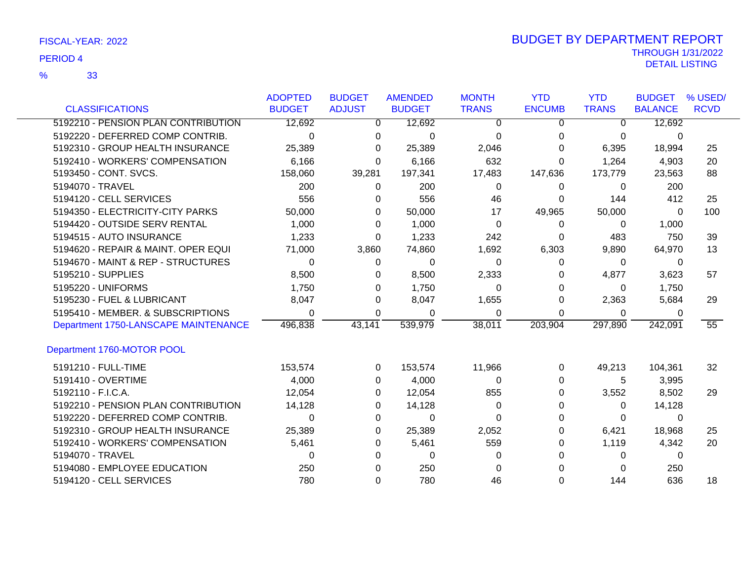33 %

|                                      | <b>ADOPTED</b> | <b>BUDGET</b> | <b>AMENDED</b> | <b>MONTH</b> | <b>YTD</b>    | <b>YTD</b>   | <b>BUDGET</b>  | % USED/     |
|--------------------------------------|----------------|---------------|----------------|--------------|---------------|--------------|----------------|-------------|
| <b>CLASSIFICATIONS</b>               | <b>BUDGET</b>  | <b>ADJUST</b> | <b>BUDGET</b>  | <b>TRANS</b> | <b>ENCUMB</b> | <b>TRANS</b> | <b>BALANCE</b> | <b>RCVD</b> |
| 5192210 - PENSION PLAN CONTRIBUTION  | 12,692         | 0             | 12,692         | 0            | 0             | 0            | 12,692         |             |
| 5192220 - DEFERRED COMP CONTRIB.     | $\Omega$       | $\Omega$      | $\Omega$       | $\Omega$     | 0             | 0            | 0              |             |
| 5192310 - GROUP HEALTH INSURANCE     | 25,389         | 0             | 25,389         | 2,046        | 0             | 6,395        | 18,994         | 25          |
| 5192410 - WORKERS' COMPENSATION      | 6,166          | $\Omega$      | 6,166          | 632          | $\Omega$      | 1,264        | 4,903          | 20          |
| 5193450 - CONT. SVCS.                | 158,060        | 39,281        | 197,341        | 17,483       | 147,636       | 173,779      | 23,563         | 88          |
| 5194070 - TRAVEL                     | 200            | 0             | 200            | 0            | 0             | 0            | 200            |             |
| 5194120 - CELL SERVICES              | 556            | 0             | 556            | 46           | 0             | 144          | 412            | 25          |
| 5194350 - ELECTRICITY-CITY PARKS     | 50,000         | 0             | 50,000         | 17           | 49,965        | 50,000       | 0              | 100         |
| 5194420 - OUTSIDE SERV RENTAL        | 1,000          | 0             | 1,000          | 0            | 0             | 0            | 1,000          |             |
| 5194515 - AUTO INSURANCE             | 1,233          | 0             | 1,233          | 242          | 0             | 483          | 750            | 39          |
| 5194620 - REPAIR & MAINT. OPER EQUI  | 71,000         | 3,860         | 74,860         | 1,692        | 6,303         | 9,890        | 64,970         | 13          |
| 5194670 - MAINT & REP - STRUCTURES   | 0              | 0             | $\Omega$       | 0            | 0             | 0            | 0              |             |
| 5195210 - SUPPLIES                   | 8,500          | 0             | 8,500          | 2,333        | 0             | 4,877        | 3,623          | 57          |
| 5195220 - UNIFORMS                   | 1,750          | 0             | 1,750          | 0            | 0             | 0            | 1,750          |             |
| 5195230 - FUEL & LUBRICANT           | 8,047          | 0             | 8,047          | 1,655        | 0             | 2,363        | 5,684          | 29          |
| 5195410 - MEMBER. & SUBSCRIPTIONS    | 0              | 0             | 0              | 0            | 0             | 0            | 0              |             |
| Department 1750-LANSCAPE MAINTENANCE | 496,838        | 43,141        | 539,979        | 38,011       | 203,904       | 297,890      | 242,091        | 55          |
| Department 1760-MOTOR POOL           |                |               |                |              |               |              |                |             |
| 5191210 - FULL-TIME                  | 153,574        | 0             | 153,574        | 11,966       | 0             | 49,213       | 104,361        | 32          |
| 5191410 - OVERTIME                   | 4,000          | $\Omega$      | 4,000          | 0            | 0             | 5            | 3,995          |             |
| 5192110 - F.I.C.A.                   | 12,054         | 0             | 12,054         | 855          | 0             | 3,552        | 8,502          | 29          |
| 5192210 - PENSION PLAN CONTRIBUTION  | 14,128         | 0             | 14,128         | 0            | 0             | 0            | 14,128         |             |
| 5192220 - DEFERRED COMP CONTRIB.     | 0              | 0             | 0              | 0            | 0             | 0            | 0              |             |
| 5192310 - GROUP HEALTH INSURANCE     | 25,389         | 0             | 25,389         | 2,052        | 0             | 6,421        | 18,968         | 25          |
| 5192410 - WORKERS' COMPENSATION      | 5,461          | 0             | 5,461          | 559          | 0             | 1,119        | 4,342          | 20          |
| 5194070 - TRAVEL                     | 0              | 0             | $\Omega$       | 0            |               | 0            | 0              |             |
| 5194080 - EMPLOYEE EDUCATION         | 250            | 0             | 250            | $\Omega$     |               | 0            | 250            |             |
| 5194120 - CELL SERVICES              | 780            | 0             | 780            | 46           | 0             | 144          | 636            | 18          |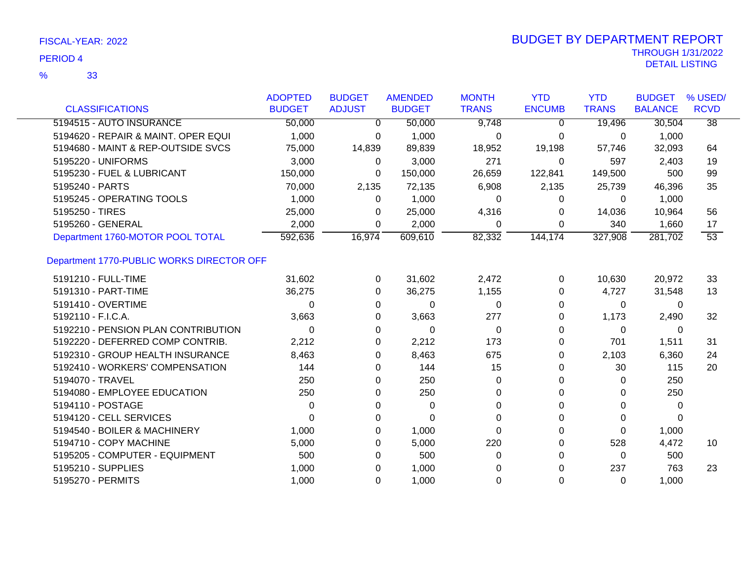| <b>CLASSIFICATIONS</b>                    | <b>ADOPTED</b><br><b>BUDGET</b> | <b>BUDGET</b><br><b>ADJUST</b> | <b>AMENDED</b><br><b>BUDGET</b> | <b>MONTH</b><br><b>TRANS</b> | <b>YTD</b><br><b>ENCUMB</b> | <b>YTD</b><br><b>TRANS</b> | <b>BUDGET</b><br><b>BALANCE</b> | % USED/<br><b>RCVD</b> |
|-------------------------------------------|---------------------------------|--------------------------------|---------------------------------|------------------------------|-----------------------------|----------------------------|---------------------------------|------------------------|
|                                           |                                 |                                |                                 |                              |                             |                            |                                 |                        |
| 5194515 - AUTO INSURANCE                  | 50,000                          | $\Omega$                       | 50,000                          | 9,748                        | $\Omega$                    | 19,496                     | 30,504                          | $\overline{38}$        |
| 5194620 - REPAIR & MAINT. OPER EQUI       | 1,000                           | $\Omega$                       | 1,000                           | 0                            | 0                           | 0                          | 1,000                           |                        |
| 5194680 - MAINT & REP-OUTSIDE SVCS        | 75,000                          | 14,839                         | 89,839                          | 18,952                       | 19,198                      | 57,746                     | 32,093                          | 64                     |
| 5195220 - UNIFORMS                        | 3,000                           | $\Omega$                       | 3,000                           | 271                          | 0                           | 597                        | 2,403                           | 19                     |
| 5195230 - FUEL & LUBRICANT                | 150,000                         | 0                              | 150,000                         | 26,659                       | 122,841                     | 149,500                    | 500                             | 99                     |
| 5195240 - PARTS                           | 70,000                          | 2,135                          | 72,135                          | 6,908                        | 2,135                       | 25,739                     | 46,396                          | 35                     |
| 5195245 - OPERATING TOOLS                 | 1,000                           | $\Omega$                       | 1,000                           | 0                            | 0                           | 0                          | 1,000                           |                        |
| 5195250 - TIRES                           | 25,000                          | 0                              | 25,000                          | 4,316                        | 0                           | 14,036                     | 10,964                          | 56                     |
| 5195260 - GENERAL                         | 2,000                           | 0                              | 2,000                           | 0                            | 0                           | 340                        | 1,660                           | 17                     |
| Department 1760-MOTOR POOL TOTAL          | 592,636                         | 16,974                         | 609,610                         | 82,332                       | 144,174                     | 327,908                    | 281,702                         | $\overline{53}$        |
| Department 1770-PUBLIC WORKS DIRECTOR OFF |                                 |                                |                                 |                              |                             |                            |                                 |                        |
| 5191210 - FULL-TIME                       | 31,602                          | 0                              | 31,602                          | 2,472                        | $\Omega$                    | 10,630                     | 20,972                          | 33                     |
| 5191310 - PART-TIME                       | 36,275                          | 0                              | 36,275                          | 1,155                        | 0                           | 4,727                      | 31,548                          | 13                     |
| 5191410 - OVERTIME                        | 0                               | 0                              | $\Omega$                        | 0                            | 0                           | $\Omega$                   | 0                               |                        |
| 5192110 - F.I.C.A.                        | 3,663                           | 0                              | 3,663                           | 277                          | 0                           | 1,173                      | 2,490                           | 32                     |
| 5192210 - PENSION PLAN CONTRIBUTION       | 0                               | 0                              | 0                               | 0                            | 0                           | 0                          | 0                               |                        |
| 5192220 - DEFERRED COMP CONTRIB.          | 2,212                           | 0                              | 2,212                           | 173                          | 0                           | 701                        | 1,511                           | 31                     |
| 5192310 - GROUP HEALTH INSURANCE          | 8,463                           | 0                              | 8,463                           | 675                          | 0                           | 2,103                      | 6,360                           | 24                     |
| 5192410 - WORKERS' COMPENSATION           | 144                             | 0                              | 144                             | 15                           | 0                           | 30                         | 115                             | 20                     |
| 5194070 - TRAVEL                          | 250                             | 0                              | 250                             | 0                            | 0                           | 0                          | 250                             |                        |
| 5194080 - EMPLOYEE EDUCATION              | 250                             | 0                              | 250                             | $\Omega$                     | 0                           | 0                          | 250                             |                        |
| 5194110 - POSTAGE                         | 0                               | 0                              | 0                               | 0                            | 0                           | 0                          | 0                               |                        |
| 5194120 - CELL SERVICES                   | 0                               | 0                              | 0                               | 0                            |                             | 0                          | 0                               |                        |
| 5194540 - BOILER & MACHINERY              | 1,000                           | 0                              | 1,000                           | $\Omega$                     | 0                           | $\Omega$                   | 1,000                           |                        |
| 5194710 - COPY MACHINE                    | 5,000                           | 0                              | 5,000                           | 220                          | 0                           | 528                        | 4,472                           | 10                     |
| 5195205 - COMPUTER - EQUIPMENT            | 500                             | 0                              | 500                             | 0                            | 0                           | $\Omega$                   | 500                             |                        |
| 5195210 - SUPPLIES                        | 1,000                           | 0                              | 1,000                           | 0                            | 0                           | 237                        | 763                             | 23                     |
| 5195270 - PERMITS                         | 1,000                           | 0                              | 1,000                           | $\Omega$                     | 0                           | $\Omega$                   | 1,000                           |                        |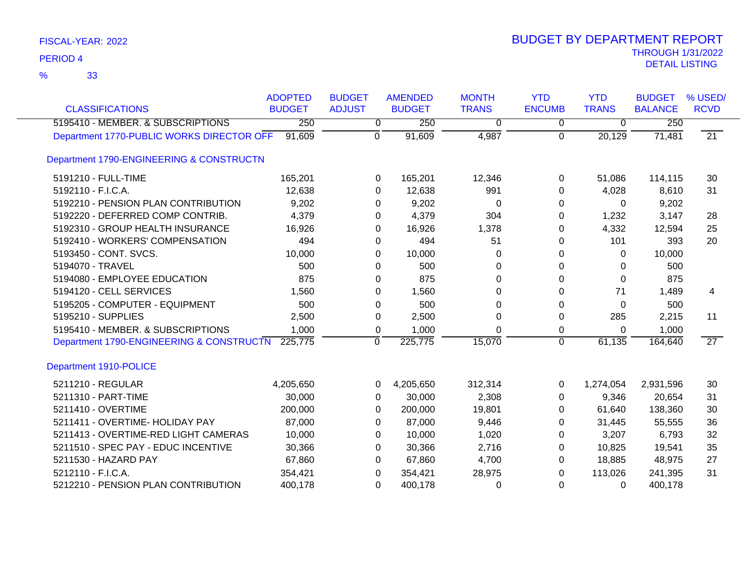| <b>CLASSIFICATIONS</b>                    | <b>ADOPTED</b><br><b>BUDGET</b> | <b>BUDGET</b><br><b>ADJUST</b> | <b>AMENDED</b><br><b>BUDGET</b> | <b>MONTH</b><br><b>TRANS</b> | <b>YTD</b><br><b>ENCUMB</b> | <b>YTD</b><br><b>TRANS</b> | <b>BUDGET</b><br><b>BALANCE</b> | % USED/<br><b>RCVD</b> |
|-------------------------------------------|---------------------------------|--------------------------------|---------------------------------|------------------------------|-----------------------------|----------------------------|---------------------------------|------------------------|
| 5195410 - MEMBER. & SUBSCRIPTIONS         | 250                             | 0                              | 250                             | 0                            | 0                           | 0                          | 250                             |                        |
| Department 1770-PUBLIC WORKS DIRECTOR OFF | 91,609                          | $\mathbf 0$                    | 91,609                          | 4,987                        | $\Omega$                    | 20,129                     | 71,481                          | $\overline{21}$        |
| Department 1790-ENGINEERING & CONSTRUCTN  |                                 |                                |                                 |                              |                             |                            |                                 |                        |
| 5191210 - FULL-TIME                       | 165,201                         | 0                              | 165,201                         | 12,346                       | 0                           | 51,086                     | 114,115                         | 30                     |
| 5192110 - F.I.C.A.                        | 12,638                          | 0                              | 12,638                          | 991                          | 0                           | 4,028                      | 8,610                           | 31                     |
| 5192210 - PENSION PLAN CONTRIBUTION       | 9,202                           | 0                              | 9,202                           | 0                            | 0                           | 0                          | 9,202                           |                        |
| 5192220 - DEFERRED COMP CONTRIB.          | 4,379                           | 0                              | 4,379                           | 304                          | 0                           | 1,232                      | 3,147                           | 28                     |
| 5192310 - GROUP HEALTH INSURANCE          | 16,926                          | 0                              | 16,926                          | 1,378                        | 0                           | 4,332                      | 12,594                          | 25                     |
| 5192410 - WORKERS' COMPENSATION           | 494                             | 0                              | 494                             | 51                           | 0                           | 101                        | 393                             | 20                     |
| 5193450 - CONT. SVCS.                     | 10,000                          | 0                              | 10,000                          | 0                            | 0                           | 0                          | 10,000                          |                        |
| 5194070 - TRAVEL                          | 500                             | 0                              | 500                             | 0                            | 0                           | 0                          | 500                             |                        |
| 5194080 - EMPLOYEE EDUCATION              | 875                             | 0                              | 875                             | 0                            | 0                           | $\Omega$                   | 875                             |                        |
| 5194120 - CELL SERVICES                   | 1,560                           | 0                              | 1,560                           | 0                            | $\Omega$                    | 71                         | 1,489                           | 4                      |
| 5195205 - COMPUTER - EQUIPMENT            | 500                             | 0                              | 500                             | $\Omega$                     | 0                           | $\Omega$                   | 500                             |                        |
| 5195210 - SUPPLIES                        | 2,500                           | 0                              | 2,500                           | $\Omega$                     | 0                           | 285                        | 2,215                           | 11                     |
| 5195410 - MEMBER. & SUBSCRIPTIONS         | 1,000                           | 0                              | 1,000                           | 0                            | 0                           | 0                          | 1,000                           |                        |
| Department 1790-ENGINEERING & CONSTRUCTN  | 225,775                         | 0                              | 225,775                         | 15,070                       | $\mathbf 0$                 | 61,135                     | 164,640                         | $\overline{27}$        |
| Department 1910-POLICE                    |                                 |                                |                                 |                              |                             |                            |                                 |                        |
| 5211210 - REGULAR                         | 4,205,650                       | 0                              | 4,205,650                       | 312,314                      | 0                           | 1,274,054                  | 2,931,596                       | 30                     |
| 5211310 - PART-TIME                       | 30,000                          | 0                              | 30,000                          | 2,308                        | 0                           | 9,346                      | 20,654                          | 31                     |
| 5211410 - OVERTIME                        | 200,000                         | 0                              | 200,000                         | 19,801                       | 0                           | 61,640                     | 138,360                         | 30                     |
| 5211411 - OVERTIME- HOLIDAY PAY           | 87,000                          | 0                              | 87,000                          | 9,446                        | 0                           | 31,445                     | 55,555                          | 36                     |
| 5211413 - OVERTIME-RED LIGHT CAMERAS      | 10,000                          | 0                              | 10,000                          | 1,020                        | 0                           | 3,207                      | 6,793                           | 32                     |
| 5211510 - SPEC PAY - EDUC INCENTIVE       | 30,366                          | 0                              | 30,366                          | 2,716                        | 0                           | 10,825                     | 19,541                          | 35                     |
| 5211530 - HAZARD PAY                      | 67,860                          | 0                              | 67,860                          | 4,700                        | 0                           | 18,885                     | 48,975                          | 27                     |
| 5212110 - F.I.C.A.                        | 354,421                         | $\Omega$                       | 354,421                         | 28,975                       | 0                           | 113,026                    | 241,395                         | 31                     |
| 5212210 - PENSION PLAN CONTRIBUTION       | 400,178                         | $\Omega$                       | 400,178                         | 0                            | 0                           | 0                          | 400,178                         |                        |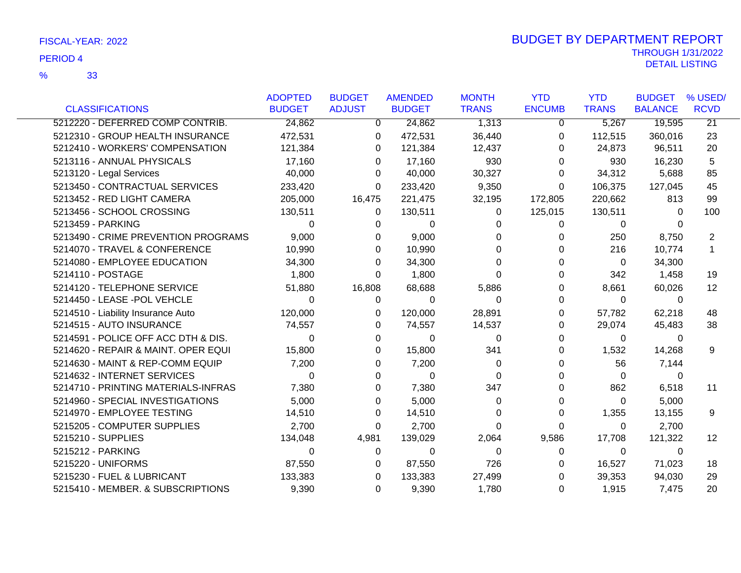|                                     | <b>ADOPTED</b> | <b>BUDGET</b> | <b>AMENDED</b> | <b>MONTH</b> | <b>YTD</b>    | <b>YTD</b>   | <b>BUDGET</b>  | % USED/           |
|-------------------------------------|----------------|---------------|----------------|--------------|---------------|--------------|----------------|-------------------|
| <b>CLASSIFICATIONS</b>              | <b>BUDGET</b>  | <b>ADJUST</b> | <b>BUDGET</b>  | <b>TRANS</b> | <b>ENCUMB</b> | <b>TRANS</b> | <b>BALANCE</b> | <b>RCVD</b>       |
| 5212220 - DEFERRED COMP CONTRIB.    | 24,862         | $\mathbf{0}$  | 24,862         | 1,313        | 0             | 5,267        | 19,595         | $\overline{21}$   |
| 5212310 - GROUP HEALTH INSURANCE    | 472,531        | 0             | 472,531        | 36,440       | 0             | 112,515      | 360,016        | 23                |
| 5212410 - WORKERS' COMPENSATION     | 121,384        | 0             | 121,384        | 12,437       | 0             | 24,873       | 96,511         | 20                |
| 5213116 - ANNUAL PHYSICALS          | 17,160         | 0             | 17,160         | 930          | 0             | 930          | 16,230         | 5                 |
| 5213120 - Legal Services            | 40,000         | 0             | 40,000         | 30,327       | 0             | 34,312       | 5,688          | 85                |
| 5213450 - CONTRACTUAL SERVICES      | 233,420        | 0             | 233,420        | 9,350        | 0             | 106,375      | 127,045        | 45                |
| 5213452 - RED LIGHT CAMERA          | 205,000        | 16,475        | 221,475        | 32,195       | 172,805       | 220,662      | 813            | 99                |
| 5213456 - SCHOOL CROSSING           | 130,511        | 0             | 130,511        | $\Omega$     | 125,015       | 130,511      | $\Omega$       | 100               |
| 5213459 - PARKING                   | 0              | 0             | 0              | 0            | 0             | $\mathbf 0$  | 0              |                   |
| 5213490 - CRIME PREVENTION PROGRAMS | 9,000          | 0             | 9,000          | 0            |               | 250          | 8,750          | 2                 |
| 5214070 - TRAVEL & CONFERENCE       | 10,990         | 0             | 10,990         | 0            | 0             | 216          | 10,774         | $\mathbf{1}$      |
| 5214080 - EMPLOYEE EDUCATION        | 34,300         | 0             | 34,300         | 0            |               | $\mathbf 0$  | 34,300         |                   |
| 5214110 - POSTAGE                   | 1,800          | 0             | 1,800          | 0            |               | 342          | 1,458          | 19                |
| 5214120 - TELEPHONE SERVICE         | 51,880         | 16,808        | 68,688         | 5,886        | 0             | 8,661        | 60,026         | $12 \overline{ }$ |
| 5214450 - LEASE -POL VEHCLE         | 0              | 0             | 0              | $\Omega$     | 0             | 0            | 0              |                   |
| 5214510 - Liability Insurance Auto  | 120,000        | 0             | 120,000        | 28,891       | 0             | 57,782       | 62,218         | 48                |
| 5214515 - AUTO INSURANCE            | 74,557         | 0             | 74,557         | 14,537       | 0             | 29,074       | 45,483         | 38                |
| 5214591 - POLICE OFF ACC DTH & DIS. | 0              | 0             | $\mathbf 0$    | 0            | 0             | 0            | 0              |                   |
| 5214620 - REPAIR & MAINT. OPER EQUI | 15,800         | 0             | 15,800         | 341          | 0             | 1,532        | 14,268         | 9                 |
| 5214630 - MAINT & REP-COMM EQUIP    | 7,200          | 0             | 7,200          | $\Omega$     |               | 56           | 7,144          |                   |
| 5214632 - INTERNET SERVICES         | $\Omega$       | 0             | 0              | $\Omega$     |               | 0            | $\Omega$       |                   |
| 5214710 - PRINTING MATERIALS-INFRAS | 7,380          | 0             | 7,380          | 347          |               | 862          | 6,518          | 11                |
| 5214960 - SPECIAL INVESTIGATIONS    | 5,000          | 0             | 5,000          | 0            | 0             | $\Omega$     | 5,000          |                   |
| 5214970 - EMPLOYEE TESTING          | 14,510         | 0             | 14,510         | 0            | 0             | 1,355        | 13,155         | 9                 |
| 5215205 - COMPUTER SUPPLIES         | 2,700          | 0             | 2,700          | 0            | 0             | 0            | 2,700          |                   |
| 5215210 - SUPPLIES                  | 134,048        | 4,981         | 139,029        | 2,064        | 9,586         | 17,708       | 121,322        | 12                |
| 5215212 - PARKING                   | $\Omega$       | 0             | 0              | $\Omega$     | 0             | $\mathbf 0$  | 0              |                   |
| 5215220 - UNIFORMS                  | 87,550         | 0             | 87,550         | 726          | 0             | 16,527       | 71,023         | 18                |
| 5215230 - FUEL & LUBRICANT          | 133,383        | 0             | 133,383        | 27,499       |               | 39,353       | 94,030         | 29                |
| 5215410 - MEMBER. & SUBSCRIPTIONS   | 9,390          | 0             | 9,390          | 1,780        | 0             | 1,915        | 7,475          | 20                |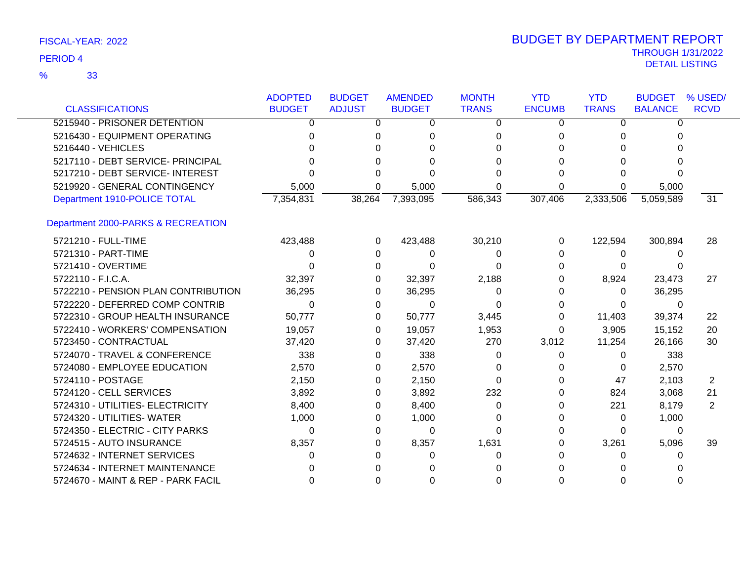|                                     | <b>ADOPTED</b> | <b>BUDGET</b> | <b>AMENDED</b> | <b>MONTH</b> | <b>YTD</b>    | <b>YTD</b>   | <b>BUDGET</b>  | % USED/         |
|-------------------------------------|----------------|---------------|----------------|--------------|---------------|--------------|----------------|-----------------|
| <b>CLASSIFICATIONS</b>              | <b>BUDGET</b>  | <b>ADJUST</b> | <b>BUDGET</b>  | <b>TRANS</b> | <b>ENCUMB</b> | <b>TRANS</b> | <b>BALANCE</b> | <b>RCVD</b>     |
| 5215940 - PRISONER DETENTION        | 0              | 0             | 0              | $\Omega$     | 0             | 0            | $\Omega$       |                 |
| 5216430 - EQUIPMENT OPERATING       | 0              | 0             | $\Omega$       | 0            | 0             | 0            | 0              |                 |
| 5216440 - VEHICLES                  |                | 0             | 0              | 0            |               | 0            |                |                 |
| 5217110 - DEBT SERVICE- PRINCIPAL   |                | 0             | $\Omega$       | 0            | 0             | 0            |                |                 |
| 5217210 - DEBT SERVICE- INTEREST    | U              | 0             | ∩              | 0            | 0             | U            |                |                 |
| 5219920 - GENERAL CONTINGENCY       | 5,000          | 0             | 5,000          | 0            | 0             | 0            | 5,000          |                 |
| Department 1910-POLICE TOTAL        | 7,354,831      | 38,264        | 7,393,095      | 586,343      | 307,406       | 2,333,506    | 5,059,589      | $\overline{31}$ |
| Department 2000-PARKS & RECREATION  |                |               |                |              |               |              |                |                 |
| 5721210 - FULL-TIME                 | 423,488        | 0             | 423,488        | 30,210       | 0             | 122,594      | 300,894        | 28              |
| 5721310 - PART-TIME                 | 0              | 0             | $\Omega$       | 0            | 0             | 0            | $\Omega$       |                 |
| 5721410 - OVERTIME                  | U              | 0             | 0              | 0            | 0             | 0            |                |                 |
| 5722110 - F.I.C.A.                  | 32,397         | 0             | 32,397         | 2,188        | 0             | 8,924        | 23,473         | 27              |
| 5722210 - PENSION PLAN CONTRIBUTION | 36,295         | 0             | 36,295         | 0            | 0             | 0            | 36,295         |                 |
| 5722220 - DEFERRED COMP CONTRIB     | $\Omega$       | 0             | $\Omega$       | 0            | 0             | 0            | $\Omega$       |                 |
| 5722310 - GROUP HEALTH INSURANCE    | 50,777         | 0             | 50,777         | 3,445        | 0             | 11,403       | 39,374         | 22              |
| 5722410 - WORKERS' COMPENSATION     | 19,057         | 0             | 19,057         | 1,953        | 0             | 3,905        | 15,152         | 20              |
| 5723450 - CONTRACTUAL               | 37,420         | $\Omega$      | 37,420         | 270          | 3,012         | 11,254       | 26,166         | 30              |
| 5724070 - TRAVEL & CONFERENCE       | 338            | 0             | 338            | 0            | 0             | 0            | 338            |                 |
| 5724080 - EMPLOYEE EDUCATION        | 2,570          | 0             | 2,570          | 0            | 0             | 0            | 2,570          |                 |
| 5724110 - POSTAGE                   | 2,150          | $\Omega$      | 2,150          | $\Omega$     | 0             | 47           | 2,103          | 2               |
| 5724120 - CELL SERVICES             | 3,892          | 0             | 3,892          | 232          | 0             | 824          | 3,068          | 21              |
| 5724310 - UTILITIES- ELECTRICITY    | 8,400          | 0             | 8,400          | 0            | 0             | 221          | 8,179          | $\overline{2}$  |
| 5724320 - UTILITIES- WATER          | 1,000          | 0             | 1,000          | 0            | 0             | 0            | 1,000          |                 |
| 5724350 - ELECTRIC - CITY PARKS     | 0              | 0             | $\Omega$       | 0            | 0             | 0            | 0              |                 |
| 5724515 - AUTO INSURANCE            | 8,357          | $\Omega$      | 8,357          | 1,631        | 0             | 3,261        | 5,096          | 39              |
| 5724632 - INTERNET SERVICES         | 0              | 0             | 0              | 0            |               | 0            | 0              |                 |
| 5724634 - INTERNET MAINTENANCE      |                |               |                |              |               |              |                |                 |
| 5724670 - MAINT & REP - PARK FACIL  | 0              | 0             |                | 0            |               |              |                |                 |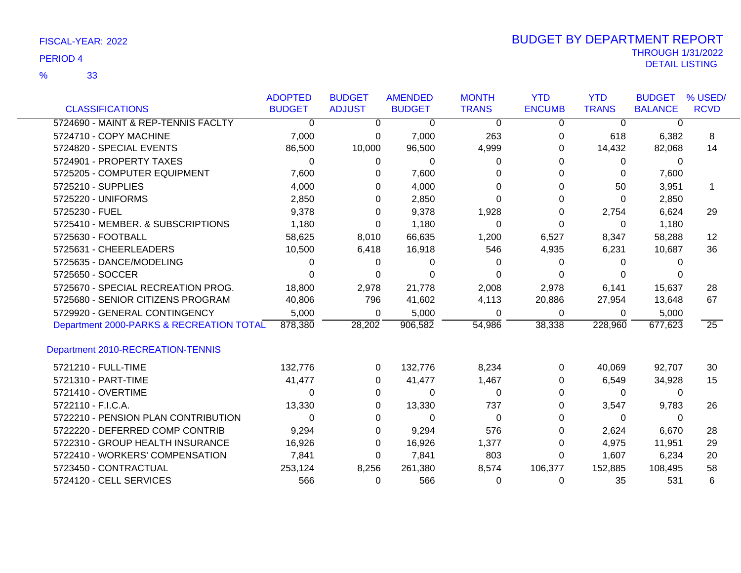|                                          | <b>ADOPTED</b> | <b>BUDGET</b> | <b>AMENDED</b> | <b>MONTH</b> | <b>YTD</b>    | <b>YTD</b>   | <b>BUDGET</b>  | % USED/         |
|------------------------------------------|----------------|---------------|----------------|--------------|---------------|--------------|----------------|-----------------|
| <b>CLASSIFICATIONS</b>                   | <b>BUDGET</b>  | <b>ADJUST</b> | <b>BUDGET</b>  | <b>TRANS</b> | <b>ENCUMB</b> | <b>TRANS</b> | <b>BALANCE</b> | <b>RCVD</b>     |
| 5724690 - MAINT & REP-TENNIS FACLTY      | $\overline{0}$ | 0             | 0              | $\mathbf 0$  | 0             | 0            | 0              |                 |
| 5724710 - COPY MACHINE                   | 7,000          | 0             | 7,000          | 263          | 0             | 618          | 6,382          | 8               |
| 5724820 - SPECIAL EVENTS                 | 86,500         | 10,000        | 96,500         | 4,999        | 0             | 14,432       | 82,068         | 14              |
| 5724901 - PROPERTY TAXES                 | $\Omega$       | 0             | $\Omega$       | 0            | 0             | 0            | 0              |                 |
| 5725205 - COMPUTER EQUIPMENT             | 7,600          | 0             | 7,600          | O            | 0             | 0            | 7,600          |                 |
| 5725210 - SUPPLIES                       | 4,000          | 0             | 4,000          |              | 0             | 50           | 3,951          | 1               |
| 5725220 - UNIFORMS                       | 2,850          | 0             | 2,850          | ∩            | 0             | $\Omega$     | 2,850          |                 |
| 5725230 - FUEL                           | 9,378          | 0             | 9,378          | 1,928        | 0             | 2,754        | 6,624          | 29              |
| 5725410 - MEMBER. & SUBSCRIPTIONS        | 1,180          | 0             | 1,180          | $\Omega$     | 0             | 0            | 1,180          |                 |
| 5725630 - FOOTBALL                       | 58,625         | 8,010         | 66,635         | 1,200        | 6,527         | 8,347        | 58,288         | $12 \,$         |
| 5725631 - CHEERLEADERS                   | 10,500         | 6,418         | 16,918         | 546          | 4,935         | 6,231        | 10,687         | 36              |
| 5725635 - DANCE/MODELING                 | 0              | 0             | 0              | $\Omega$     | 0             | 0            | ∩              |                 |
| 5725650 - SOCCER                         | 0              | 0             | $\Omega$       | 0            | 0             | 0            |                |                 |
| 5725670 - SPECIAL RECREATION PROG.       | 18,800         | 2,978         | 21,778         | 2,008        | 2,978         | 6,141        | 15,637         | 28              |
| 5725680 - SENIOR CITIZENS PROGRAM        | 40,806         | 796           | 41,602         | 4,113        | 20,886        | 27,954       | 13,648         | 67              |
| 5729920 - GENERAL CONTINGENCY            | 5,000          | 0             | 5,000          | 0            | $\mathbf 0$   | 0            | 5,000          |                 |
| Department 2000-PARKS & RECREATION TOTAL | 878,380        | 28,202        | 906,582        | 54,986       | 38,338        | 228,960      | 677,623        | $\overline{25}$ |
| Department 2010-RECREATION-TENNIS        |                |               |                |              |               |              |                |                 |
| 5721210 - FULL-TIME                      | 132,776        | 0             | 132,776        | 8,234        | 0             | 40,069       | 92,707         | 30              |
| 5721310 - PART-TIME                      | 41,477         | 0             | 41,477         | 1,467        | 0             | 6,549        | 34,928         | 15              |
| 5721410 - OVERTIME                       | 0              | 0             | 0              | 0            | 0             | 0            | 0              |                 |
| 5722110 - F.I.C.A.                       | 13,330         | 0             | 13,330         | 737          | 0             | 3,547        | 9,783          | 26              |
| 5722210 - PENSION PLAN CONTRIBUTION      | 0              | 0             | 0              | 0            | 0             | 0            | 0              |                 |
| 5722220 - DEFERRED COMP CONTRIB          | 9,294          | 0             | 9,294          | 576          | 0             | 2,624        | 6,670          | 28              |
| 5722310 - GROUP HEALTH INSURANCE         | 16,926         | 0             | 16,926         | 1,377        | 0             | 4,975        | 11,951         | 29              |
| 5722410 - WORKERS' COMPENSATION          | 7,841          | 0             | 7,841          | 803          | 0             | 1,607        | 6,234          | 20              |
| 5723450 - CONTRACTUAL                    | 253,124        | 8,256         | 261,380        | 8,574        | 106,377       | 152,885      | 108,495        | 58              |
| 5724120 - CELL SERVICES                  | 566            | 0             | 566            | 0            | 0             | 35           | 531            | 6               |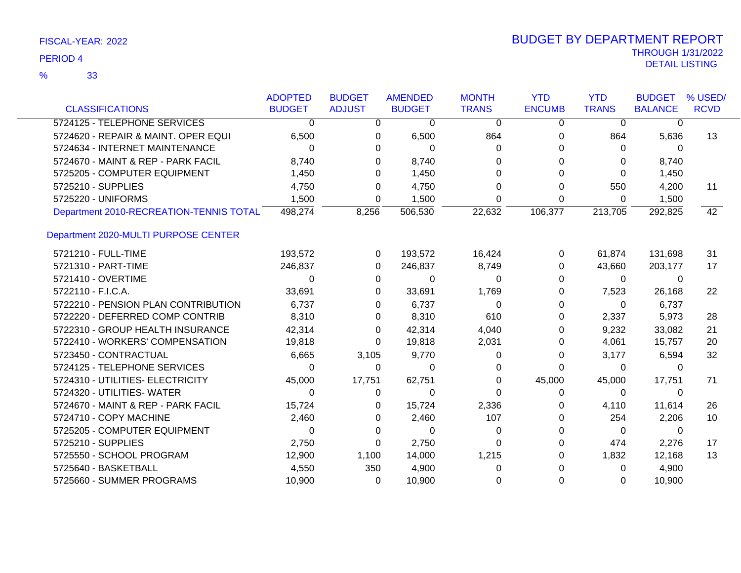|                                         | <b>ADOPTED</b> | <b>BUDGET</b> | <b>AMENDED</b> | <b>MONTH</b> | <b>YTD</b><br><b>ENCUMB</b> | <b>YTD</b>   | <b>BUDGET</b>  | % USED/         |
|-----------------------------------------|----------------|---------------|----------------|--------------|-----------------------------|--------------|----------------|-----------------|
| <b>CLASSIFICATIONS</b>                  | <b>BUDGET</b>  | <b>ADJUST</b> | <b>BUDGET</b>  | <b>TRANS</b> |                             | <b>TRANS</b> | <b>BALANCE</b> | <b>RCVD</b>     |
| 5724125 - TELEPHONE SERVICES            | 0              | 0             | 0              | 0            | 0                           | 0            | 0              |                 |
| 5724620 - REPAIR & MAINT. OPER EQUI     | 6,500          | 0             | 6,500          | 864          | 0                           | 864          | 5,636          | 13              |
| 5724634 - INTERNET MAINTENANCE          | $\Omega$       | 0             | 0              | 0            |                             | 0            | 0              |                 |
| 5724670 - MAINT & REP - PARK FACIL      | 8,740          | 0             | 8,740          | 0            | 0                           | 0            | 8,740          |                 |
| 5725205 - COMPUTER EQUIPMENT            | 1,450          | 0             | 1,450          | $\Omega$     | 0                           | $\Omega$     | 1,450          |                 |
| 5725210 - SUPPLIES                      | 4,750          | 0             | 4,750          | 0            | 0                           | 550          | 4,200          | 11              |
| 5725220 - UNIFORMS                      | 1,500          | 0             | 1,500          | $\Omega$     | 0                           | $\Omega$     | 1,500          |                 |
| Department 2010-RECREATION-TENNIS TOTAL | 498,274        | 8,256         | 506,530        | 22,632       | 106,377                     | 213,705      | 292,825        | $\overline{42}$ |
| Department 2020-MULTI PURPOSE CENTER    |                |               |                |              |                             |              |                |                 |
| 5721210 - FULL-TIME                     | 193,572        | 0             | 193,572        | 16,424       | 0                           | 61,874       | 131,698        | 31              |
| 5721310 - PART-TIME                     | 246,837        | $\Omega$      | 246,837        | 8,749        | 0                           | 43,660       | 203,177        | 17              |
| 5721410 - OVERTIME                      | 0              | 0             | 0              | 0            | 0                           | $\mathbf 0$  | 0              |                 |
| 5722110 - F.I.C.A.                      | 33,691         | 0             | 33,691         | 1,769        | 0                           | 7,523        | 26,168         | 22              |
| 5722210 - PENSION PLAN CONTRIBUTION     | 6,737          | $\Omega$      | 6,737          | 0            | 0                           | $\Omega$     | 6,737          |                 |
| 5722220 - DEFERRED COMP CONTRIB         | 8,310          | 0             | 8,310          | 610          | 0                           | 2,337        | 5,973          | 28              |
| 5722310 - GROUP HEALTH INSURANCE        | 42,314         | 0             | 42,314         | 4,040        | 0                           | 9,232        | 33,082         | 21              |
| 5722410 - WORKERS' COMPENSATION         | 19,818         | 0             | 19,818         | 2,031        | 0                           | 4,061        | 15,757         | 20              |
| 5723450 - CONTRACTUAL                   | 6,665          | 3,105         | 9,770          | 0            | 0                           | 3,177        | 6,594          | 32              |
| 5724125 - TELEPHONE SERVICES            | 0              | 0             | $\Omega$       | 0            | 0                           | $\Omega$     | $\Omega$       |                 |
| 5724310 - UTILITIES- ELECTRICITY        | 45,000         | 17,751        | 62,751         | 0            | 45,000                      | 45,000       | 17,751         | 71              |
| 5724320 - UTILITIES- WATER              | 0              | 0             | 0              | 0            | 0                           | 0            | $\Omega$       |                 |
| 5724670 - MAINT & REP - PARK FACIL      | 15,724         | 0             | 15,724         | 2,336        | 0                           | 4,110        | 11,614         | 26              |
| 5724710 - COPY MACHINE                  | 2,460          | 0             | 2,460          | 107          | 0                           | 254          | 2,206          | 10              |
| 5725205 - COMPUTER EQUIPMENT            | 0              | 0             | $\Omega$       | 0            | 0                           | 0            | $\Omega$       |                 |
| 5725210 - SUPPLIES                      | 2,750          | 0             | 2,750          | $\Omega$     | 0                           | 474          | 2,276          | 17              |
| 5725550 - SCHOOL PROGRAM                | 12,900         | 1,100         | 14,000         | 1,215        | 0                           | 1,832        | 12,168         | 13              |
| 5725640 - BASKETBALL                    | 4,550          | 350           | 4,900          | 0            |                             | 0            | 4,900          |                 |
| 5725660 - SUMMER PROGRAMS               | 10,900         | $\Omega$      | 10,900         | 0            | 0                           | $\Omega$     | 10,900         |                 |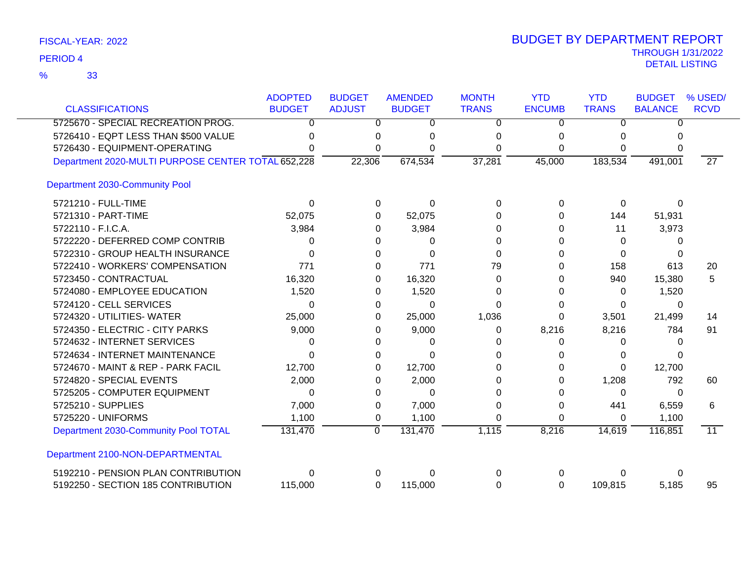|                                                    | <b>ADOPTED</b> | <b>BUDGET</b>  | <b>AMENDED</b> | <b>MONTH</b> | <b>YTD</b>    | <b>YTD</b>   | <b>BUDGET</b>  | % USED/         |
|----------------------------------------------------|----------------|----------------|----------------|--------------|---------------|--------------|----------------|-----------------|
| <b>CLASSIFICATIONS</b>                             | <b>BUDGET</b>  | <b>ADJUST</b>  | <b>BUDGET</b>  | <b>TRANS</b> | <b>ENCUMB</b> | <b>TRANS</b> | <b>BALANCE</b> | <b>RCVD</b>     |
| 5725670 - SPECIAL RECREATION PROG.                 | 0              | 0              | 0              | 0            | 0             | 0            | ∩              |                 |
| 5726410 - EQPT LESS THAN \$500 VALUE               | O              |                |                |              |               |              |                |                 |
| 5726430 - EQUIPMENT-OPERATING                      |                | 0              |                |              | 0             | 0            |                |                 |
| Department 2020-MULTI PURPOSE CENTER TOTAL 652,228 |                | 22,306         | 674,534        | 37,281       | 45,000        | 183,534      | 491,001        | $\overline{27}$ |
| <b>Department 2030-Community Pool</b>              |                |                |                |              |               |              |                |                 |
| 5721210 - FULL-TIME                                | 0              | 0              | 0              | $\Omega$     | 0             | 0            | $\Omega$       |                 |
| 5721310 - PART-TIME                                | 52,075         | 0              | 52,075         | U            |               | 144          | 51,931         |                 |
| 5722110 - F.I.C.A.                                 | 3,984          | O              | 3,984          | 0            |               | 11           | 3,973          |                 |
| 5722220 - DEFERRED COMP CONTRIB                    | 0              |                | 0              | ∩            | O             | 0            | 0              |                 |
| 5722310 - GROUP HEALTH INSURANCE                   | $\Omega$       | 0              | $\Omega$       | $\Omega$     | U             | $\Omega$     | 0              |                 |
| 5722410 - WORKERS' COMPENSATION                    | 771            | 0              | 771            | 79           |               | 158          | 613            | 20              |
| 5723450 - CONTRACTUAL                              | 16,320         | 0              | 16,320         | 0            | 0             | 940          | 15,380         | 5               |
| 5724080 - EMPLOYEE EDUCATION                       | 1,520          | 0              | 1,520          | 0            | 0             | 0            | 1,520          |                 |
| 5724120 - CELL SERVICES                            | 0              | O              | 0              | 0            | 0             | 0            | 0              |                 |
| 5724320 - UTILITIES- WATER                         | 25,000         | 0              | 25,000         | 1,036        | 0             | 3,501        | 21,499         | 14              |
| 5724350 - ELECTRIC - CITY PARKS                    | 9,000          | O              | 9,000          | 0            | 8,216         | 8,216        | 784            | 91              |
| 5724632 - INTERNET SERVICES                        | 0              |                | 0              | O            | 0             | 0            | n              |                 |
| 5724634 - INTERNET MAINTENANCE                     | 0              |                | U              |              |               | 0            |                |                 |
| 5724670 - MAINT & REP - PARK FACIL                 | 12,700         |                | 12,700         |              |               | 0            | 12,700         |                 |
| 5724820 - SPECIAL EVENTS                           | 2,000          |                | 2,000          |              |               | 1,208        | 792            | 60              |
| 5725205 - COMPUTER EQUIPMENT                       | 0              | 0              | $\Omega$       |              |               | 0            | 0              |                 |
| 5725210 - SUPPLIES                                 | 7,000          | 0              | 7,000          | 0            | 0             | 441          | 6,559          | 6               |
| 5725220 - UNIFORMS                                 | 1,100          | 0              | 1,100          |              | 0             | 0            | 1,100          |                 |
| Department 2030-Community Pool TOTAL               | 131,470        | $\overline{0}$ | 131,470        | 1,115        | 8,216         | 14,619       | 116,851        | $\overline{11}$ |
| Department 2100-NON-DEPARTMENTAL                   |                |                |                |              |               |              |                |                 |
| 5192210 - PENSION PLAN CONTRIBUTION                | 0              |                | 0              | 0            | 0             |              | 0              |                 |
| 5192250 - SECTION 185 CONTRIBUTION                 | 115,000        | 0              | 115,000        | 0            | 0             | 109,815      | 5,185          | 95              |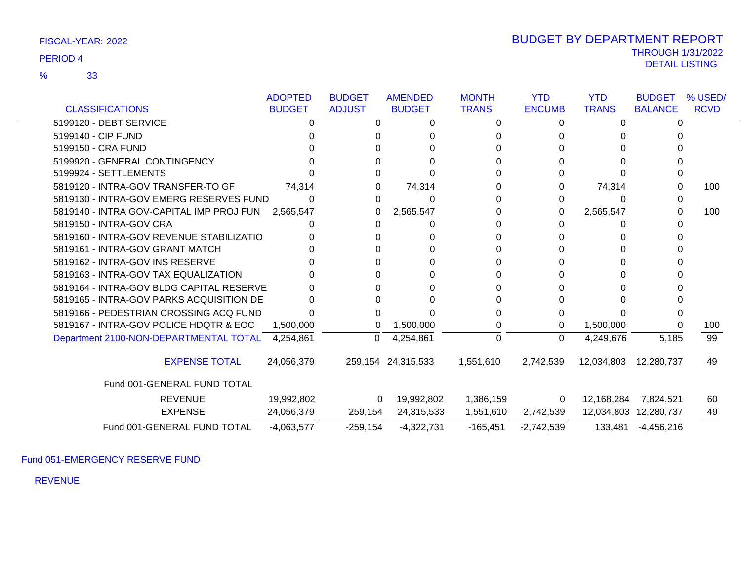|                                          | <b>ADOPTED</b> | <b>BUDGET</b> | <b>AMENDED</b>     | <b>MONTH</b> | <b>YTD</b>    | <b>YTD</b>   | <b>BUDGET</b>         | % USED/     |
|------------------------------------------|----------------|---------------|--------------------|--------------|---------------|--------------|-----------------------|-------------|
| <b>CLASSIFICATIONS</b>                   | <b>BUDGET</b>  | <b>ADJUST</b> | <b>BUDGET</b>      | <b>TRANS</b> | <b>ENCUMB</b> | <b>TRANS</b> | <b>BALANCE</b>        | <b>RCVD</b> |
| 5199120 - DEBT SERVICE                   |                | 0             | 0                  | 0            | 0             | 0            | 0                     |             |
| 5199140 - CIP FUND                       |                |               |                    |              |               |              |                       |             |
| 5199150 - CRA FUND                       |                |               |                    |              |               |              |                       |             |
| 5199920 - GENERAL CONTINGENCY            |                |               |                    |              |               |              |                       |             |
| 5199924 - SETTLEMENTS                    |                |               |                    |              |               |              |                       |             |
| 5819120 - INTRA-GOV TRANSFER-TO GF       | 74,314         |               | 74,314             |              |               | 74,314       |                       | 100         |
| 5819130 - INTRA-GOV EMERG RESERVES FUND  | $\Omega$       | 0             | 0                  |              |               | O            |                       |             |
| 5819140 - INTRA GOV-CAPITAL IMP PROJ FUN | 2,565,547      | 0             | 2,565,547          |              | 0             | 2,565,547    | 0                     | 100         |
| 5819150 - INTRA-GOV CRA                  |                |               |                    |              |               |              |                       |             |
| 5819160 - INTRA-GOV REVENUE STABILIZATIO |                |               |                    |              |               |              |                       |             |
| 5819161 - INTRA-GOV GRANT MATCH          |                |               |                    |              |               |              |                       |             |
| 5819162 - INTRA-GOV INS RESERVE          |                |               |                    |              |               |              |                       |             |
| 5819163 - INTRA-GOV TAX EQUALIZATION     |                |               |                    |              |               |              |                       |             |
| 5819164 - INTRA-GOV BLDG CAPITAL RESERVE |                |               |                    |              |               |              |                       |             |
| 5819165 - INTRA-GOV PARKS ACQUISITION DE |                |               |                    |              |               |              |                       |             |
| 5819166 - PEDESTRIAN CROSSING ACQ FUND   |                |               |                    |              |               |              |                       |             |
| 5819167 - INTRA-GOV POLICE HDQTR & EOC   | 1,500,000      | 0             | 1,500,000          |              | 0             | 1,500,000    |                       | 100         |
| Department 2100-NON-DEPARTMENTAL TOTAL   | 4,254,861      | $\Omega$      | 4,254,861          | $\Omega$     | $\Omega$      | 4,249,676    | 5,185                 | 99          |
| <b>EXPENSE TOTAL</b>                     | 24,056,379     |               | 259,154 24,315,533 | 1,551,610    | 2,742,539     | 12,034,803   | 12,280,737            | 49          |
| Fund 001-GENERAL FUND TOTAL              |                |               |                    |              |               |              |                       |             |
| <b>REVENUE</b>                           | 19,992,802     | $\mathbf{0}$  | 19,992,802         | 1,386,159    | 0             | 12,168,284   | 7,824,521             | 60          |
| <b>EXPENSE</b>                           | 24,056,379     | 259,154       | 24,315,533         | 1,551,610    | 2,742,539     |              | 12,034,803 12,280,737 | 49          |
| Fund 001-GENERAL FUND TOTAL              | $-4,063,577$   | $-259,154$    | $-4,322,731$       | $-165,451$   | $-2,742,539$  | 133,481      | $-4,456,216$          |             |

Fund 051-EMERGENCY RESERVE FUND

REVENUE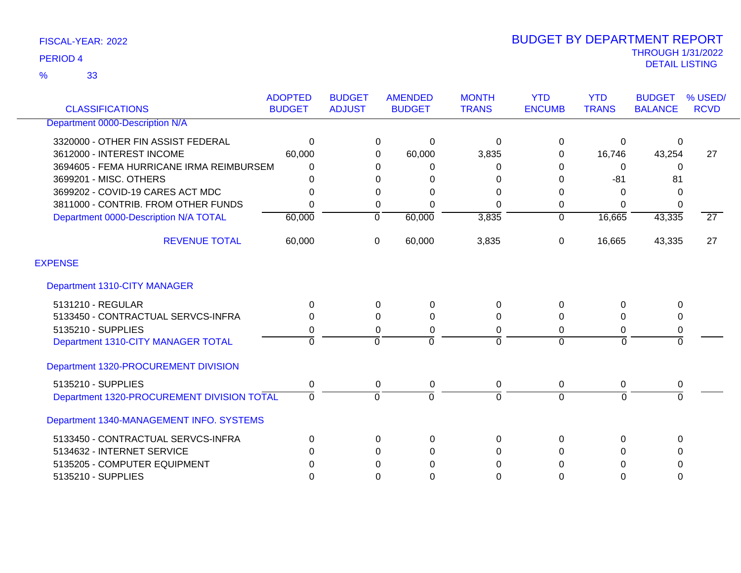33 %

| <b>CLASSIFICATIONS</b>                     | <b>ADOPTED</b><br><b>BUDGET</b> | <b>BUDGET</b><br><b>ADJUST</b> | <b>AMENDED</b><br><b>BUDGET</b> | <b>MONTH</b><br><b>TRANS</b> | <b>YTD</b><br><b>ENCUMB</b> | <b>YTD</b><br><b>TRANS</b> | <b>BUDGET</b><br><b>BALANCE</b> | % USED/<br><b>RCVD</b> |
|--------------------------------------------|---------------------------------|--------------------------------|---------------------------------|------------------------------|-----------------------------|----------------------------|---------------------------------|------------------------|
| Department 0000-Description N/A            |                                 |                                |                                 |                              |                             |                            |                                 |                        |
| 3320000 - OTHER FIN ASSIST FEDERAL         | 0                               |                                | 0<br>0                          | $\mathbf 0$                  | 0                           | $\Omega$                   | 0                               |                        |
| 3612000 - INTEREST INCOME                  | 60,000                          |                                | 60,000<br>0                     | 3,835                        | 0                           | 16,746                     | 43,254                          | 27                     |
| 3694605 - FEMA HURRICANE IRMA REIMBURSEM   | 0                               |                                | 0<br>0                          | 0                            | 0                           | $\Omega$                   | $\mathbf{0}$                    |                        |
| 3699201 - MISC. OTHERS                     | 0                               |                                | 0<br>0                          | 0                            | 0                           | $-81$                      | 81                              |                        |
| 3699202 - COVID-19 CARES ACT MDC           | 0                               |                                | 0<br>0                          | 0                            | 0                           | $\Omega$                   | 0                               |                        |
| 3811000 - CONTRIB. FROM OTHER FUNDS        | 0                               |                                | 0<br>0                          | $\Omega$                     | 0                           | 0                          | 0                               |                        |
| Department 0000-Description N/A TOTAL      | 60,000                          | $\mathbf{0}$                   | 60,000                          | 3,835                        | $\mathbf 0$                 | 16,665                     | 43,335                          | $\overline{27}$        |
| <b>REVENUE TOTAL</b>                       | 60,000                          | $\mathbf 0$                    | 60,000                          | 3,835                        | 0                           | 16,665                     | 43,335                          | 27                     |
| <b>EXPENSE</b>                             |                                 |                                |                                 |                              |                             |                            |                                 |                        |
| Department 1310-CITY MANAGER               |                                 |                                |                                 |                              |                             |                            |                                 |                        |
| 5131210 - REGULAR                          | 0                               |                                | 0<br>$\mathbf 0$                | 0                            | $\Omega$                    | $\Omega$                   | 0                               |                        |
| 5133450 - CONTRACTUAL SERVCS-INFRA         | 0                               |                                | $\Omega$<br>0                   | 0                            | 0                           | $\Omega$                   | 0                               |                        |
| 5135210 - SUPPLIES                         | 0                               |                                | 0<br>0                          | $\Omega$                     | 0                           | $\Omega$                   | 0                               |                        |
| Department 1310-CITY MANAGER TOTAL         | $\Omega$                        | $\Omega$                       | $\Omega$                        | $\Omega$                     | $\Omega$                    | $\Omega$                   | $\mathbf 0$                     |                        |
| Department 1320-PROCUREMENT DIVISION       |                                 |                                |                                 |                              |                             |                            |                                 |                        |
| 5135210 - SUPPLIES                         | 0                               |                                | $\mathbf 0$<br>0                | $\mathbf 0$                  | 0                           | 0                          | 0                               |                        |
| Department 1320-PROCUREMENT DIVISION TOTAL | $\Omega$                        | $\Omega$                       | $\Omega$                        | $\Omega$                     | $\Omega$                    | $\Omega$                   | $\Omega$                        |                        |
| Department 1340-MANAGEMENT INFO. SYSTEMS   |                                 |                                |                                 |                              |                             |                            |                                 |                        |
| 5133450 - CONTRACTUAL SERVCS-INFRA         | 0                               |                                | 0<br>0                          | 0                            | 0                           | $\Omega$                   | 0                               |                        |
| 5134632 - INTERNET SERVICE                 | 0                               |                                | 0<br>0                          | $\Omega$                     | $\Omega$                    | $\Omega$                   | 0                               |                        |
| 5135205 - COMPUTER EQUIPMENT               | 0                               |                                | 0<br>0                          | 0                            | 0                           | $\Omega$                   | 0                               |                        |
| 5135210 - SUPPLIES                         | 0                               |                                | $\Omega$<br>$\Omega$            | $\Omega$                     | 0                           | $\Omega$                   | 0                               |                        |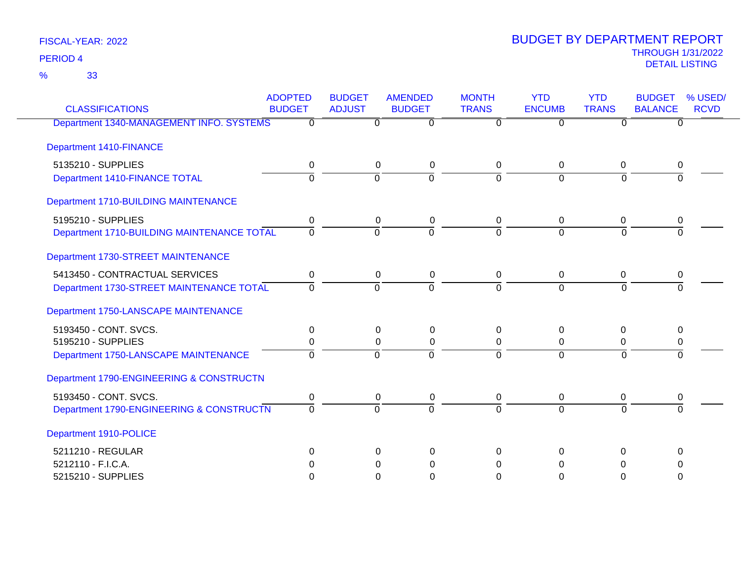33 %

| <b>CLASSIFICATIONS</b>                     | <b>ADOPTED</b><br><b>BUDGET</b> | <b>BUDGET</b><br><b>ADJUST</b> | <b>AMENDED</b><br><b>BUDGET</b> | <b>MONTH</b><br><b>TRANS</b> | <b>YTD</b><br><b>ENCUMB</b> | <b>YTD</b><br><b>TRANS</b> | <b>BUDGET</b><br><b>BALANCE</b> | % USED/<br><b>RCVD</b> |
|--------------------------------------------|---------------------------------|--------------------------------|---------------------------------|------------------------------|-----------------------------|----------------------------|---------------------------------|------------------------|
| Department 1340-MANAGEMENT INFO. SYSTEMS   | 0                               | 0                              | $\Omega$                        | $\Omega$                     | $\Omega$                    | 0                          | 0                               |                        |
| Department 1410-FINANCE                    |                                 |                                |                                 |                              |                             |                            |                                 |                        |
| 5135210 - SUPPLIES                         | 0                               | 0                              | 0                               | 0                            | 0                           | 0                          | 0                               |                        |
| Department 1410-FINANCE TOTAL              | $\overline{0}$                  | $\overline{0}$                 | $\overline{0}$                  | $\Omega$                     | $\overline{0}$              | $\overline{0}$             |                                 |                        |
| Department 1710-BUILDING MAINTENANCE       |                                 |                                |                                 |                              |                             |                            |                                 |                        |
| 5195210 - SUPPLIES                         | 0                               | 0                              | 0                               | $\mathbf 0$                  | 0                           | 0                          | 0                               |                        |
| Department 1710-BUILDING MAINTENANCE TOTAL | $\overline{0}$                  | $\Omega$                       | $\Omega$                        | $\Omega$                     | $\Omega$                    | $\Omega$                   | $\Omega$                        |                        |
| Department 1730-STREET MAINTENANCE         |                                 |                                |                                 |                              |                             |                            |                                 |                        |
| 5413450 - CONTRACTUAL SERVICES             | 0                               | $\mathbf 0$                    | $\mathbf 0$                     | $\mathbf 0$                  | 0                           | $\mathbf 0$                | 0                               |                        |
| Department 1730-STREET MAINTENANCE TOTAL   | $\Omega$                        | $\Omega$                       | $\Omega$                        | $\Omega$                     | $\Omega$                    | $\Omega$                   | $\Omega$                        |                        |
| Department 1750-LANSCAPE MAINTENANCE       |                                 |                                |                                 |                              |                             |                            |                                 |                        |
| 5193450 - CONT. SVCS.                      | 0                               | 0                              | 0                               | $\Omega$                     | $\Omega$                    | 0                          | 0                               |                        |
| 5195210 - SUPPLIES                         | 0                               | $\mathbf 0$                    | $\mathbf 0$                     | $\mathbf 0$                  | $\pmb{0}$                   | 0                          | 0                               |                        |
| Department 1750-LANSCAPE MAINTENANCE       | $\Omega$                        | $\mathbf 0$                    | $\overline{0}$                  | $\Omega$                     | $\overline{0}$              | $\Omega$                   | $\overline{0}$                  |                        |
| Department 1790-ENGINEERING & CONSTRUCTN   |                                 |                                |                                 |                              |                             |                            |                                 |                        |
| 5193450 - CONT. SVCS.                      | 0                               | 0                              | 0                               | $\mathbf 0$                  | 0                           | 0                          | 0                               |                        |
| Department 1790-ENGINEERING & CONSTRUCTN   | $\Omega$                        | $\overline{0}$                 | $\overline{0}$                  | $\Omega$                     | $\overline{0}$              | $\Omega$                   | $\overline{0}$                  |                        |
| Department 1910-POLICE                     |                                 |                                |                                 |                              |                             |                            |                                 |                        |
| 5211210 - REGULAR                          | $\Omega$                        | $\Omega$                       | $\Omega$                        | $\Omega$                     | $\Omega$                    | $\Omega$                   | $\Omega$                        |                        |
| 5212110 - F.I.C.A.                         | 0                               | 0                              | 0                               | $\Omega$                     | $\Omega$                    | 0                          | 0                               |                        |
| 5215210 - SUPPLIES                         | $\Omega$                        | $\Omega$                       | $\Omega$                        | $\Omega$                     | $\Omega$                    | $\Omega$                   | 0                               |                        |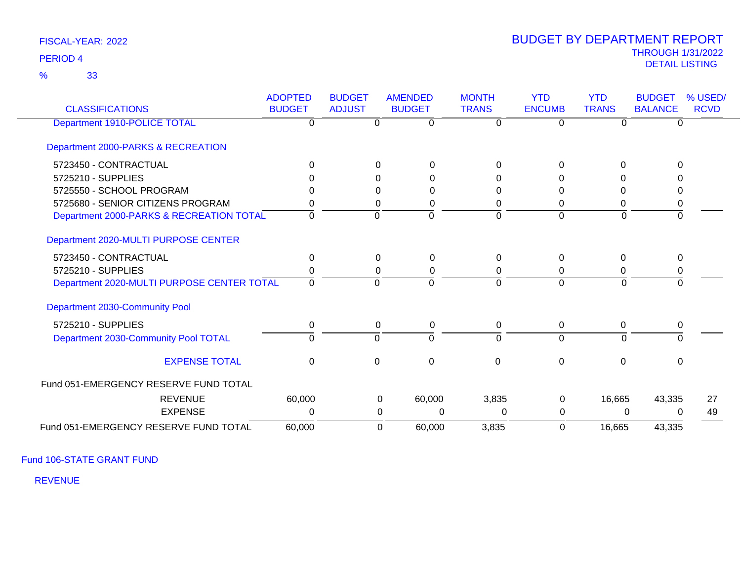33 %

# THROUGH 1/31/2022 DETAIL LISTING PERIOD <sup>4</sup> BUDGET BY DEPARTMENT REPORT

| <b>CLASSIFICATIONS</b>                     | <b>ADOPTED</b><br><b>BUDGET</b> | <b>BUDGET</b><br><b>ADJUST</b> | <b>AMENDED</b><br><b>BUDGET</b> | <b>MONTH</b><br><b>TRANS</b> | <b>YTD</b><br><b>ENCUMB</b> | <b>YTD</b><br><b>TRANS</b> | <b>BUDGET</b><br><b>BALANCE</b> | % USED/<br><b>RCVD</b> |
|--------------------------------------------|---------------------------------|--------------------------------|---------------------------------|------------------------------|-----------------------------|----------------------------|---------------------------------|------------------------|
| Department 1910-POLICE TOTAL               |                                 | $\Omega$                       | $\Omega$                        |                              | 0                           |                            | $\Omega$                        |                        |
| Department 2000-PARKS & RECREATION         |                                 |                                |                                 |                              |                             |                            |                                 |                        |
| 5723450 - CONTRACTUAL                      | $\Omega$                        | $\Omega$                       | $\Omega$                        | 0                            | $\Omega$                    | $\Omega$                   | $\Omega$                        |                        |
| 5725210 - SUPPLIES                         |                                 | 0                              | $\Omega$                        | 0                            | 0                           |                            | <sup>0</sup>                    |                        |
| 5725550 - SCHOOL PROGRAM                   |                                 | $\Omega$                       | $\Omega$                        | 0                            | $\Omega$                    | 0                          | 0                               |                        |
| 5725680 - SENIOR CITIZENS PROGRAM          |                                 | 0                              | $\Omega$                        | 0                            | 0                           | 0                          | 0                               |                        |
| Department 2000-PARKS & RECREATION TOTAL   | $\Omega$                        | $\Omega$                       | $\Omega$                        | $\Omega$                     | $\Omega$                    | $\overline{0}$             | $\overline{0}$                  |                        |
| Department 2020-MULTI PURPOSE CENTER       |                                 |                                |                                 |                              |                             |                            |                                 |                        |
| 5723450 - CONTRACTUAL                      | 0                               | $\mathbf{0}$                   | $\Omega$                        | $\Omega$                     | $\Omega$                    | $\Omega$                   | $\mathbf{0}$                    |                        |
| 5725210 - SUPPLIES                         |                                 | $\Omega$                       | 0                               | 0                            | 0                           | 0                          | 0                               |                        |
| Department 2020-MULTI PURPOSE CENTER TOTAL | $\Omega$                        | $\Omega$                       | $\Omega$                        | $\Omega$                     | $\Omega$                    | $\Omega$                   | $\Omega$                        |                        |
| Department 2030-Community Pool             |                                 |                                |                                 |                              |                             |                            |                                 |                        |
| 5725210 - SUPPLIES                         | $\Omega$                        | $\mathbf 0$                    | 0                               | 0                            | 0                           | 0                          | 0                               |                        |
| Department 2030-Community Pool TOTAL       | $\Omega$                        | $\Omega$                       | $\Omega$                        | $\Omega$                     | $\Omega$                    | $\Omega$                   | $\Omega$                        |                        |
| <b>EXPENSE TOTAL</b>                       | $\mathbf 0$                     | $\mathbf 0$                    | $\mathbf 0$                     | 0                            | $\Omega$                    | 0                          | $\Omega$                        |                        |
| Fund 051-EMERGENCY RESERVE FUND TOTAL      |                                 |                                |                                 |                              |                             |                            |                                 |                        |
| <b>REVENUE</b>                             | 60,000                          |                                | 60,000<br>0                     | 3,835                        | $\Omega$                    | 16,665                     | 43,335                          | 27                     |
| <b>EXPENSE</b>                             | 0                               |                                | $\Omega$<br>0                   | 0                            | 0                           | 0                          | $\Omega$                        | 49                     |
| Fund 051-EMERGENCY RESERVE FUND TOTAL      | 60,000                          |                                | 0<br>60,000                     | 3,835                        | $\Omega$                    | 16,665                     | 43,335                          |                        |

Fund 106-STATE GRANT FUND

REVENUE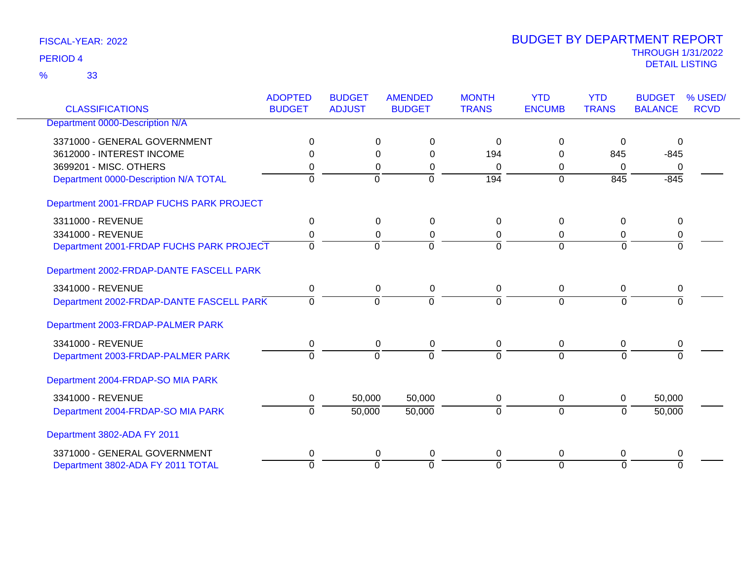33 %

| <b>CLASSIFICATIONS</b>                   | <b>ADOPTED</b><br><b>BUDGET</b> | <b>BUDGET</b><br><b>ADJUST</b> | <b>AMENDED</b><br><b>BUDGET</b> | <b>MONTH</b><br><b>TRANS</b> | <b>YTD</b><br><b>ENCUMB</b> | <b>YTD</b><br><b>TRANS</b> | <b>BUDGET</b><br><b>BALANCE</b> | % USED/<br><b>RCVD</b> |
|------------------------------------------|---------------------------------|--------------------------------|---------------------------------|------------------------------|-----------------------------|----------------------------|---------------------------------|------------------------|
| Department 0000-Description N/A          |                                 |                                |                                 |                              |                             |                            |                                 |                        |
|                                          |                                 |                                |                                 |                              |                             |                            |                                 |                        |
| 3371000 - GENERAL GOVERNMENT             | 0                               | 0                              | 0                               | 0                            | $\Omega$                    | 0                          | $\Omega$                        |                        |
| 3612000 - INTEREST INCOME                | 0                               |                                | $\Omega$<br>$\Omega$            | 194                          | 0                           | 845                        | $-845$                          |                        |
| 3699201 - MISC, OTHERS                   | 0                               | $\Omega$                       | 0                               | $\Omega$                     | 0                           | $\Omega$                   | $\mathbf{0}$                    |                        |
| Department 0000-Description N/A TOTAL    | $\Omega$                        | $\Omega$                       | $\overline{0}$                  | 194                          | $\Omega$                    | 845                        | $-845$                          |                        |
| Department 2001-FRDAP FUCHS PARK PROJECT |                                 |                                |                                 |                              |                             |                            |                                 |                        |
| 3311000 - REVENUE                        | $\pmb{0}$                       |                                | 0<br>0                          | 0                            | $\Omega$                    | $\mathbf 0$                | 0                               |                        |
| 3341000 - REVENUE                        | 0                               |                                | 0<br>0                          | 0                            | $\mathbf 0$                 | 0                          | 0                               |                        |
| Department 2001-FRDAP FUCHS PARK PROJECT | $\mathbf 0$                     | $\Omega$                       | $\Omega$                        | $\Omega$                     | $\Omega$                    | $\Omega$                   | $\Omega$                        |                        |
| Department 2002-FRDAP-DANTE FASCELL PARK |                                 |                                |                                 |                              |                             |                            |                                 |                        |
| 3341000 - REVENUE                        | 0                               |                                | 0<br>0                          | $\mathbf 0$                  | 0                           | 0                          | 0                               |                        |
| Department 2002-FRDAP-DANTE FASCELL PARK | $\Omega$                        | $\Omega$                       | $\Omega$                        | $\Omega$                     | $\Omega$                    | $\Omega$                   | $\Omega$                        |                        |
| Department 2003-FRDAP-PALMER PARK        |                                 |                                |                                 |                              |                             |                            |                                 |                        |
| 3341000 - REVENUE                        | 0                               |                                | $\mathbf 0$<br>0                | 0                            | 0                           | 0                          | 0                               |                        |
| Department 2003-FRDAP-PALMER PARK        | $\overline{0}$                  | $\overline{0}$                 | $\overline{0}$                  | $\Omega$                     | $\Omega$                    | $\overline{0}$             | $\Omega$                        |                        |
| Department 2004-FRDAP-SO MIA PARK        |                                 |                                |                                 |                              |                             |                            |                                 |                        |
| 3341000 - REVENUE                        | 0                               | 50,000                         | 50,000                          | 0                            | 0                           | 0                          | 50,000                          |                        |
| Department 2004-FRDAP-SO MIA PARK        | $\Omega$                        | 50,000                         | 50,000                          | $\Omega$                     | $\mathbf 0$                 | $\Omega$                   | 50,000                          |                        |
| Department 3802-ADA FY 2011              |                                 |                                |                                 |                              |                             |                            |                                 |                        |
| 3371000 - GENERAL GOVERNMENT             | 0                               |                                | $\Omega$<br>0                   | 0                            | 0                           | 0                          | 0                               |                        |
| Department 3802-ADA FY 2011 TOTAL        | $\overline{0}$                  | $\overline{0}$                 | $\overline{0}$                  | $\Omega$                     | $\Omega$                    | $\overline{0}$             | $\Omega$                        |                        |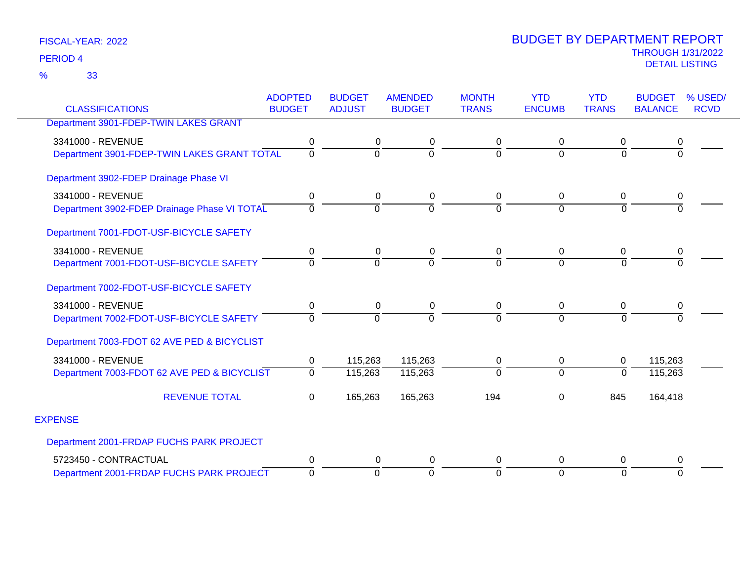33 %

|                                              | <b>ADOPTED</b> | <b>BUDGET</b>  | <b>AMENDED</b> | <b>MONTH</b>   | <b>YTD</b>     | <b>YTD</b>   | <b>BUDGET</b>  | % USED/     |
|----------------------------------------------|----------------|----------------|----------------|----------------|----------------|--------------|----------------|-------------|
| <b>CLASSIFICATIONS</b>                       | <b>BUDGET</b>  | <b>ADJUST</b>  | <b>BUDGET</b>  | <b>TRANS</b>   | <b>ENCUMB</b>  | <b>TRANS</b> | <b>BALANCE</b> | <b>RCVD</b> |
| Department 3901-FDEP-TWIN LAKES GRANT        |                |                |                |                |                |              |                |             |
| 3341000 - REVENUE                            | 0              | 0              | 0              | 0              | 0              | 0            | 0              |             |
| Department 3901-FDEP-TWIN LAKES GRANT TOTAL  | $\overline{0}$ | $\Omega$       | $\Omega$       | $\Omega$       | $\Omega$       | $\Omega$     |                |             |
| Department 3902-FDEP Drainage Phase VI       |                |                |                |                |                |              |                |             |
| 3341000 - REVENUE                            | 0              | $\mathbf 0$    | 0              | 0              | 0              | $\mathbf 0$  | 0              |             |
| Department 3902-FDEP Drainage Phase VI TOTAL | $\Omega$       | $\overline{0}$ | $\overline{0}$ | $\overline{0}$ | $\overline{0}$ | $\Omega$     |                |             |
| Department 7001-FDOT-USF-BICYCLE SAFETY      |                |                |                |                |                |              |                |             |
| 3341000 - REVENUE                            | 0              | $\mathbf 0$    | 0              | $\mathbf 0$    | 0              | $\mathbf 0$  | 0              |             |
| Department 7001-FDOT-USF-BICYCLE SAFETY      | $\Omega$       | $\Omega$       | $\Omega$       | $\Omega$       | $\Omega$       | $\Omega$     |                |             |
| Department 7002-FDOT-USF-BICYCLE SAFETY      |                |                |                |                |                |              |                |             |
| 3341000 - REVENUE                            | 0              | 0              | 0              | 0              | 0              | $\mathbf 0$  | 0              |             |
| Department 7002-FDOT-USF-BICYCLE SAFETY      | $\overline{0}$ | $\Omega$       | $\Omega$       | $\mathbf 0$    | $\Omega$       | $\Omega$     | $\Omega$       |             |
| Department 7003-FDOT 62 AVE PED & BICYCLIST  |                |                |                |                |                |              |                |             |
| 3341000 - REVENUE                            | 0              | 115,263        | 115,263        | 0              | 0              | $\mathbf{0}$ | 115,263        |             |
| Department 7003-FDOT 62 AVE PED & BICYCLIST  | $\overline{0}$ | 115,263        | 115,263        | $\overline{0}$ | $\overline{0}$ | $\Omega$     | 115,263        |             |
| <b>REVENUE TOTAL</b>                         | 0              | 165,263        | 165,263        | 194            | 0              | 845          | 164,418        |             |
| <b>EXPENSE</b>                               |                |                |                |                |                |              |                |             |
| Department 2001-FRDAP FUCHS PARK PROJECT     |                |                |                |                |                |              |                |             |
| 5723450 - CONTRACTUAL                        | 0              | 0              | 0              | 0              | 0              | $\Omega$     | 0              |             |
| Department 2001-FRDAP FUCHS PARK PROJECT     | $\mathbf 0$    | $\Omega$       | $\overline{0}$ | $\mathbf 0$    | $\Omega$       | $\Omega$     | $\Omega$       |             |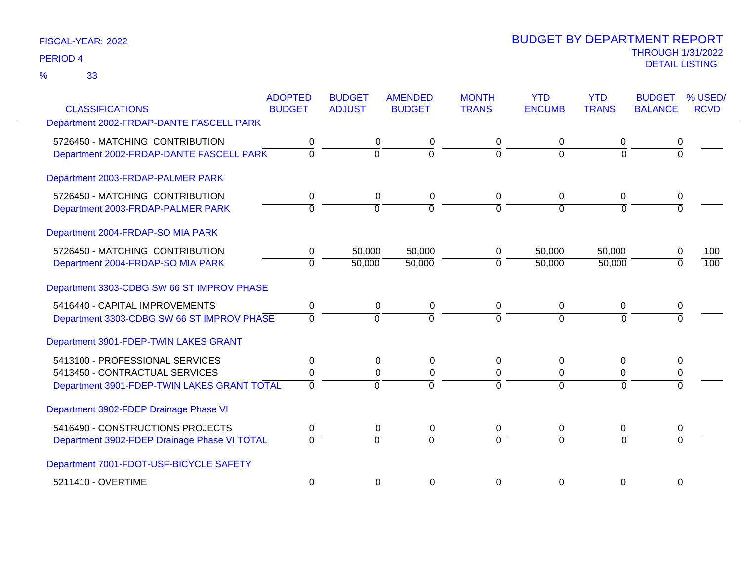33 %

| <b>CLASSIFICATIONS</b>                       | <b>ADOPTED</b><br><b>BUDGET</b> | <b>BUDGET</b>  | <b>AMENDED</b><br><b>BUDGET</b> | <b>MONTH</b><br><b>TRANS</b> | <b>YTD</b><br><b>ENCUMB</b> | <b>YTD</b><br><b>TRANS</b> | <b>BUDGET</b><br><b>BALANCE</b> | % USED/<br><b>RCVD</b> |
|----------------------------------------------|---------------------------------|----------------|---------------------------------|------------------------------|-----------------------------|----------------------------|---------------------------------|------------------------|
|                                              |                                 | <b>ADJUST</b>  |                                 |                              |                             |                            |                                 |                        |
| Department 2002-FRDAP-DANTE FASCELL PARK     |                                 |                |                                 |                              |                             |                            |                                 |                        |
| 5726450 - MATCHING CONTRIBUTION              | 0                               | 0              | 0                               | 0                            | 0                           | 0                          |                                 |                        |
| Department 2002-FRDAP-DANTE FASCELL PARK     | $\overline{0}$                  | $\overline{0}$ | $\overline{0}$                  | $\Omega$                     | $\Omega$                    | $\overline{0}$             | $\overline{0}$                  |                        |
| Department 2003-FRDAP-PALMER PARK            |                                 |                |                                 |                              |                             |                            |                                 |                        |
| 5726450 - MATCHING CONTRIBUTION              | 0                               | 0              | 0                               | 0                            | $\mathbf 0$                 | 0                          | 0                               |                        |
| Department 2003-FRDAP-PALMER PARK            | $\Omega$                        | $\Omega$       | $\overline{0}$                  | $\Omega$                     | $\Omega$                    | $\Omega$                   | $\Omega$                        |                        |
| Department 2004-FRDAP-SO MIA PARK            |                                 |                |                                 |                              |                             |                            |                                 |                        |
| 5726450 - MATCHING CONTRIBUTION              | 0                               | 50,000         | 50,000                          | 0                            | 50,000                      | 50,000                     |                                 | 100                    |
| Department 2004-FRDAP-SO MIA PARK            | $\overline{0}$                  | 50,000         | 50,000                          | $\Omega$                     | 50,000                      | 50,000                     |                                 | 100                    |
| Department 3303-CDBG SW 66 ST IMPROV PHASE   |                                 |                |                                 |                              |                             |                            |                                 |                        |
| 5416440 - CAPITAL IMPROVEMENTS               | 0                               | 0              | 0                               | 0                            | $\mathbf 0$                 | 0                          | 0                               |                        |
| Department 3303-CDBG SW 66 ST IMPROV PHASE   | $\Omega$                        | $\Omega$       | $\Omega$                        | $\Omega$                     | $\Omega$                    | $\Omega$                   |                                 |                        |
| Department 3901-FDEP-TWIN LAKES GRANT        |                                 |                |                                 |                              |                             |                            |                                 |                        |
| 5413100 - PROFESSIONAL SERVICES              | 0                               | 0              | $\mathbf 0$                     | 0                            | 0                           | $\Omega$                   |                                 |                        |
| 5413450 - CONTRACTUAL SERVICES               | 0                               | $\Omega$       | 0                               | $\Omega$                     | $\Omega$                    | 0                          | 0                               |                        |
| Department 3901-FDEP-TWIN LAKES GRANT TOTAL  | $\overline{0}$                  | $\overline{0}$ | $\overline{0}$                  | $\Omega$                     | $\overline{0}$              | $\Omega$                   |                                 |                        |
| Department 3902-FDEP Drainage Phase VI       |                                 |                |                                 |                              |                             |                            |                                 |                        |
| 5416490 - CONSTRUCTIONS PROJECTS             | 0                               | 0              | 0                               | 0                            | 0                           | 0                          | 0                               |                        |
| Department 3902-FDEP Drainage Phase VI TOTAL | $\overline{0}$                  | $\overline{0}$ | $\overline{0}$                  | $\Omega$                     | $\Omega$                    | $\Omega$                   | $\Omega$                        |                        |
| Department 7001-FDOT-USF-BICYCLE SAFETY      |                                 |                |                                 |                              |                             |                            |                                 |                        |
| 5211410 - OVERTIME                           | $\mathbf 0$                     | 0              | 0                               | 0                            | 0                           | 0                          | 0                               |                        |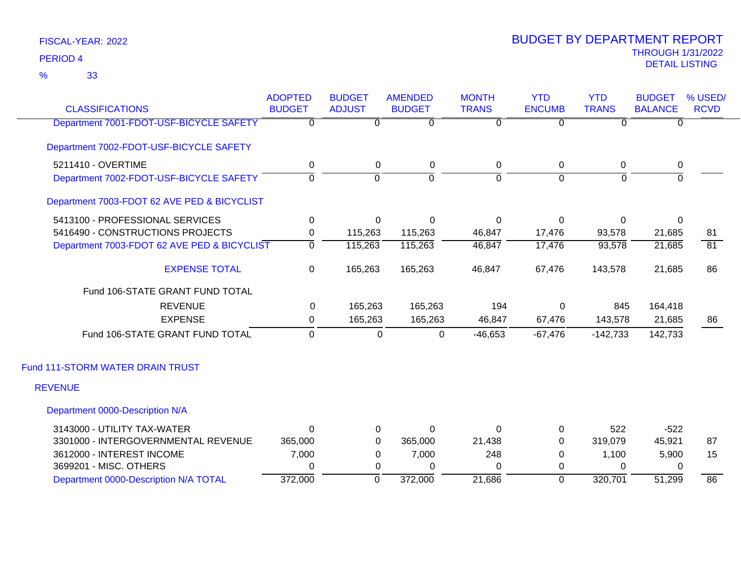33 %

| <b>CLASSIFICATIONS</b>                      | <b>ADOPTED</b><br><b>BUDGET</b> | <b>BUDGET</b><br><b>ADJUST</b> | <b>AMENDED</b><br><b>BUDGET</b> | <b>MONTH</b><br><b>TRANS</b> | <b>YTD</b><br><b>ENCUMB</b> | <b>YTD</b><br><b>TRANS</b> | <b>BUDGET</b><br><b>BALANCE</b> | % USED/<br><b>RCVD</b> |
|---------------------------------------------|---------------------------------|--------------------------------|---------------------------------|------------------------------|-----------------------------|----------------------------|---------------------------------|------------------------|
|                                             |                                 |                                |                                 |                              |                             |                            |                                 |                        |
| Department 7001-FDOT-USF-BICYCLE SAFETY     | 0                               | $\overline{0}$                 | $\Omega$                        | $\overline{0}$               | ᠊ᠦ                          | $\overline{0}$             | $\Omega$                        |                        |
| Department 7002-FDOT-USF-BICYCLE SAFETY     |                                 |                                |                                 |                              |                             |                            |                                 |                        |
| 5211410 - OVERTIME                          | 0                               | 0                              | $\mathbf 0$                     | 0                            | $\mathbf 0$                 | 0                          | $\pmb{0}$                       |                        |
| Department 7002-FDOT-USF-BICYCLE SAFETY     | $\Omega$                        | $\Omega$                       | $\overline{0}$                  | $\Omega$                     | $\Omega$                    | $\Omega$                   | $\Omega$                        |                        |
| Department 7003-FDOT 62 AVE PED & BICYCLIST |                                 |                                |                                 |                              |                             |                            |                                 |                        |
| 5413100 - PROFESSIONAL SERVICES             | 0                               | $\Omega$                       | $\Omega$                        | $\Omega$                     | $\Omega$                    | 0                          | 0                               |                        |
| 5416490 - CONSTRUCTIONS PROJECTS            | 0                               | 115,263                        | 115,263                         | 46,847                       | 17,476                      | 93,578                     | 21,685                          | 81                     |
| Department 7003-FDOT 62 AVE PED & BICYCLIST | $\Omega$                        | 115,263                        | 115,263                         | 46,847                       | 17,476                      | 93,578                     | 21,685                          | $\overline{81}$        |
| <b>EXPENSE TOTAL</b>                        | $\mathbf 0$                     | 165,263                        | 165,263                         | 46,847                       | 67,476                      | 143,578                    | 21,685                          | 86                     |
| Fund 106-STATE GRANT FUND TOTAL             |                                 |                                |                                 |                              |                             |                            |                                 |                        |
| <b>REVENUE</b>                              | 0                               | 165,263                        | 165,263                         | 194                          | $\Omega$                    | 845                        | 164,418                         |                        |
| <b>EXPENSE</b>                              | 0                               | 165,263                        | 165,263                         | 46,847                       | 67,476                      | 143,578                    | 21,685                          | 86                     |
| Fund 106-STATE GRANT FUND TOTAL             | $\Omega$                        | 0                              | 0                               | $-46,653$                    | $-67,476$                   | $-142,733$                 | 142,733                         |                        |
| Fund 111-STORM WATER DRAIN TRUST            |                                 |                                |                                 |                              |                             |                            |                                 |                        |
| <b>REVENUE</b>                              |                                 |                                |                                 |                              |                             |                            |                                 |                        |
| Department 0000-Description N/A             |                                 |                                |                                 |                              |                             |                            |                                 |                        |
| 3143000 - UTILITY TAX-WATER                 | 0                               | 0                              | 0                               | $\Omega$                     | 0                           | 522                        | $-522$                          |                        |
| 3301000 - INTERGOVERNMENTAL REVENUE         | 365,000                         | 0                              | 365,000                         | 21,438                       | 0                           | 319,079                    | 45,921                          | 87                     |
| 3612000 - INTEREST INCOME                   | 7,000                           | 0                              | 7,000                           | 248                          | 0                           | 1,100                      | 5,900                           | 15                     |
| 3699201 - MISC. OTHERS                      | 0                               | 0                              | $\Omega$                        | $\Omega$                     | 0                           | $\Omega$                   | 0                               |                        |
| Department 0000-Description N/A TOTAL       | 372,000                         | $\overline{0}$                 | 372,000                         | 21,686                       | $\mathbf 0$                 | 320,701                    | 51,299                          | 86                     |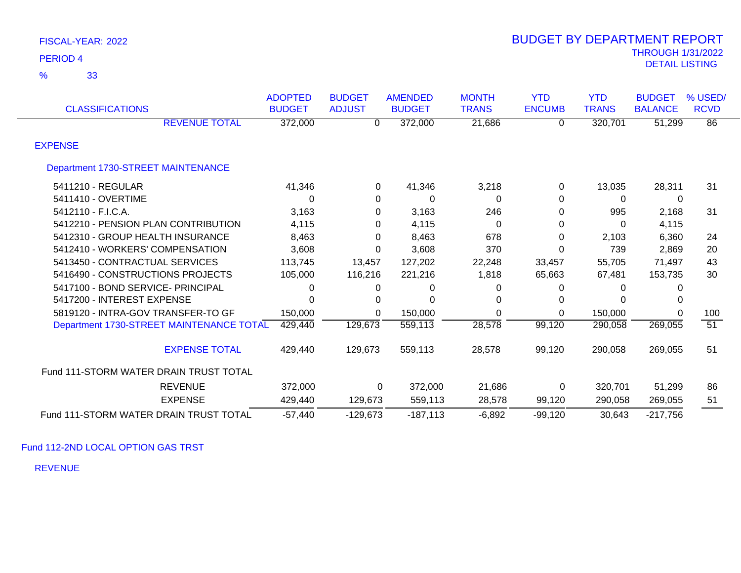| FISCAL-YEAR: 2022 |  |
|-------------------|--|
|-------------------|--|

| <b>CLASSIFICATIONS</b>                   | <b>ADOPTED</b><br><b>BUDGET</b> | <b>BUDGET</b><br><b>ADJUST</b> | <b>AMENDED</b><br><b>BUDGET</b> | <b>MONTH</b><br><b>TRANS</b> | <b>YTD</b><br><b>ENCUMB</b> | <b>YTD</b><br><b>TRANS</b> | <b>BUDGET</b><br><b>BALANCE</b> | % USED/<br><b>RCVD</b> |
|------------------------------------------|---------------------------------|--------------------------------|---------------------------------|------------------------------|-----------------------------|----------------------------|---------------------------------|------------------------|
| <b>REVENUE TOTAL</b>                     | 372,000                         | 0                              | 372,000                         | 21,686                       | 0                           | 320,701                    | 51,299                          | $\overline{86}$        |
| <b>EXPENSE</b>                           |                                 |                                |                                 |                              |                             |                            |                                 |                        |
| Department 1730-STREET MAINTENANCE       |                                 |                                |                                 |                              |                             |                            |                                 |                        |
| 5411210 - REGULAR                        | 41,346                          | 0                              | 41,346                          | 3,218                        | 0                           | 13,035                     | 28,311                          | 31                     |
| 5411410 - OVERTIME                       | $\Omega$                        | 0                              | $\Omega$                        | 0                            | 0                           | $\Omega$                   | 0                               |                        |
| 5412110 - F.I.C.A.                       | 3,163                           | 0                              | 3,163                           | 246                          | 0                           | 995                        | 2,168                           | 31                     |
| 5412210 - PENSION PLAN CONTRIBUTION      | 4,115                           | 0                              | 4,115                           | 0                            | 0                           | $\Omega$                   | 4,115                           |                        |
| 5412310 - GROUP HEALTH INSURANCE         | 8,463                           | $\Omega$                       | 8,463                           | 678                          | 0                           | 2,103                      | 6,360                           | 24                     |
| 5412410 - WORKERS' COMPENSATION          | 3,608                           | $\Omega$                       | 3,608                           | 370                          | 0                           | 739                        | 2,869                           | 20                     |
| 5413450 - CONTRACTUAL SERVICES           | 113,745                         | 13,457                         | 127,202                         | 22,248                       | 33,457                      | 55,705                     | 71,497                          | 43                     |
| 5416490 - CONSTRUCTIONS PROJECTS         | 105,000                         | 116,216                        | 221,216                         | 1,818                        | 65,663                      | 67,481                     | 153,735                         | 30                     |
| 5417100 - BOND SERVICE- PRINCIPAL        | $\Omega$                        | 0                              | 0                               | 0                            | 0                           | $\Omega$                   |                                 |                        |
| 5417200 - INTEREST EXPENSE               | $\Omega$                        | 0                              | $\Omega$                        | 0                            | 0                           | 0                          |                                 |                        |
| 5819120 - INTRA-GOV TRANSFER-TO GF       | 150,000                         | $\Omega$                       | 150,000                         | $\Omega$                     | 0                           | 150,000                    | 0                               | 100                    |
| Department 1730-STREET MAINTENANCE TOTAL | 429,440                         | 129,673                        | 559,113                         | 28,578                       | 99,120                      | 290,058                    | 269,055                         | $\overline{51}$        |
| <b>EXPENSE TOTAL</b>                     | 429,440                         | 129,673                        | 559,113                         | 28,578                       | 99,120                      | 290,058                    | 269,055                         | 51                     |
| Fund 111-STORM WATER DRAIN TRUST TOTAL   |                                 |                                |                                 |                              |                             |                            |                                 |                        |
| <b>REVENUE</b>                           | 372,000                         | 0                              | 372,000                         | 21,686                       | $\Omega$                    | 320,701                    | 51,299                          | 86                     |
| <b>EXPENSE</b>                           | 429,440                         | 129,673                        | 559,113                         | 28,578                       | 99,120                      | 290,058                    | 269,055                         | 51                     |
| Fund 111-STORM WATER DRAIN TRUST TOTAL   | $-57,440$                       | $-129,673$                     | $-187,113$                      | $-6,892$                     | $-99,120$                   | 30,643                     | $-217,756$                      |                        |

Fund 112-2ND LOCAL OPTION GAS TRST

REVENUE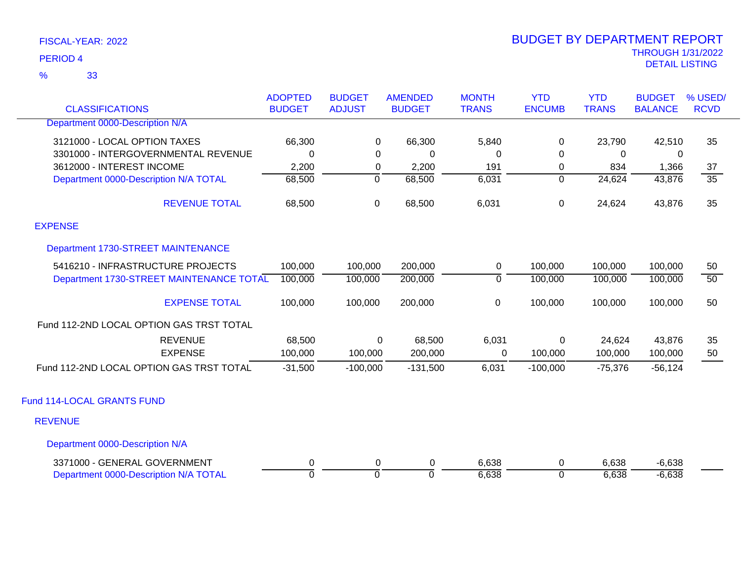33 %

| <b>CLASSIFICATIONS</b>                   | <b>ADOPTED</b><br><b>BUDGET</b> | <b>BUDGET</b><br><b>ADJUST</b> | <b>AMENDED</b><br><b>BUDGET</b> | <b>MONTH</b><br><b>TRANS</b> | <b>YTD</b><br><b>ENCUMB</b> | <b>YTD</b><br><b>TRANS</b> | <b>BUDGET</b><br><b>BALANCE</b> | % USED/<br><b>RCVD</b> |
|------------------------------------------|---------------------------------|--------------------------------|---------------------------------|------------------------------|-----------------------------|----------------------------|---------------------------------|------------------------|
| Department 0000-Description N/A          |                                 |                                |                                 |                              |                             |                            |                                 |                        |
| 3121000 - LOCAL OPTION TAXES             | 66,300                          | 0                              | 66,300                          | 5,840                        | $\pmb{0}$                   | 23,790                     | 42,510                          | 35                     |
| 3301000 - INTERGOVERNMENTAL REVENUE      | $\mathbf 0$                     | 0                              | 0                               | 0                            | 0                           | $\Omega$                   | 0                               |                        |
| 3612000 - INTEREST INCOME                | 2,200                           | $\mathbf 0$                    | 2,200                           | 191                          | 0                           | 834                        | 1,366                           | 37                     |
| Department 0000-Description N/A TOTAL    | 68,500                          | $\overline{0}$                 | 68,500                          | 6,031                        | $\overline{0}$              | 24,624                     | 43,876                          | $\overline{35}$        |
| <b>REVENUE TOTAL</b>                     | 68,500                          | 0                              | 68,500                          | 6,031                        | 0                           | 24,624                     | 43,876                          | 35                     |
| <b>EXPENSE</b>                           |                                 |                                |                                 |                              |                             |                            |                                 |                        |
| Department 1730-STREET MAINTENANCE       |                                 |                                |                                 |                              |                             |                            |                                 |                        |
| 5416210 - INFRASTRUCTURE PROJECTS        | 100,000                         | 100,000                        | 200,000                         | 0                            | 100,000                     | 100,000                    | 100,000                         | 50                     |
| Department 1730-STREET MAINTENANCE TOTAL | 100,000                         | 100,000                        | 200,000                         | $\overline{0}$               | 100,000                     | 100,000                    | 100,000                         | $\overline{50}$        |
| <b>EXPENSE TOTAL</b>                     | 100,000                         | 100,000                        | 200,000                         | $\pmb{0}$                    | 100,000                     | 100,000                    | 100,000                         | 50                     |
| Fund 112-2ND LOCAL OPTION GAS TRST TOTAL |                                 |                                |                                 |                              |                             |                            |                                 |                        |
| <b>REVENUE</b>                           | 68,500                          | 0                              | 68,500                          | 6,031                        | $\mathsf 0$                 | 24,624                     | 43,876                          | 35                     |
| <b>EXPENSE</b>                           | 100,000                         | 100,000                        | 200,000                         | 0                            | 100,000                     | 100,000                    | 100,000                         | 50                     |
| Fund 112-2ND LOCAL OPTION GAS TRST TOTAL | $-31,500$                       | $-100,000$                     | $-131,500$                      | 6,031                        | $-100,000$                  | $-75,376$                  | $-56,124$                       |                        |
| Fund 114-LOCAL GRANTS FUND               |                                 |                                |                                 |                              |                             |                            |                                 |                        |
| <b>REVENUE</b>                           |                                 |                                |                                 |                              |                             |                            |                                 |                        |
| Department 0000-Description N/A          |                                 |                                |                                 |                              |                             |                            |                                 |                        |
| 3371000 - GENERAL GOVERNMENT             | 0                               | 0                              | 0                               | 6,638                        | 0                           | 6,638                      | $-6,638$                        |                        |
| Department 0000-Description N/A TOTAL    | $\overline{0}$                  | $\overline{0}$                 | $\Omega$                        | 6,638                        | $\Omega$                    | 6,638                      | $-6,638$                        |                        |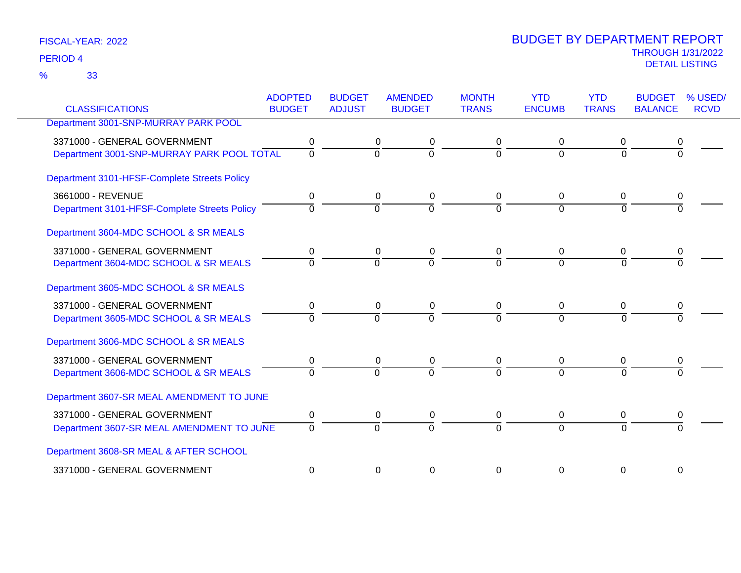33 %

| <b>CLASSIFICATIONS</b>                       | <b>ADOPTED</b><br><b>BUDGET</b> | <b>BUDGET</b><br><b>ADJUST</b> | <b>AMENDED</b><br><b>BUDGET</b> | <b>MONTH</b><br><b>TRANS</b> | <b>YTD</b><br><b>ENCUMB</b> | <b>YTD</b><br><b>TRANS</b> | <b>BUDGET</b><br><b>BALANCE</b> | % USED/<br><b>RCVD</b> |
|----------------------------------------------|---------------------------------|--------------------------------|---------------------------------|------------------------------|-----------------------------|----------------------------|---------------------------------|------------------------|
| Department 3001-SNP-MURRAY PARK POOL         |                                 |                                |                                 |                              |                             |                            |                                 |                        |
|                                              |                                 |                                |                                 |                              |                             |                            |                                 |                        |
| 3371000 - GENERAL GOVERNMENT                 | 0                               |                                | 0<br>0                          | 0                            | 0                           | 0                          |                                 |                        |
| Department 3001-SNP-MURRAY PARK POOL TOTAL   | $\mathbf 0$                     | $\overline{0}$                 | $\mathbf 0$                     | 0                            | $\Omega$                    | $\Omega$                   | $\Omega$                        |                        |
| Department 3101-HFSF-Complete Streets Policy |                                 |                                |                                 |                              |                             |                            |                                 |                        |
| 3661000 - REVENUE                            | 0                               |                                | 0<br>0                          | 0                            | $\mathbf 0$                 | 0                          | 0                               |                        |
| Department 3101-HFSF-Complete Streets Policy | $\Omega$                        | $\Omega$                       | $\Omega$                        | $\Omega$                     | $\Omega$                    | $\Omega$                   |                                 |                        |
| Department 3604-MDC SCHOOL & SR MEALS        |                                 |                                |                                 |                              |                             |                            |                                 |                        |
| 3371000 - GENERAL GOVERNMENT                 | 0                               |                                | 0<br>0                          | 0                            | $\Omega$                    | 0                          |                                 |                        |
| Department 3604-MDC SCHOOL & SR MEALS        | $\Omega$                        | $\Omega$                       | $\overline{0}$                  |                              | $\Omega$                    | $\Omega$                   |                                 |                        |
| Department 3605-MDC SCHOOL & SR MEALS        |                                 |                                |                                 |                              |                             |                            |                                 |                        |
| 3371000 - GENERAL GOVERNMENT                 | 0                               |                                | 0<br>0                          | 0                            | 0                           | 0                          |                                 |                        |
| Department 3605-MDC SCHOOL & SR MEALS        | $\Omega$                        | $\overline{0}$                 | $\overline{0}$                  | $\Omega$                     | $\Omega$                    | $\Omega$                   |                                 |                        |
| Department 3606-MDC SCHOOL & SR MEALS        |                                 |                                |                                 |                              |                             |                            |                                 |                        |
| 3371000 - GENERAL GOVERNMENT                 | 0                               |                                | 0<br>0                          | 0                            | 0                           | 0                          |                                 |                        |
| Department 3606-MDC SCHOOL & SR MEALS        | $\Omega$                        | $\Omega$                       | $\Omega$                        | $\Omega$                     | $\Omega$                    | $\Omega$                   |                                 |                        |
| Department 3607-SR MEAL AMENDMENT TO JUNE    |                                 |                                |                                 |                              |                             |                            |                                 |                        |
| 3371000 - GENERAL GOVERNMENT                 | 0                               |                                | 0<br>0                          | 0                            | $\mathbf 0$                 | 0                          | 0                               |                        |
| Department 3607-SR MEAL AMENDMENT TO JUNE    | $\Omega$                        | $\Omega$                       | $\overline{0}$                  | $\Omega$                     | $\Omega$                    | $\Omega$                   | $\Omega$                        |                        |
| Department 3608-SR MEAL & AFTER SCHOOL       |                                 |                                |                                 |                              |                             |                            |                                 |                        |
| 3371000 - GENERAL GOVERNMENT                 | $\Omega$                        |                                | 0<br>0                          | 0                            | 0                           | 0                          | 0                               |                        |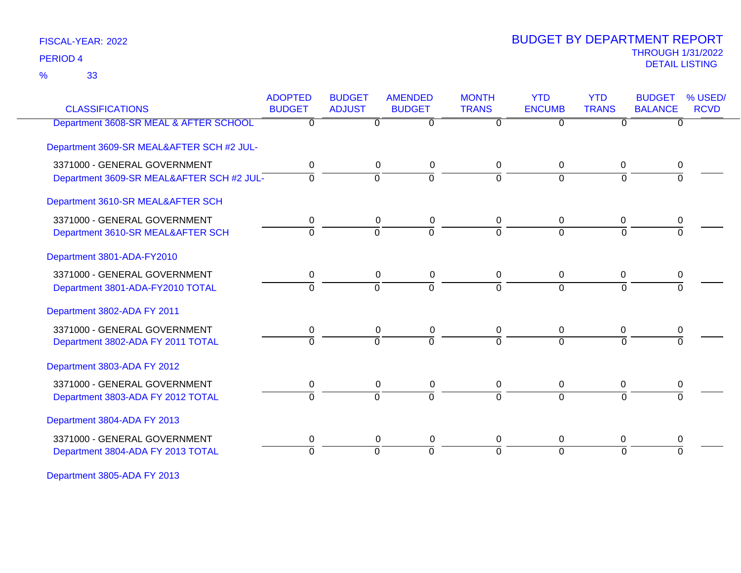33 %

# THROUGH 1/31/2022 DETAIL LISTING PERIOD <sup>4</sup> BUDGET BY DEPARTMENT REPORT

| <b>CLASSIFICATIONS</b>                    | <b>ADOPTED</b><br><b>BUDGET</b> | <b>BUDGET</b><br><b>ADJUST</b> | <b>AMENDED</b><br><b>BUDGET</b> | <b>MONTH</b><br><b>TRANS</b> | <b>YTD</b><br><b>ENCUMB</b> | <b>YTD</b><br><b>TRANS</b> | <b>BUDGET</b><br><b>BALANCE</b> | % USED/<br><b>RCVD</b> |
|-------------------------------------------|---------------------------------|--------------------------------|---------------------------------|------------------------------|-----------------------------|----------------------------|---------------------------------|------------------------|
| Department 3608-SR MEAL & AFTER SCHOOL    | $\overline{0}$                  | $\overline{0}$                 | $\overline{0}$                  | $\overline{0}$               | $\overline{0}$              | $\overline{0}$             | $\overline{0}$                  |                        |
| Department 3609-SR MEAL&AFTER SCH #2 JUL- |                                 |                                |                                 |                              |                             |                            |                                 |                        |
| 3371000 - GENERAL GOVERNMENT              | 0                               | 0                              | 0                               | 0                            | $\mathbf 0$                 | 0                          | 0                               |                        |
| Department 3609-SR MEAL&AFTER SCH #2 JUL- | $\Omega$                        | $\Omega$                       | $\overline{0}$                  | $\Omega$                     | $\Omega$                    | $\Omega$                   |                                 |                        |
| Department 3610-SR MEAL&AFTER SCH         |                                 |                                |                                 |                              |                             |                            |                                 |                        |
| 3371000 - GENERAL GOVERNMENT              | 0                               | 0                              | 0                               | 0                            | $\Omega$                    | 0                          | 0                               |                        |
| Department 3610-SR MEAL&AFTER SCH         | 0                               | $\Omega$                       | $\Omega$                        | $\Omega$                     | $\Omega$                    | $\Omega$                   | $\Omega$                        |                        |
| Department 3801-ADA-FY2010                |                                 |                                |                                 |                              |                             |                            |                                 |                        |
| 3371000 - GENERAL GOVERNMENT              | 0                               | $\mathbf 0$                    | 0                               | 0                            | $\mathbf 0$                 | $\mathbf 0$                | 0                               |                        |
| Department 3801-ADA-FY2010 TOTAL          | $\overline{0}$                  | $\Omega$                       | $\overline{0}$                  | 0                            | $\Omega$                    | $\Omega$                   | $\Omega$                        |                        |
| Department 3802-ADA FY 2011               |                                 |                                |                                 |                              |                             |                            |                                 |                        |
| 3371000 - GENERAL GOVERNMENT              | 0                               | 0                              | $\mathbf 0$                     | 0                            | $\mathbf 0$                 | 0                          | 0                               |                        |
| Department 3802-ADA FY 2011 TOTAL         | $\overline{0}$                  | $\Omega$                       | $\overline{0}$                  | $\Omega$                     | $\Omega$                    | $\Omega$                   |                                 |                        |
| Department 3803-ADA FY 2012               |                                 |                                |                                 |                              |                             |                            |                                 |                        |
| 3371000 - GENERAL GOVERNMENT              | 0                               | 0                              | 0                               | 0                            | $\mathbf 0$                 | 0                          | 0                               |                        |
| Department 3803-ADA FY 2012 TOTAL         | $\Omega$                        | $\Omega$                       | $\Omega$                        | $\Omega$                     | $\Omega$                    | $\Omega$                   | $\Omega$                        |                        |
| Department 3804-ADA FY 2013               |                                 |                                |                                 |                              |                             |                            |                                 |                        |
| 3371000 - GENERAL GOVERNMENT              | 0                               | $\mathbf 0$                    | $\mathbf 0$                     | 0                            | $\mathbf 0$                 | 0                          | 0                               |                        |
| Department 3804-ADA FY 2013 TOTAL         | 0                               | $\Omega$                       | $\Omega$                        | 0                            | $\Omega$                    | $\Omega$                   | $\Omega$                        |                        |
|                                           |                                 |                                |                                 |                              |                             |                            |                                 |                        |

Department 3805-ADA FY 2013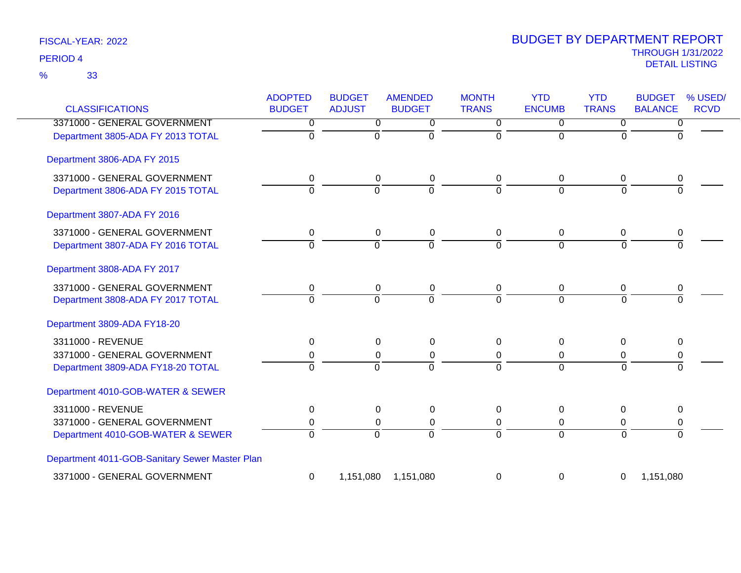| <b>CLASSIFICATIONS</b>                         | <b>ADOPTED</b><br><b>BUDGET</b> | <b>BUDGET</b><br><b>ADJUST</b> | <b>AMENDED</b><br><b>BUDGET</b> | <b>MONTH</b><br><b>TRANS</b> | <b>YTD</b><br><b>ENCUMB</b> | <b>YTD</b><br><b>TRANS</b> | <b>BUDGET</b><br>% USED/<br><b>BALANCE</b><br><b>RCVD</b> |
|------------------------------------------------|---------------------------------|--------------------------------|---------------------------------|------------------------------|-----------------------------|----------------------------|-----------------------------------------------------------|
| 3371000 - GENERAL GOVERNMENT                   | 0                               | $\overline{0}$                 | $\overline{0}$                  | $\overline{0}$               | $\overline{0}$              | $\overline{0}$             | $\overline{0}$                                            |
| Department 3805-ADA FY 2013 TOTAL              | $\overline{0}$                  | $\overline{0}$                 | ō                               | $\Omega$                     | $\overline{0}$              | 0                          | $\Omega$                                                  |
| Department 3806-ADA FY 2015                    |                                 |                                |                                 |                              |                             |                            |                                                           |
| 3371000 - GENERAL GOVERNMENT                   | 0                               | 0                              | $\pmb{0}$                       | 0                            | 0                           | 0                          | 0                                                         |
| Department 3806-ADA FY 2015 TOTAL              | $\Omega$                        | $\Omega$                       | $\overline{0}$                  | $\Omega$                     | $\Omega$                    | $\Omega$                   | $\Omega$                                                  |
| Department 3807-ADA FY 2016                    |                                 |                                |                                 |                              |                             |                            |                                                           |
| 3371000 - GENERAL GOVERNMENT                   | 0                               | $\mathbf 0$                    | $\pmb{0}$                       | 0                            | 0                           | 0                          | 0                                                         |
| Department 3807-ADA FY 2016 TOTAL              | ō                               | $\overline{0}$                 | ō                               | $\mathbf 0$                  | $\Omega$                    | $\overline{0}$             | $\mathbf 0$                                               |
| Department 3808-ADA FY 2017                    |                                 |                                |                                 |                              |                             |                            |                                                           |
| 3371000 - GENERAL GOVERNMENT                   | 0                               | $\mathbf 0$                    | $\mathbf 0$                     | 0                            | 0                           | 0                          | 0                                                         |
| Department 3808-ADA FY 2017 TOTAL              | $\Omega$                        | $\overline{0}$                 | $\overline{0}$                  | $\overline{0}$               | $\overline{0}$              | $\overline{0}$             | $\Omega$                                                  |
| Department 3809-ADA FY18-20                    |                                 |                                |                                 |                              |                             |                            |                                                           |
| 3311000 - REVENUE                              | 0                               | 0                              | 0                               | $\Omega$                     | $\Omega$                    | $\Omega$                   | $\Omega$                                                  |
| 3371000 - GENERAL GOVERNMENT                   | 0                               | $\Omega$                       | 0                               | 0                            | 0                           | 0                          | 0                                                         |
| Department 3809-ADA FY18-20 TOTAL              | $\Omega$                        | $\Omega$                       | $\overline{0}$                  | $\Omega$                     | $\Omega$                    | $\Omega$                   | $\Omega$                                                  |
| Department 4010-GOB-WATER & SEWER              |                                 |                                |                                 |                              |                             |                            |                                                           |
| 3311000 - REVENUE                              | 0                               | 0                              | $\mathbf 0$                     | 0                            | 0                           | 0                          | 0                                                         |
| 3371000 - GENERAL GOVERNMENT                   | 0                               | $\Omega$                       | 0                               | 0                            | 0                           | 0                          | 0                                                         |
| Department 4010-GOB-WATER & SEWER              | $\overline{0}$                  | $\overline{0}$                 | $\overline{0}$                  | $\Omega$                     | $\Omega$                    | $\overline{0}$             | $\overline{0}$                                            |
| Department 4011-GOB-Sanitary Sewer Master Plan |                                 |                                |                                 |                              |                             |                            |                                                           |
| 3371000 - GENERAL GOVERNMENT                   | 0                               | 1,151,080                      | 1,151,080                       | 0                            | 0                           | 0                          | 1,151,080                                                 |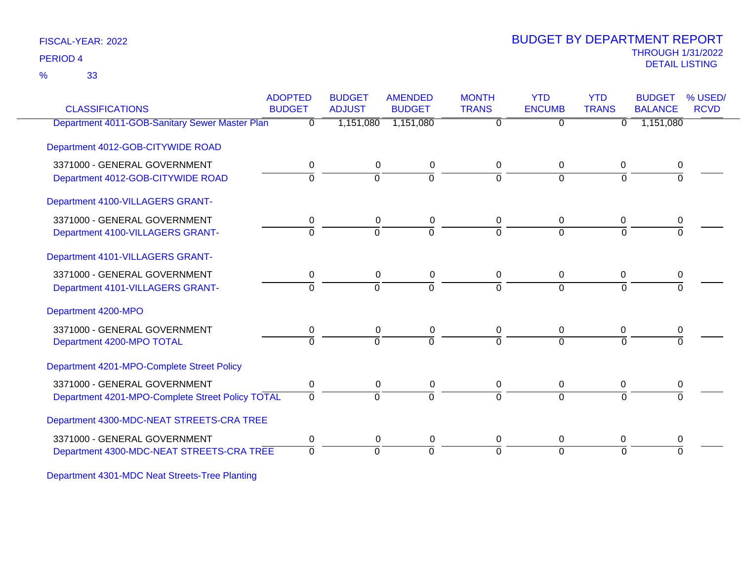33 %

# THROUGH 1/31/2022 DETAIL LISTING PERIOD <sup>4</sup> BUDGET BY DEPARTMENT REPORT

| <b>CLASSIFICATIONS</b>                           | <b>ADOPTED</b><br><b>BUDGET</b> | <b>BUDGET</b><br><b>ADJUST</b> | <b>AMENDED</b><br><b>BUDGET</b> | <b>MONTH</b><br><b>TRANS</b> | <b>YTD</b><br><b>ENCUMB</b> | <b>YTD</b><br><b>TRANS</b> | <b>BUDGET</b><br><b>BALANCE</b> | % USED/<br><b>RCVD</b> |
|--------------------------------------------------|---------------------------------|--------------------------------|---------------------------------|------------------------------|-----------------------------|----------------------------|---------------------------------|------------------------|
| Department 4011-GOB-Sanitary Sewer Master Plan   | $\Omega$                        | 1,151,080                      | 1,151,080                       | 0                            | $\Omega$                    | 0                          | 1,151,080                       |                        |
| Department 4012-GOB-CITYWIDE ROAD                |                                 |                                |                                 |                              |                             |                            |                                 |                        |
| 3371000 - GENERAL GOVERNMENT                     | 0                               | $\mathbf 0$                    | 0                               | 0                            | 0                           | 0                          | 0                               |                        |
| Department 4012-GOB-CITYWIDE ROAD                | $\Omega$                        | $\Omega$                       | $\Omega$                        | 0                            | $\Omega$                    | $\Omega$                   | <sup>0</sup>                    |                        |
| Department 4100-VILLAGERS GRANT-                 |                                 |                                |                                 |                              |                             |                            |                                 |                        |
| 3371000 - GENERAL GOVERNMENT                     | 0                               | $\mathbf 0$                    | 0                               | 0                            | $\Omega$                    | $\Omega$                   | 0                               |                        |
| Department 4100-VILLAGERS GRANT-                 | $\Omega$                        | $\Omega$                       | $\overline{0}$                  | $\Omega$                     | $\Omega$                    | $\Omega$                   | $\Omega$                        |                        |
| Department 4101-VILLAGERS GRANT-                 |                                 |                                |                                 |                              |                             |                            |                                 |                        |
| 3371000 - GENERAL GOVERNMENT                     | 0                               | 0                              | 0                               | 0                            | 0                           | $\Omega$                   | 0                               |                        |
| Department 4101-VILLAGERS GRANT-                 | 0                               | $\Omega$                       | $\Omega$                        | $\Omega$                     | $\Omega$                    | $\Omega$                   |                                 |                        |
| Department 4200-MPO                              |                                 |                                |                                 |                              |                             |                            |                                 |                        |
| 3371000 - GENERAL GOVERNMENT                     | 0                               | $\mathbf 0$                    | $\pmb{0}$                       | 0                            | $\mathbf 0$                 | 0                          | 0                               |                        |
| Department 4200-MPO TOTAL                        | $\overline{0}$                  | $\overline{0}$                 | $\overline{0}$                  | $\Omega$                     | $\Omega$                    | $\Omega$                   | $\Omega$                        |                        |
| Department 4201-MPO-Complete Street Policy       |                                 |                                |                                 |                              |                             |                            |                                 |                        |
| 3371000 - GENERAL GOVERNMENT                     | 0                               | 0                              | 0                               | 0                            | $\mathbf 0$                 | 0                          | 0                               |                        |
| Department 4201-MPO-Complete Street Policy TOTAL | $\Omega$                        | $\Omega$                       | $\Omega$                        | $\Omega$                     | $\Omega$                    | $\Omega$                   | 0                               |                        |
| Department 4300-MDC-NEAT STREETS-CRA TREE        |                                 |                                |                                 |                              |                             |                            |                                 |                        |
| 3371000 - GENERAL GOVERNMENT                     | 0                               | 0                              | 0                               | 0                            | $\mathbf 0$                 | 0                          | 0                               |                        |
| Department 4300-MDC-NEAT STREETS-CRA TREE        | $\Omega$                        | 0                              | $\Omega$                        | $\Omega$                     | $\Omega$                    | $\Omega$                   | $\Omega$                        |                        |
|                                                  |                                 |                                |                                 |                              |                             |                            |                                 |                        |

Department 4301-MDC Neat Streets-Tree Planting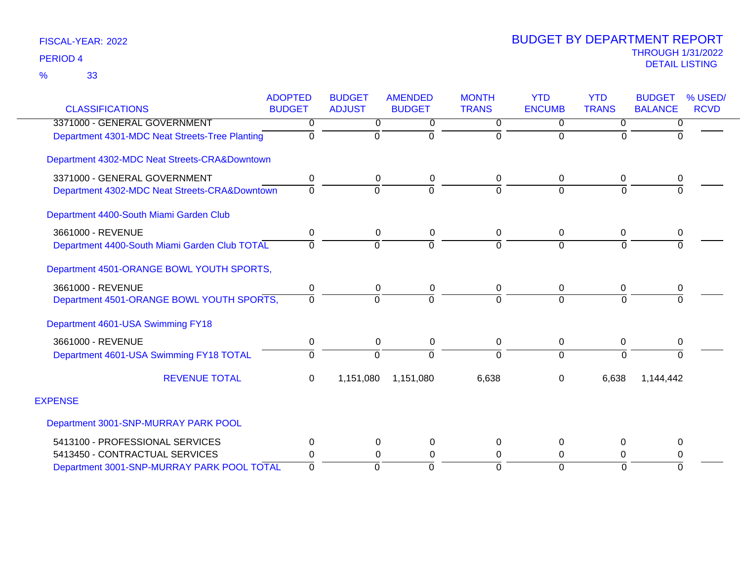|                                                | <b>ADOPTED</b> | <b>BUDGET</b>  | <b>AMENDED</b> | <b>MONTH</b>   | <b>YTD</b>    | <b>YTD</b>     | <b>BUDGET</b><br>% USED/      |
|------------------------------------------------|----------------|----------------|----------------|----------------|---------------|----------------|-------------------------------|
| <b>CLASSIFICATIONS</b>                         | <b>BUDGET</b>  | <b>ADJUST</b>  | <b>BUDGET</b>  | <b>TRANS</b>   | <b>ENCUMB</b> | <b>TRANS</b>   | <b>BALANCE</b><br><b>RCVD</b> |
| 3371000 - GENERAL GOVERNMENT                   | 0              | 0              | 0              | 0              | 0             | 0              | 0                             |
| Department 4301-MDC Neat Streets-Tree Planting | 0              | $\Omega$       |                | $\Omega$       | $\Omega$      | $\Omega$       | $\Omega$                      |
| Department 4302-MDC Neat Streets-CRA&Downtown  |                |                |                |                |               |                |                               |
| 3371000 - GENERAL GOVERNMENT                   | 0              | 0              | 0              | 0              | 0             | 0              | 0                             |
| Department 4302-MDC Neat Streets-CRA&Downtown  | 0              | $\Omega$       | $\Omega$       | $\Omega$       | $\Omega$      | $\overline{0}$ | $\Omega$                      |
| Department 4400-South Miami Garden Club        |                |                |                |                |               |                |                               |
| 3661000 - REVENUE                              | 0              | 0              | 0              | 0              | 0             | $\mathbf 0$    | 0                             |
| Department 4400-South Miami Garden Club TOTAL  | 0              | $\overline{0}$ | $\Omega$       | $\overline{0}$ | $\Omega$      | $\overline{0}$ | $\overline{0}$                |
| Department 4501-ORANGE BOWL YOUTH SPORTS,      |                |                |                |                |               |                |                               |
| 3661000 - REVENUE                              | 0              | 0              | 0              | 0              | 0             | 0              | $\pmb{0}$                     |
| Department 4501-ORANGE BOWL YOUTH SPORTS,      | 0              | $\Omega$       |                | $\Omega$       | $\Omega$      | $\Omega$       | $\Omega$                      |
| Department 4601-USA Swimming FY18              |                |                |                |                |               |                |                               |
| 3661000 - REVENUE                              | 0              | 0              | 0              | 0              | 0             | 0              | 0                             |
| Department 4601-USA Swimming FY18 TOTAL        | 0              | $\Omega$       | $\Omega$       | $\overline{0}$ | $\Omega$      | $\Omega$       | $\Omega$                      |
| <b>REVENUE TOTAL</b>                           | $\Omega$       | 1,151,080      | 1,151,080      | 6,638          | $\Omega$      | 6,638          | 1,144,442                     |
| <b>EXPENSE</b>                                 |                |                |                |                |               |                |                               |
| Department 3001-SNP-MURRAY PARK POOL           |                |                |                |                |               |                |                               |
| 5413100 - PROFESSIONAL SERVICES                | 0              | 0              | 0              | 0              | 0             | $\Omega$       | 0                             |
| 5413450 - CONTRACTUAL SERVICES                 | 0              | 0              | $\Omega$       | 0              | $\Omega$      | 0              | 0                             |
| Department 3001-SNP-MURRAY PARK POOL TOTAL     | $\Omega$       | $\Omega$       | $\Omega$       | $\Omega$       | $\Omega$      | $\Omega$       | $\Omega$                      |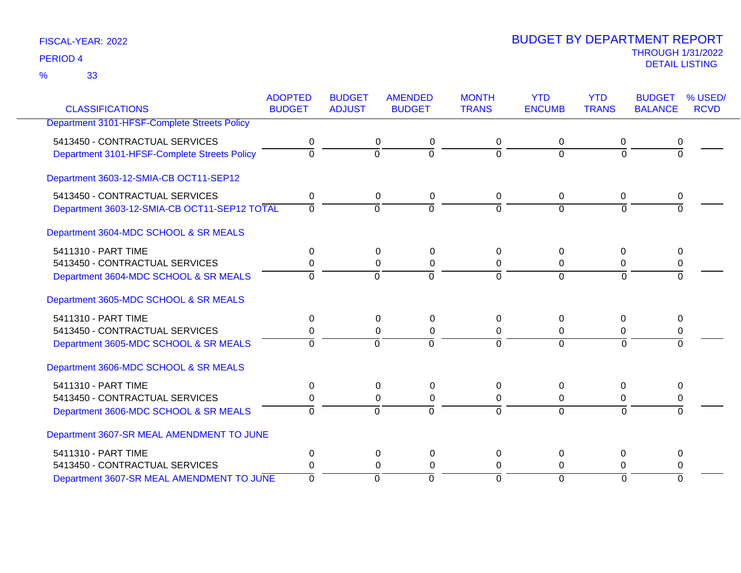33 %

|                                              | <b>ADOPTED</b> | <b>BUDGET</b>  | <b>AMENDED</b>                   | <b>MONTH</b> | <b>YTD</b>     | <b>YTD</b>     | <b>BUDGET</b>  | % USED/     |
|----------------------------------------------|----------------|----------------|----------------------------------|--------------|----------------|----------------|----------------|-------------|
| <b>CLASSIFICATIONS</b>                       | <b>BUDGET</b>  | <b>ADJUST</b>  | <b>BUDGET</b>                    | <b>TRANS</b> | <b>ENCUMB</b>  | <b>TRANS</b>   | <b>BALANCE</b> | <b>RCVD</b> |
| Department 3101-HFSF-Complete Streets Policy |                |                |                                  |              |                |                |                |             |
| 5413450 - CONTRACTUAL SERVICES               | 0              |                | 0<br>0                           | 0            | $\Omega$       | 0              | 0              |             |
| Department 3101-HFSF-Complete Streets Policy | $\overline{0}$ | $\overline{0}$ | $\overline{0}$                   | $\Omega$     | $\Omega$       | $\Omega$       | $\overline{0}$ |             |
| Department 3603-12-SMIA-CB OCT11-SEP12       |                |                |                                  |              |                |                |                |             |
| 5413450 - CONTRACTUAL SERVICES               | 0              |                | 0<br>0                           | 0            | 0              | 0              | 0              |             |
| Department 3603-12-SMIA-CB OCT11-SEP12 TOTAL | $\Omega$       |                | $\Omega$<br>$\Omega$             | $\Omega$     | $\Omega$       | $\Omega$       | $\Omega$       |             |
| Department 3604-MDC SCHOOL & SR MEALS        |                |                |                                  |              |                |                |                |             |
| 5411310 - PART TIME                          | 0              |                | 0<br>0                           | 0            | 0              | 0              | 0              |             |
| 5413450 - CONTRACTUAL SERVICES               | 0              |                | $\Omega$<br>0                    | $\Omega$     | $\Omega$       | 0              | 0              |             |
| Department 3604-MDC SCHOOL & SR MEALS        | $\Omega$       | $\Omega$       | $\Omega$                         | $\Omega$     | $\Omega$       | $\Omega$       | $\Omega$       |             |
| Department 3605-MDC SCHOOL & SR MEALS        |                |                |                                  |              |                |                |                |             |
| 5411310 - PART TIME                          | $\Omega$       |                | $\Omega$<br>$\Omega$             | 0            | $\Omega$       | $\Omega$       | $\Omega$       |             |
| 5413450 - CONTRACTUAL SERVICES               | 0              |                | $\Omega$<br>0                    | 0            | $\Omega$       | 0              | 0              |             |
| Department 3605-MDC SCHOOL & SR MEALS        | 0              |                | ō<br>$\overline{0}$              | $\Omega$     | $\Omega$       | 0              | $\overline{0}$ |             |
| Department 3606-MDC SCHOOL & SR MEALS        |                |                |                                  |              |                |                |                |             |
| 5411310 - PART TIME                          | 0              |                | 0<br>0                           | 0            | 0              | 0              | 0              |             |
| 5413450 - CONTRACTUAL SERVICES               | 0              |                | 0<br>$\Omega$                    | 0            | 0              | 0              | 0              |             |
| Department 3606-MDC SCHOOL & SR MEALS        | $\Omega$       | $\Omega$       | $\overline{0}$                   | $\Omega$     | $\Omega$       | $\overline{0}$ | $\overline{0}$ |             |
| Department 3607-SR MEAL AMENDMENT TO JUNE    |                |                |                                  |              |                |                |                |             |
| 5411310 - PART TIME                          | 0              |                | 0<br>0                           | 0            | 0              | $\Omega$       | 0              |             |
| 5413450 - CONTRACTUAL SERVICES               | 0              |                | $\Omega$<br>0                    | 0            | 0              | 0              | 0              |             |
| Department 3607-SR MEAL AMENDMENT TO JUNE    | $\overline{0}$ |                | $\overline{0}$<br>$\overline{0}$ | $\Omega$     | $\overline{0}$ | $\overline{0}$ | $\overline{0}$ |             |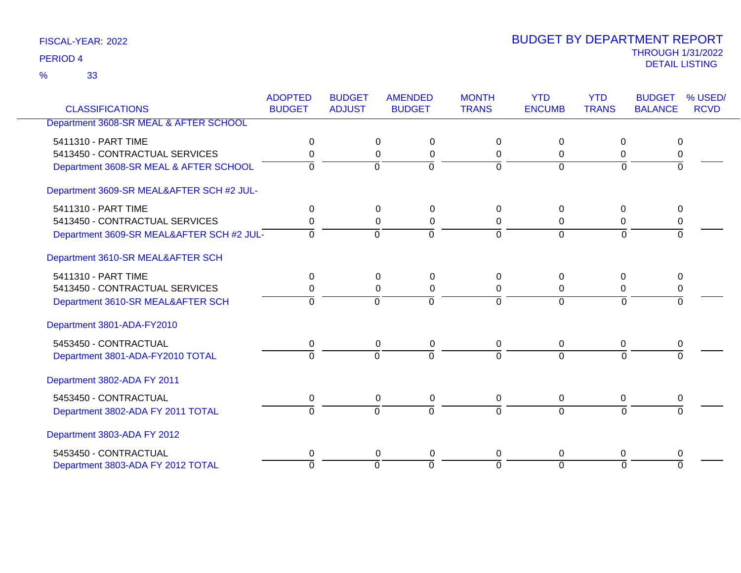33 %

| <b>CLASSIFICATIONS</b>                    | <b>ADOPTED</b><br><b>BUDGET</b> | <b>BUDGET</b><br><b>ADJUST</b> | <b>AMENDED</b><br><b>BUDGET</b> | <b>MONTH</b><br><b>TRANS</b> | <b>YTD</b><br><b>ENCUMB</b> | <b>YTD</b><br><b>TRANS</b> | <b>BUDGET</b><br><b>BALANCE</b> | % USED/<br><b>RCVD</b> |
|-------------------------------------------|---------------------------------|--------------------------------|---------------------------------|------------------------------|-----------------------------|----------------------------|---------------------------------|------------------------|
| Department 3608-SR MEAL & AFTER SCHOOL    |                                 |                                |                                 |                              |                             |                            |                                 |                        |
|                                           |                                 |                                |                                 |                              |                             |                            |                                 |                        |
| 5411310 - PART TIME                       | 0                               | $\Omega$                       | 0                               | $\Omega$                     | $\Omega$                    | 0                          | $\Omega$                        |                        |
| 5413450 - CONTRACTUAL SERVICES            | 0                               | $\Omega$                       | 0                               | 0                            | $\Omega$                    | 0                          | 0                               |                        |
| Department 3608-SR MEAL & AFTER SCHOOL    | 0                               | $\Omega$                       | $\Omega$                        | $\Omega$                     | $\Omega$                    | $\Omega$                   | $\Omega$                        |                        |
| Department 3609-SR MEAL&AFTER SCH #2 JUL- |                                 |                                |                                 |                              |                             |                            |                                 |                        |
| 5411310 - PART TIME                       | 0                               | $\Omega$                       | $\Omega$                        | $\Omega$                     | $\Omega$                    | $\Omega$                   | $\Omega$                        |                        |
| 5413450 - CONTRACTUAL SERVICES            | 0                               | 0                              | $\mathbf 0$                     | 0                            | 0                           | 0                          | 0                               |                        |
| Department 3609-SR MEAL&AFTER SCH #2 JUL- | $\Omega$                        | $\Omega$                       | $\overline{0}$                  | $\Omega$                     | $\Omega$                    | $\Omega$                   | $\overline{0}$                  |                        |
| Department 3610-SR MEAL&AFTER SCH         |                                 |                                |                                 |                              |                             |                            |                                 |                        |
| 5411310 - PART TIME                       | $\Omega$                        | $\Omega$                       | 0                               | $\Omega$                     | $\Omega$                    | $\Omega$                   | 0                               |                        |
| 5413450 - CONTRACTUAL SERVICES            | 0                               | 0                              | 0                               | 0                            | 0                           | 0                          | 0                               |                        |
| Department 3610-SR MEAL&AFTER SCH         | $\Omega$                        | $\overline{0}$                 | $\overline{0}$                  | $\Omega$                     | $\Omega$                    | $\Omega$                   | $\Omega$                        |                        |
| Department 3801-ADA-FY2010                |                                 |                                |                                 |                              |                             |                            |                                 |                        |
| 5453450 - CONTRACTUAL                     | 0                               | $\mathbf 0$                    | 0                               | 0                            | 0                           | 0                          | 0                               |                        |
| Department 3801-ADA-FY2010 TOTAL          | $\Omega$                        | $\overline{0}$                 | $\overline{0}$                  | $\Omega$                     | $\Omega$                    | $\Omega$                   | $\Omega$                        |                        |
| Department 3802-ADA FY 2011               |                                 |                                |                                 |                              |                             |                            |                                 |                        |
| 5453450 - CONTRACTUAL                     | 0                               |                                | $\mathbf 0$<br>$\mathbf 0$      | $\mathbf 0$                  | 0                           | 0                          | 0                               |                        |
| Department 3802-ADA FY 2011 TOTAL         | $\Omega$                        | $\Omega$                       | $\Omega$                        | $\Omega$                     | $\Omega$                    | $\Omega$                   |                                 |                        |
| Department 3803-ADA FY 2012               |                                 |                                |                                 |                              |                             |                            |                                 |                        |
| 5453450 - CONTRACTUAL                     | 0                               |                                | 0<br>0                          | 0                            | $\Omega$                    | 0                          | 0                               |                        |
| Department 3803-ADA FY 2012 TOTAL         | $\Omega$                        | $\overline{0}$                 | $\overline{0}$                  | $\Omega$                     | $\overline{0}$              | $\Omega$                   | $\Omega$                        |                        |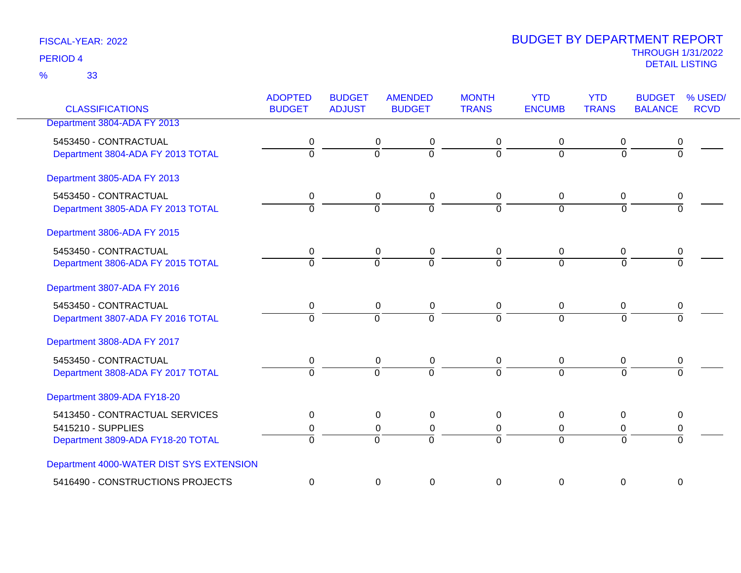33 %

| <b>CLASSIFICATIONS</b>                                                                    | <b>ADOPTED</b><br><b>BUDGET</b> | <b>BUDGET</b><br><b>ADJUST</b> | <b>AMENDED</b><br><b>BUDGET</b>                                             | <b>MONTH</b><br><b>TRANS</b> | <b>YTD</b><br><b>ENCUMB</b>   | <b>YTD</b><br><b>TRANS</b>          | <b>BUDGET</b><br><b>BALANCE</b> | % USED/<br><b>RCVD</b> |
|-------------------------------------------------------------------------------------------|---------------------------------|--------------------------------|-----------------------------------------------------------------------------|------------------------------|-------------------------------|-------------------------------------|---------------------------------|------------------------|
| Department 3804-ADA FY 2013                                                               |                                 |                                |                                                                             |                              |                               |                                     |                                 |                        |
| 5453450 - CONTRACTUAL<br>Department 3804-ADA FY 2013 TOTAL                                | 0<br>$\overline{0}$             | 0<br>$\overline{0}$            | 0<br>$\overline{0}$                                                         | 0<br>$\overline{0}$          | 0<br>$\overline{0}$           | 0<br>$\overline{0}$                 | 0<br>$\overline{0}$             |                        |
| Department 3805-ADA FY 2013                                                               |                                 |                                |                                                                             |                              |                               |                                     |                                 |                        |
| 5453450 - CONTRACTUAL<br>Department 3805-ADA FY 2013 TOTAL                                | 0<br>$\overline{0}$             | $\Omega$                       | $\mathbf 0$<br>0<br>$\overline{0}$                                          | 0<br>$\Omega$                | 0<br>$\Omega$                 | 0<br>$\Omega$                       | 0<br>$\overline{0}$             |                        |
| Department 3806-ADA FY 2015                                                               |                                 |                                |                                                                             |                              |                               |                                     |                                 |                        |
| 5453450 - CONTRACTUAL<br>Department 3806-ADA FY 2015 TOTAL                                | 0<br>$\overline{0}$             | $\overline{0}$                 | 0<br>0<br>$\overline{0}$                                                    | 0<br>$\overline{0}$          | 0<br>$\overline{0}$           | 0<br>$\overline{0}$                 | 0<br>$\overline{0}$             |                        |
| Department 3807-ADA FY 2016                                                               |                                 |                                |                                                                             |                              |                               |                                     |                                 |                        |
| 5453450 - CONTRACTUAL<br>Department 3807-ADA FY 2016 TOTAL                                | 0<br>$\overline{0}$             | $\Omega$                       | $\mathbf 0$<br>$\mathbf 0$<br>$\overline{0}$                                | $\mathbf 0$<br>$\Omega$      | $\mathbf 0$<br>$\overline{0}$ | 0<br>$\overline{0}$                 | 0<br>$\overline{0}$             |                        |
| Department 3808-ADA FY 2017                                                               |                                 |                                |                                                                             |                              |                               |                                     |                                 |                        |
| 5453450 - CONTRACTUAL<br>Department 3808-ADA FY 2017 TOTAL                                | 0<br>$\Omega$                   | $\overline{0}$                 | 0<br>$\pmb{0}$<br>$\overline{0}$                                            | 0<br>$\Omega$                | $\mathbf 0$<br>$\Omega$       | $\mathbf 0$<br>$\Omega$             | $\pmb{0}$<br>$\Omega$           |                        |
| Department 3809-ADA FY18-20                                                               |                                 |                                |                                                                             |                              |                               |                                     |                                 |                        |
| 5413450 - CONTRACTUAL SERVICES<br>5415210 - SUPPLIES<br>Department 3809-ADA FY18-20 TOTAL | $\Omega$<br>0<br>$\overline{0}$ | $\Omega$                       | $\overline{0}$<br>$\mathbf 0$<br>$\pmb{0}$<br>$\mathbf 0$<br>$\overline{0}$ | $\Omega$<br>0<br>$\Omega$    | $\Omega$<br>0<br>$\Omega$     | $\mathbf{0}$<br>0<br>$\overline{0}$ | 0<br>0<br>$\overline{0}$        |                        |
| Department 4000-WATER DIST SYS EXTENSION                                                  |                                 |                                |                                                                             |                              |                               |                                     |                                 |                        |
| 5416490 - CONSTRUCTIONS PROJECTS                                                          | $\boldsymbol{0}$                |                                | $\mathbf 0$<br>$\pmb{0}$                                                    | 0                            | $\mathbf 0$                   | $\mathbf 0$                         | $\pmb{0}$                       |                        |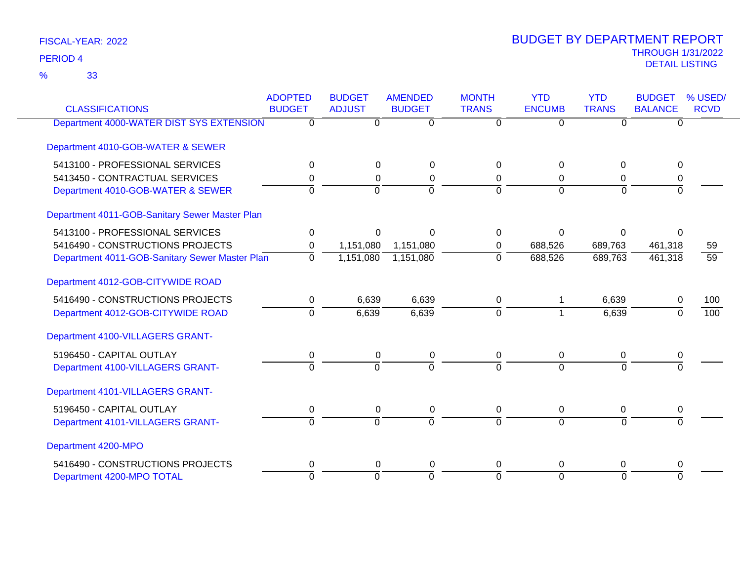33 %

| <b>CLASSIFICATIONS</b>                         | <b>ADOPTED</b><br><b>BUDGET</b> | <b>BUDGET</b><br><b>ADJUST</b> | <b>AMENDED</b><br><b>BUDGET</b> | <b>MONTH</b><br><b>TRANS</b> | <b>YTD</b><br><b>ENCUMB</b> | <b>YTD</b><br><b>TRANS</b> | <b>BUDGET</b><br><b>BALANCE</b> | % USED/<br><b>RCVD</b> |
|------------------------------------------------|---------------------------------|--------------------------------|---------------------------------|------------------------------|-----------------------------|----------------------------|---------------------------------|------------------------|
| Department 4000-WATER DIST SYS EXTENSION       | $\Omega$                        | 0                              | $\overline{0}$                  | $\Omega$                     | $\overline{0}$              | $\Omega$                   | $\mathbf{0}$                    |                        |
| Department 4010-GOB-WATER & SEWER              |                                 |                                |                                 |                              |                             |                            |                                 |                        |
| 5413100 - PROFESSIONAL SERVICES                | 0                               | $\Omega$                       | $\Omega$                        | 0                            | $\Omega$                    | $\Omega$                   | $\Omega$                        |                        |
| 5413450 - CONTRACTUAL SERVICES                 | 0                               | 0                              | 0                               | 0                            | $\Omega$                    | 0                          | 0                               |                        |
| Department 4010-GOB-WATER & SEWER              | $\Omega$                        | $\Omega$                       | $\overline{0}$                  | $\Omega$                     | $\Omega$                    | $\Omega$                   | $\Omega$                        |                        |
| Department 4011-GOB-Sanitary Sewer Master Plan |                                 |                                |                                 |                              |                             |                            |                                 |                        |
| 5413100 - PROFESSIONAL SERVICES                | 0                               | $\Omega$                       | $\Omega$                        | 0                            | $\Omega$                    | $\Omega$                   |                                 |                        |
| 5416490 - CONSTRUCTIONS PROJECTS               | 0                               | 1,151,080                      | 1,151,080                       | 0                            | 688,526                     | 689,763                    | 461,318                         | 59                     |
| Department 4011-GOB-Sanitary Sewer Master Plan | 0                               | 1,151,080                      | 1,151,080                       | $\overline{0}$               | 688,526                     | 689,763                    | 461,318                         | 59                     |
| Department 4012-GOB-CITYWIDE ROAD              |                                 |                                |                                 |                              |                             |                            |                                 |                        |
| 5416490 - CONSTRUCTIONS PROJECTS               | 0                               | 6,639                          | 6,639                           | 0                            |                             | 6,639                      | 0                               | 100                    |
| Department 4012-GOB-CITYWIDE ROAD              | $\overline{0}$                  | 6,639                          | 6,639                           | $\Omega$                     |                             | 6,639                      | $\Omega$                        | 100                    |
| Department 4100-VILLAGERS GRANT-               |                                 |                                |                                 |                              |                             |                            |                                 |                        |
| 5196450 - CAPITAL OUTLAY                       | 0                               | 0                              | 0                               | 0                            | $\mathbf 0$                 | 0                          | 0                               |                        |
| Department 4100-VILLAGERS GRANT-               | $\overline{0}$                  | $\Omega$                       | $\overline{0}$                  | $\Omega$                     | $\Omega$                    | $\Omega$                   | $\Omega$                        |                        |
| Department 4101-VILLAGERS GRANT-               |                                 |                                |                                 |                              |                             |                            |                                 |                        |
| 5196450 - CAPITAL OUTLAY                       | 0                               | 0                              | 0                               | 0                            | $\mathbf 0$                 | 0                          | 0                               |                        |
| Department 4101-VILLAGERS GRANT-               | $\Omega$                        | $\mathbf 0$                    | $\Omega$                        | $\Omega$                     | $\Omega$                    | $\Omega$                   | $\Omega$                        |                        |
| Department 4200-MPO                            |                                 |                                |                                 |                              |                             |                            |                                 |                        |
| 5416490 - CONSTRUCTIONS PROJECTS               | 0                               | 0                              | 0                               | 0                            | $\Omega$                    | 0                          | 0                               |                        |
| Department 4200-MPO TOTAL                      | $\Omega$                        | $\Omega$                       | $\overline{0}$                  | $\Omega$                     | $\Omega$                    | $\Omega$                   | $\Omega$                        |                        |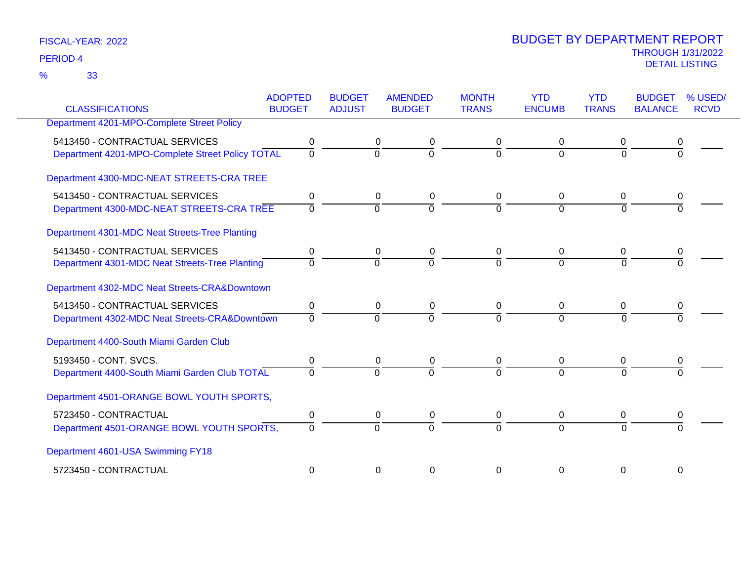33 %

| <b>CLASSIFICATIONS</b>                           | <b>ADOPTED</b><br><b>BUDGET</b> | <b>BUDGET</b><br><b>ADJUST</b> | <b>AMENDED</b><br><b>BUDGET</b>  | <b>MONTH</b><br><b>TRANS</b> | <b>YTD</b><br><b>ENCUMB</b> | <b>YTD</b><br><b>TRANS</b> | <b>BUDGET</b><br><b>BALANCE</b> | % USED/<br><b>RCVD</b> |
|--------------------------------------------------|---------------------------------|--------------------------------|----------------------------------|------------------------------|-----------------------------|----------------------------|---------------------------------|------------------------|
|                                                  |                                 |                                |                                  |                              |                             |                            |                                 |                        |
| Department 4201-MPO-Complete Street Policy       |                                 |                                |                                  |                              |                             |                            |                                 |                        |
| 5413450 - CONTRACTUAL SERVICES                   | 0                               |                                | 0<br>0                           | 0                            | $\Omega$                    | 0                          |                                 |                        |
| Department 4201-MPO-Complete Street Policy TOTAL | $\overline{0}$                  |                                | $\overline{0}$<br>$\overline{0}$ | $\Omega$                     | $\Omega$                    | $\Omega$                   | <sup>0</sup>                    |                        |
| Department 4300-MDC-NEAT STREETS-CRA TREE        |                                 |                                |                                  |                              |                             |                            |                                 |                        |
| 5413450 - CONTRACTUAL SERVICES                   | 0                               |                                | 0<br>0                           | 0                            | $\mathbf 0$                 | 0                          |                                 |                        |
| Department 4300-MDC-NEAT STREETS-CRA TREE        | $\Omega$                        |                                | $\Omega$<br>$\Omega$             | $\Omega$                     | $\Omega$                    | $\Omega$                   |                                 |                        |
| Department 4301-MDC Neat Streets-Tree Planting   |                                 |                                |                                  |                              |                             |                            |                                 |                        |
| 5413450 - CONTRACTUAL SERVICES                   | 0                               |                                | 0<br>0                           | $\mathbf 0$                  | 0                           | 0                          |                                 |                        |
| Department 4301-MDC Neat Streets-Tree Planting   | $\overline{0}$                  |                                | $\Omega$<br>$\Omega$             | $\Omega$                     | $\Omega$                    | $\Omega$                   |                                 |                        |
| Department 4302-MDC Neat Streets-CRA&Downtown    |                                 |                                |                                  |                              |                             |                            |                                 |                        |
| 5413450 - CONTRACTUAL SERVICES                   | 0                               |                                | 0<br>0                           | 0                            | $\Omega$                    | 0                          |                                 |                        |
| Department 4302-MDC Neat Streets-CRA&Downtown    | $\Omega$                        | $\overline{0}$                 | $\overline{0}$                   | $\Omega$                     | $\Omega$                    | $\Omega$                   |                                 |                        |
| Department 4400-South Miami Garden Club          |                                 |                                |                                  |                              |                             |                            |                                 |                        |
| 5193450 - CONT. SVCS.                            | 0                               |                                | 0<br>0                           | 0                            | $\mathbf 0$                 | 0                          |                                 |                        |
| Department 4400-South Miami Garden Club TOTAL    | $\Omega$                        |                                | $\Omega$<br>$\Omega$             | $\Omega$                     | $\Omega$                    | $\Omega$                   |                                 |                        |
| Department 4501-ORANGE BOWL YOUTH SPORTS,        |                                 |                                |                                  |                              |                             |                            |                                 |                        |
| 5723450 - CONTRACTUAL                            | 0                               |                                | 0<br>0                           | 0                            | 0                           | 0                          | 0                               |                        |
| Department 4501-ORANGE BOWL YOUTH SPORTS,        | $\Omega$                        |                                | $\Omega$<br>$\Omega$             | $\Omega$                     | $\Omega$                    | $\Omega$                   |                                 |                        |
| Department 4601-USA Swimming FY18                |                                 |                                |                                  |                              |                             |                            |                                 |                        |
| 5723450 - CONTRACTUAL                            | $\Omega$                        |                                | $\Omega$<br>0                    | $\Omega$                     | $\Omega$                    | $\Omega$                   | $\Omega$                        |                        |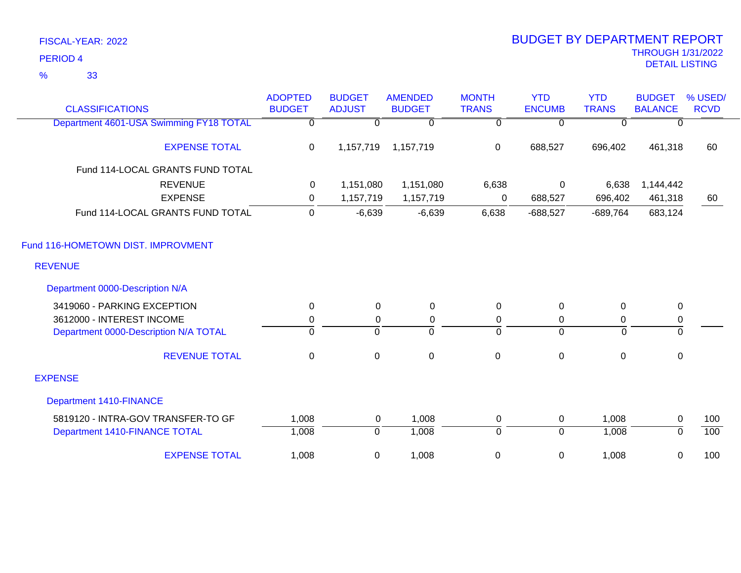33 %

| <b>CLASSIFICATIONS</b>                  | <b>ADOPTED</b><br><b>BUDGET</b> | <b>BUDGET</b><br><b>ADJUST</b> | <b>AMENDED</b><br><b>BUDGET</b> | <b>MONTH</b><br><b>TRANS</b> | <b>YTD</b><br><b>ENCUMB</b> | <b>YTD</b><br><b>TRANS</b> | <b>BUDGET</b><br><b>BALANCE</b> | % USED/<br><b>RCVD</b> |
|-----------------------------------------|---------------------------------|--------------------------------|---------------------------------|------------------------------|-----------------------------|----------------------------|---------------------------------|------------------------|
|                                         |                                 |                                |                                 |                              |                             |                            |                                 |                        |
| Department 4601-USA Swimming FY18 TOTAL | $\Omega$                        | 0                              | $\Omega$                        | 0                            | $\mathbf{0}$                | <sup>0</sup>               | $\Omega$                        |                        |
| <b>EXPENSE TOTAL</b>                    | 0                               | 1,157,719                      | 1,157,719                       | $\mathbf 0$                  | 688,527                     | 696,402                    | 461,318                         | 60                     |
| Fund 114-LOCAL GRANTS FUND TOTAL        |                                 |                                |                                 |                              |                             |                            |                                 |                        |
| <b>REVENUE</b>                          | 0                               | 1,151,080                      | 1,151,080                       | 6,638                        | 0                           | 6,638                      | 1,144,442                       |                        |
| <b>EXPENSE</b>                          | 0                               | 1,157,719                      | 1,157,719                       | 0                            | 688,527                     | 696,402                    | 461,318                         | 60                     |
| Fund 114-LOCAL GRANTS FUND TOTAL        | 0                               | $-6,639$                       | $-6,639$                        | 6,638                        | $-688,527$                  | $-689,764$                 | 683,124                         |                        |
| Fund 116-HOMETOWN DIST. IMPROVMENT      |                                 |                                |                                 |                              |                             |                            |                                 |                        |
| <b>REVENUE</b>                          |                                 |                                |                                 |                              |                             |                            |                                 |                        |
| Department 0000-Description N/A         |                                 |                                |                                 |                              |                             |                            |                                 |                        |
| 3419060 - PARKING EXCEPTION             | 0                               | 0                              | 0                               | $\mathbf 0$                  | $\mathbf 0$                 | 0                          | 0                               |                        |
| 3612000 - INTEREST INCOME               | 0                               | 0                              | 0                               | 0                            | $\mathbf 0$                 | 0                          | 0                               |                        |
| Department 0000-Description N/A TOTAL   | $\overline{0}$                  | $\mathbf 0$                    | $\overline{0}$                  | $\Omega$                     | $\Omega$                    | $\Omega$                   | $\mathbf 0$                     |                        |
| <b>REVENUE TOTAL</b>                    | $\pmb{0}$                       | $\mathbf 0$                    | $\pmb{0}$                       | $\pmb{0}$                    | $\pmb{0}$                   | $\mathbf 0$                | $\mathbf 0$                     |                        |
| <b>EXPENSE</b>                          |                                 |                                |                                 |                              |                             |                            |                                 |                        |
| <b>Department 1410-FINANCE</b>          |                                 |                                |                                 |                              |                             |                            |                                 |                        |
| 5819120 - INTRA-GOV TRANSFER-TO GF      | 1,008                           | 0                              | 1,008                           | 0                            | 0                           | 1,008                      | 0                               | 100                    |
| Department 1410-FINANCE TOTAL           | 1,008                           | $\overline{0}$                 | 1,008                           | 0                            | $\overline{0}$              | 1,008                      | $\Omega$                        | 100                    |
| <b>EXPENSE TOTAL</b>                    | 1,008                           | 0                              | 1,008                           | $\pmb{0}$                    | 0                           | 1,008                      | 0                               | 100                    |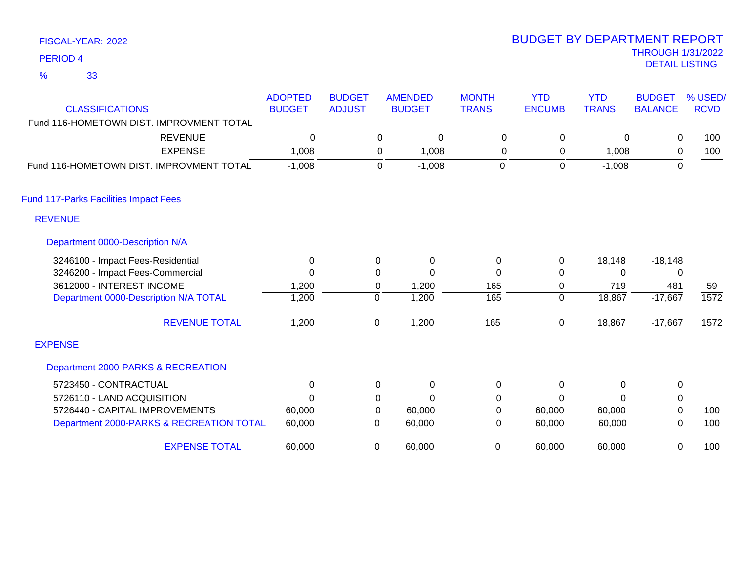33 %

| <b>CLASSIFICATIONS</b>                       | <b>ADOPTED</b><br><b>BUDGET</b> | <b>BUDGET</b><br><b>ADJUST</b> |             | <b>AMENDED</b><br><b>BUDGET</b> | <b>MONTH</b><br><b>TRANS</b> | <b>YTD</b><br><b>ENCUMB</b> | <b>YTD</b><br><b>TRANS</b> | <b>BUDGET</b><br><b>BALANCE</b> | % USED/<br><b>RCVD</b> |
|----------------------------------------------|---------------------------------|--------------------------------|-------------|---------------------------------|------------------------------|-----------------------------|----------------------------|---------------------------------|------------------------|
| Fund 116-HOMETOWN DIST. IMPROVMENT TOTAL     |                                 |                                |             |                                 |                              |                             |                            |                                 |                        |
| <b>REVENUE</b>                               | 0                               |                                | 0           | $\mathbf 0$                     | 0                            | 0                           | 0                          | 0                               | 100                    |
| <b>EXPENSE</b>                               | 1,008                           |                                | 0           | 1,008                           | 0                            | 0                           | 1,008                      | 0                               | 100                    |
| Fund 116-HOMETOWN DIST. IMPROVMENT TOTAL     | $-1,008$                        |                                | $\mathbf 0$ | $-1,008$                        | $\boldsymbol{0}$             | $\mathsf 0$                 | $-1,008$                   | $\mathbf 0$                     |                        |
| <b>Fund 117-Parks Facilities Impact Fees</b> |                                 |                                |             |                                 |                              |                             |                            |                                 |                        |
| <b>REVENUE</b>                               |                                 |                                |             |                                 |                              |                             |                            |                                 |                        |
| Department 0000-Description N/A              |                                 |                                |             |                                 |                              |                             |                            |                                 |                        |
| 3246100 - Impact Fees-Residential            | 0                               |                                | 0           | $\Omega$                        | 0                            | 0                           | 18,148                     | $-18,148$                       |                        |
| 3246200 - Impact Fees-Commercial             | 0                               |                                | 0           | $\Omega$                        | $\Omega$                     | 0                           | 0                          | 0                               |                        |
| 3612000 - INTEREST INCOME                    | 1,200                           |                                | 0           | 1,200                           | 165                          | 0                           | 719                        | 481                             | 59                     |
| Department 0000-Description N/A TOTAL        | 1,200                           |                                | $\Omega$    | 1,200                           | 165                          | $\overline{0}$              | 18,867                     | $-17,667$                       | 1572                   |
| <b>REVENUE TOTAL</b>                         | 1,200                           |                                | $\mathbf 0$ | 1,200                           | 165                          | $\pmb{0}$                   | 18,867                     | $-17,667$                       | 1572                   |
| <b>EXPENSE</b>                               |                                 |                                |             |                                 |                              |                             |                            |                                 |                        |
| Department 2000-PARKS & RECREATION           |                                 |                                |             |                                 |                              |                             |                            |                                 |                        |
| 5723450 - CONTRACTUAL                        | $\mathbf{0}$                    |                                | 0           | $\Omega$                        | $\mathbf 0$                  | 0                           | $\Omega$                   | $\mathbf 0$                     |                        |
| 5726110 - LAND ACQUISITION                   | $\Omega$                        |                                | 0           | $\Omega$                        | $\mathbf 0$                  | 0                           | ∩                          | $\pmb{0}$                       |                        |
| 5726440 - CAPITAL IMPROVEMENTS               | 60,000                          |                                | 0           | 60,000                          | 0                            | 60,000                      | 60,000                     | $\pmb{0}$                       | 100                    |
| Department 2000-PARKS & RECREATION TOTAL     | 60,000                          |                                | 0           | 60,000                          | 0                            | 60,000                      | 60,000                     | 0                               | 100                    |
| <b>EXPENSE TOTAL</b>                         | 60,000                          |                                | 0           | 60,000                          | $\mathbf 0$                  | 60,000                      | 60,000                     | $\mathbf 0$                     | 100                    |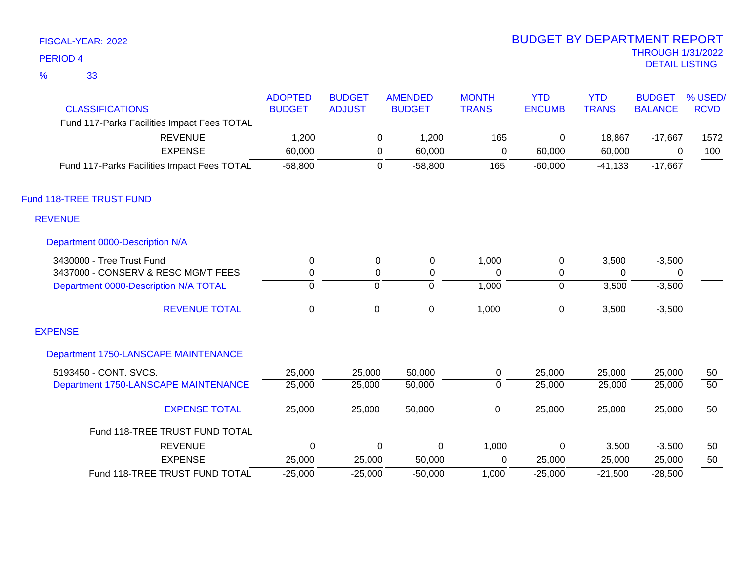33 %

| <b>CLASSIFICATIONS</b>                      | <b>ADOPTED</b><br><b>BUDGET</b> | <b>BUDGET</b><br><b>ADJUST</b> | <b>AMENDED</b><br><b>BUDGET</b> | <b>MONTH</b><br><b>TRANS</b> | <b>YTD</b><br><b>ENCUMB</b> | <b>YTD</b><br><b>TRANS</b> | <b>BUDGET</b><br><b>BALANCE</b> | % USED/<br><b>RCVD</b> |
|---------------------------------------------|---------------------------------|--------------------------------|---------------------------------|------------------------------|-----------------------------|----------------------------|---------------------------------|------------------------|
| Fund 117-Parks Facilities Impact Fees TOTAL |                                 |                                |                                 |                              |                             |                            |                                 |                        |
| <b>REVENUE</b><br><b>EXPENSE</b>            | 1,200<br>60,000                 |                                | 1,200<br>0<br>60,000<br>0       | 165<br>$\mathbf 0$           | $\mathbf 0$<br>60,000       | 18,867<br>60,000           | $-17,667$<br>0                  | 1572<br>100            |
| Fund 117-Parks Facilities Impact Fees TOTAL | $-58,800$                       |                                | $-58,800$<br>$\mathbf 0$        | 165                          | $-60,000$                   | $-41,133$                  | $-17,667$                       |                        |
| Fund 118-TREE TRUST FUND                    |                                 |                                |                                 |                              |                             |                            |                                 |                        |
| <b>REVENUE</b>                              |                                 |                                |                                 |                              |                             |                            |                                 |                        |
| Department 0000-Description N/A             |                                 |                                |                                 |                              |                             |                            |                                 |                        |
| 3430000 - Tree Trust Fund                   | $\mathbf 0$                     | $\mathbf 0$                    | $\pmb{0}$                       | 1,000                        | $\pmb{0}$                   | 3,500                      | $-3,500$                        |                        |
| 3437000 - CONSERV & RESC MGMT FEES          | 0                               | 0                              | 0                               | $\Omega$                     | 0                           | $\Omega$                   | 0                               |                        |
| Department 0000-Description N/A TOTAL       | $\overline{0}$                  | $\overline{0}$                 | $\overline{0}$                  | 1,000                        | $\overline{0}$              | 3,500                      | $-3,500$                        |                        |
| <b>REVENUE TOTAL</b>                        | $\mathbf 0$                     | $\mathbf 0$                    | $\mathsf 0$                     | 1,000                        | $\pmb{0}$                   | 3,500                      | $-3,500$                        |                        |
| <b>EXPENSE</b>                              |                                 |                                |                                 |                              |                             |                            |                                 |                        |
| Department 1750-LANSCAPE MAINTENANCE        |                                 |                                |                                 |                              |                             |                            |                                 |                        |
| 5193450 - CONT. SVCS.                       | 25,000                          | 25,000                         | 50,000                          | 0                            | 25,000                      | 25,000                     | 25,000                          | 50                     |
| Department 1750-LANSCAPE MAINTENANCE        | 25,000                          | 25,000                         | 50,000                          | $\overline{0}$               | 25,000                      | 25,000                     | 25,000                          | $\overline{50}$        |
| <b>EXPENSE TOTAL</b>                        | 25,000                          | 25,000                         | 50,000                          | $\pmb{0}$                    | 25,000                      | 25,000                     | 25,000                          | 50                     |
| Fund 118-TREE TRUST FUND TOTAL              |                                 |                                |                                 |                              |                             |                            |                                 |                        |
| <b>REVENUE</b>                              | $\Omega$                        |                                | 0<br>0                          | 1,000                        | 0                           | 3,500                      | $-3,500$                        | 50                     |
| <b>EXPENSE</b>                              | 25,000                          | 25,000                         | 50,000                          | 0                            | 25,000                      | 25,000                     | 25,000                          | 50                     |
| Fund 118-TREE TRUST FUND TOTAL              | $-25,000$                       | $-25,000$                      | $-50,000$                       | 1,000                        | $-25,000$                   | $-21,500$                  | $-28,500$                       |                        |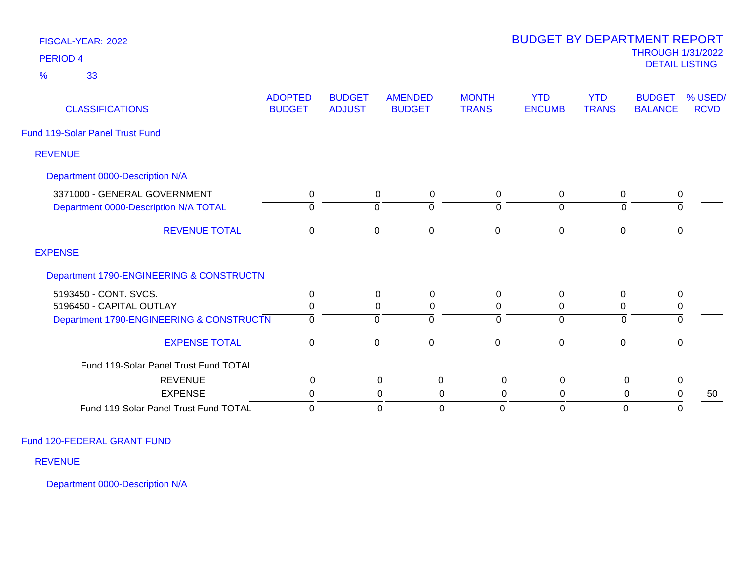| <b>PERIOD 4</b>                          |                                 |                                |                                 |                               |                             |                            | <b>THROUGH 1/31/2022</b><br><b>DETAIL LISTING</b> |                        |
|------------------------------------------|---------------------------------|--------------------------------|---------------------------------|-------------------------------|-----------------------------|----------------------------|---------------------------------------------------|------------------------|
| 33<br>$\frac{9}{6}$                      |                                 |                                |                                 |                               |                             |                            |                                                   |                        |
| <b>CLASSIFICATIONS</b>                   | <b>ADOPTED</b><br><b>BUDGET</b> | <b>BUDGET</b><br><b>ADJUST</b> | <b>AMENDED</b><br><b>BUDGET</b> | <b>MONTH</b><br><b>TRANS</b>  | <b>YTD</b><br><b>ENCUMB</b> | <b>YTD</b><br><b>TRANS</b> | <b>BUDGET</b><br><b>BALANCE</b>                   | % USED/<br><b>RCVD</b> |
| <b>Fund 119-Solar Panel Trust Fund</b>   |                                 |                                |                                 |                               |                             |                            |                                                   |                        |
| <b>REVENUE</b>                           |                                 |                                |                                 |                               |                             |                            |                                                   |                        |
| Department 0000-Description N/A          |                                 |                                |                                 |                               |                             |                            |                                                   |                        |
| 3371000 - GENERAL GOVERNMENT             | 0                               |                                | $\mathbf 0$<br>0                | $\mathbf 0$                   | 0                           | 0                          | $\mathbf 0$                                       |                        |
| Department 0000-Description N/A TOTAL    | $\Omega$                        |                                | $\overline{0}$<br>$\Omega$      | $\Omega$                      | $\overline{0}$              | $\Omega$                   | $\overline{0}$                                    |                        |
| <b>REVENUE TOTAL</b>                     | 0                               |                                | $\mathbf 0$<br>0                | $\mathsf 0$                   | $\mathbf 0$                 | $\mathbf 0$                | $\mathsf 0$                                       |                        |
| <b>EXPENSE</b>                           |                                 |                                |                                 |                               |                             |                            |                                                   |                        |
| Department 1790-ENGINEERING & CONSTRUCTN |                                 |                                |                                 |                               |                             |                            |                                                   |                        |
| 5193450 - CONT. SVCS.                    | $\mathbf 0$                     |                                | 0<br>0                          | $\mathbf 0$                   | $\mathbf 0$                 | $\Omega$                   | $\mathbf 0$                                       |                        |
| 5196450 - CAPITAL OUTLAY                 | 0                               |                                | 0<br>0                          | 0                             | 0                           | 0                          | 0                                                 |                        |
| Department 1790-ENGINEERING & CONSTRUCTN | $\Omega$                        |                                | $\overline{0}$<br>$\mathbf 0$   | $\Omega$                      | $\overline{0}$              | $\mathbf 0$                | $\overline{0}$                                    |                        |
| <b>EXPENSE TOTAL</b>                     | $\mathbf 0$                     |                                | $\mathbf 0$<br>$\mathbf 0$      | $\mathbf 0$                   | $\mathbf 0$                 | $\mathbf 0$                | $\mathbf 0$                                       |                        |
| Fund 119-Solar Panel Trust Fund TOTAL    |                                 |                                |                                 |                               |                             |                            |                                                   |                        |
| <b>REVENUE</b>                           | $\boldsymbol{0}$                |                                | $\pmb{0}$                       | $\boldsymbol{0}$<br>$\pmb{0}$ | $\mathbf 0$                 | $\mathbf 0$                | 0                                                 |                        |
| <b>EXPENSE</b>                           | 0                               |                                | 0                               | 0<br>0                        | 0                           | 0                          | 0                                                 | 50                     |
| Fund 119-Solar Panel Trust Fund TOTAL    | $\mathbf 0$                     |                                | $\mathbf 0$                     | $\mathbf 0$<br>$\mathbf 0$    | $\mathbf 0$                 | $\mathbf{0}$               | $\Omega$                                          |                        |

BUDGET BY DEPARTMENT REPORT

Fund 120-FEDERAL GRANT FUND

FISCAL-YEAR: 2022

REVENUE

Department 0000-Description N/A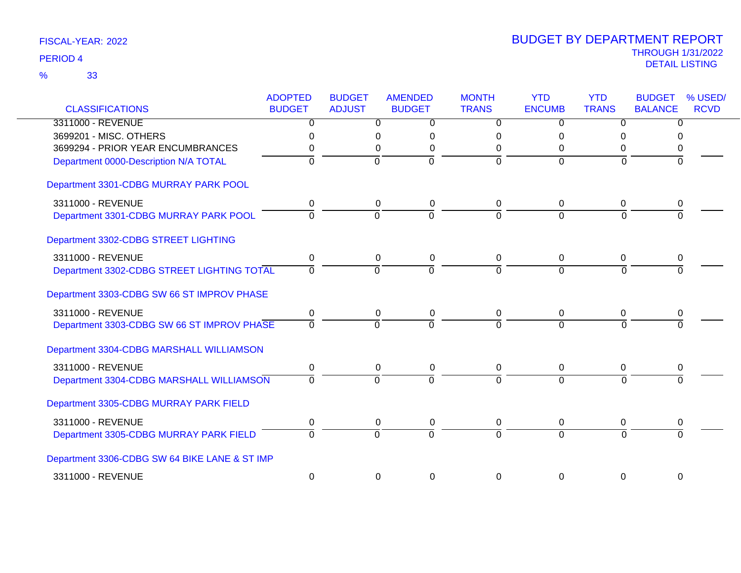| <b>CLASSIFICATIONS</b>                        | <b>ADOPTED</b><br><b>BUDGET</b> | <b>BUDGET</b><br><b>ADJUST</b> | <b>AMENDED</b><br><b>BUDGET</b>  | <b>MONTH</b><br><b>TRANS</b> | <b>YTD</b><br><b>ENCUMB</b> | <b>YTD</b><br><b>TRANS</b> | <b>BUDGET</b><br><b>BALANCE</b> | % USED/<br><b>RCVD</b> |
|-----------------------------------------------|---------------------------------|--------------------------------|----------------------------------|------------------------------|-----------------------------|----------------------------|---------------------------------|------------------------|
| 3311000 - REVENUE                             | 0                               |                                | $\overline{0}$<br>0              | 0                            | $\overline{0}$              | $\overline{0}$             | $\overline{0}$                  |                        |
| 3699201 - MISC. OTHERS                        | 0                               |                                | 0<br>0                           | 0                            | 0                           | 0                          | 0                               |                        |
| 3699294 - PRIOR YEAR ENCUMBRANCES             |                                 |                                | 0<br>0                           | 0                            | 0                           | 0                          | 0                               |                        |
| Department 0000-Description N/A TOTAL         | 0                               |                                | $\mathbf 0$<br>$\mathbf 0$       | $\overline{0}$               | $\overline{0}$              | $\Omega$                   | $\Omega$                        |                        |
| Department 3301-CDBG MURRAY PARK POOL         |                                 |                                |                                  |                              |                             |                            |                                 |                        |
| 3311000 - REVENUE                             | 0                               |                                | 0<br>0                           | 0                            | 0                           | 0                          | 0                               |                        |
| Department 3301-CDBG MURRAY PARK POOL         | O                               |                                | $\mathbf 0$<br>$\overline{0}$    | $\overline{0}$               | $\overline{0}$              | $\Omega$                   | $\Omega$                        |                        |
| Department 3302-CDBG STREET LIGHTING          |                                 |                                |                                  |                              |                             |                            |                                 |                        |
| 3311000 - REVENUE                             | 0                               |                                | 0<br>0                           | 0                            | 0                           | 0                          | 0                               |                        |
| Department 3302-CDBG STREET LIGHTING TOTAL    | $\Omega$                        |                                | $\overline{0}$<br>$\overline{0}$ | $\overline{0}$               | $\overline{0}$              | $\overline{0}$             | $\Omega$                        |                        |
| Department 3303-CDBG SW 66 ST IMPROV PHASE    |                                 |                                |                                  |                              |                             |                            |                                 |                        |
| 3311000 - REVENUE                             | $\mathbf 0$                     |                                | 0<br>0                           | $\mathbf 0$                  | 0                           | $\mathbf 0$                | $\Omega$                        |                        |
| Department 3303-CDBG SW 66 ST IMPROV PHASE    | 0                               |                                | $\Omega$<br>$\Omega$             | $\Omega$                     | $\overline{0}$              | $\Omega$                   | $\Omega$                        |                        |
| Department 3304-CDBG MARSHALL WILLIAMSON      |                                 |                                |                                  |                              |                             |                            |                                 |                        |
| 3311000 - REVENUE                             | 0                               |                                | 0<br>0                           | 0                            | 0                           | 0                          | 0                               |                        |
| Department 3304-CDBG MARSHALL WILLIAMSON      | 0                               |                                | $\overline{0}$<br>$\Omega$       | $\overline{0}$               | $\overline{0}$              | $\Omega$                   | $\Omega$                        |                        |
| Department 3305-CDBG MURRAY PARK FIELD        |                                 |                                |                                  |                              |                             |                            |                                 |                        |
| 3311000 - REVENUE                             | 0                               |                                | 0<br>0                           | 0                            | 0                           | 0                          | 0                               |                        |
| Department 3305-CDBG MURRAY PARK FIELD        | $\Omega$                        |                                | $\Omega$<br>$\Omega$             | $\Omega$                     | $\overline{0}$              | $\Omega$                   | $\Omega$                        |                        |
| Department 3306-CDBG SW 64 BIKE LANE & ST IMP |                                 |                                |                                  |                              |                             |                            |                                 |                        |
| 3311000 - REVENUE                             | $\mathbf 0$                     |                                | 0<br>0                           | $\Omega$                     | 0                           | 0                          | 0                               |                        |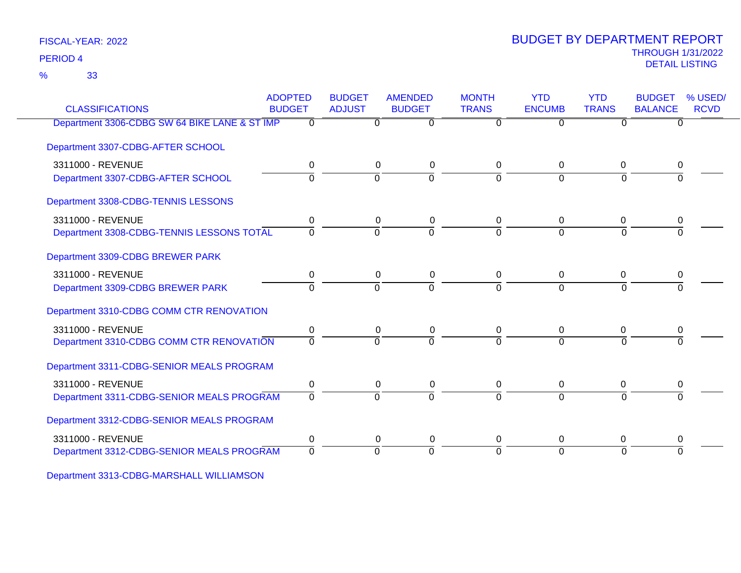33 %

### THROUGH 1/31/2022 DETAIL LISTING PERIOD <sup>4</sup> BUDGET BY DEPARTMENT REPORT

| <b>CLASSIFICATIONS</b>                        | <b>ADOPTED</b><br><b>BUDGET</b> | <b>BUDGET</b><br><b>ADJUST</b> | <b>AMENDED</b><br><b>BUDGET</b> | <b>MONTH</b><br><b>TRANS</b> | <b>YTD</b><br><b>ENCUMB</b> | <b>YTD</b><br><b>TRANS</b> | <b>BUDGET</b><br><b>BALANCE</b> | % USED/<br><b>RCVD</b> |
|-----------------------------------------------|---------------------------------|--------------------------------|---------------------------------|------------------------------|-----------------------------|----------------------------|---------------------------------|------------------------|
| Department 3306-CDBG SW 64 BIKE LANE & ST IMP | $\overline{0}$                  | $\overline{0}$                 | $\overline{0}$                  | $\overline{0}$               | $\overline{0}$              | $\overline{0}$             | $\overline{0}$                  |                        |
| Department 3307-CDBG-AFTER SCHOOL             |                                 |                                |                                 |                              |                             |                            |                                 |                        |
| 3311000 - REVENUE                             | 0                               | 0                              | 0                               | 0                            | 0                           | 0                          | 0                               |                        |
| Department 3307-CDBG-AFTER SCHOOL             | $\Omega$                        | $\Omega$                       | $\overline{0}$                  | $\Omega$                     | $\Omega$                    | $\Omega$                   |                                 |                        |
| Department 3308-CDBG-TENNIS LESSONS           |                                 |                                |                                 |                              |                             |                            |                                 |                        |
| 3311000 - REVENUE                             | 0                               | 0                              | 0                               | 0                            | 0                           | 0                          | 0                               |                        |
| Department 3308-CDBG-TENNIS LESSONS TOTAL     | $\Omega$                        | 0                              | $\Omega$                        | $\Omega$                     | $\Omega$                    | $\Omega$                   | $\Omega$                        |                        |
| Department 3309-CDBG BREWER PARK              |                                 |                                |                                 |                              |                             |                            |                                 |                        |
| 3311000 - REVENUE                             | 0                               | 0                              | $\boldsymbol{0}$                | 0                            | 0                           | 0                          |                                 |                        |
| Department 3309-CDBG BREWER PARK              | $\Omega$                        | $\Omega$                       | $\overline{0}$                  | $\Omega$                     | $\Omega$                    | $\Omega$                   | <sup>0</sup>                    |                        |
| Department 3310-CDBG COMM CTR RENOVATION      |                                 |                                |                                 |                              |                             |                            |                                 |                        |
| 3311000 - REVENUE                             | 0                               | 0                              | 0                               | 0                            | 0                           | 0                          |                                 |                        |
| Department 3310-CDBG COMM CTR RENOVATION      | $\Omega$                        | $\Omega$                       | $\Omega$                        | $\Omega$                     | $\Omega$                    | $\Omega$                   |                                 |                        |
| Department 3311-CDBG-SENIOR MEALS PROGRAM     |                                 |                                |                                 |                              |                             |                            |                                 |                        |
| 3311000 - REVENUE                             | 0                               | 0                              | 0                               | 0                            | 0                           | 0                          | 0                               |                        |
| Department 3311-CDBG-SENIOR MEALS PROGRAM     | $\Omega$                        | $\Omega$                       | $\Omega$                        | $\Omega$                     | $\Omega$                    | $\Omega$                   | ∩                               |                        |
| Department 3312-CDBG-SENIOR MEALS PROGRAM     |                                 |                                |                                 |                              |                             |                            |                                 |                        |
| 3311000 - REVENUE                             | 0                               | 0                              | 0                               | 0                            | 0                           | 0                          | 0                               |                        |
| Department 3312-CDBG-SENIOR MEALS PROGRAM     | $\Omega$                        | $\Omega$                       | $\Omega$                        | $\Omega$                     | $\Omega$                    | $\Omega$                   | <sup>0</sup>                    |                        |
|                                               |                                 |                                |                                 |                              |                             |                            |                                 |                        |

Department 3313-CDBG-MARSHALL WILLIAMSON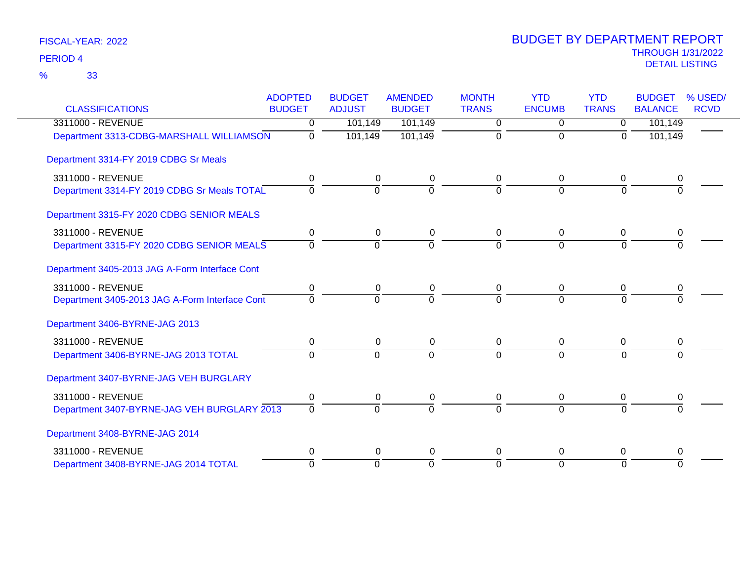|                                                | <b>ADOPTED</b> | <b>BUDGET</b>  | <b>AMENDED</b> | <b>MONTH</b> | <b>YTD</b>     | <b>YTD</b>     | <b>BUDGET</b>  | % USED/     |
|------------------------------------------------|----------------|----------------|----------------|--------------|----------------|----------------|----------------|-------------|
| <b>CLASSIFICATIONS</b>                         | <b>BUDGET</b>  | <b>ADJUST</b>  | <b>BUDGET</b>  | <b>TRANS</b> | <b>ENCUMB</b>  | <b>TRANS</b>   | <b>BALANCE</b> | <b>RCVD</b> |
| 3311000 - REVENUE                              | 0              | 101,149        | 101,149        | 0            | 0              | $\overline{0}$ | 101,149        |             |
| Department 3313-CDBG-MARSHALL WILLIAMSON       | $\mathbf 0$    | 101,149        | 101,149        | 0            | 0              | 0              | 101,149        |             |
| Department 3314-FY 2019 CDBG Sr Meals          |                |                |                |              |                |                |                |             |
| 3311000 - REVENUE                              | 0              | 0              | 0              | 0            | $\Omega$       | 0              | 0              |             |
| Department 3314-FY 2019 CDBG Sr Meals TOTAL    | $\Omega$       | $\mathbf 0$    | 0              | $\Omega$     | $\Omega$       | $\Omega$       | $\Omega$       |             |
| Department 3315-FY 2020 CDBG SENIOR MEALS      |                |                |                |              |                |                |                |             |
| 3311000 - REVENUE                              | 0              | 0              | 0              | 0            | 0              | 0              | 0              |             |
| Department 3315-FY 2020 CDBG SENIOR MEALS      | $\overline{0}$ | $\overline{0}$ | 0              | $\Omega$     | $\overline{0}$ | $\overline{0}$ | $\overline{0}$ |             |
| Department 3405-2013 JAG A-Form Interface Cont |                |                |                |              |                |                |                |             |
| 3311000 - REVENUE                              | $\mathbf 0$    | $\pmb{0}$      | 0              | $\mathbf 0$  | 0              | 0              | 0              |             |
| Department 3405-2013 JAG A-Form Interface Cont | $\Omega$       | $\Omega$       | $\Omega$       | $\Omega$     | $\Omega$       | $\Omega$       |                |             |
| Department 3406-BYRNE-JAG 2013                 |                |                |                |              |                |                |                |             |
| 3311000 - REVENUE                              | 0              | 0              | $\pmb{0}$      | $\Omega$     | $\Omega$       | 0              | 0              |             |
| Department 3406-BYRNE-JAG 2013 TOTAL           | 0              | $\Omega$       | $\Omega$       | $\Omega$     | $\Omega$       | $\Omega$       | $\Omega$       |             |
| Department 3407-BYRNE-JAG VEH BURGLARY         |                |                |                |              |                |                |                |             |
| 3311000 - REVENUE                              | 0              | 0              | 0              | 0            | 0              | 0              | 0              |             |
| Department 3407-BYRNE-JAG VEH BURGLARY 2013    | $\Omega$       | $\Omega$       | $\Omega$       | $\Omega$     | $\Omega$       | $\Omega$       |                |             |
| Department 3408-BYRNE-JAG 2014                 |                |                |                |              |                |                |                |             |
| 3311000 - REVENUE                              | 0              | 0              | $\pmb{0}$      | 0            | 0              | 0              | 0              |             |
| Department 3408-BYRNE-JAG 2014 TOTAL           | $\Omega$       | $\Omega$       | $\mathbf 0$    | $\Omega$     | $\Omega$       | $\Omega$       | $\Omega$       |             |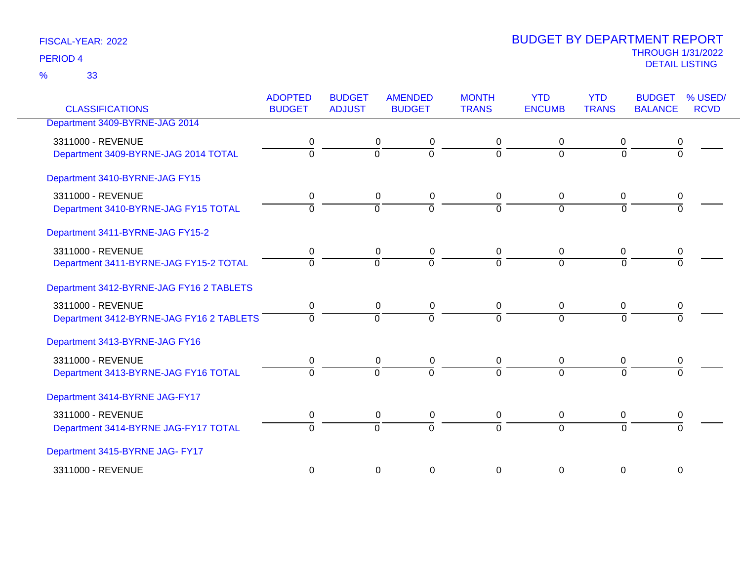33 %

| <b>CLASSIFICATIONS</b>                                        | <b>ADOPTED</b><br><b>BUDGET</b> | <b>BUDGET</b><br><b>ADJUST</b> | <b>AMENDED</b><br><b>BUDGET</b> | <b>MONTH</b><br><b>TRANS</b> | <b>YTD</b><br><b>ENCUMB</b>      | <b>YTD</b><br><b>TRANS</b>    | <b>BUDGET</b><br><b>BALANCE</b> | % USED/<br><b>RCVD</b> |
|---------------------------------------------------------------|---------------------------------|--------------------------------|---------------------------------|------------------------------|----------------------------------|-------------------------------|---------------------------------|------------------------|
| Department 3409-BYRNE-JAG 2014                                |                                 |                                |                                 |                              |                                  |                               |                                 |                        |
| 3311000 - REVENUE<br>Department 3409-BYRNE-JAG 2014 TOTAL     | 0<br>$\Omega$                   | 0<br>$\overline{0}$            | 0<br>$\overline{0}$             | 0<br>$\mathbf 0$             | 0<br>$\mathbf 0$                 | 0<br>$\overline{0}$           | 0<br>$\Omega$                   |                        |
| Department 3410-BYRNE-JAG FY15                                |                                 |                                |                                 |                              |                                  |                               |                                 |                        |
| 3311000 - REVENUE<br>Department 3410-BYRNE-JAG FY15 TOTAL     | 0<br>$\Omega$                   | 0<br>$\overline{0}$            | 0<br>ō                          | 0<br>$\Omega$                | $\overline{0}$<br>$\Omega$       | $\mathbf 0$<br>$\overline{0}$ | 0<br>$\Omega$                   |                        |
| Department 3411-BYRNE-JAG FY15-2                              |                                 |                                |                                 |                              |                                  |                               |                                 |                        |
| 3311000 - REVENUE<br>Department 3411-BYRNE-JAG FY15-2 TOTAL   | 0<br>$\mathbf 0$                | 0<br>$\overline{0}$            | $\pmb{0}$<br>$\overline{0}$     | 0<br>$\Omega$                | $\mathbf 0$<br>$\overline{0}$    | 0<br>$\Omega$                 | 0<br>$\Omega$                   |                        |
| Department 3412-BYRNE-JAG FY16 2 TABLETS                      |                                 |                                |                                 |                              |                                  |                               |                                 |                        |
| 3311000 - REVENUE<br>Department 3412-BYRNE-JAG FY16 2 TABLETS | 0<br>$\Omega$                   | 0<br>$\overline{0}$            | 0<br>$\overline{0}$             | 0<br>$\Omega$                | $\mathbf 0$<br>$\Omega$          | $\Omega$<br>$\overline{0}$    | 0<br>$\Omega$                   |                        |
| Department 3413-BYRNE-JAG FY16                                |                                 |                                |                                 |                              |                                  |                               |                                 |                        |
| 3311000 - REVENUE<br>Department 3413-BYRNE-JAG FY16 TOTAL     | 0<br>$\Omega$                   | 0<br>$\Omega$                  | 0<br>$\overline{0}$             | 0<br>$\Omega$                | $\overline{0}$<br>$\Omega$       | 0<br>$\Omega$                 | 0<br>$\Omega$                   |                        |
| Department 3414-BYRNE JAG-FY17                                |                                 |                                |                                 |                              |                                  |                               |                                 |                        |
| 3311000 - REVENUE<br>Department 3414-BYRNE JAG-FY17 TOTAL     | 0<br>$\mathbf 0$                | 0<br>$\overline{0}$            | $\pmb{0}$<br>$\overline{0}$     | 0<br>$\Omega$                | $\overline{0}$<br>$\overline{0}$ | $\mathbf 0$<br>$\overline{0}$ | 0<br>$\overline{0}$             |                        |
| Department 3415-BYRNE JAG- FY17                               |                                 |                                |                                 |                              |                                  |                               |                                 |                        |
| 3311000 - REVENUE                                             | 0                               | 0                              | 0                               | 0                            | 0                                | 0                             | 0                               |                        |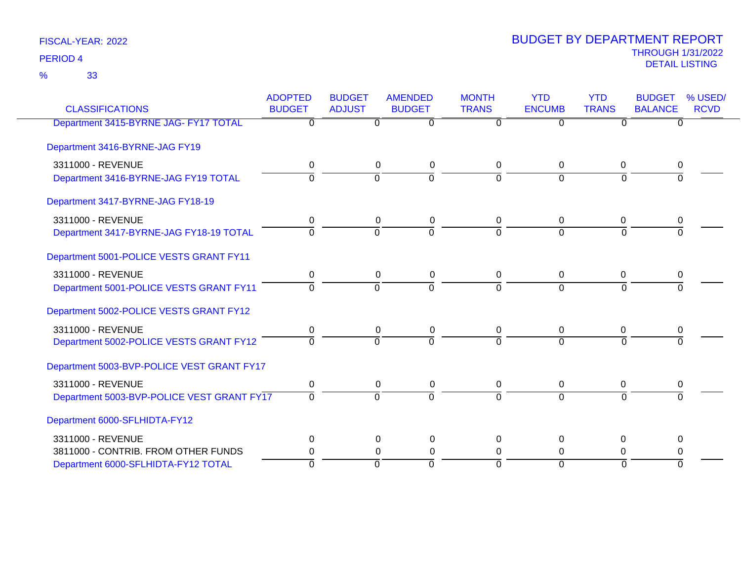33 %

| <b>CLASSIFICATIONS</b>                     | <b>ADOPTED</b><br><b>BUDGET</b> | <b>BUDGET</b><br><b>ADJUST</b> | <b>AMENDED</b><br><b>BUDGET</b> | <b>MONTH</b><br><b>TRANS</b> | <b>YTD</b><br><b>ENCUMB</b> | <b>YTD</b><br><b>TRANS</b> | <b>BUDGET</b><br><b>BALANCE</b> | % USED/<br><b>RCVD</b> |
|--------------------------------------------|---------------------------------|--------------------------------|---------------------------------|------------------------------|-----------------------------|----------------------------|---------------------------------|------------------------|
| Department 3415-BYRNE JAG- FY17 TOTAL      | $\Omega$                        | $\Omega$                       | $\overline{0}$                  | $\Omega$                     | $\overline{0}$              | $\Omega$                   | $\Omega$                        |                        |
| Department 3416-BYRNE-JAG FY19             |                                 |                                |                                 |                              |                             |                            |                                 |                        |
| 3311000 - REVENUE                          | 0                               | $\mathbf 0$                    | $\mathbf 0$                     | 0                            | $\mathbf 0$                 | $\mathbf 0$                | 0                               |                        |
| Department 3416-BYRNE-JAG FY19 TOTAL       | 0                               | $\overline{0}$                 | $\overline{0}$                  | $\Omega$                     | $\Omega$                    | $\Omega$                   | U                               |                        |
| Department 3417-BYRNE-JAG FY18-19          |                                 |                                |                                 |                              |                             |                            |                                 |                        |
| 3311000 - REVENUE                          | 0                               | 0                              | 0                               | 0                            | 0                           | 0                          | 0                               |                        |
| Department 3417-BYRNE-JAG FY18-19 TOTAL    | $\overline{0}$                  | $\overline{0}$                 | $\overline{0}$                  | $\Omega$                     | $\Omega$                    | $\Omega$                   | $\Omega$                        |                        |
| Department 5001-POLICE VESTS GRANT FY11    |                                 |                                |                                 |                              |                             |                            |                                 |                        |
| 3311000 - REVENUE                          | $\mathbf 0$                     | $\mathbf 0$                    | $\mathbf 0$                     | $\overline{0}$               | 0                           | $\mathbf 0$                | 0                               |                        |
| Department 5001-POLICE VESTS GRANT FY11    | $\Omega$                        | $\Omega$                       | $\overline{0}$                  | $\Omega$                     | $\overline{0}$              | $\Omega$                   | ∩                               |                        |
| Department 5002-POLICE VESTS GRANT FY12    |                                 |                                |                                 |                              |                             |                            |                                 |                        |
| 3311000 - REVENUE                          | 0                               | 0                              | $\mathbf 0$                     | 0                            | 0                           | 0                          | 0                               |                        |
| Department 5002-POLICE VESTS GRANT FY12    | $\overline{0}$                  | $\Omega$                       | $\Omega$                        | $\Omega$                     | $\Omega$                    | $\Omega$                   | $\Omega$                        |                        |
| Department 5003-BVP-POLICE VEST GRANT FY17 |                                 |                                |                                 |                              |                             |                            |                                 |                        |
| 3311000 - REVENUE                          | $\mathbf 0$                     | $\mathbf 0$                    | 0                               | 0                            | 0                           | 0                          | 0                               |                        |
| Department 5003-BVP-POLICE VEST GRANT FY17 | $\Omega$                        | $\overline{0}$                 | $\overline{0}$                  | $\Omega$                     | $\overline{0}$              | $\Omega$                   | $\Omega$                        |                        |
| Department 6000-SFLHIDTA-FY12              |                                 |                                |                                 |                              |                             |                            |                                 |                        |
| 3311000 - REVENUE                          | 0                               | $\mathbf 0$                    | $\mathbf 0$                     | 0                            | 0                           | 0                          | 0                               |                        |
| 3811000 - CONTRIB. FROM OTHER FUNDS        | 0                               |                                | $\Omega$<br>$\mathbf 0$         | $\Omega$                     | $\Omega$                    | 0                          | 0                               |                        |
| Department 6000-SFLHIDTA-FY12 TOTAL        | $\Omega$                        | $\overline{0}$                 | $\overline{0}$                  | $\Omega$                     | $\Omega$                    | $\Omega$                   | $\Omega$                        |                        |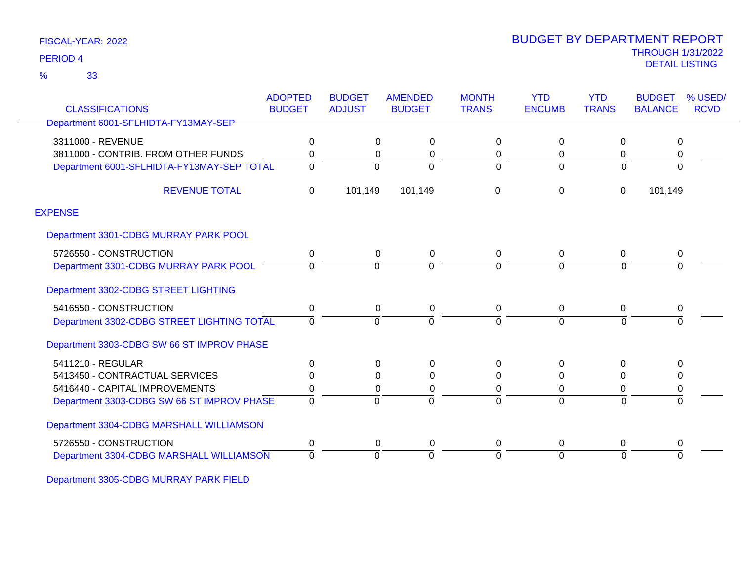33 %

### THROUGH 1/31/2022 DETAIL LISTING PERIOD <sup>4</sup> BUDGET BY DEPARTMENT REPORT

| <b>CLASSIFICATIONS</b>                     | <b>ADOPTED</b><br><b>BUDGET</b> | <b>BUDGET</b><br><b>ADJUST</b> | <b>AMENDED</b><br><b>BUDGET</b> | <b>MONTH</b><br><b>TRANS</b> | <b>YTD</b><br><b>ENCUMB</b> | <b>YTD</b><br><b>TRANS</b> | <b>BUDGET</b><br><b>BALANCE</b> | % USED/<br><b>RCVD</b> |
|--------------------------------------------|---------------------------------|--------------------------------|---------------------------------|------------------------------|-----------------------------|----------------------------|---------------------------------|------------------------|
| Department 6001-SFLHIDTA-FY13MAY-SEP       |                                 |                                |                                 |                              |                             |                            |                                 |                        |
| 3311000 - REVENUE                          | 0                               | 0                              | $\Omega$                        | 0                            | $\Omega$                    | 0                          | 0                               |                        |
| 3811000 - CONTRIB. FROM OTHER FUNDS        | $\Omega$                        | 0                              | 0                               | 0                            | 0                           | 0                          | 0                               |                        |
| Department 6001-SFLHIDTA-FY13MAY-SEP TOTAL | $\Omega$                        | 0                              | ∩                               | 0                            | $\Omega$                    | $\Omega$                   | $\Omega$                        |                        |
| <b>REVENUE TOTAL</b>                       | $\mathbf 0$                     | 101,149                        | 101,149                         | 0                            | 0                           | $\pmb{0}$                  | 101,149                         |                        |
| <b>EXPENSE</b>                             |                                 |                                |                                 |                              |                             |                            |                                 |                        |
| Department 3301-CDBG MURRAY PARK POOL      |                                 |                                |                                 |                              |                             |                            |                                 |                        |
| 5726550 - CONSTRUCTION                     | 0                               | 0                              | 0                               | 0                            | 0                           | 0                          | 0                               |                        |
| Department 3301-CDBG MURRAY PARK POOL      |                                 | $\Omega$                       | $\Omega$                        | $\Omega$                     | $\Omega$                    | $\Omega$                   | $\Omega$                        |                        |
| Department 3302-CDBG STREET LIGHTING       |                                 |                                |                                 |                              |                             |                            |                                 |                        |
| 5416550 - CONSTRUCTION                     | 0                               | 0                              | $\mathbf 0$                     | 0                            | 0                           | 0                          | $\mathbf 0$                     |                        |
| Department 3302-CDBG STREET LIGHTING TOTAL | $\Omega$                        | $\Omega$                       | $\Omega$                        | 0                            | $\Omega$                    | $\Omega$                   | $\Omega$                        |                        |
| Department 3303-CDBG SW 66 ST IMPROV PHASE |                                 |                                |                                 |                              |                             |                            |                                 |                        |
| 5411210 - REGULAR                          | 0                               | 0                              | 0                               | 0                            | 0                           | 0                          | 0                               |                        |
| 5413450 - CONTRACTUAL SERVICES             | ∩                               | $\Omega$                       | $\Omega$                        | 0                            | $\Omega$                    | 0                          | $\Omega$                        |                        |
| 5416440 - CAPITAL IMPROVEMENTS             | 0                               | 0                              | 0                               | 0                            | 0                           | 0                          | 0                               |                        |
| Department 3303-CDBG SW 66 ST IMPROV PHASE | $\Omega$                        | 0                              | ∩                               | 0                            | 0                           | $\Omega$                   | $\Omega$                        |                        |
| Department 3304-CDBG MARSHALL WILLIAMSON   |                                 |                                |                                 |                              |                             |                            |                                 |                        |
| 5726550 - CONSTRUCTION                     | 0                               | 0                              | 0                               | 0                            | 0                           | 0                          | 0                               |                        |
| Department 3304-CDBG MARSHALL WILLIAMSON   | $\Omega$                        | $\Omega$                       | $\Omega$                        | 0                            | $\Omega$                    | $\Omega$                   | $\Omega$                        |                        |

Department 3305-CDBG MURRAY PARK FIELD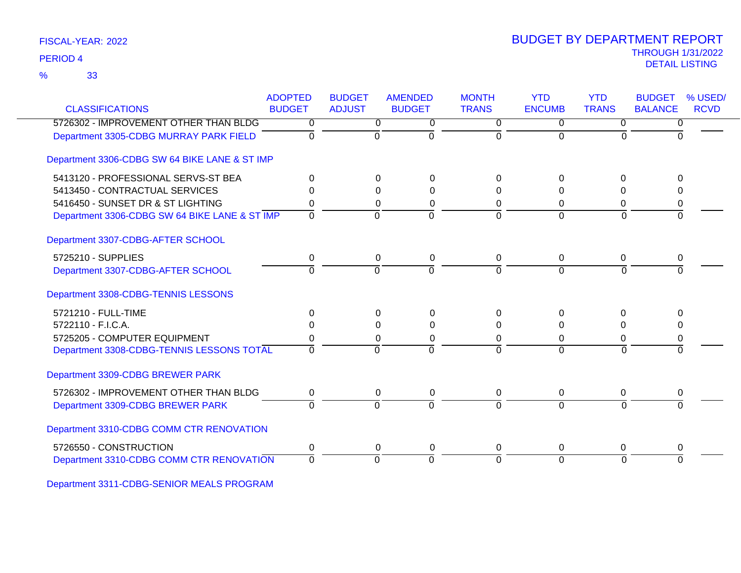33 %

### THROUGH 1/31/2022 DETAIL LISTING PERIOD <sup>4</sup> BUDGET BY DEPARTMENT REPORT

| <b>CLASSIFICATIONS</b>                        | <b>ADOPTED</b><br><b>BUDGET</b> | <b>BUDGET</b><br><b>ADJUST</b> | <b>AMENDED</b><br><b>BUDGET</b> | <b>MONTH</b><br><b>TRANS</b> | <b>YTD</b><br><b>ENCUMB</b> | <b>YTD</b><br><b>TRANS</b> | <b>BUDGET</b><br><b>BALANCE</b> | % USED/<br><b>RCVD</b> |
|-----------------------------------------------|---------------------------------|--------------------------------|---------------------------------|------------------------------|-----------------------------|----------------------------|---------------------------------|------------------------|
| 5726302 - IMPROVEMENT OTHER THAN BLDG         | $\overline{0}$                  | $\overline{0}$                 | $\overline{0}$                  | $\overline{0}$               | $\overline{0}$              | $\overline{0}$             | 0                               |                        |
| Department 3305-CDBG MURRAY PARK FIELD        | $\Omega$                        | $\Omega$                       | $\Omega$                        | $\Omega$                     | $\Omega$                    | $\Omega$                   | $\Omega$                        |                        |
| Department 3306-CDBG SW 64 BIKE LANE & ST IMP |                                 |                                |                                 |                              |                             |                            |                                 |                        |
| 5413120 - PROFESSIONAL SERVS-ST BEA           | $\Omega$                        | $\Omega$                       | $\Omega$                        | $\Omega$                     | $\Omega$                    | 0                          | <sup>0</sup>                    |                        |
| 5413450 - CONTRACTUAL SERVICES                | 0                               | $\Omega$                       | $\Omega$                        | $\Omega$                     | $\Omega$                    | $\Omega$                   | 0                               |                        |
| 5416450 - SUNSET DR & ST LIGHTING             | 0                               | $\Omega$                       | 0                               | 0                            | $\Omega$                    | 0                          | 0                               |                        |
| Department 3306-CDBG SW 64 BIKE LANE & ST IMP | $\Omega$                        | $\Omega$                       | $\Omega$                        | $\Omega$                     | $\Omega$                    | $\Omega$                   | $\Omega$                        |                        |
| Department 3307-CDBG-AFTER SCHOOL             |                                 |                                |                                 |                              |                             |                            |                                 |                        |
| 5725210 - SUPPLIES                            | 0                               | 0                              | 0                               | 0                            | 0                           | 0                          | 0                               |                        |
| Department 3307-CDBG-AFTER SCHOOL             | $\Omega$                        | $\Omega$                       | $\Omega$                        | $\Omega$                     | $\Omega$                    | $\Omega$                   |                                 |                        |
| Department 3308-CDBG-TENNIS LESSONS           |                                 |                                |                                 |                              |                             |                            |                                 |                        |
| 5721210 - FULL-TIME                           | $\Omega$                        | 0                              | $\Omega$                        | 0                            | 0                           | 0                          | 0                               |                        |
| 5722110 - F.I.C.A.                            | 0                               | $\Omega$                       | $\Omega$                        | $\Omega$                     | $\Omega$                    | 0                          | 0                               |                        |
| 5725205 - COMPUTER EQUIPMENT                  | 0                               | 0                              | 0                               | 0                            | 0                           | 0                          | 0                               |                        |
| Department 3308-CDBG-TENNIS LESSONS TOTAL     | $\overline{0}$                  | $\Omega$                       | $\Omega$                        | $\Omega$                     | $\Omega$                    | $\overline{0}$             | $\Omega$                        |                        |
| Department 3309-CDBG BREWER PARK              |                                 |                                |                                 |                              |                             |                            |                                 |                        |
| 5726302 - IMPROVEMENT OTHER THAN BLDG         | 0                               | 0                              | $\pmb{0}$                       | $\mathbf 0$                  | $\mathbf 0$                 | 0                          | 0                               |                        |
| Department 3309-CDBG BREWER PARK              | $\Omega$                        | $\Omega$                       | $\Omega$                        | $\Omega$                     | $\Omega$                    | $\Omega$                   | <sup>0</sup>                    |                        |
| Department 3310-CDBG COMM CTR RENOVATION      |                                 |                                |                                 |                              |                             |                            |                                 |                        |
| 5726550 - CONSTRUCTION                        | 0                               | 0                              | 0                               | 0                            | 0                           | 0                          | 0                               |                        |
| Department 3310-CDBG COMM CTR RENOVATION      | $\overline{0}$                  | 0                              | $\Omega$                        | $\Omega$                     | $\Omega$                    | $\overline{0}$             | $\Omega$                        |                        |

Department 3311-CDBG-SENIOR MEALS PROGRAM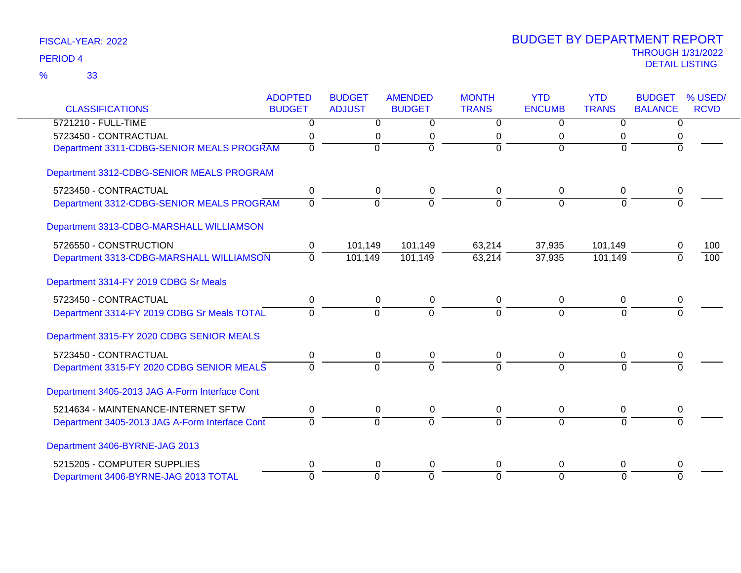|                                                | <b>ADOPTED</b> | <b>BUDGET</b>  | <b>AMENDED</b> | <b>MONTH</b>   | <b>YTD</b>     | <b>YTD</b>   | <b>BUDGET</b>  | % USED/     |
|------------------------------------------------|----------------|----------------|----------------|----------------|----------------|--------------|----------------|-------------|
| <b>CLASSIFICATIONS</b>                         | <b>BUDGET</b>  | <b>ADJUST</b>  | <b>BUDGET</b>  | <b>TRANS</b>   | <b>ENCUMB</b>  | <b>TRANS</b> | <b>BALANCE</b> | <b>RCVD</b> |
| 5721210 - FULL-TIME                            | 0              | $\overline{0}$ | $\overline{0}$ | $\overline{0}$ | 0              | $\Omega$     | 0              |             |
| 5723450 - CONTRACTUAL                          | 0              | 0              | 0              | 0              | 0              | 0            | 0              |             |
| Department 3311-CDBG-SENIOR MEALS PROGRAM      | $\Omega$       | $\overline{0}$ | $\overline{0}$ | $\Omega$       | $\Omega$       | $\Omega$     | $\Omega$       |             |
| Department 3312-CDBG-SENIOR MEALS PROGRAM      |                |                |                |                |                |              |                |             |
| 5723450 - CONTRACTUAL                          | 0              | 0              | 0              | 0              | $\mathbf 0$    | 0            | 0              |             |
| Department 3312-CDBG-SENIOR MEALS PROGRAM      | $\overline{0}$ | $\overline{0}$ | $\overline{0}$ | $\Omega$       | $\Omega$       | $\Omega$     | $\Omega$       |             |
| Department 3313-CDBG-MARSHALL WILLIAMSON       |                |                |                |                |                |              |                |             |
| 5726550 - CONSTRUCTION                         | $\pmb{0}$      | 101,149        | 101,149        | 63,214         | 37,935         | 101,149      |                | 100         |
| Department 3313-CDBG-MARSHALL WILLIAMSON       | $\mathbf 0$    | 101,149        | 101,149        | 63,214         | 37,935         | 101,149      | $\Omega$       | 100         |
| Department 3314-FY 2019 CDBG Sr Meals          |                |                |                |                |                |              |                |             |
| 5723450 - CONTRACTUAL                          | 0              | 0              | 0              | 0              | 0              | 0            | 0              |             |
| Department 3314-FY 2019 CDBG Sr Meals TOTAL    | $\Omega$       | $\overline{0}$ | $\overline{0}$ | $\Omega$       | $\overline{0}$ | $\Omega$     | $\overline{0}$ |             |
| Department 3315-FY 2020 CDBG SENIOR MEALS      |                |                |                |                |                |              |                |             |
| 5723450 - CONTRACTUAL                          | $\pmb{0}$      | 0              | 0              | 0              | 0              | 0            | 0              |             |
| Department 3315-FY 2020 CDBG SENIOR MEALS      | $\Omega$       | $\Omega$       | $\Omega$       | $\Omega$       | $\Omega$       | $\Omega$     | $\Omega$       |             |
| Department 3405-2013 JAG A-Form Interface Cont |                |                |                |                |                |              |                |             |
| 5214634 - MAINTENANCE-INTERNET SFTW            | $\pmb{0}$      | $\pmb{0}$      | $\pmb{0}$      | $\mathsf 0$    | $\mathbf 0$    | 0            | 0              |             |
| Department 3405-2013 JAG A-Form Interface Cont | $\Omega$       | $\overline{0}$ | $\overline{0}$ | $\Omega$       | $\Omega$       | $\Omega$     | $\Omega$       |             |
| Department 3406-BYRNE-JAG 2013                 |                |                |                |                |                |              |                |             |
| 5215205 - COMPUTER SUPPLIES                    | 0              | 0              | 0              | 0              | $\Omega$       | 0            | 0              |             |
| Department 3406-BYRNE-JAG 2013 TOTAL           | $\overline{0}$ | $\overline{0}$ | $\overline{0}$ | $\Omega$       | $\Omega$       | $\Omega$     | $\overline{0}$ |             |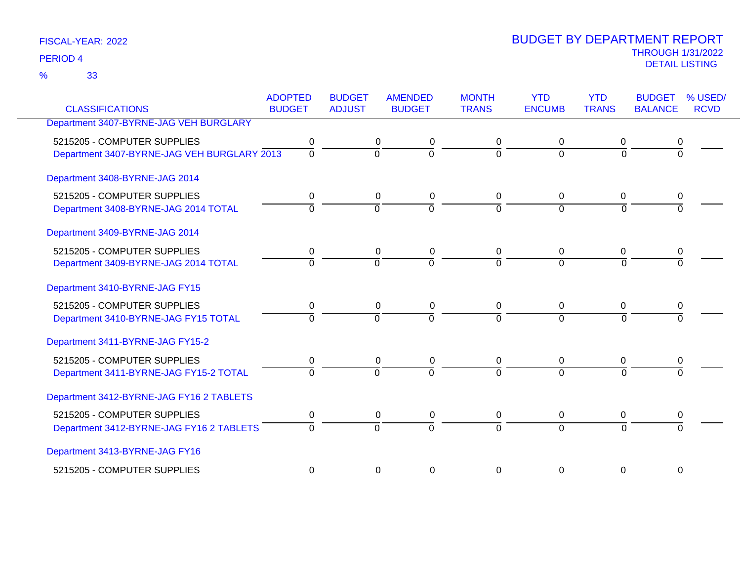33 %

| <b>CLASSIFICATIONS</b>                      | <b>ADOPTED</b><br><b>BUDGET</b> | <b>BUDGET</b><br><b>ADJUST</b> | <b>AMENDED</b><br><b>BUDGET</b> | <b>MONTH</b><br><b>TRANS</b> | <b>YTD</b><br><b>ENCUMB</b> | <b>YTD</b><br><b>TRANS</b> | <b>BUDGET</b><br><b>BALANCE</b> | % USED/<br><b>RCVD</b> |
|---------------------------------------------|---------------------------------|--------------------------------|---------------------------------|------------------------------|-----------------------------|----------------------------|---------------------------------|------------------------|
| Department 3407-BYRNE-JAG VEH BURGLARY      |                                 |                                |                                 |                              |                             |                            |                                 |                        |
|                                             |                                 |                                |                                 |                              |                             |                            |                                 |                        |
| 5215205 - COMPUTER SUPPLIES                 | 0                               | 0                              | 0                               | 0                            | 0                           | 0                          |                                 |                        |
| Department 3407-BYRNE-JAG VEH BURGLARY 2013 | $\overline{0}$                  | $\overline{0}$                 | ō                               | $\overline{0}$               | $\Omega$                    | $\overline{0}$             | $\Omega$                        |                        |
| Department 3408-BYRNE-JAG 2014              |                                 |                                |                                 |                              |                             |                            |                                 |                        |
| 5215205 - COMPUTER SUPPLIES                 | 0                               | 0                              | 0                               | $\mathbf 0$                  | $\mathbf 0$                 | 0                          | 0                               |                        |
| Department 3408-BYRNE-JAG 2014 TOTAL        | $\Omega$                        | $\Omega$                       | $\Omega$                        | $\Omega$                     | $\Omega$                    | $\Omega$                   |                                 |                        |
| Department 3409-BYRNE-JAG 2014              |                                 |                                |                                 |                              |                             |                            |                                 |                        |
| 5215205 - COMPUTER SUPPLIES                 | 0                               | 0                              | 0                               | 0                            | 0                           | 0                          |                                 |                        |
| Department 3409-BYRNE-JAG 2014 TOTAL        | $\Omega$                        | $\Omega$                       | $\Omega$                        | $\Omega$                     | $\Omega$                    | $\Omega$                   |                                 |                        |
| Department 3410-BYRNE-JAG FY15              |                                 |                                |                                 |                              |                             |                            |                                 |                        |
| 5215205 - COMPUTER SUPPLIES                 | 0                               | 0                              | 0                               | 0                            | 0                           | 0                          | 0                               |                        |
| Department 3410-BYRNE-JAG FY15 TOTAL        | $\Omega$                        | $\overline{0}$                 | $\overline{0}$                  | $\Omega$                     | $\Omega$                    | $\overline{0}$             | $\Omega$                        |                        |
| Department 3411-BYRNE-JAG FY15-2            |                                 |                                |                                 |                              |                             |                            |                                 |                        |
| 5215205 - COMPUTER SUPPLIES                 | 0                               | 0                              | 0                               | 0                            | $\mathbf 0$                 | 0                          |                                 |                        |
| Department 3411-BYRNE-JAG FY15-2 TOTAL      | $\Omega$                        | $\Omega$                       | $\Omega$                        | 0                            | $\Omega$                    | $\Omega$                   |                                 |                        |
| Department 3412-BYRNE-JAG FY16 2 TABLETS    |                                 |                                |                                 |                              |                             |                            |                                 |                        |
| 5215205 - COMPUTER SUPPLIES                 | 0                               | 0                              | 0                               | 0                            | 0                           | 0                          | 0                               |                        |
| Department 3412-BYRNE-JAG FY16 2 TABLETS    | $\overline{0}$                  | $\overline{0}$                 | $\overline{0}$                  | $\Omega$                     | $\overline{0}$              | $\overline{0}$             |                                 |                        |
| Department 3413-BYRNE-JAG FY16              |                                 |                                |                                 |                              |                             |                            |                                 |                        |
| 5215205 - COMPUTER SUPPLIES                 | $\mathbf 0$                     | $\mathbf 0$                    | $\mathbf 0$                     | 0                            | 0                           | $\mathbf 0$                | $\mathbf 0$                     |                        |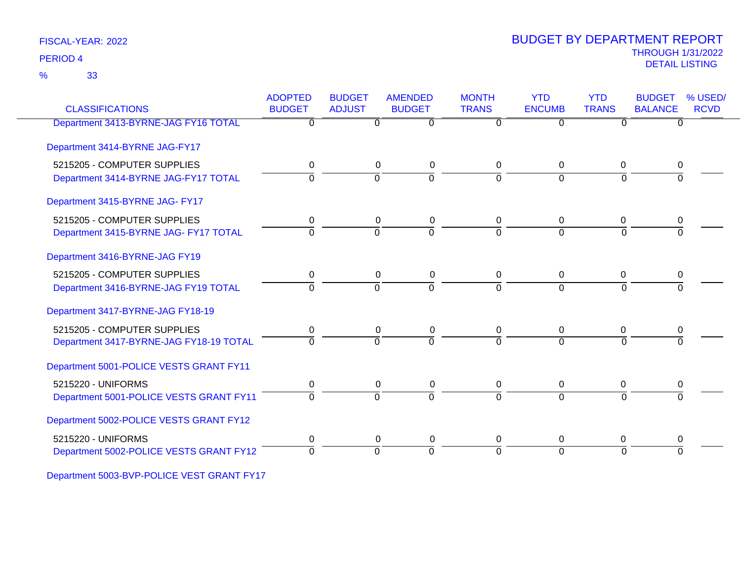33 %

### THROUGH 1/31/2022 DETAIL LISTING PERIOD <sup>4</sup> BUDGET BY DEPARTMENT REPORT

| <b>CLASSIFICATIONS</b>                  | <b>ADOPTED</b><br><b>BUDGET</b> | <b>BUDGET</b><br><b>ADJUST</b> | <b>AMENDED</b><br><b>BUDGET</b> | <b>MONTH</b><br><b>TRANS</b> | <b>YTD</b><br><b>ENCUMB</b> | <b>YTD</b><br><b>TRANS</b> | <b>BUDGET</b><br><b>BALANCE</b> | % USED/<br><b>RCVD</b> |
|-----------------------------------------|---------------------------------|--------------------------------|---------------------------------|------------------------------|-----------------------------|----------------------------|---------------------------------|------------------------|
| Department 3413-BYRNE-JAG FY16 TOTAL    | $\overline{0}$                  |                                | $\overline{0}$<br>0             | $\Omega$                     | $\overline{0}$              | $\Omega$                   | $\overline{0}$                  |                        |
| Department 3414-BYRNE JAG-FY17          |                                 |                                |                                 |                              |                             |                            |                                 |                        |
| 5215205 - COMPUTER SUPPLIES             | 0                               |                                | 0<br>0                          | 0                            | 0                           | 0                          | 0                               |                        |
| Department 3414-BYRNE JAG-FY17 TOTAL    | $\Omega$                        |                                | $\overline{0}$<br>$\Omega$      | $\Omega$                     | $\Omega$                    | $\Omega$                   | U                               |                        |
| Department 3415-BYRNE JAG- FY17         |                                 |                                |                                 |                              |                             |                            |                                 |                        |
| 5215205 - COMPUTER SUPPLIES             | 0                               |                                | 0<br>0                          | 0                            | 0                           | 0                          | 0                               |                        |
| Department 3415-BYRNE JAG- FY17 TOTAL   | $\Omega$                        |                                | ō<br>$\Omega$                   | $\Omega$                     | $\Omega$                    | $\Omega$                   | $\Omega$                        |                        |
| Department 3416-BYRNE-JAG FY19          |                                 |                                |                                 |                              |                             |                            |                                 |                        |
| 5215205 - COMPUTER SUPPLIES             | 0                               |                                | 0<br>0                          | 0                            | 0                           | 0                          |                                 |                        |
| Department 3416-BYRNE-JAG FY19 TOTAL    | $\Omega$                        |                                | $\overline{0}$<br>$\Omega$      | $\Omega$                     | $\overline{0}$              | $\Omega$                   | $\Omega$                        |                        |
| Department 3417-BYRNE-JAG FY18-19       |                                 |                                |                                 |                              |                             |                            |                                 |                        |
| 5215205 - COMPUTER SUPPLIES             | $\mathbf 0$                     |                                | 0<br>0                          | 0                            | 0                           | $\pmb{0}$                  | 0                               |                        |
| Department 3417-BYRNE-JAG FY18-19 TOTAL | $\Omega$                        |                                | $\Omega$<br>$\Omega$            | $\Omega$                     | $\Omega$                    | $\Omega$                   | ∩                               |                        |
| Department 5001-POLICE VESTS GRANT FY11 |                                 |                                |                                 |                              |                             |                            |                                 |                        |
| 5215220 - UNIFORMS                      | 0                               |                                | 0<br>0                          | 0                            | 0                           | 0                          | 0                               |                        |
| Department 5001-POLICE VESTS GRANT FY11 | $\Omega$                        |                                | $\overline{0}$<br>$\Omega$      | $\Omega$                     | $\Omega$                    | $\Omega$                   | $\Omega$                        |                        |
| Department 5002-POLICE VESTS GRANT FY12 |                                 |                                |                                 |                              |                             |                            |                                 |                        |
| 5215220 - UNIFORMS                      | 0                               |                                | 0<br>0                          | 0                            | 0                           | 0                          | 0                               |                        |
| Department 5002-POLICE VESTS GRANT FY12 | $\Omega$                        |                                | $\overline{0}$<br>$\Omega$      | $\Omega$                     | $\Omega$                    | $\Omega$                   | $\overline{0}$                  |                        |
|                                         |                                 |                                |                                 |                              |                             |                            |                                 |                        |

Department 5003-BVP-POLICE VEST GRANT FY17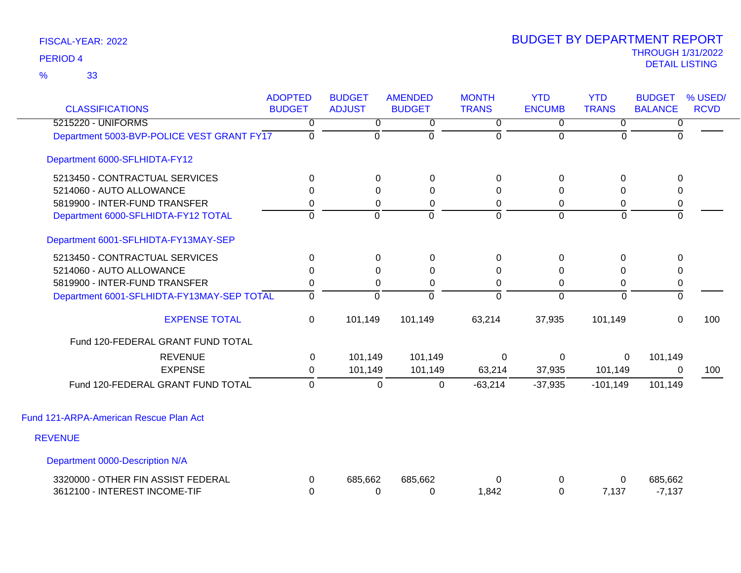| <b>CLASSIFICATIONS</b>                                              | <b>ADOPTED</b><br><b>BUDGET</b> | <b>BUDGET</b><br><b>ADJUST</b> | <b>AMENDED</b><br><b>BUDGET</b> | <b>MONTH</b><br><b>TRANS</b> | <b>YTD</b><br><b>ENCUMB</b> | <b>YTD</b><br><b>TRANS</b> | <b>BUDGET</b><br><b>BALANCE</b> | % USED/<br><b>RCVD</b> |
|---------------------------------------------------------------------|---------------------------------|--------------------------------|---------------------------------|------------------------------|-----------------------------|----------------------------|---------------------------------|------------------------|
| 5215220 - UNIFORMS                                                  | 0                               | $\overline{0}$                 | $\overline{0}$                  | $\overline{0}$               | $\overline{0}$              | $\overline{0}$             | $\overline{0}$                  |                        |
| Department 5003-BVP-POLICE VEST GRANT FY17                          | $\Omega$                        | $\Omega$                       | $\Omega$                        | $\Omega$                     | $\overline{0}$              | 0                          | $\Omega$                        |                        |
| Department 6000-SFLHIDTA-FY12                                       |                                 |                                |                                 |                              |                             |                            |                                 |                        |
| 5213450 - CONTRACTUAL SERVICES                                      | $\Omega$                        | $\Omega$                       | $\mathbf{0}$                    | $\Omega$                     | 0                           | 0                          | 0                               |                        |
| 5214060 - AUTO ALLOWANCE                                            | $\Omega$                        | $\Omega$                       | $\Omega$                        | 0                            | 0                           | 0                          | 0                               |                        |
| 5819900 - INTER-FUND TRANSFER                                       | 0                               | 0                              | 0                               | 0                            | 0                           | 0                          | 0                               |                        |
| Department 6000-SFLHIDTA-FY12 TOTAL                                 | $\Omega$                        | $\Omega$                       | $\overline{0}$                  | $\Omega$                     | $\overline{0}$              | $\Omega$                   | $\Omega$                        |                        |
| Department 6001-SFLHIDTA-FY13MAY-SEP                                |                                 |                                |                                 |                              |                             |                            |                                 |                        |
| 5213450 - CONTRACTUAL SERVICES                                      | $\Omega$                        | $\Omega$                       | $\mathbf 0$                     | $\mathbf 0$                  | 0                           | $\Omega$                   | 0                               |                        |
| 5214060 - AUTO ALLOWANCE                                            | $\Omega$                        | $\Omega$                       | $\Omega$                        | 0                            | 0                           | 0                          | 0                               |                        |
| 5819900 - INTER-FUND TRANSFER                                       | 0                               | 0                              | 0                               | 0                            | 0                           | 0                          | $\pmb{0}$                       |                        |
| Department 6001-SFLHIDTA-FY13MAY-SEP TOTAL                          | $\mathbf 0$                     | $\mathbf 0$                    | ō                               | $\Omega$                     | $\overline{0}$              | $\overline{0}$             | $\overline{0}$                  |                        |
| <b>EXPENSE TOTAL</b>                                                | 0                               | 101,149                        | 101,149                         | 63,214                       | 37,935                      | 101,149                    | $\mathbf 0$                     | 100                    |
| Fund 120-FEDERAL GRANT FUND TOTAL                                   |                                 |                                |                                 |                              |                             |                            |                                 |                        |
| <b>REVENUE</b>                                                      | 0                               | 101,149                        | 101,149                         | 0                            | $\Omega$                    | $\mathbf{0}$               | 101,149                         |                        |
| <b>EXPENSE</b>                                                      | $\Omega$                        | 101,149                        | 101,149                         | 63,214                       | 37,935                      | 101,149                    | 0                               | 100                    |
| Fund 120-FEDERAL GRANT FUND TOTAL                                   | $\Omega$                        | 0                              | 0                               | $-63,214$                    | $-37,935$                   | $-101,149$                 | 101,149                         |                        |
| Fund 121-ARPA-American Rescue Plan Act                              |                                 |                                |                                 |                              |                             |                            |                                 |                        |
| <b>REVENUE</b>                                                      |                                 |                                |                                 |                              |                             |                            |                                 |                        |
| Department 0000-Description N/A                                     |                                 |                                |                                 |                              |                             |                            |                                 |                        |
| 3320000 - OTHER FIN ASSIST FEDERAL<br>3612100 - INTEREST INCOME-TIF | 0<br>0                          | 685,662<br>0                   | 685,662<br>$\Omega$             | 0<br>1,842                   | 0<br>0                      | 0<br>7,137                 | 685,662<br>$-7,137$             |                        |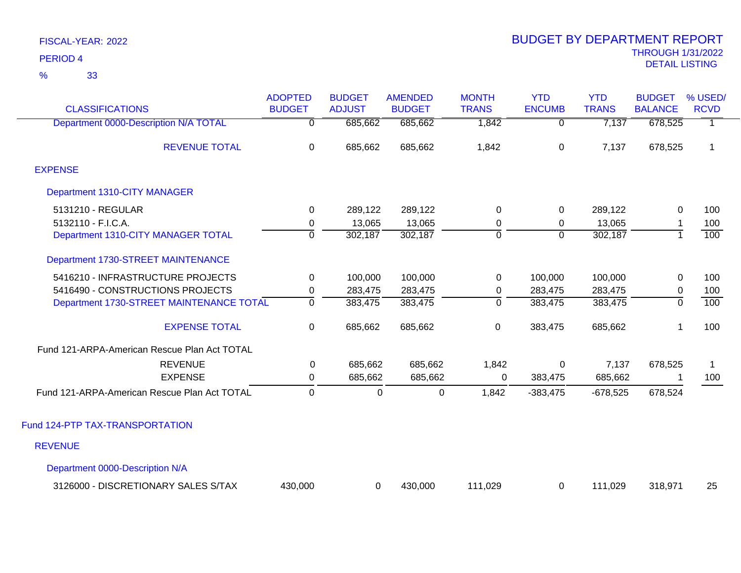| <b>CLASSIFICATIONS</b>                       | <b>ADOPTED</b><br><b>BUDGET</b> | <b>BUDGET</b><br><b>ADJUST</b> | <b>AMENDED</b><br><b>BUDGET</b> | <b>MONTH</b><br><b>TRANS</b> | <b>YTD</b><br><b>ENCUMB</b> | <b>YTD</b><br><b>TRANS</b> | <b>BUDGET</b><br><b>BALANCE</b> | % USED/<br><b>RCVD</b> |
|----------------------------------------------|---------------------------------|--------------------------------|---------------------------------|------------------------------|-----------------------------|----------------------------|---------------------------------|------------------------|
| Department 0000-Description N/A TOTAL        | $\overline{0}$                  | 685,662                        | 685,662                         | 1,842                        | $\overline{0}$              | 7,137                      | 678,525                         | $\overline{1}$         |
| <b>REVENUE TOTAL</b>                         | $\mathbf 0$                     | 685,662                        | 685,662                         | 1,842                        | $\overline{0}$              | 7,137                      | 678,525                         | $\mathbf{1}$           |
| <b>EXPENSE</b>                               |                                 |                                |                                 |                              |                             |                            |                                 |                        |
| Department 1310-CITY MANAGER                 |                                 |                                |                                 |                              |                             |                            |                                 |                        |
| 5131210 - REGULAR                            | $\Omega$                        | 289,122                        | 289,122                         | 0                            | 0                           | 289,122                    | 0                               | 100                    |
| 5132110 - F.I.C.A.                           | 0                               | 13,065                         | 13,065                          | 0                            | $\mathbf 0$                 | 13,065                     |                                 | 100                    |
| Department 1310-CITY MANAGER TOTAL           | $\mathbf 0$                     | 302,187                        | 302,187                         | $\mathbf 0$                  | $\mathbf 0$                 | 302,187                    | $\overline{1}$                  | 100                    |
| Department 1730-STREET MAINTENANCE           |                                 |                                |                                 |                              |                             |                            |                                 |                        |
| 5416210 - INFRASTRUCTURE PROJECTS            | 0                               | 100,000                        | 100,000                         | 0                            | 100,000                     | 100,000                    | 0                               | 100                    |
| 5416490 - CONSTRUCTIONS PROJECTS             | 0                               | 283,475                        | 283,475                         | 0                            | 283,475                     | 283,475                    | 0                               | 100                    |
| Department 1730-STREET MAINTENANCE TOTAL     | $\overline{0}$                  | 383,475                        | 383,475                         | $\overline{0}$               | 383,475                     | 383,475                    | $\overline{0}$                  | 100                    |
| <b>EXPENSE TOTAL</b>                         | 0                               | 685,662                        | 685,662                         | $\mathbf 0$                  | 383,475                     | 685,662                    |                                 | 100                    |
| Fund 121-ARPA-American Rescue Plan Act TOTAL |                                 |                                |                                 |                              |                             |                            |                                 |                        |
| <b>REVENUE</b>                               | 0                               | 685,662                        | 685,662                         | 1,842                        | 0                           | 7,137                      | 678,525                         | 1                      |
| <b>EXPENSE</b>                               | 0                               | 685,662                        | 685,662                         | 0                            | 383,475                     | 685,662                    |                                 | 100                    |
| Fund 121-ARPA-American Rescue Plan Act TOTAL | $\mathbf 0$                     | $\mathbf{0}$                   | 0                               | 1,842                        | $-383,475$                  | $-678,525$                 | 678,524                         |                        |
| Fund 124-PTP TAX-TRANSPORTATION              |                                 |                                |                                 |                              |                             |                            |                                 |                        |
| <b>REVENUE</b>                               |                                 |                                |                                 |                              |                             |                            |                                 |                        |
| Department 0000-Description N/A              |                                 |                                |                                 |                              |                             |                            |                                 |                        |
| 3126000 - DISCRETIONARY SALES S/TAX          | 430,000                         | 0                              | 430,000                         | 111,029                      | 0                           | 111,029                    | 318,971                         | 25                     |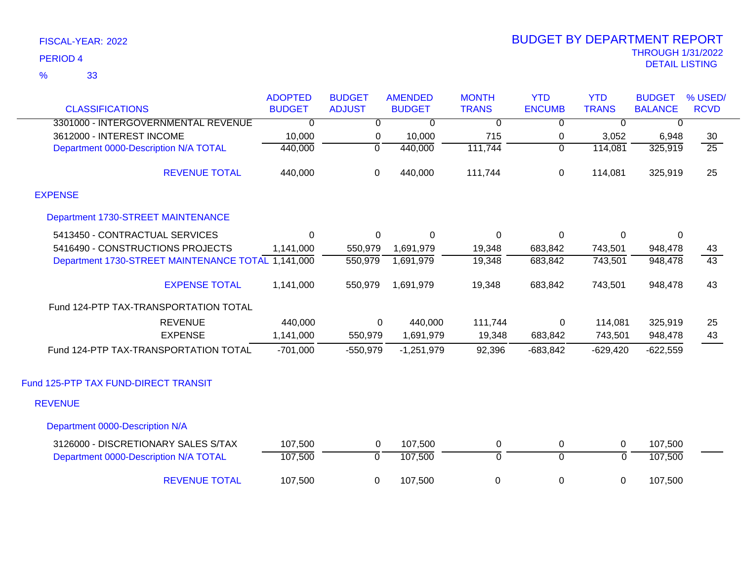| <b>CLASSIFICATIONS</b>                             | <b>ADOPTED</b><br><b>BUDGET</b> | <b>BUDGET</b><br><b>ADJUST</b> | <b>AMENDED</b><br><b>BUDGET</b> | <b>MONTH</b><br><b>TRANS</b> | <b>YTD</b><br><b>ENCUMB</b> | <b>YTD</b><br><b>TRANS</b> | <b>BUDGET</b><br><b>BALANCE</b> | % USED/<br><b>RCVD</b> |
|----------------------------------------------------|---------------------------------|--------------------------------|---------------------------------|------------------------------|-----------------------------|----------------------------|---------------------------------|------------------------|
| 3301000 - INTERGOVERNMENTAL REVENUE                | 0                               | $\mathbf 0$                    | 0                               | 0                            | 0                           | $\overline{0}$             | $\mathbf 0$                     |                        |
| 3612000 - INTEREST INCOME                          | 10,000                          | 0                              | 10,000                          | 715                          | 0                           | 3,052                      | 6,948                           | 30                     |
| Department 0000-Description N/A TOTAL              | 440,000                         | $\overline{0}$                 | 440,000                         | 111,744                      | $\overline{0}$              | 114,081                    | 325,919                         | $\overline{25}$        |
|                                                    |                                 |                                |                                 |                              |                             |                            |                                 |                        |
| <b>REVENUE TOTAL</b>                               | 440,000                         | 0                              | 440,000                         | 111,744                      | 0                           | 114,081                    | 325,919                         | 25                     |
| <b>EXPENSE</b>                                     |                                 |                                |                                 |                              |                             |                            |                                 |                        |
| Department 1730-STREET MAINTENANCE                 |                                 |                                |                                 |                              |                             |                            |                                 |                        |
| 5413450 - CONTRACTUAL SERVICES                     | $\Omega$                        | 0                              | $\Omega$                        | $\Omega$                     | $\Omega$                    | $\Omega$                   | 0                               |                        |
| 5416490 - CONSTRUCTIONS PROJECTS                   | 1,141,000                       | 550,979                        | 1,691,979                       | 19,348                       | 683,842                     | 743,501                    | 948,478                         | 43                     |
| Department 1730-STREET MAINTENANCE TOTAL 1,141,000 |                                 | 550,979                        | 1,691,979                       | 19,348                       | 683,842                     | 743,501                    | 948,478                         | 43                     |
| <b>EXPENSE TOTAL</b>                               | 1,141,000                       | 550,979                        | 1,691,979                       | 19,348                       | 683,842                     | 743,501                    | 948,478                         | 43                     |
| Fund 124-PTP TAX-TRANSPORTATION TOTAL              |                                 |                                |                                 |                              |                             |                            |                                 |                        |
| <b>REVENUE</b>                                     | 440,000                         | 0                              | 440,000                         | 111,744                      | $\mathbf 0$                 | 114,081                    | 325,919                         | 25                     |
| <b>EXPENSE</b>                                     | 1,141,000                       | 550,979                        | 1,691,979                       | 19,348                       | 683,842                     | 743,501                    | 948,478                         | 43                     |
| Fund 124-PTP TAX-TRANSPORTATION TOTAL              | $-701,000$                      | $-550,979$                     | $-1,251,979$                    | 92,396                       | $-683,842$                  | $-629,420$                 | $-622,559$                      |                        |
| Fund 125-PTP TAX FUND-DIRECT TRANSIT               |                                 |                                |                                 |                              |                             |                            |                                 |                        |
| <b>REVENUE</b>                                     |                                 |                                |                                 |                              |                             |                            |                                 |                        |
| Department 0000-Description N/A                    |                                 |                                |                                 |                              |                             |                            |                                 |                        |
| 3126000 - DISCRETIONARY SALES S/TAX                | 107,500                         | $\mathbf 0$                    | 107,500                         | 0                            | $\overline{0}$              | $\mathbf 0$                | 107,500                         |                        |
| Department 0000-Description N/A TOTAL              | 107,500                         | $\overline{0}$                 | 107,500                         | $\overline{0}$               | $\overline{0}$              | 0                          | 107,500                         |                        |
| <b>REVENUE TOTAL</b>                               | 107,500                         | 0                              | 107,500                         | 0                            | 0                           | 0                          | 107,500                         |                        |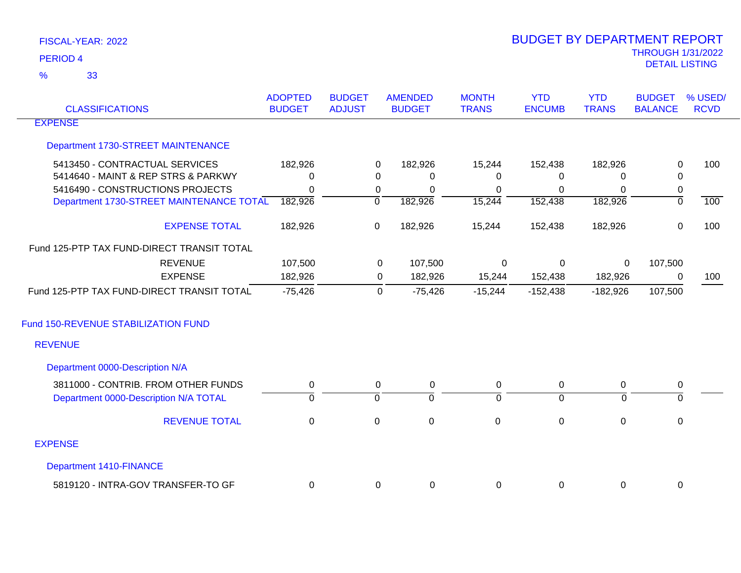| <b>CLASSIFICATIONS</b>                     | <b>ADOPTED</b><br><b>BUDGET</b> | <b>BUDGET</b><br><b>ADJUST</b> | <b>AMENDED</b><br><b>BUDGET</b> | <b>MONTH</b><br><b>TRANS</b> | <b>YTD</b><br><b>ENCUMB</b> | <b>YTD</b><br><b>TRANS</b> | <b>BUDGET</b><br><b>BALANCE</b> | % USED/<br><b>RCVD</b> |
|--------------------------------------------|---------------------------------|--------------------------------|---------------------------------|------------------------------|-----------------------------|----------------------------|---------------------------------|------------------------|
| <b>EXPENSE</b>                             |                                 |                                |                                 |                              |                             |                            |                                 |                        |
| Department 1730-STREET MAINTENANCE         |                                 |                                |                                 |                              |                             |                            |                                 |                        |
| 5413450 - CONTRACTUAL SERVICES             | 182,926                         |                                | 182,926<br>0                    | 15,244                       | 152,438                     | 182,926                    | 0                               | 100                    |
| 5414640 - MAINT & REP STRS & PARKWY        | $\mathbf{0}$                    |                                | $\Omega$<br>0                   | $\Omega$                     | 0                           | 0                          | 0                               |                        |
| 5416490 - CONSTRUCTIONS PROJECTS           | $\mathbf{0}$                    |                                | $\mathbf 0$<br>0                | 0                            | $\mathbf 0$                 | $\Omega$                   | $\pmb{0}$                       |                        |
| Department 1730-STREET MAINTENANCE TOTAL   | 182,926                         |                                | $\overline{0}$<br>182,926       | 15,244                       | 152,438                     | 182,926                    | $\overline{0}$                  | 100                    |
| <b>EXPENSE TOTAL</b>                       | 182,926                         |                                | $\mathbf 0$<br>182,926          | 15,244                       | 152,438                     | 182,926                    | $\mathsf 0$                     | 100                    |
| Fund 125-PTP TAX FUND-DIRECT TRANSIT TOTAL |                                 |                                |                                 |                              |                             |                            |                                 |                        |
| <b>REVENUE</b>                             | 107,500                         |                                | 107,500<br>0                    | 0                            | 0                           | $\mathbf 0$                | 107,500                         |                        |
| <b>EXPENSE</b>                             | 182,926                         |                                | 182,926<br>0                    | 15,244                       | 152,438                     | 182,926                    | 0                               | 100                    |
| Fund 125-PTP TAX FUND-DIRECT TRANSIT TOTAL | $-75,426$                       |                                | $\mathbf 0$<br>$-75,426$        | $-15,244$                    | $-152,438$                  | $-182,926$                 | 107,500                         |                        |
| Fund 150-REVENUE STABILIZATION FUND        |                                 |                                |                                 |                              |                             |                            |                                 |                        |
| <b>REVENUE</b>                             |                                 |                                |                                 |                              |                             |                            |                                 |                        |
| Department 0000-Description N/A            |                                 |                                |                                 |                              |                             |                            |                                 |                        |
| 3811000 - CONTRIB. FROM OTHER FUNDS        | $\mathbf 0$                     |                                | 0<br>0                          | 0                            | $\mathbf 0$                 | 0                          | $\pmb{0}$                       |                        |
| Department 0000-Description N/A TOTAL      | $\mathbf 0$                     | $\overline{0}$                 | $\Omega$                        | $\mathbf 0$                  | $\overline{0}$              | $\Omega$                   | 0                               |                        |
| <b>REVENUE TOTAL</b>                       | $\mathbf 0$                     | $\mathbf 0$                    | $\mathbf 0$                     | $\mathbf 0$                  | $\pmb{0}$                   | $\mathbf 0$                | 0                               |                        |
| <b>EXPENSE</b>                             |                                 |                                |                                 |                              |                             |                            |                                 |                        |
| <b>Department 1410-FINANCE</b>             |                                 |                                |                                 |                              |                             |                            |                                 |                        |
| 5819120 - INTRA-GOV TRANSFER-TO GF         | 0                               |                                | 0<br>0                          | 0                            | $\mathbf 0$                 | 0                          | 0                               |                        |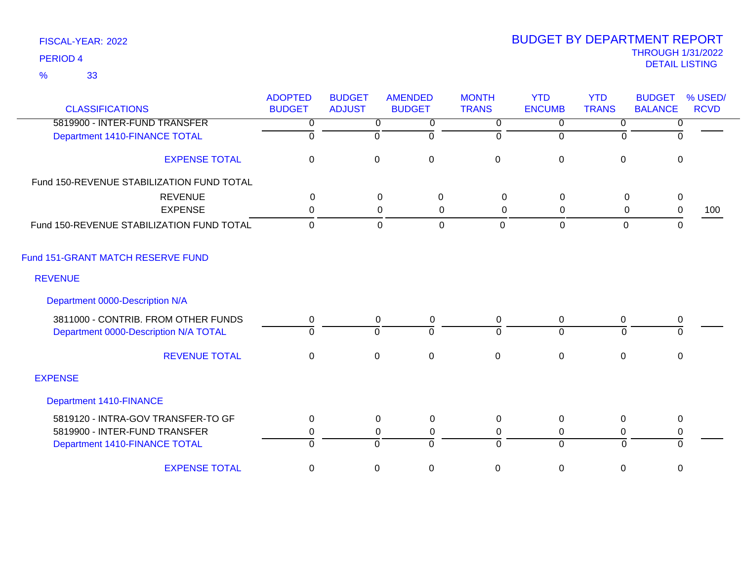| <b>CLASSIFICATIONS</b>                                                       | <b>ADOPTED</b><br><b>BUDGET</b> | <b>BUDGET</b><br><b>ADJUST</b> | <b>AMENDED</b><br><b>BUDGET</b> | <b>MONTH</b><br><b>TRANS</b> | <b>YTD</b><br><b>ENCUMB</b> | <b>YTD</b><br><b>TRANS</b> | <b>BUDGET</b><br><b>BALANCE</b> | % USED/<br><b>RCVD</b> |
|------------------------------------------------------------------------------|---------------------------------|--------------------------------|---------------------------------|------------------------------|-----------------------------|----------------------------|---------------------------------|------------------------|
| 5819900 - INTER-FUND TRANSFER                                                | $\overline{0}$                  |                                | $\overline{0}$<br>0             | $\overline{0}$               | $\overline{0}$              | $\overline{0}$             | 0                               |                        |
| Department 1410-FINANCE TOTAL                                                | $\overline{0}$                  | 0                              | $\mathbf 0$                     | ō                            | $\mathbf 0$                 | $\Omega$                   | $\Omega$                        |                        |
| <b>EXPENSE TOTAL</b>                                                         | $\mathbf 0$                     | $\mathsf 0$                    | $\pmb{0}$                       | $\pmb{0}$                    | $\pmb{0}$                   | $\boldsymbol{0}$           | $\mathbf 0$                     |                        |
| Fund 150-REVENUE STABILIZATION FUND TOTAL                                    |                                 |                                |                                 |                              |                             |                            |                                 |                        |
| <b>REVENUE</b>                                                               | $\Omega$                        |                                | $\Omega$<br>0                   | $\Omega$                     | $\mathbf 0$                 | 0                          | $\mathbf 0$                     |                        |
| <b>EXPENSE</b>                                                               | 0                               |                                | 0<br>0                          | 0                            | $\mathbf 0$                 | 0                          | $\pmb{0}$                       | 100                    |
| Fund 150-REVENUE STABILIZATION FUND TOTAL                                    | $\mathbf 0$                     |                                | $\mathbf 0$<br>$\mathbf 0$      | $\Omega$                     | $\mathbf 0$                 | 0                          | $\mathbf{0}$                    |                        |
| Fund 151-GRANT MATCH RESERVE FUND                                            |                                 |                                |                                 |                              |                             |                            |                                 |                        |
| <b>REVENUE</b>                                                               |                                 |                                |                                 |                              |                             |                            |                                 |                        |
| Department 0000-Description N/A                                              |                                 |                                |                                 |                              |                             |                            |                                 |                        |
| 3811000 - CONTRIB. FROM OTHER FUNDS<br>Department 0000-Description N/A TOTAL | 0<br>$\Omega$                   | $\Omega$                       | $\mathbf 0$<br>0<br>$\Omega$    | $\mathbf 0$<br>$\Omega$      | 0<br>$\Omega$               | 0<br>$\Omega$              | $\pmb{0}$<br>$\Omega$           |                        |
| <b>REVENUE TOTAL</b>                                                         | $\mathbf 0$                     | 0                              | $\mathbf 0$                     | $\pmb{0}$                    | $\pmb{0}$                   | $\mathbf 0$                | $\mathbf 0$                     |                        |
| <b>EXPENSE</b>                                                               |                                 |                                |                                 |                              |                             |                            |                                 |                        |
| <b>Department 1410-FINANCE</b>                                               |                                 |                                |                                 |                              |                             |                            |                                 |                        |
| 5819120 - INTRA-GOV TRANSFER-TO GF                                           | 0                               |                                | 0<br>$\mathbf 0$                | 0                            | 0                           | $\mathbf{0}$               | $\mathbf 0$                     |                        |
| 5819900 - INTER-FUND TRANSFER                                                | 0                               |                                | 0<br>0                          | 0                            | 0                           | 0                          | $\pmb{0}$                       |                        |
| Department 1410-FINANCE TOTAL                                                | $\Omega$                        | $\Omega$                       | $\Omega$                        | $\Omega$                     | $\Omega$                    | $\Omega$                   | $\Omega$                        |                        |
| <b>EXPENSE TOTAL</b>                                                         | 0                               | 0                              | $\mathbf 0$                     | $\mathbf 0$                  | $\pmb{0}$                   | 0                          | $\mathbf 0$                     |                        |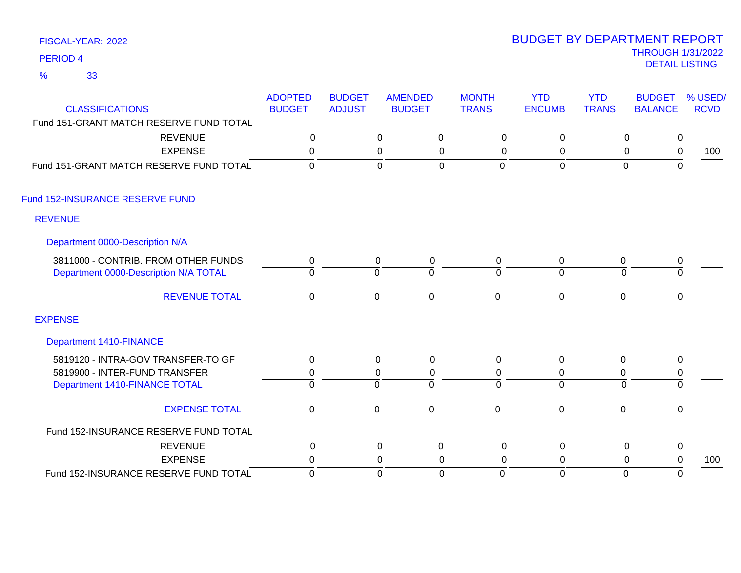33 %

| <b>CLASSIFICATIONS</b>                  | <b>ADOPTED</b><br><b>BUDGET</b> | <b>BUDGET</b><br><b>ADJUST</b> | <b>AMENDED</b><br><b>BUDGET</b> | <b>MONTH</b><br><b>TRANS</b> | <b>YTD</b><br><b>ENCUMB</b> | <b>YTD</b><br><b>TRANS</b> | <b>BUDGET</b><br><b>BALANCE</b> | % USED/<br><b>RCVD</b> |
|-----------------------------------------|---------------------------------|--------------------------------|---------------------------------|------------------------------|-----------------------------|----------------------------|---------------------------------|------------------------|
| Fund 151-GRANT MATCH RESERVE FUND TOTAL |                                 |                                |                                 |                              |                             |                            |                                 |                        |
| <b>REVENUE</b>                          | $\mathbf 0$                     |                                | $\mathbf 0$<br>$\mathbf 0$      | $\mathbf 0$                  | $\mathbf 0$                 | $\mathbf 0$                | $\mathsf 0$                     |                        |
| <b>EXPENSE</b>                          | $\mathbf 0$                     |                                | $\pmb{0}$<br>$\mathbf 0$        | $\mathbf 0$                  | $\mathsf 0$                 | $\mathbf 0$                | $\pmb{0}$                       | 100                    |
| Fund 151-GRANT MATCH RESERVE FUND TOTAL | $\Omega$                        |                                | $\mathbf 0$<br>$\mathbf 0$      | 0                            | $\mathbf 0$                 | $\mathbf 0$                | $\mathbf{0}$                    |                        |
| Fund 152-INSURANCE RESERVE FUND         |                                 |                                |                                 |                              |                             |                            |                                 |                        |
| <b>REVENUE</b>                          |                                 |                                |                                 |                              |                             |                            |                                 |                        |
| Department 0000-Description N/A         |                                 |                                |                                 |                              |                             |                            |                                 |                        |
| 3811000 - CONTRIB. FROM OTHER FUNDS     | 0                               | $\mathbf 0$                    | $\mathbf 0$                     | $\mathbf 0$                  | $\mathbf 0$                 | 0                          | $\pmb{0}$                       |                        |
| Department 0000-Description N/A TOTAL   | $\Omega$                        | $\Omega$                       | $\Omega$                        | $\Omega$                     | $\Omega$                    | $\Omega$                   | $\Omega$                        |                        |
| <b>REVENUE TOTAL</b>                    | $\mathbf 0$                     | $\pmb{0}$                      | $\pmb{0}$                       | $\mathbf 0$                  | $\pmb{0}$                   | $\pmb{0}$                  | $\pmb{0}$                       |                        |
| <b>EXPENSE</b>                          |                                 |                                |                                 |                              |                             |                            |                                 |                        |
| <b>Department 1410-FINANCE</b>          |                                 |                                |                                 |                              |                             |                            |                                 |                        |
| 5819120 - INTRA-GOV TRANSFER-TO GF      | 0                               | $\mathbf 0$                    | $\mathbf 0$                     | $\mathbf 0$                  | $\mathbf 0$                 | $\boldsymbol{0}$           | $\mathbf 0$                     |                        |
| 5819900 - INTER-FUND TRANSFER           | 0                               | 0                              | $\mathbf 0$                     | 0                            | 0                           | $\mathbf 0$                | $\pmb{0}$                       |                        |
| Department 1410-FINANCE TOTAL           | $\Omega$                        | $\Omega$                       | $\Omega$                        | $\Omega$                     | $\Omega$                    | $\Omega$                   | $\mathbf 0$                     |                        |
| <b>EXPENSE TOTAL</b>                    | $\mathbf 0$                     | $\mathbf 0$                    | $\mathbf 0$                     | $\mathbf 0$                  | $\mathbf 0$                 | $\mathbf 0$                | 0                               |                        |
| Fund 152-INSURANCE RESERVE FUND TOTAL   |                                 |                                |                                 |                              |                             |                            |                                 |                        |
| <b>REVENUE</b>                          | 0                               |                                | 0<br>0                          | 0                            | $\mathbf 0$                 | $\mathbf 0$                | $\mathbf 0$                     |                        |
| <b>EXPENSE</b>                          | $\mathbf 0$                     |                                | 0<br>0                          | $\mathbf 0$                  | 0                           | 0                          | 0                               | 100                    |
| Fund 152-INSURANCE RESERVE FUND TOTAL   | $\mathbf 0$                     |                                | $\mathbf 0$<br>$\mathbf 0$      | $\Omega$                     | $\Omega$                    | $\mathbf{0}$               | $\mathbf 0$                     |                        |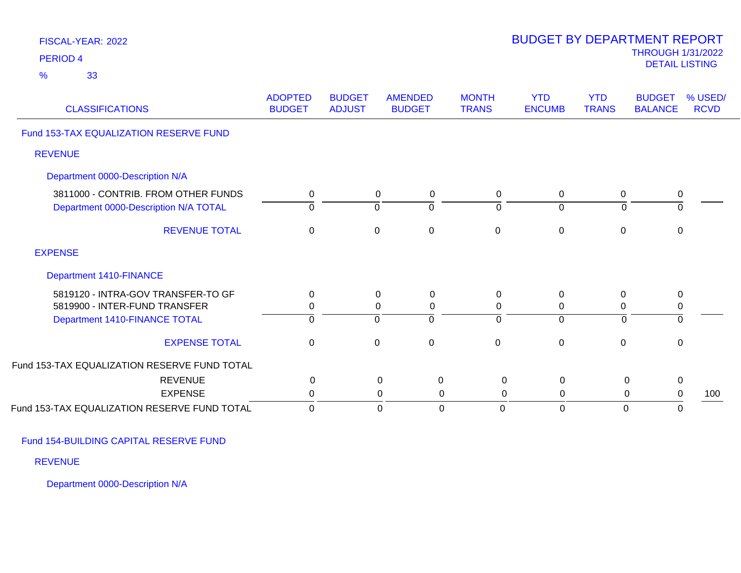| FISCAL-YEAR: 2022<br><b>PERIOD 4</b><br>33<br>$\frac{9}{6}$                                          |                                 |                                |                                                        |                               | <b>BUDGET BY DEPARTMENT REPORT</b>   |                               | <b>THROUGH 1/31/2022</b><br><b>DETAIL LISTING</b> |                        |
|------------------------------------------------------------------------------------------------------|---------------------------------|--------------------------------|--------------------------------------------------------|-------------------------------|--------------------------------------|-------------------------------|---------------------------------------------------|------------------------|
| <b>CLASSIFICATIONS</b>                                                                               | <b>ADOPTED</b><br><b>BUDGET</b> | <b>BUDGET</b><br><b>ADJUST</b> | <b>AMENDED</b><br><b>BUDGET</b>                        | <b>MONTH</b><br><b>TRANS</b>  | <b>YTD</b><br><b>ENCUMB</b>          | <b>YTD</b><br><b>TRANS</b>    | <b>BUDGET</b><br><b>BALANCE</b>                   | % USED/<br><b>RCVD</b> |
| Fund 153-TAX EQUALIZATION RESERVE FUND                                                               |                                 |                                |                                                        |                               |                                      |                               |                                                   |                        |
| <b>REVENUE</b>                                                                                       |                                 |                                |                                                        |                               |                                      |                               |                                                   |                        |
| Department 0000-Description N/A                                                                      |                                 |                                |                                                        |                               |                                      |                               |                                                   |                        |
| 3811000 - CONTRIB. FROM OTHER FUNDS<br>Department 0000-Description N/A TOTAL                         | 0<br>$\mathbf 0$                |                                | 0<br>0<br>$\overline{0}$<br>$\overline{0}$             | $\mathbf 0$<br>$\overline{0}$ | $\mathbf 0$<br>$\mathbf 0$           | $\mathbf 0$<br>$\mathbf 0$    | 0<br>$\overline{0}$                               |                        |
| <b>REVENUE TOTAL</b>                                                                                 | $\pmb{0}$                       |                                | $\mathbf 0$<br>$\boldsymbol{0}$                        | $\mathbf 0$                   | $\pmb{0}$                            | $\pmb{0}$                     | $\pmb{0}$                                         |                        |
| <b>EXPENSE</b>                                                                                       |                                 |                                |                                                        |                               |                                      |                               |                                                   |                        |
| Department 1410-FINANCE                                                                              |                                 |                                |                                                        |                               |                                      |                               |                                                   |                        |
| 5819120 - INTRA-GOV TRANSFER-TO GF<br>5819900 - INTER-FUND TRANSFER<br>Department 1410-FINANCE TOTAL | 0<br>$\mathbf 0$<br>$\mathbf 0$ |                                | 0<br>0<br>0<br>$\pmb{0}$<br>$\overline{0}$<br>$\Omega$ | 0<br>$\mathbf 0$<br>$\Omega$  | 0<br>$\boldsymbol{0}$<br>$\mathbf 0$ | 0<br>$\pmb{0}$<br>$\mathbf 0$ | 0<br>$\pmb{0}$<br>$\mathbf 0$                     |                        |
| <b>EXPENSE TOTAL</b>                                                                                 | $\pmb{0}$                       |                                | $\boldsymbol{0}$<br>0                                  | $\mathbf 0$                   | $\pmb{0}$                            | $\pmb{0}$                     | $\pmb{0}$                                         |                        |
| Fund 153-TAX EQUALIZATION RESERVE FUND TOTAL                                                         |                                 |                                |                                                        |                               |                                      |                               |                                                   |                        |
| <b>REVENUE</b>                                                                                       | $\pmb{0}$                       |                                | $\mathbf 0$<br>0                                       | $\mathsf 0$                   | $\mathbf 0$                          | $\mathbf 0$                   | 0                                                 |                        |
| <b>EXPENSE</b>                                                                                       | $\pmb{0}$                       |                                | $\pmb{0}$<br>$\mathbf 0$                               | $\mathbf 0$                   | $\mathbf 0$                          | $\pmb{0}$                     | $\boldsymbol{0}$                                  | 100                    |
| Fund 153-TAX EQUALIZATION RESERVE FUND TOTAL                                                         | $\mathbf 0$                     |                                | $\mathbf 0$<br>$\mathbf 0$                             | $\Omega$                      | $\mathbf 0$                          | $\mathbf 0$                   | $\mathbf 0$                                       |                        |

Fund 154-BUILDING CAPITAL RESERVE FUND

REVENUE

Department 0000-Description N/A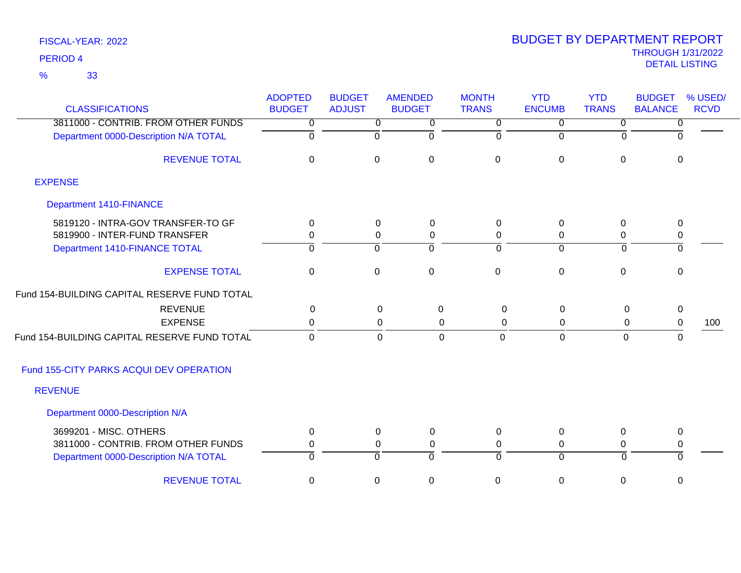33 %

| <b>CLASSIFICATIONS</b>                       | <b>ADOPTED</b><br><b>BUDGET</b> | <b>BUDGET</b><br><b>ADJUST</b> | <b>AMENDED</b><br><b>BUDGET</b> | <b>MONTH</b><br><b>TRANS</b> | <b>YTD</b><br><b>ENCUMB</b>   | <b>YTD</b><br><b>TRANS</b> | <b>BUDGET</b><br><b>BALANCE</b> | % USED/<br><b>RCVD</b> |
|----------------------------------------------|---------------------------------|--------------------------------|---------------------------------|------------------------------|-------------------------------|----------------------------|---------------------------------|------------------------|
| 3811000 - CONTRIB. FROM OTHER FUNDS          |                                 |                                |                                 |                              |                               |                            |                                 |                        |
| Department 0000-Description N/A TOTAL        | 0<br>$\Omega$                   | 0<br>$\Omega$                  | 0<br>$\Omega$                   | 0<br>$\Omega$                | $\overline{0}$<br>$\mathbf 0$ | 0<br>0                     | 0<br>$\Omega$                   |                        |
|                                              |                                 |                                |                                 |                              |                               |                            |                                 |                        |
| <b>REVENUE TOTAL</b>                         | $\mathbf 0$                     | $\mathbf 0$                    | $\mathbf 0$                     | $\mathbf 0$                  | $\pmb{0}$                     | $\mathbf 0$                | $\mathbf 0$                     |                        |
| <b>EXPENSE</b>                               |                                 |                                |                                 |                              |                               |                            |                                 |                        |
| <b>Department 1410-FINANCE</b>               |                                 |                                |                                 |                              |                               |                            |                                 |                        |
| 5819120 - INTRA-GOV TRANSFER-TO GF           | $\Omega$                        | 0                              | $\mathbf 0$                     | $\mathbf{0}$                 | 0                             | 0                          | 0                               |                        |
| 5819900 - INTER-FUND TRANSFER                | 0                               | 0                              | 0                               | 0                            | 0                             | 0                          | 0                               |                        |
| Department 1410-FINANCE TOTAL                | ō                               | $\overline{0}$                 | ō                               | $\overline{0}$               | $\overline{0}$                | $\overline{0}$             | $\overline{0}$                  |                        |
| <b>EXPENSE TOTAL</b>                         | 0                               | $\Omega$                       | $\mathbf 0$                     | $\mathbf 0$                  | $\mathbf 0$                   | $\Omega$                   | $\Omega$                        |                        |
| Fund 154-BUILDING CAPITAL RESERVE FUND TOTAL |                                 |                                |                                 |                              |                               |                            |                                 |                        |
| <b>REVENUE</b>                               | $\mathbf{0}$                    |                                | 0<br>$\Omega$                   | $\Omega$                     | $\mathbf{0}$                  | $\mathbf 0$                | 0                               |                        |
| <b>EXPENSE</b>                               | $\pmb{0}$                       |                                | 0<br>$\mathbf 0$                | $\pmb{0}$                    | $\mathbf 0$                   | $\mathbf 0$                | $\mathbf 0$                     | 100                    |
| Fund 154-BUILDING CAPITAL RESERVE FUND TOTAL | $\Omega$                        |                                | $\Omega$<br>$\Omega$            | $\Omega$                     | $\Omega$                      | $\mathbf{0}$               | $\Omega$                        |                        |
| Fund 155-CITY PARKS ACQUI DEV OPERATION      |                                 |                                |                                 |                              |                               |                            |                                 |                        |
| <b>REVENUE</b>                               |                                 |                                |                                 |                              |                               |                            |                                 |                        |
| Department 0000-Description N/A              |                                 |                                |                                 |                              |                               |                            |                                 |                        |
| 3699201 - MISC. OTHERS                       | 0                               | 0                              | 0                               | 0                            | 0                             | 0                          | 0                               |                        |
| 3811000 - CONTRIB. FROM OTHER FUNDS          | 0                               | 0                              | 0                               | 0                            | 0                             | 0                          | 0                               |                        |
| Department 0000-Description N/A TOTAL        | $\Omega$                        | $\Omega$                       | $\Omega$                        | $\Omega$                     | $\Omega$                      | $\Omega$                   | $\Omega$                        |                        |
| <b>REVENUE TOTAL</b>                         | 0                               | 0                              | $\mathbf 0$                     | 0                            | $\mathbf 0$                   | $\mathbf 0$                | $\boldsymbol{0}$                |                        |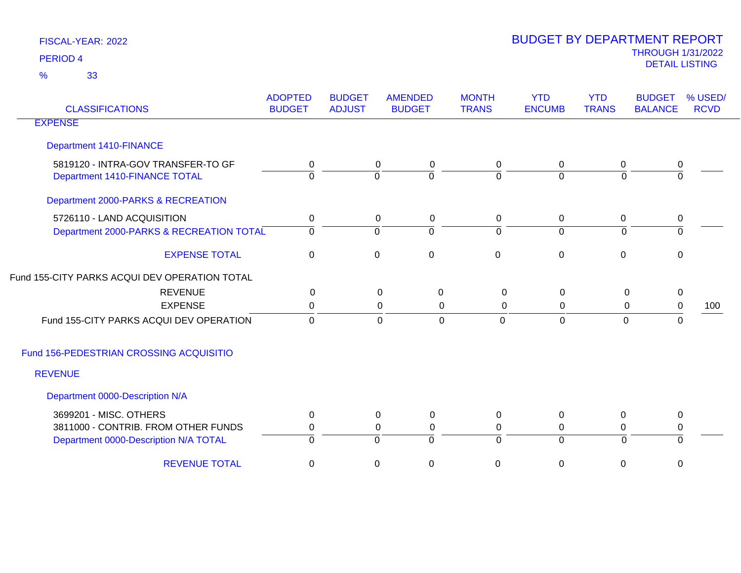| <b>CLASSIFICATIONS</b>                                              | <b>ADOPTED</b><br><b>BUDGET</b> | <b>BUDGET</b><br><b>ADJUST</b> | <b>AMENDED</b><br><b>BUDGET</b> | <b>MONTH</b><br><b>TRANS</b> | <b>YTD</b><br><b>ENCUMB</b> | <b>YTD</b><br><b>TRANS</b> | <b>BUDGET</b><br><b>BALANCE</b> | % USED/<br><b>RCVD</b> |
|---------------------------------------------------------------------|---------------------------------|--------------------------------|---------------------------------|------------------------------|-----------------------------|----------------------------|---------------------------------|------------------------|
| <b>EXPENSE</b>                                                      |                                 |                                |                                 |                              |                             |                            |                                 |                        |
| <b>Department 1410-FINANCE</b>                                      |                                 |                                |                                 |                              |                             |                            |                                 |                        |
| 5819120 - INTRA-GOV TRANSFER-TO GF<br>Department 1410-FINANCE TOTAL | $\mathbf 0$<br>$\Omega$         | $\mathbf 0$                    | $\mathbf 0$<br>0<br>$\Omega$    | 0<br>0                       | $\mathbf 0$<br>$\Omega$     | 0<br>$\Omega$              | $\pmb{0}$<br>$\Omega$           |                        |
| Department 2000-PARKS & RECREATION                                  |                                 |                                |                                 |                              |                             |                            |                                 |                        |
| 5726110 - LAND ACQUISITION                                          | $\mathbf 0$                     |                                | 0<br>$\mathbf 0$                | 0                            | 0                           | $\mathbf 0$                | $\pmb{0}$                       |                        |
| Department 2000-PARKS & RECREATION TOTAL                            | $\mathbf 0$                     | $\overline{0}$                 | $\Omega$                        | $\Omega$                     | $\overline{0}$              | $\overline{0}$             | $\overline{0}$                  |                        |
| <b>EXPENSE TOTAL</b>                                                | $\pmb{0}$                       | $\pmb{0}$                      | $\mathbf 0$                     | $\mathbf 0$                  | $\mathbf 0$                 | $\mathbf 0$                | $\pmb{0}$                       |                        |
| Fund 155-CITY PARKS ACQUI DEV OPERATION TOTAL                       |                                 |                                |                                 |                              |                             |                            |                                 |                        |
| <b>REVENUE</b>                                                      | $\mathbf{0}$                    |                                | $\Omega$<br>0                   | $\Omega$                     | $\Omega$                    | 0                          | $\pmb{0}$                       |                        |
| <b>EXPENSE</b>                                                      | 0                               |                                | 0<br>0                          | 0                            | 0                           | 0                          | $\mathsf 0$                     | 100                    |
| Fund 155-CITY PARKS ACQUI DEV OPERATION                             | $\mathbf 0$                     |                                | $\overline{0}$<br>$\mathbf 0$   | $\mathbf 0$                  | $\mathbf 0$                 | $\overline{0}$             | $\pmb{0}$                       |                        |
| Fund 156-PEDESTRIAN CROSSING ACQUISITIO                             |                                 |                                |                                 |                              |                             |                            |                                 |                        |
| <b>REVENUE</b>                                                      |                                 |                                |                                 |                              |                             |                            |                                 |                        |
| Department 0000-Description N/A                                     |                                 |                                |                                 |                              |                             |                            |                                 |                        |
| 3699201 - MISC. OTHERS                                              | 0                               |                                | $\pmb{0}$<br>0                  | 0                            | $\mathbf{0}$                | $\mathbf 0$                | $\pmb{0}$                       |                        |
| 3811000 - CONTRIB. FROM OTHER FUNDS                                 | 0                               |                                | $\mathbf 0$<br>$\mathbf 0$      | 0                            | 0                           | 0                          | $\pmb{0}$                       |                        |
| Department 0000-Description N/A TOTAL                               | $\mathbf 0$                     | $\overline{0}$                 | $\Omega$                        | $\Omega$                     | $\mathbf 0$                 | $\mathbf 0$                | $\overline{0}$                  |                        |
| <b>REVENUE TOTAL</b>                                                | $\mathbf 0$                     | $\mathsf 0$                    | 0                               | 0                            | 0                           | 0                          | $\mathbf 0$                     |                        |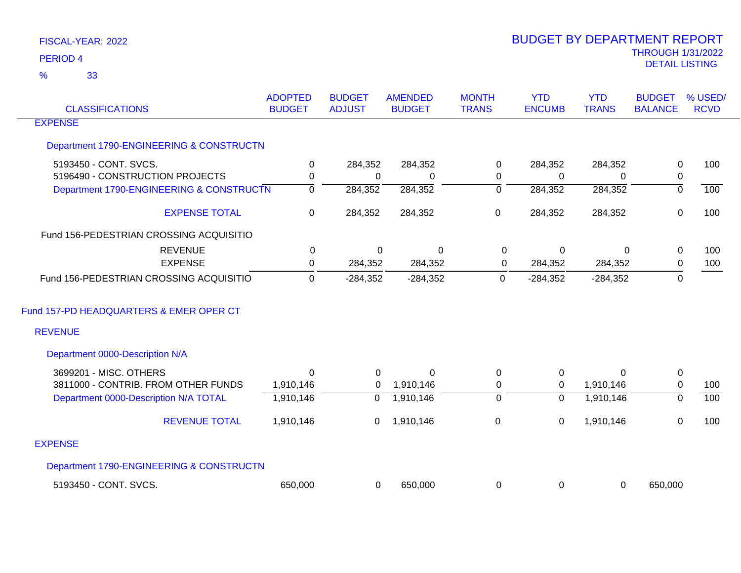| <b>CLASSIFICATIONS</b>                   | <b>ADOPTED</b><br><b>BUDGET</b> | <b>BUDGET</b><br><b>ADJUST</b> | <b>AMENDED</b><br><b>BUDGET</b> | <b>MONTH</b><br><b>TRANS</b> | <b>YTD</b><br><b>ENCUMB</b> | <b>YTD</b><br><b>TRANS</b> | <b>BUDGET</b><br><b>BALANCE</b> | % USED/<br><b>RCVD</b> |
|------------------------------------------|---------------------------------|--------------------------------|---------------------------------|------------------------------|-----------------------------|----------------------------|---------------------------------|------------------------|
| <b>EXPENSE</b>                           |                                 |                                |                                 |                              |                             |                            |                                 |                        |
| Department 1790-ENGINEERING & CONSTRUCTN |                                 |                                |                                 |                              |                             |                            |                                 |                        |
| 5193450 - CONT. SVCS.                    | 0                               | 284,352                        | 284,352                         | 0                            | 284,352                     | 284,352                    | 0                               | 100                    |
| 5196490 - CONSTRUCTION PROJECTS          | $\mathbf 0$                     | 0                              | $\Omega$                        | 0                            | 0                           | $\Omega$                   | $\pmb{0}$                       |                        |
| Department 1790-ENGINEERING & CONSTRUCTN | $\overline{0}$                  | 284,352                        | 284,352                         | $\overline{0}$               | 284,352                     | 284,352                    | $\overline{0}$                  | $\overline{100}$       |
| <b>EXPENSE TOTAL</b>                     | 0                               | 284,352                        | 284,352                         | 0                            | 284,352                     | 284,352                    | 0                               | 100                    |
| Fund 156-PEDESTRIAN CROSSING ACQUISITIO  |                                 |                                |                                 |                              |                             |                            |                                 |                        |
| <b>REVENUE</b>                           | 0                               | $\Omega$                       | 0                               | 0                            | 0                           | $\Omega$                   | 0                               | 100                    |
| <b>EXPENSE</b>                           | 0                               | 284,352                        | 284,352                         | 0                            | 284,352                     | 284,352                    | $\mathbf 0$                     | 100                    |
| Fund 156-PEDESTRIAN CROSSING ACQUISITIO  | $\mathbf 0$                     | $-284,352$                     | $-284,352$                      | $\Omega$                     | $-284,352$                  | $-284,352$                 | $\mathbf{0}$                    |                        |
| Fund 157-PD HEADQUARTERS & EMER OPER CT  |                                 |                                |                                 |                              |                             |                            |                                 |                        |
| <b>REVENUE</b>                           |                                 |                                |                                 |                              |                             |                            |                                 |                        |
| Department 0000-Description N/A          |                                 |                                |                                 |                              |                             |                            |                                 |                        |
| 3699201 - MISC. OTHERS                   | $\Omega$                        | $\Omega$                       | $\Omega$                        | 0                            | $\mathbf 0$                 | $\Omega$                   | $\mathbf 0$                     |                        |
| 3811000 - CONTRIB. FROM OTHER FUNDS      | 1,910,146                       | 0                              | 1,910,146                       | 0                            | $\mathbf 0$                 | 1,910,146                  | $\mathbf 0$                     | 100                    |
| Department 0000-Description N/A TOTAL    | 1,910,146                       | $\overline{0}$                 | 1,910,146                       | $\overline{0}$               | $\mathbf 0$                 | 1,910,146                  | $\overline{0}$                  | 100                    |
| <b>REVENUE TOTAL</b>                     | 1,910,146                       | 0                              | 1,910,146                       | 0                            | $\mathbf 0$                 | 1,910,146                  | 0                               | 100                    |
| <b>EXPENSE</b>                           |                                 |                                |                                 |                              |                             |                            |                                 |                        |
| Department 1790-ENGINEERING & CONSTRUCTN |                                 |                                |                                 |                              |                             |                            |                                 |                        |
| 5193450 - CONT. SVCS.                    | 650,000                         | 0                              | 650,000                         | 0                            | 0                           | $\mathbf 0$                | 650,000                         |                        |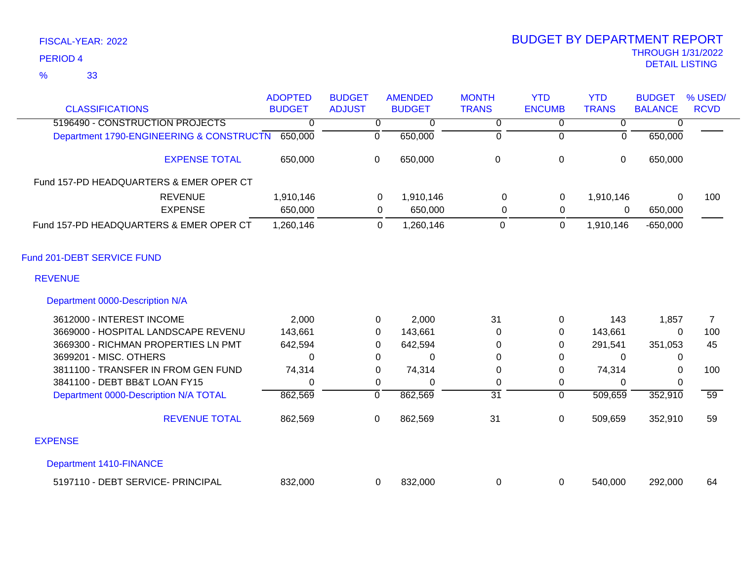| <b>CLASSIFICATIONS</b>                   | <b>ADOPTED</b><br><b>BUDGET</b> | <b>BUDGET</b><br><b>ADJUST</b> | <b>AMENDED</b><br><b>BUDGET</b> | <b>MONTH</b><br><b>TRANS</b> | <b>YTD</b><br><b>ENCUMB</b> | <b>YTD</b><br><b>TRANS</b> | <b>BUDGET</b><br><b>BALANCE</b> | % USED/<br><b>RCVD</b> |
|------------------------------------------|---------------------------------|--------------------------------|---------------------------------|------------------------------|-----------------------------|----------------------------|---------------------------------|------------------------|
| 5196490 - CONSTRUCTION PROJECTS          | 0                               |                                |                                 | 0                            |                             |                            |                                 |                        |
| Department 1790-ENGINEERING & CONSTRUCTN | 650,000                         | 0                              | 650,000                         | 0                            |                             | 0                          | 650,000                         |                        |
| <b>EXPENSE TOTAL</b>                     | 650,000                         | 0                              | 650,000                         | 0                            | $\mathbf 0$                 | 0                          | 650,000                         |                        |
| Fund 157-PD HEADQUARTERS & EMER OPER CT  |                                 |                                |                                 |                              |                             |                            |                                 |                        |
| <b>REVENUE</b>                           | 1,910,146                       | 0                              | 1,910,146                       | $\Omega$                     | 0                           | 1,910,146                  | 0                               | 100                    |
| <b>EXPENSE</b>                           | 650,000                         | 0                              | 650,000                         | 0                            | 0                           | 0                          | 650,000                         |                        |
| Fund 157-PD HEADQUARTERS & EMER OPER CT  | 1,260,146                       | 0                              | 1,260,146                       | 0                            | 0                           | 1,910,146                  | $-650,000$                      |                        |
| Fund 201-DEBT SERVICE FUND               |                                 |                                |                                 |                              |                             |                            |                                 |                        |
| <b>REVENUE</b>                           |                                 |                                |                                 |                              |                             |                            |                                 |                        |
| Department 0000-Description N/A          |                                 |                                |                                 |                              |                             |                            |                                 |                        |
| ------- --------------                   |                                 |                                | .                               |                              |                             | $\sim$ $\sim$              |                                 |                        |

| 3612000 - INTEREST INCOME             | 2,000   |   | 2,000    | 31 |   | 143     | 1,857   |     |
|---------------------------------------|---------|---|----------|----|---|---------|---------|-----|
| 3669000 - HOSPITAL LANDSCAPE REVENU   | 143,661 | 0 | 143.661  | 0  | 0 | 143,661 |         | 100 |
| 3669300 - RICHMAN PROPERTIES LN PMT   | 642,594 |   | 642.594  |    | 0 | 291.541 | 351.053 | 45  |
| 3699201 - MISC. OTHERS                | 0       |   | $\Omega$ | 0  | 0 |         |         |     |
| 3811100 - TRANSFER IN FROM GEN FUND   | 74,314  | 0 | 74,314   | 0  | 0 | 74,314  | 0       | 100 |
| 3841100 - DEBT BB&T LOAN FY15         |         |   | 0        |    |   |         |         |     |
| Department 0000-Description N/A TOTAL | 862,569 |   | 862,569  | 31 |   | 509,659 | 352,910 | 59  |
| <b>REVENUE TOTAL</b>                  | 862,569 | 0 | 862,569  | 31 | 0 | 509,659 | 352,910 | 59  |
| <b>EXPENSE</b>                        |         |   |          |    |   |         |         |     |
| Department 1410-FINANCE               |         |   |          |    |   |         |         |     |
| 5197110 - DEBT SERVICE- PRINCIPAL     | 832,000 |   | 832,000  |    |   | 540,000 | 292,000 | 64  |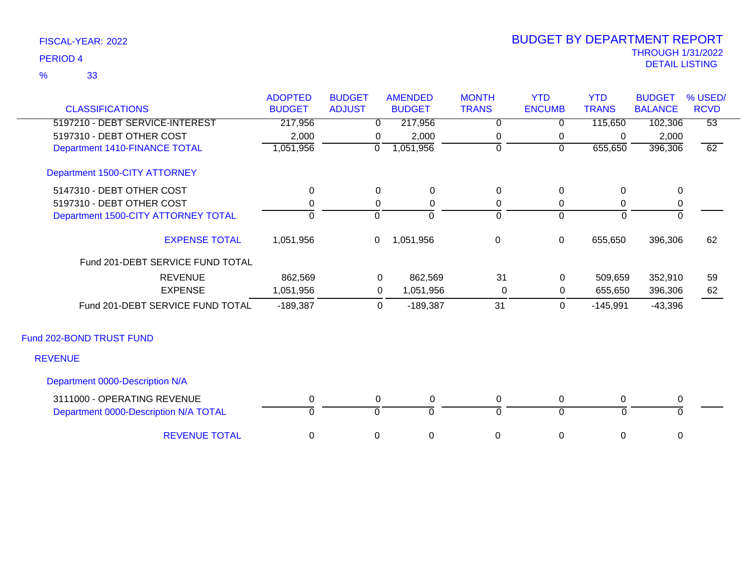|                                       | <b>ADOPTED</b> | <b>BUDGET</b> | <b>AMENDED</b> | <b>MONTH</b>   | <b>YTD</b>     | <b>YTD</b>   | <b>BUDGET</b>  | % USED/         |
|---------------------------------------|----------------|---------------|----------------|----------------|----------------|--------------|----------------|-----------------|
| <b>CLASSIFICATIONS</b>                | <b>BUDGET</b>  | <b>ADJUST</b> | <b>BUDGET</b>  | <b>TRANS</b>   | <b>ENCUMB</b>  | <b>TRANS</b> | <b>BALANCE</b> | <b>RCVD</b>     |
| 5197210 - DEBT SERVICE-INTEREST       | 217,956        | 0             | 217,956        | 0              | 0              | 115,650      | 102,306        | $\overline{53}$ |
| 5197310 - DEBT OTHER COST             | 2,000          | 0             | 2,000          | 0              | 0              | $\mathbf 0$  | 2,000          |                 |
| Department 1410-FINANCE TOTAL         | 1,051,956      | $\Omega$      | 1,051,956      | $\overline{0}$ | $\overline{0}$ | 655,650      | 396,306        | 62              |
| Department 1500-CITY ATTORNEY         |                |               |                |                |                |              |                |                 |
| 5147310 - DEBT OTHER COST             | $\mathbf 0$    | 0             | $\mathbf 0$    | $\pmb{0}$      | $\mathbf 0$    | $\mathbf 0$  | $\mathbf 0$    |                 |
| 5197310 - DEBT OTHER COST             | 0              | 0             | 0              | 0              | $\mathbf 0$    | 0            | $\mathbf 0$    |                 |
| Department 1500-CITY ATTORNEY TOTAL   | $\Omega$       | $\Omega$      | $\Omega$       | $\Omega$       | $\overline{0}$ | $\Omega$     | $\Omega$       |                 |
| <b>EXPENSE TOTAL</b>                  | 1,051,956      | $\mathbf 0$   | 1,051,956      | $\mathbf 0$    | $\mathbf 0$    | 655,650      | 396,306        | 62              |
| Fund 201-DEBT SERVICE FUND TOTAL      |                |               |                |                |                |              |                |                 |
| <b>REVENUE</b>                        | 862,569        | 0             | 862,569        | 31             | 0              | 509,659      | 352,910        | 59              |
| <b>EXPENSE</b>                        | 1,051,956      | 0             | 1,051,956      | 0              | 0              | 655,650      | 396,306        | 62              |
| Fund 201-DEBT SERVICE FUND TOTAL      | $-189,387$     | $\mathbf 0$   | $-189,387$     | 31             | $\mathbf 0$    | $-145,991$   | $-43,396$      |                 |
| Fund 202-BOND TRUST FUND              |                |               |                |                |                |              |                |                 |
| <b>REVENUE</b>                        |                |               |                |                |                |              |                |                 |
| Department 0000-Description N/A       |                |               |                |                |                |              |                |                 |
| 3111000 - OPERATING REVENUE           | 0              | 0             | 0              | 0              | 0              | 0            | $\mathbf 0$    |                 |
| Department 0000-Description N/A TOTAL | $\Omega$       | $\Omega$      | $\overline{0}$ | $\Omega$       | $\overline{0}$ | $\Omega$     | $\Omega$       |                 |
| <b>REVENUE TOTAL</b>                  | 0              | 0             | 0              | 0              | $\mathbf 0$    | 0            | $\mathbf 0$    |                 |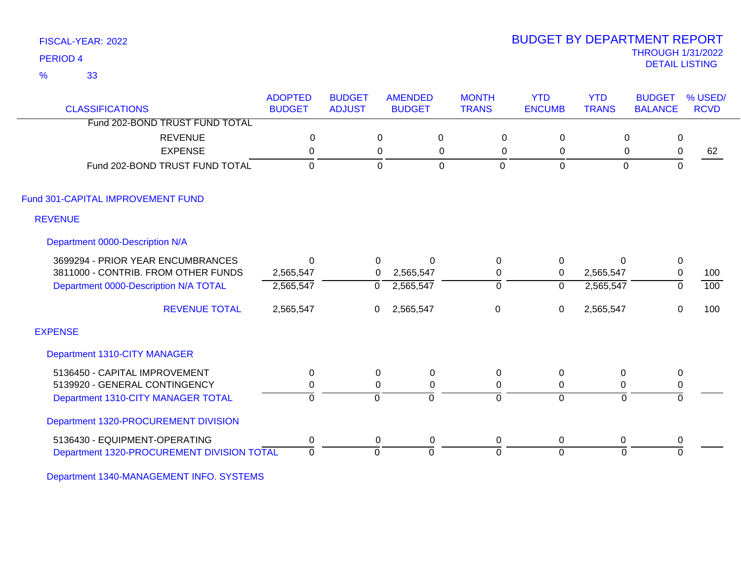33 %

### THROUGH 1/31/2022 DETAIL LISTING PERIOD <sup>4</sup> BUDGET BY DEPARTMENT REPORT

| <b>CLASSIFICATIONS</b>                     | <b>ADOPTED</b><br><b>BUDGET</b> | <b>BUDGET</b><br><b>ADJUST</b> | <b>AMENDED</b><br><b>BUDGET</b> | <b>MONTH</b><br><b>TRANS</b>  | <b>YTD</b><br><b>ENCUMB</b> | <b>YTD</b><br><b>TRANS</b> | <b>BUDGET</b><br><b>BALANCE</b> | % USED/<br><b>RCVD</b> |
|--------------------------------------------|---------------------------------|--------------------------------|---------------------------------|-------------------------------|-----------------------------|----------------------------|---------------------------------|------------------------|
| Fund 202-BOND TRUST FUND TOTAL             |                                 |                                |                                 |                               |                             |                            |                                 |                        |
| <b>REVENUE</b>                             | $\mathbf 0$                     | 0                              | $\pmb{0}$                       | 0                             | $\mathbf 0$                 | $\mathbf 0$                | $\mathbf 0$                     |                        |
| <b>EXPENSE</b>                             | $\mathbf{0}$                    | 0                              |                                 | 0<br>0                        | 0                           | 0                          | $\mathbf 0$                     | 62                     |
| Fund 202-BOND TRUST FUND TOTAL             | $\mathbf 0$                     | $\mathbf 0$                    |                                 | $\mathbf 0$<br>$\overline{0}$ | $\mathbf 0$                 | $\mathbf 0$                | $\mathbf{0}$                    |                        |
| Fund 301-CAPITAL IMPROVEMENT FUND          |                                 |                                |                                 |                               |                             |                            |                                 |                        |
| <b>REVENUE</b>                             |                                 |                                |                                 |                               |                             |                            |                                 |                        |
| Department 0000-Description N/A            |                                 |                                |                                 |                               |                             |                            |                                 |                        |
| 3699294 - PRIOR YEAR ENCUMBRANCES          | $\Omega$                        | 0                              | $\mathbf 0$                     | $\mathbf 0$                   | $\mathbf 0$                 | 0                          | $\mathbf 0$                     |                        |
| 3811000 - CONTRIB. FROM OTHER FUNDS        | 2,565,547                       | $\mathbf{0}$                   | 2,565,547                       | 0                             | $\mathbf 0$                 | 2,565,547                  | $\pmb{0}$                       | 100                    |
| Department 0000-Description N/A TOTAL      | 2,565,547                       | 0                              | 2,565,547                       | $\overline{0}$                | 0                           | 2,565,547                  | $\mathbf{0}$                    | 100                    |
| <b>REVENUE TOTAL</b>                       | 2,565,547                       | 0                              | 2,565,547                       | 0                             | 0                           | 2,565,547                  | $\mathbf{0}$                    | 100                    |
| <b>EXPENSE</b>                             |                                 |                                |                                 |                               |                             |                            |                                 |                        |
| Department 1310-CITY MANAGER               |                                 |                                |                                 |                               |                             |                            |                                 |                        |
| 5136450 - CAPITAL IMPROVEMENT              | $\mathbf{0}$                    | $\Omega$                       | $\mathbf 0$                     | 0                             | 0                           | 0                          | 0                               |                        |
| 5139920 - GENERAL CONTINGENCY              | 0                               | 0                              | 0                               | 0                             | 0                           | 0                          | 0                               |                        |
| Department 1310-CITY MANAGER TOTAL         | $\Omega$                        | $\Omega$                       | $\Omega$                        | $\Omega$                      | $\Omega$                    | $\Omega$                   | $\Omega$                        |                        |
| Department 1320-PROCUREMENT DIVISION       |                                 |                                |                                 |                               |                             |                            |                                 |                        |
| 5136430 - EQUIPMENT-OPERATING              | 0                               | 0                              | 0                               | 0                             | 0                           | 0                          | 0                               |                        |
| Department 1320-PROCUREMENT DIVISION TOTAL | $\overline{0}$                  | $\mathbf 0$                    | $\Omega$                        | $\Omega$                      | $\overline{0}$              | $\Omega$                   | $\Omega$                        |                        |

Department 1340-MANAGEMENT INFO. SYSTEMS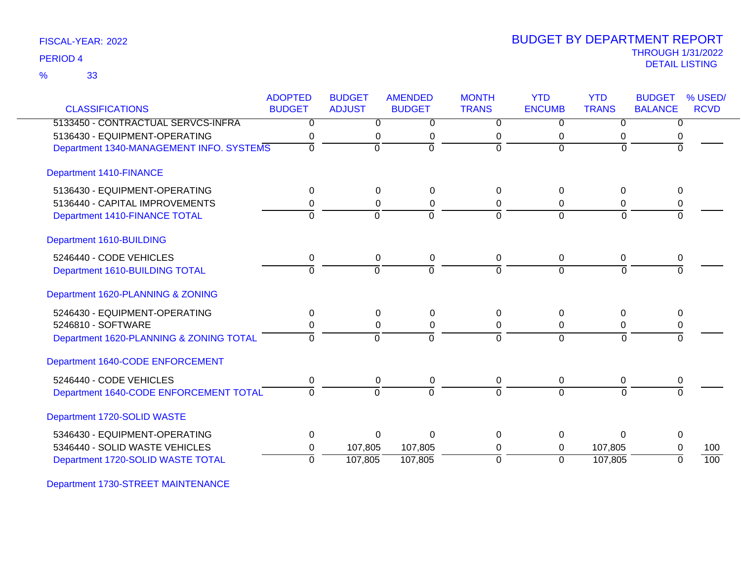| FISCAL-YEAR: 2022 |  |
|-------------------|--|
|-------------------|--|

33 %

|                                          | <b>ADOPTED</b> | <b>BUDGET</b>    | <b>AMENDED</b> | <b>MONTH</b>   | <b>YTD</b>     | <b>YTD</b>   | <b>BUDGET</b>  | % USED/     |
|------------------------------------------|----------------|------------------|----------------|----------------|----------------|--------------|----------------|-------------|
| <b>CLASSIFICATIONS</b>                   | <b>BUDGET</b>  | <b>ADJUST</b>    | <b>BUDGET</b>  | <b>TRANS</b>   | <b>ENCUMB</b>  | <b>TRANS</b> | <b>BALANCE</b> | <b>RCVD</b> |
| 5133450 - CONTRACTUAL SERVCS-INFRA       | 0              | 0                | $\mathbf 0$    | $\Omega$       | 0              | 0            | 0              |             |
| 5136430 - EQUIPMENT-OPERATING            | 0              | 0                | 0              | 0              | 0              | 0            | 0              |             |
| Department 1340-MANAGEMENT INFO. SYSTEMS | $\Omega$       | $\overline{0}$   | $\overline{0}$ | $\overline{0}$ | $\overline{0}$ | $\Omega$     | 0              |             |
| <b>Department 1410-FINANCE</b>           |                |                  |                |                |                |              |                |             |
| 5136430 - EQUIPMENT-OPERATING            | $\mathbf 0$    | 0                | 0              | $\Omega$       | 0              | $\Omega$     | 0              |             |
| 5136440 - CAPITAL IMPROVEMENTS           | 0              | 0                | 0              | 0              | 0              | 0            | 0              |             |
| Department 1410-FINANCE TOTAL            | $\Omega$       | $\Omega$         | $\Omega$       | $\Omega$       | $\Omega$       | $\Omega$     | $\Omega$       |             |
| Department 1610-BUILDING                 |                |                  |                |                |                |              |                |             |
| 5246440 - CODE VEHICLES                  | $\mathbf 0$    | $\mathbf 0$      | $\mathbf 0$    | 0              | 0              | 0            | 0              |             |
| Department 1610-BUILDING TOTAL           | $\Omega$       | $\overline{0}$   | $\overline{0}$ | $\overline{0}$ | $\overline{0}$ | $\Omega$     | $\overline{0}$ |             |
| Department 1620-PLANNING & ZONING        |                |                  |                |                |                |              |                |             |
| 5246430 - EQUIPMENT-OPERATING            | $\Omega$       | 0                | $\mathbf{0}$   | $\Omega$       | 0              | $\Omega$     | $\Omega$       |             |
| 5246810 - SOFTWARE                       | 0              | 0                | 0              | 0              | 0              | 0            | 0              |             |
| Department 1620-PLANNING & ZONING TOTAL  | $\Omega$       | $\Omega$         | $\overline{0}$ | $\Omega$       | $\overline{0}$ | $\Omega$     | $\Omega$       |             |
| Department 1640-CODE ENFORCEMENT         |                |                  |                |                |                |              |                |             |
| 5246440 - CODE VEHICLES                  | 0              | $\boldsymbol{0}$ | 0              | 0              | 0              | 0            | 0              |             |
| Department 1640-CODE ENFORCEMENT TOTAL   | $\Omega$       | $\Omega$         | $\overline{0}$ | $\Omega$       | $\Omega$       | $\Omega$     | $\Omega$       |             |
| Department 1720-SOLID WASTE              |                |                  |                |                |                |              |                |             |
| 5346430 - EQUIPMENT-OPERATING            | $\mathbf 0$    | $\Omega$         | $\Omega$       | $\Omega$       | $\Omega$       | $\Omega$     | $\Omega$       |             |
| 5346440 - SOLID WASTE VEHICLES           | 0              | 107,805          | 107,805        | 0              | $\Omega$       | 107,805      | O              | 100         |
| Department 1720-SOLID WASTE TOTAL        | $\Omega$       | 107,805          | 107,805        | $\overline{0}$ | $\overline{0}$ | 107,805      | $\Omega$       | 100         |

Department 1730-STREET MAINTENANCE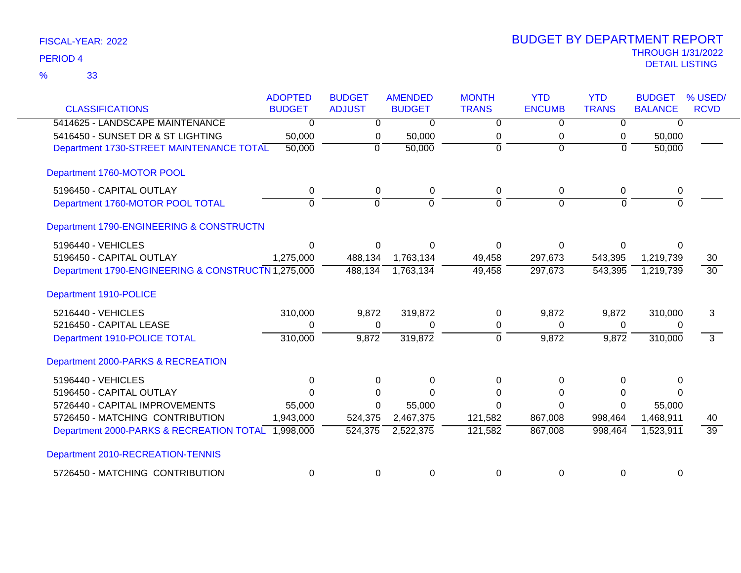| FISCAL-YEAR: 2022 |  |
|-------------------|--|
|                   |  |

|                                                    | <b>ADOPTED</b> | <b>BUDGET</b>  | <b>AMENDED</b> | <b>MONTH</b>   | <b>YTD</b>     | <b>YTD</b>     | <b>BUDGET</b>  | % USED/         |
|----------------------------------------------------|----------------|----------------|----------------|----------------|----------------|----------------|----------------|-----------------|
| <b>CLASSIFICATIONS</b>                             | <b>BUDGET</b>  | <b>ADJUST</b>  | <b>BUDGET</b>  | <b>TRANS</b>   | <b>ENCUMB</b>  | <b>TRANS</b>   | <b>BALANCE</b> | <b>RCVD</b>     |
| 5414625 - LANDSCAPE MAINTENANCE                    | $\overline{0}$ | $\overline{0}$ | $\overline{0}$ | $\overline{0}$ | $\overline{0}$ | $\overline{0}$ | $\overline{0}$ |                 |
| 5416450 - SUNSET DR & ST LIGHTING                  | 50,000         | 0              | 50,000         | 0              | 0              | 0              | 50,000         |                 |
| Department 1730-STREET MAINTENANCE TOTAL           | 50,000         | $\mathbf 0$    | 50,000         | $\Omega$       | $\Omega$       | $\Omega$       | 50,000         |                 |
| Department 1760-MOTOR POOL                         |                |                |                |                |                |                |                |                 |
| 5196450 - CAPITAL OUTLAY                           | 0              | 0              | $\pmb{0}$      | $\Omega$       | 0              | 0              | 0              |                 |
| Department 1760-MOTOR POOL TOTAL                   | $\overline{0}$ | ō              | $\overline{0}$ | $\overline{0}$ | $\overline{0}$ | 0              | $\overline{0}$ |                 |
| Department 1790-ENGINEERING & CONSTRUCTN           |                |                |                |                |                |                |                |                 |
| 5196440 - VEHICLES                                 | 0              | 0              | O              | $\Omega$       | $\Omega$       | 0              | 0              |                 |
| 5196450 - CAPITAL OUTLAY                           | 1,275,000      | 488,134        | 1,763,134      | 49,458         | 297,673        | 543,395        | 1,219,739      | 30              |
| Department 1790-ENGINEERING & CONSTRUCTN 1,275,000 |                | 488,134        | 1,763,134      | 49,458         | 297,673        | 543,395        | 1,219,739      | $\overline{30}$ |
| Department 1910-POLICE                             |                |                |                |                |                |                |                |                 |
| 5216440 - VEHICLES                                 | 310,000        | 9,872          | 319,872        | $\Omega$       | 9,872          | 9,872          | 310,000        | 3               |
| 5216450 - CAPITAL LEASE                            | 0              | 0              | 0              | 0              | 0              | $\mathbf 0$    | 0              |                 |
| Department 1910-POLICE TOTAL                       | 310,000        | 9,872          | 319,872        | ō              | 9,872          | 9,872          | 310,000        | $\overline{3}$  |
| Department 2000-PARKS & RECREATION                 |                |                |                |                |                |                |                |                 |
| 5196440 - VEHICLES                                 | $\Omega$       | $\Omega$       | 0              | $\Omega$       | 0              | $\Omega$       | 0              |                 |
| 5196450 - CAPITAL OUTLAY                           | 0              |                | $\Omega$       | ∩              | 0              | $\Omega$       | ∩              |                 |
| 5726440 - CAPITAL IMPROVEMENTS                     | 55,000         | 0              | 55,000         | $\Omega$       | $\Omega$       | $\Omega$       | 55,000         |                 |
| 5726450 - MATCHING CONTRIBUTION                    | 1,943,000      | 524,375        | 2,467,375      | 121,582        | 867,008        | 998,464        | 1,468,911      | 40              |
| Department 2000-PARKS & RECREATION TOTAL 1,998,000 |                | 524,375        | 2,522,375      | 121,582        | 867,008        | 998,464        | 1,523,911      | $\overline{39}$ |
| Department 2010-RECREATION-TENNIS                  |                |                |                |                |                |                |                |                 |
| 5726450 - MATCHING CONTRIBUTION                    | $\mathbf 0$    | $\Omega$       | 0              | $\Omega$       | 0              | $\Omega$       | $\mathbf 0$    |                 |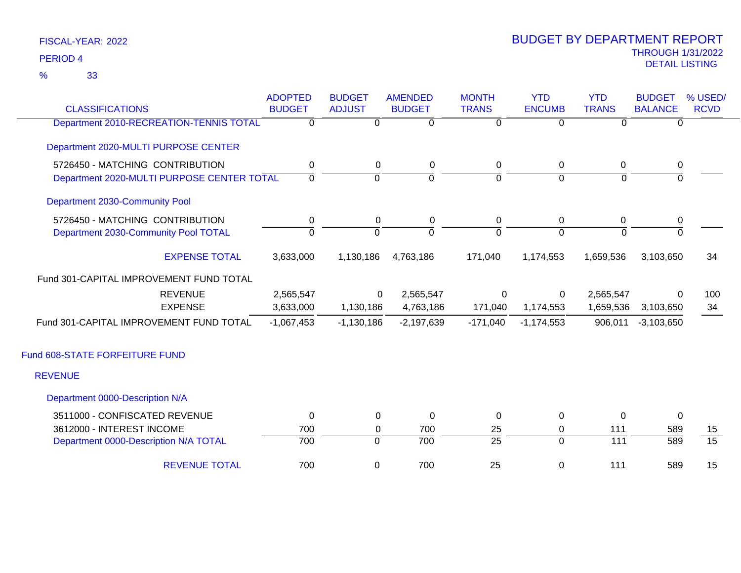33 %

| <b>CLASSIFICATIONS</b>                     | <b>ADOPTED</b><br><b>BUDGET</b> | <b>BUDGET</b><br><b>ADJUST</b> | <b>AMENDED</b><br><b>BUDGET</b> | <b>MONTH</b><br><b>TRANS</b> | <b>YTD</b><br><b>ENCUMB</b> | <b>YTD</b><br><b>TRANS</b> | <b>BUDGET</b><br><b>BALANCE</b> | % USED/<br><b>RCVD</b> |
|--------------------------------------------|---------------------------------|--------------------------------|---------------------------------|------------------------------|-----------------------------|----------------------------|---------------------------------|------------------------|
| Department 2010-RECREATION-TENNIS TOTAL    | $\overline{0}$                  | $\overline{0}$                 | $\overline{0}$                  | $\overline{0}$               | $\overline{0}$              | $\overline{0}$             | $\Omega$                        |                        |
| Department 2020-MULTI PURPOSE CENTER       |                                 |                                |                                 |                              |                             |                            |                                 |                        |
| 5726450 - MATCHING CONTRIBUTION            | $\mathbf 0$                     | $\mathbf 0$                    | $\mathbf 0$                     | $\mathbf 0$                  | $\pmb{0}$                   | 0                          | $\pmb{0}$                       |                        |
| Department 2020-MULTI PURPOSE CENTER TOTAL | $\mathbf 0$                     | $\Omega$                       | $\overline{0}$                  | $\Omega$                     | $\Omega$                    | $\Omega$                   | $\Omega$                        |                        |
| Department 2030-Community Pool             |                                 |                                |                                 |                              |                             |                            |                                 |                        |
| 5726450 - MATCHING CONTRIBUTION            | 0                               | 0                              | 0                               | 0                            | 0                           | 0                          | 0                               |                        |
| Department 2030-Community Pool TOTAL       | $\overline{0}$                  | $\overline{0}$                 | $\overline{0}$                  | $\overline{0}$               | $\overline{0}$              | $\overline{0}$             | $\Omega$                        |                        |
| <b>EXPENSE TOTAL</b>                       | 3,633,000                       | 1,130,186                      | 4,763,186                       | 171,040                      | 1,174,553                   | 1,659,536                  | 3,103,650                       | 34                     |
| Fund 301-CAPITAL IMPROVEMENT FUND TOTAL    |                                 |                                |                                 |                              |                             |                            |                                 |                        |
| <b>REVENUE</b>                             | 2,565,547                       | 0                              | 2,565,547                       | 0                            | 0                           | 2,565,547                  | 0                               | 100                    |
| <b>EXPENSE</b>                             | 3,633,000                       | 1,130,186                      | 4,763,186                       | 171,040                      | 1,174,553                   | 1,659,536                  | 3,103,650                       | 34                     |
| Fund 301-CAPITAL IMPROVEMENT FUND TOTAL    | $-1,067,453$                    | $-1,130,186$                   | $-2,197,639$                    | $-171,040$                   | $-1,174,553$                | 906,011                    | $-3,103,650$                    |                        |
| Fund 608-STATE FORFEITURE FUND             |                                 |                                |                                 |                              |                             |                            |                                 |                        |
| <b>REVENUE</b>                             |                                 |                                |                                 |                              |                             |                            |                                 |                        |
| Department 0000-Description N/A            |                                 |                                |                                 |                              |                             |                            |                                 |                        |
| 3511000 - CONFISCATED REVENUE              | 0                               | 0                              | 0                               | 0                            | $\mathbf 0$                 | $\Omega$                   | 0                               |                        |
| 3612000 - INTEREST INCOME                  | 700                             | 0                              | 700                             | 25                           | 0                           | 111                        | 589                             | 15                     |
| Department 0000-Description N/A TOTAL      | 700                             | $\overline{0}$                 | 700                             | $\overline{25}$              | $\overline{0}$              | $\overline{111}$           | 589                             | $\overline{15}$        |
| <b>REVENUE TOTAL</b>                       | 700                             | 0                              | 700                             | 25                           | $\mathbf 0$                 | 111                        | 589                             | 15                     |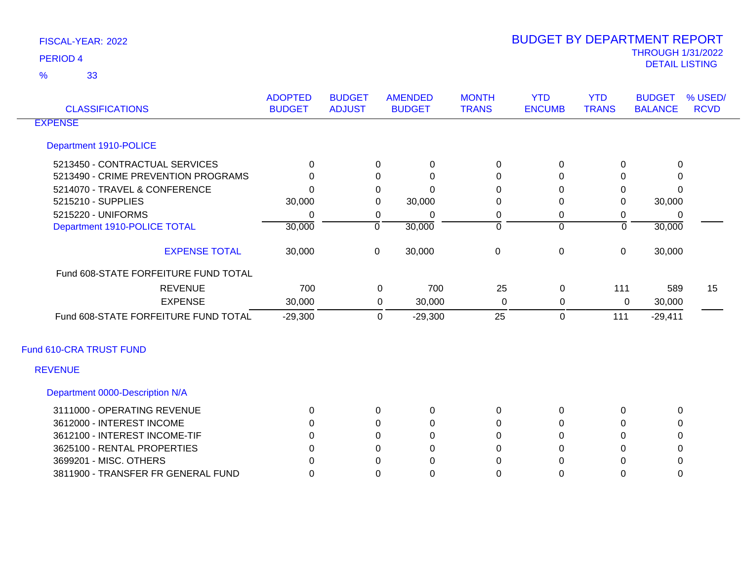33 %

| <b>CLASSIFICATIONS</b>               | <b>ADOPTED</b><br><b>BUDGET</b> | <b>BUDGET</b><br><b>ADJUST</b> |                | <b>AMENDED</b><br><b>BUDGET</b> | <b>MONTH</b><br><b>TRANS</b> | <b>YTD</b><br><b>ENCUMB</b> | <b>YTD</b><br><b>TRANS</b> | <b>BUDGET</b><br><b>BALANCE</b> | % USED/<br><b>RCVD</b> |
|--------------------------------------|---------------------------------|--------------------------------|----------------|---------------------------------|------------------------------|-----------------------------|----------------------------|---------------------------------|------------------------|
| <b>EXPENSE</b>                       |                                 |                                |                |                                 |                              |                             |                            |                                 |                        |
| Department 1910-POLICE               |                                 |                                |                |                                 |                              |                             |                            |                                 |                        |
| 5213450 - CONTRACTUAL SERVICES       | $\Omega$                        |                                | $\Omega$       | 0                               | 0                            | 0                           | $\Omega$                   | 0                               |                        |
| 5213490 - CRIME PREVENTION PROGRAMS  | $\Omega$                        |                                | 0              | $\Omega$                        | 0                            | 0                           | 0                          | 0                               |                        |
| 5214070 - TRAVEL & CONFERENCE        | 0                               |                                | 0              | O                               | 0                            | $\Omega$                    | 0                          | $\Omega$                        |                        |
| 5215210 - SUPPLIES                   | 30,000                          |                                | 0              | 30,000                          | 0                            | 0                           | $\mathbf 0$                | 30,000                          |                        |
| 5215220 - UNIFORMS                   | 0                               |                                | 0              | 0                               | 0                            | 0                           | 0                          | $\mathbf 0$                     |                        |
| Department 1910-POLICE TOTAL         | 30,000                          |                                | $\overline{0}$ | 30,000                          | $\overline{0}$               | $\overline{0}$              | $\overline{0}$             | 30,000                          |                        |
| <b>EXPENSE TOTAL</b>                 | 30,000                          |                                | $\mathbf 0$    | 30,000                          | $\mathbf 0$                  | $\mathbf 0$                 | $\mathbf 0$                | 30,000                          |                        |
| Fund 608-STATE FORFEITURE FUND TOTAL |                                 |                                |                |                                 |                              |                             |                            |                                 |                        |
| <b>REVENUE</b>                       | 700                             |                                | 0              | 700                             | 25                           | 0                           | 111                        | 589                             | 15                     |
| <b>EXPENSE</b>                       | 30,000                          |                                | $\mathbf 0$    | 30,000                          | 0                            | 0                           | 0                          | 30,000                          |                        |
| Fund 608-STATE FORFEITURE FUND TOTAL | $-29,300$                       |                                | 0              | $-29,300$                       | 25                           | $\mathbf 0$                 | 111                        | $-29,411$                       |                        |
| Fund 610-CRA TRUST FUND              |                                 |                                |                |                                 |                              |                             |                            |                                 |                        |
| <b>REVENUE</b>                       |                                 |                                |                |                                 |                              |                             |                            |                                 |                        |
| Department 0000-Description N/A      |                                 |                                |                |                                 |                              |                             |                            |                                 |                        |
| 3111000 - OPERATING REVENUE          | 0                               |                                | 0              | 0                               | 0                            | 0                           | 0                          | $\mathbf 0$                     |                        |
| 3612000 - INTEREST INCOME            | 0                               |                                | $\Omega$       | 0                               | 0                            | 0                           | $\Omega$                   | $\mathbf 0$                     |                        |
| 3612100 - INTEREST INCOME-TIF        | <sup>0</sup>                    |                                | 0              | 0                               | 0                            | $\Omega$                    | $\Omega$                   | 0                               |                        |
| 3625100 - RENTAL PROPERTIES          | 0                               |                                | 0              | 0                               | 0                            | $\Omega$                    | $\Omega$                   | 0                               |                        |
| 3699201 - MISC. OTHERS               | n                               |                                | 0              | 0                               | 0                            | 0                           | $\Omega$                   | 0                               |                        |
| 3811900 - TRANSFER FR GENERAL FUND   | 0                               |                                | $\Omega$       | 0                               | $\Omega$                     | $\Omega$                    | $\Omega$                   | 0                               |                        |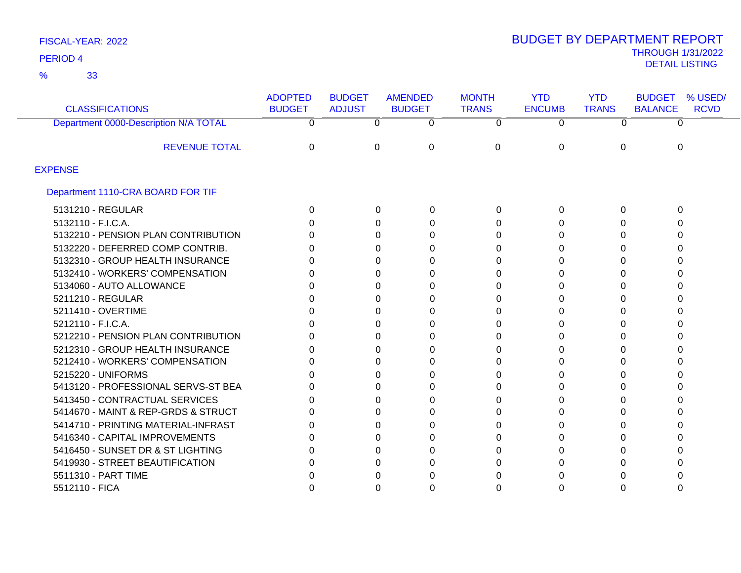33 %

# THROUGH 1/31/2022 DETAIL LISTING PERIOD <sup>4</sup> BUDGET BY DEPARTMENT REPORT

| <b>CLASSIFICATIONS</b>                | <b>ADOPTED</b><br><b>BUDGET</b> | <b>BUDGET</b><br><b>ADJUST</b> | <b>AMENDED</b><br><b>BUDGET</b> | <b>MONTH</b><br><b>TRANS</b> | <b>YTD</b><br><b>ENCUMB</b> | <b>YTD</b><br><b>TRANS</b> | % USED/<br><b>BUDGET</b><br><b>BALANCE</b><br><b>RCVD</b> |
|---------------------------------------|---------------------------------|--------------------------------|---------------------------------|------------------------------|-----------------------------|----------------------------|-----------------------------------------------------------|
| Department 0000-Description N/A TOTAL | 0                               | $\overline{0}$                 | 0                               | 0                            | 0                           | 0                          | 0                                                         |
| <b>REVENUE TOTAL</b>                  | 0                               | $\Omega$                       | $\Omega$                        | $\Omega$                     | 0                           | 0                          | $\Omega$                                                  |
| <b>EXPENSE</b>                        |                                 |                                |                                 |                              |                             |                            |                                                           |
| Department 1110-CRA BOARD FOR TIF     |                                 |                                |                                 |                              |                             |                            |                                                           |
| 5131210 - REGULAR                     | 0                               | $\Omega$                       | 0                               | 0                            | 0                           | 0                          | 0                                                         |
| 5132110 - F.I.C.A.                    |                                 | 0                              | 0                               | $\Omega$                     | 0                           | O                          | ∩                                                         |
| 5132210 - PENSION PLAN CONTRIBUTION   |                                 | 0                              | 0                               | 0                            | 0                           | 0                          |                                                           |
| 5132220 - DEFERRED COMP CONTRIB.      | O                               | 0                              | 0                               | 0                            | 0                           | <sup>0</sup>               |                                                           |
| 5132310 - GROUP HEALTH INSURANCE      | n                               | 0                              | 0                               | 0                            | 0                           |                            |                                                           |
| 5132410 - WORKERS' COMPENSATION       |                                 | 0                              | 0                               | 0                            | 0                           | 0                          |                                                           |
| 5134060 - AUTO ALLOWANCE              |                                 | 0                              | 0                               | 0                            | 0                           | O                          |                                                           |
| 5211210 - REGULAR                     |                                 | ∩                              | 0                               | 0                            | 0                           |                            |                                                           |
| 5211410 - OVERTIME                    |                                 | 0                              | 0                               | 0                            | 0                           | O                          |                                                           |
| 5212110 - F.I.C.A.                    |                                 | 0                              | 0                               | 0                            | 0                           | O                          |                                                           |
| 5212210 - PENSION PLAN CONTRIBUTION   |                                 | 0                              | 0                               | 0                            | 0                           |                            |                                                           |
| 5212310 - GROUP HEALTH INSURANCE      |                                 | 0                              | 0                               |                              | 0                           |                            |                                                           |
| 5212410 - WORKERS' COMPENSATION       |                                 | 0                              | 0                               | 0                            | 0                           |                            |                                                           |
| 5215220 - UNIFORMS                    |                                 | 0                              | 0                               | 0                            | 0                           |                            |                                                           |
| 5413120 - PROFESSIONAL SERVS-ST BEA   | O                               | 0                              | 0                               | 0                            | 0                           | 0                          |                                                           |
| 5413450 - CONTRACTUAL SERVICES        | 0                               | 0                              | 0                               | 0                            | 0                           |                            |                                                           |
| 5414670 - MAINT & REP-GRDS & STRUCT   | 0                               | 0                              | 0                               | 0                            | 0                           | O                          |                                                           |
| 5414710 - PRINTING MATERIAL-INFRAST   |                                 | 0                              | 0                               |                              | 0                           | O                          |                                                           |
| 5416340 - CAPITAL IMPROVEMENTS        |                                 | 0                              | 0                               | 0                            | 0                           |                            |                                                           |
| 5416450 - SUNSET DR & ST LIGHTING     |                                 |                                | 0                               | 0                            | 0                           |                            |                                                           |
| 5419930 - STREET BEAUTIFICATION       |                                 | O                              | 0                               |                              | 0                           |                            |                                                           |
| 5511310 - PART TIME                   |                                 |                                | O                               |                              |                             |                            |                                                           |
| 5512110 - FICA                        |                                 | 0                              | 0                               | 0                            | 0                           |                            |                                                           |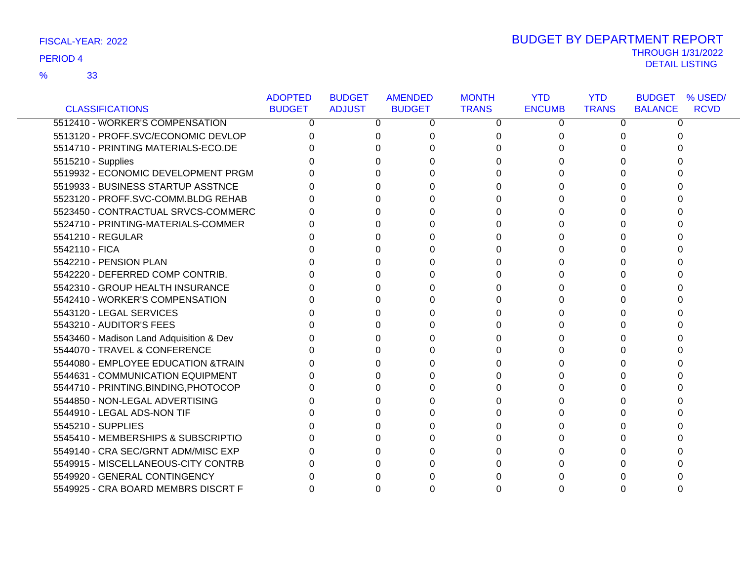33 %

| FISCAL-YEAR: 2022 | <b>BUDGET BY DEPARTMENT REPORT</b> |
|-------------------|------------------------------------|
|                   | <b>THROUGH 1/31/2022</b>           |
| <b>PERIOD 4</b>   | DETAIL LISTING                     |

|                                          | <b>ADOPTED</b> | <b>BUDGET</b> | <b>AMENDED</b> | <b>MONTH</b> | <b>YTD</b>    | <b>YTD</b>   | <b>BUDGET</b><br>% USED/      |
|------------------------------------------|----------------|---------------|----------------|--------------|---------------|--------------|-------------------------------|
| <b>CLASSIFICATIONS</b>                   | <b>BUDGET</b>  | <b>ADJUST</b> | <b>BUDGET</b>  | <b>TRANS</b> | <b>ENCUMB</b> | <b>TRANS</b> | <b>RCVD</b><br><b>BALANCE</b> |
| 5512410 - WORKER'S COMPENSATION          | 0              | 0             | 0              | 0            | 0             | 0            | 0                             |
| 5513120 - PROFF.SVC/ECONOMIC DEVLOP      |                |               |                | 0            | 0             |              |                               |
| 5514710 - PRINTING MATERIALS-ECO.DE      |                |               |                | $\Omega$     |               |              |                               |
| 5515210 - Supplies                       |                |               |                | U            |               |              |                               |
| 5519932 - ECONOMIC DEVELOPMENT PRGM      |                |               |                | 0            | 0             |              |                               |
| 5519933 - BUSINESS STARTUP ASSTNCE       |                |               |                | 0            | U             |              |                               |
| 5523120 - PROFF.SVC-COMM.BLDG REHAB      |                |               |                | 0            |               |              |                               |
| 5523450 - CONTRACTUAL SRVCS-COMMERC      |                |               |                | 0            |               |              |                               |
| 5524710 - PRINTING-MATERIALS-COMMER      |                |               |                | 0            |               |              |                               |
| 5541210 - REGULAR                        |                |               |                | 0            |               |              |                               |
| 5542110 - FICA                           |                |               |                | 0            | 0             |              |                               |
| 5542210 - PENSION PLAN                   |                |               |                | 0            |               |              |                               |
| 5542220 - DEFERRED COMP CONTRIB.         |                |               |                | 0            |               |              |                               |
| 5542310 - GROUP HEALTH INSURANCE         |                |               |                | 0            |               |              |                               |
| 5542410 - WORKER'S COMPENSATION          |                |               |                | 0            |               |              |                               |
| 5543120 - LEGAL SERVICES                 |                |               |                | 0            |               |              |                               |
| 5543210 - AUDITOR'S FEES                 |                |               |                | 0            | U             |              |                               |
| 5543460 - Madison Land Adquisition & Dev |                |               |                | 0            |               |              |                               |
| 5544070 - TRAVEL & CONFERENCE            |                |               |                | 0            |               |              |                               |
| 5544080 - EMPLOYEE EDUCATION & TRAIN     |                |               |                | 0            |               |              |                               |
| 5544631 - COMMUNICATION EQUIPMENT        |                |               |                | U            |               |              |                               |
| 5544710 - PRINTING, BINDING, PHOTOCOP    |                |               |                | 0            |               |              |                               |
| 5544850 - NON-LEGAL ADVERTISING          |                |               |                | 0            |               |              |                               |
| 5544910 - LEGAL ADS-NON TIF              |                |               |                | 0            |               |              |                               |
| 5545210 - SUPPLIES                       |                |               |                | 0            |               |              |                               |
| 5545410 - MEMBERSHIPS & SUBSCRIPTIO      |                |               |                | U            |               |              |                               |
| 5549140 - CRA SEC/GRNT ADM/MISC EXP      |                |               |                |              |               |              |                               |
| 5549915 - MISCELLANEOUS-CITY CONTRB      |                |               |                | 0            |               |              |                               |
| 5549920 - GENERAL CONTINGENCY            |                |               |                |              |               |              |                               |
| 5549925 - CRA BOARD MEMBRS DISCRT F      |                |               |                |              |               | 0            |                               |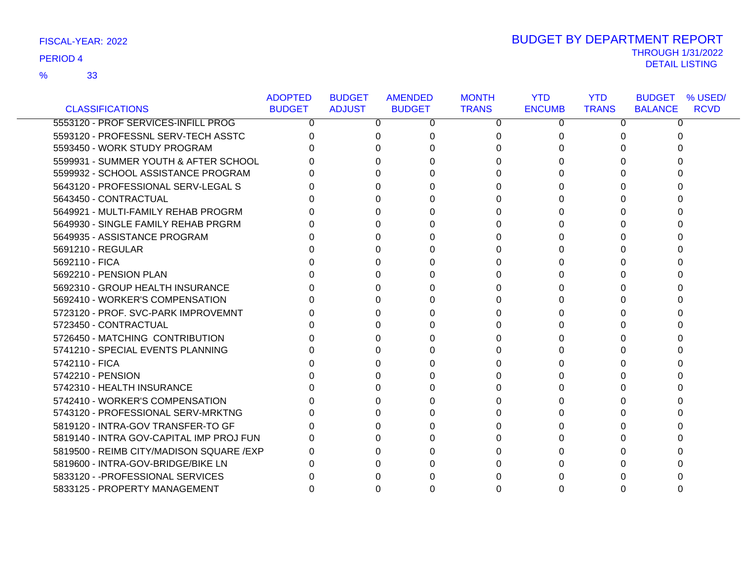## 33 %

# THROUGH 1/31/2022 DETAIL LISTING PERIOD <sup>4</sup> BUDGET BY DEPARTMENT REPORT

|                                           | <b>ADOPTED</b> | <b>BUDGET</b> | <b>AMENDED</b> | <b>MONTH</b> | <b>YTD</b>    | <b>YTD</b>   | <b>BUDGET</b><br>% USED/      |
|-------------------------------------------|----------------|---------------|----------------|--------------|---------------|--------------|-------------------------------|
| <b>CLASSIFICATIONS</b>                    | <b>BUDGET</b>  | <b>ADJUST</b> | <b>BUDGET</b>  | <b>TRANS</b> | <b>ENCUMB</b> | <b>TRANS</b> | <b>BALANCE</b><br><b>RCVD</b> |
| 5553120 - PROF SERVICES-INFILL PROG       | 0              | 0             | 0              | 0            | 0             | $\Omega$     | 0                             |
| 5593120 - PROFESSNL SERV-TECH ASSTC       |                | 0             |                | 0            | 0             |              |                               |
| 5593450 - WORK STUDY PROGRAM              |                | O.            |                | 0            |               |              |                               |
| 5599931 - SUMMER YOUTH & AFTER SCHOOL     |                |               |                | 0            |               |              |                               |
| 5599932 - SCHOOL ASSISTANCE PROGRAM       |                | 0             |                | 0            |               |              |                               |
| 5643120 - PROFESSIONAL SERV-LEGAL S       |                | 0             |                | 0            | O             |              |                               |
| 5643450 - CONTRACTUAL                     |                |               |                | 0            |               |              |                               |
| 5649921 - MULTI-FAMILY REHAB PROGRM       |                |               |                | 0            |               |              |                               |
| 5649930 - SINGLE FAMILY REHAB PRGRM       |                |               |                | 0            |               |              |                               |
| 5649935 - ASSISTANCE PROGRAM              |                |               |                | 0            | O             |              |                               |
| 5691210 - REGULAR                         |                |               |                | 0            | O             |              |                               |
| 5692110 - FICA                            |                |               |                | 0            |               |              |                               |
| 5692210 - PENSION PLAN                    |                |               |                | 0            | U             |              |                               |
| 5692310 - GROUP HEALTH INSURANCE          |                |               |                | 0            | O             |              |                               |
| 5692410 - WORKER'S COMPENSATION           |                |               |                | 0            |               |              |                               |
| 5723120 - PROF. SVC-PARK IMPROVEMNT       |                |               |                | 0            |               |              |                               |
| 5723450 - CONTRACTUAL                     |                | 0             |                | 0            | U             |              |                               |
| 5726450 - MATCHING CONTRIBUTION           |                |               |                | 0            |               |              |                               |
| 5741210 - SPECIAL EVENTS PLANNING         |                |               |                | 0            |               |              |                               |
| 5742110 - FICA                            |                |               |                | U            |               |              |                               |
| 5742210 - PENSION                         |                |               |                | 0            |               |              |                               |
| 5742310 - HEALTH INSURANCE                |                |               |                | 0            |               |              |                               |
| 5742410 - WORKER'S COMPENSATION           |                |               |                | 0            |               |              |                               |
| 5743120 - PROFESSIONAL SERV-MRKTNG        |                | ∩             |                | 0            |               |              |                               |
| 5819120 - INTRA-GOV TRANSFER-TO GF        |                | 0             |                | 0            |               |              |                               |
| 5819140 - INTRA GOV-CAPITAL IMP PROJ FUN  |                |               |                | 0            |               |              |                               |
| 5819500 - REIMB CITY/MADISON SQUARE / EXP |                |               |                | 0            |               |              |                               |
| 5819600 - INTRA-GOV-BRIDGE/BIKE LN        |                |               |                | 0            |               |              |                               |
| 5833120 - - PROFESSIONAL SERVICES         |                |               |                |              |               |              |                               |
| 5833125 - PROPERTY MANAGEMENT             |                |               |                |              |               |              |                               |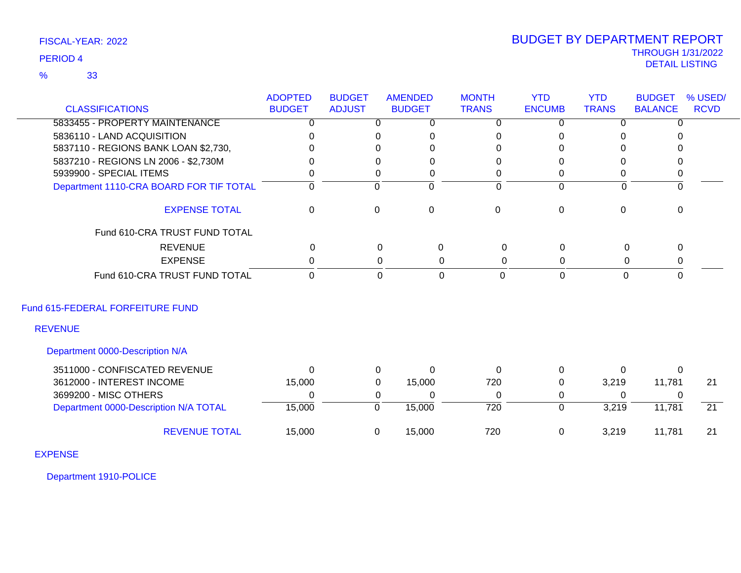## 33 %

# THROUGH 1/31/2022 DETAIL LISTING PERIOD <sup>4</sup> BUDGET BY DEPARTMENT REPORT

|                                         | <b>ADOPTED</b> | <b>BUDGET</b>  | <b>AMENDED</b>             | <b>MONTH</b>     | <b>YTD</b>     | <b>YTD</b>   | <b>BUDGET</b>  | % USED/         |
|-----------------------------------------|----------------|----------------|----------------------------|------------------|----------------|--------------|----------------|-----------------|
| <b>CLASSIFICATIONS</b>                  | <b>BUDGET</b>  | <b>ADJUST</b>  | <b>BUDGET</b>              | <b>TRANS</b>     | <b>ENCUMB</b>  | <b>TRANS</b> | <b>BALANCE</b> | <b>RCVD</b>     |
| 5833455 - PROPERTY MAINTENANCE          | $\overline{0}$ | $\overline{0}$ | $\overline{0}$             | $\overline{0}$   | $\overline{0}$ | $\Omega$     | $\overline{0}$ |                 |
| 5836110 - LAND ACQUISITION              | $\Omega$       | 0              | 0                          | 0                | $\Omega$       | ∩            |                |                 |
| 5837110 - REGIONS BANK LOAN \$2,730,    | 0              | 0              | 0                          | 0                | $\Omega$       | 0            | U              |                 |
| 5837210 - REGIONS LN 2006 - \$2,730M    | <sup>0</sup>   | 0              | 0                          | 0                | $\Omega$       | 0            | 0              |                 |
| 5939900 - SPECIAL ITEMS                 | 0              | 0              | 0                          | 0                | 0              | 0            | 0              |                 |
| Department 1110-CRA BOARD FOR TIF TOTAL | $\Omega$       | $\mathbf{0}$   | $\Omega$                   | $\Omega$         | $\mathbf 0$    | $\Omega$     | $\Omega$       |                 |
| <b>EXPENSE TOTAL</b>                    | 0              | 0              | $\boldsymbol{0}$           | $\mathbf 0$      | $\mathbf 0$    | $\mathbf 0$  | 0              |                 |
| Fund 610-CRA TRUST FUND TOTAL           |                |                |                            |                  |                |              |                |                 |
| <b>REVENUE</b>                          | $\mathbf 0$    |                | $\mathbf 0$<br>$\pmb{0}$   | $\pmb{0}$        | $\pmb{0}$      | $\mathsf 0$  | $\mathbf 0$    |                 |
| <b>EXPENSE</b>                          | $\Omega$       |                | 0<br>0                     | 0                | $\mathbf 0$    | 0            | 0              |                 |
| Fund 610-CRA TRUST FUND TOTAL           | $\mathbf 0$    |                | $\mathbf 0$<br>$\mathbf 0$ | 0                | $\mathbf 0$    | $\mathbf 0$  | $\mathbf{0}$   |                 |
| Fund 615-FEDERAL FORFEITURE FUND        |                |                |                            |                  |                |              |                |                 |
| <b>REVENUE</b>                          |                |                |                            |                  |                |              |                |                 |
| Department 0000-Description N/A         |                |                |                            |                  |                |              |                |                 |
| 3511000 - CONFISCATED REVENUE           | $\Omega$       | 0              | $\Omega$                   | $\Omega$         | 0              | $\Omega$     | $\Omega$       |                 |
| 3612000 - INTEREST INCOME               | 15,000         | 0              | 15,000                     | 720              | 0              | 3,219        | 11,781         | 21              |
| 3699200 - MISC OTHERS                   | $\Omega$       | 0              | 0                          | 0                | 0              | $\Omega$     | 0              |                 |
| Department 0000-Description N/A TOTAL   | 15,000         | $\mathbf 0$    | 15,000                     | $\overline{720}$ | $\mathbf 0$    | 3,219        | 11,781         | $\overline{21}$ |
| <b>REVENUE TOTAL</b>                    | 15,000         | $\mathbf 0$    | 15,000                     | 720              | $\mathbf 0$    | 3,219        | 11,781         | 21              |
| <b>EXPENSE</b>                          |                |                |                            |                  |                |              |                |                 |

Department 1910-POLICE